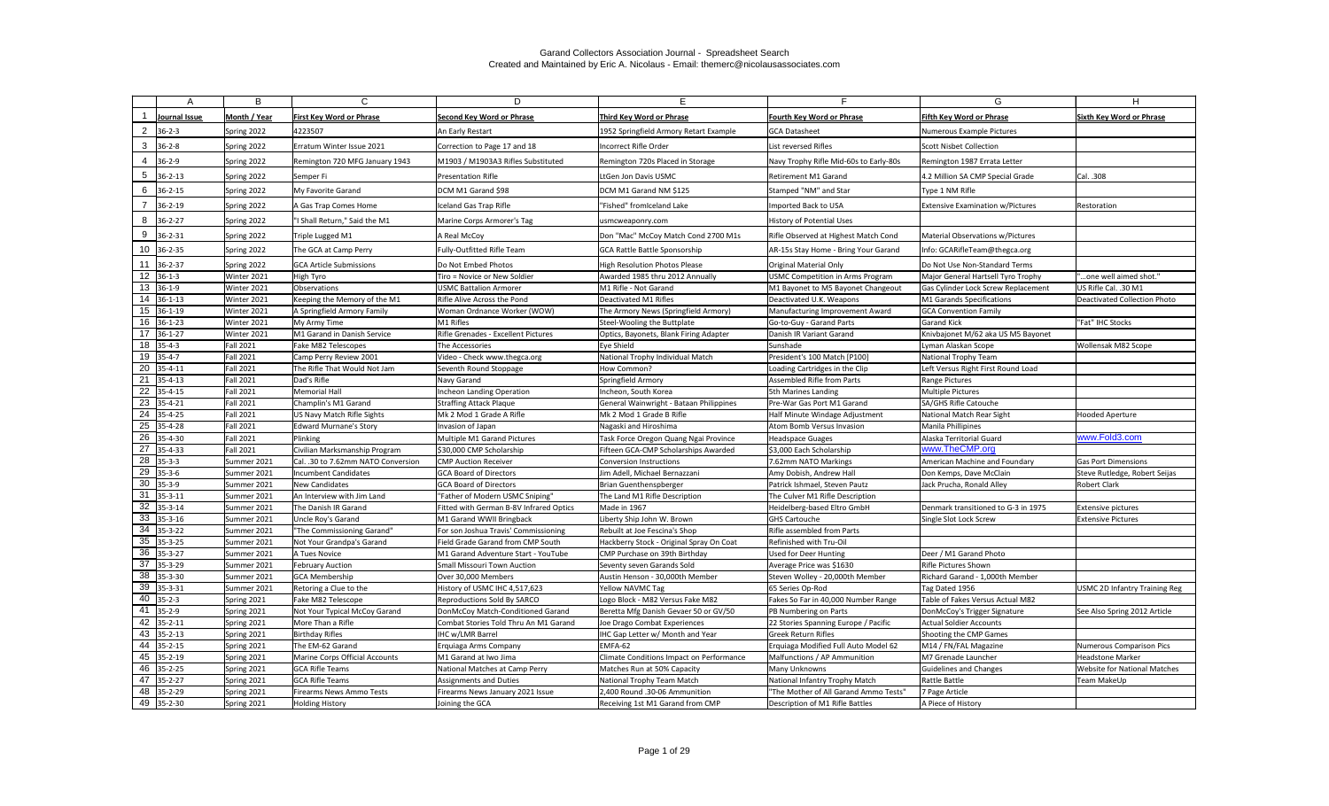|                | Δ                            | B                | C                                  | D.                                      | E.                                       |                                        | G                                       |                                      |
|----------------|------------------------------|------------------|------------------------------------|-----------------------------------------|------------------------------------------|----------------------------------------|-----------------------------------------|--------------------------------------|
|                | Journal Issue                | Month / Year     | <b>First Key Word or Phrase</b>    | Second Key Word or Phrase               | Third Key Word or Phrase                 | <b>Fourth Key Word or Phrase</b>       | <b>Fifth Key Word or Phrase</b>         | <b>Sixth Key Word or Phrase</b>      |
| $\overline{2}$ | $36 - 2 - 3$                 | Spring 2022      | 4223507                            | An Early Restart                        | 1952 Springfield Armory Retart Example   | <b>GCA Datasheet</b>                   | Numerous Example Pictures               |                                      |
| 3              | $36 - 2 - 8$                 | Spring 2022      | Erratum Winter Issue 2021          | Correction to Page 17 and 18            | Incorrect Rifle Order                    | List reversed Rifles                   | Scott Nisbet Collection                 |                                      |
|                |                              |                  |                                    |                                         |                                          |                                        |                                         |                                      |
| 4              | $36 - 2 - 9$                 | Spring 2022      | Remington 720 MFG January 1943     | M1903 / M1903A3 Rifles Substituted      | Remington 720s Placed in Storage         | Navy Trophy Rifle Mid-60s to Early-80s | Remington 1987 Errata Letter            |                                      |
| 5              | $36 - 2 - 13$                | Spring 2022      | Semper Fi                          | <b>Presentation Rifle</b>               | LtGen Jon Davis USMC                     | Retirement M1 Garand                   | 4.2 Million SA CMP Special Grade        | Cal. .308                            |
| 6              | $36 - 2 - 15$                | Spring 2022      | My Favorite Garand                 | DCM M1 Garand \$98                      | DCM M1 Garand NM \$125                   | Stamped "NM" and Star                  | Type 1 NM Rifle                         |                                      |
|                | $36 - 2 - 19$                | Spring 2022      | A Gas Trap Comes Home              | Iceland Gas Trap Rifle                  | "Fished" fromIceland Lake                | Imported Back to USA                   | <b>Extensive Examination w/Pictures</b> | Restoration                          |
| 8              | $36 - 2 - 27$                | Spring 2022      | "I Shall Return," Said the M1      | Marine Corps Armorer's Tag              | usmcweaponry.com                         | History of Potential Uses              |                                         |                                      |
| 9              | $36 - 2 - 31$                | Spring 2022      | Triple Lugged M1                   | A Real McCoy                            | Don "Mac" McCoy Match Cond 2700 M1s      | Rifle Observed at Highest Match Cond   | Material Observations w/Pictures        |                                      |
|                | $10 \big  36 - 2 - 35 \big $ | Spring 2022      | The GCA at Camp Perry              | Fully-Outfitted Rifle Team              | <b>GCA Rattle Battle Sponsorship</b>     | AR-15s Stay Home - Bring Your Garand   | Info: GCARifleTeam@thegca.org           |                                      |
|                | $11 \overline{36-2-37}$      | Spring 2022      | <b>GCA Article Submissions</b>     | Do Not Embed Photos                     | High Resolution Photos Please            | <b>Original Material Only</b>          | Do Not Use Non-Standard Terms           |                                      |
|                | $12 \mid 36-1-3$             | Winter 2021      | High Tyro                          | Tiro = Novice or New Soldier            | Awarded 1985 thru 2012 Annually          | USMC Competition in Arms Program       | Major General Hartsell Tyro Trophy      | "one well aimed shot."               |
|                | 13 36-1-9                    | Winter 2021      | Observations                       | <b>USMC Battalion Armorer</b>           | M1 Rifle - Not Garand                    | M1 Bayonet to M5 Bayonet Changeout     | Gas Cylinder Lock Screw Replacement     | US Rifle Cal. .30 M1                 |
|                | 14 36-1-13                   | Winter 2021      | Keeping the Memory of the M1       | Rifle Alive Across the Pond             | Deactivated M1 Rifles                    | Deactivated U.K. Weapons               | M1 Garands Specifications               | Deactivated Collection Photo         |
|                | 15 36-1-19                   | Winter 2021      | A Springfield Armory Family        | Woman Ordnance Worker (WOW)             | The Armory News (Springfield Armory)     | Manufacturing Improvement Award        | <b>GCA Convention Family</b>            |                                      |
|                | 16 36-1-23                   | Winter 2021      | My Army Time                       | M1 Rifles                               | Steel-Wooling the Buttplate              | Go-to-Guy - Garand Parts               | <b>Garand Kick</b>                      | "Fat" IHC Stocks                     |
|                | 17 36-1-27                   | Winter 2021      | M1 Garand in Danish Service        | Rifle Grenades - Excellent Pictures     | Optics, Bayonets, Blank Firing Adapter   | Danish IR Variant Garand               | Knivbajonet M/62 aka US M5 Bayonet      |                                      |
|                | $18$ 35-4-3                  | <b>Fall 2021</b> | Fake M82 Telescopes                | The Accessories                         | Eye Shield                               | Sunshade                               | Lyman Alaskan Scope                     | Wollensak M82 Scope                  |
|                | 19 35-4-7                    | <b>Fall 2021</b> | Camp Perry Review 2001             | Video - Check www.thegca.org            | National Trophy Individual Match         | President's 100 Match [P100]           | National Trophy Team                    |                                      |
|                | 20 35-4-11                   | <b>Fall 2021</b> | The Rifle That Would Not Jam       | Seventh Round Stoppage                  | How Common?                              | Loading Cartridges in the Clip         | Left Versus Right First Round Load      |                                      |
|                | 21 35-4-13                   | <b>Fall 2021</b> | Dad's Rifle                        | Navy Garand                             | Springfield Armory                       | Assembled Rifle from Parts             | Range Pictures                          |                                      |
|                | 22 35-4-15                   | <b>Fall 2021</b> | Memorial Hall                      | Incheon Landing Operation               | Incheon, South Korea                     | 5th Marines Landing                    | <b>Multiple Pictures</b>                |                                      |
|                | 23 35-4-21                   | <b>Fall 2021</b> | Champlin's M1 Garand               | <b>Straffing Attack Plaque</b>          | General Wainwright - Bataan Philippines  | Pre-War Gas Port M1 Garand             | SA/GHS Rifle Catouche                   |                                      |
|                | 24 35-4-25                   | <b>Fall 2021</b> | US Navy Match Rifle Sights         | Mk 2 Mod 1 Grade A Rifle                | Mk 2 Mod 1 Grade B Rifle                 | Half Minute Windage Adjustment         | National Match Rear Sight               | <b>Hooded Aperture</b>               |
|                | 25 35-4-28                   | <b>Fall 2021</b> | <b>Edward Murnane's Story</b>      | Invasion of Japan                       | Nagaski and Hiroshima                    | Atom Bomb Versus Invasion              | Manila Phillipines                      |                                      |
|                | 26 35-4-30                   | <b>Fall 2021</b> | Plinking                           | Multiple M1 Garand Pictures             | Task Force Oregon Quang Ngai Province    | Headspace Guages                       | Alaska Territorial Guard                | www.Fold3.com                        |
|                | $\overline{27}$ 35-4-33      | <b>Fall 2021</b> | Civilian Marksmanship Program      | \$30,000 CMP Scholarship                | Fifteen GCA-CMP Scholarships Awarded     | \$3,000 Each Scholarship               | www.TheCMP.org                          |                                      |
|                | 28 35-3-3                    | Summer 2021      | Cal. .30 to 7.62mm NATO Conversion | <b>CMP Auction Receiver</b>             | Conversion Instructions                  | 7.62mm NATO Markings                   | American Machine and Foundary           | <b>Gas Port Dimensions</b>           |
|                | 29 35-3-6                    | Summer 2021      | <b>Incumbent Candidates</b>        | <b>GCA Board of Directors</b>           | Jim Adell, Michael Bernazzani            | Amy Dobish, Andrew Hall                | Don Kemps, Dave McClain                 | Steve Rutledge, Robert Seijas        |
|                | $30 \big  35 - 3 - 9$        | Summer 2021      | New Candidates                     | <b>GCA Board of Directors</b>           | Brian Guenthenspberger                   | Patrick Ishmael, Steven Pautz          | Jack Prucha, Ronald Alley               | <b>Robert Clark</b>                  |
| 31             | $35 - 3 - 11$                | Summer 2021      | An Interview with Jim Land         | "Father of Modern USMC Sniping"         | The Land M1 Rifle Description            | The Culver M1 Rifle Description        |                                         |                                      |
|                | 32 35-3-14                   | Summer 2021      | The Danish IR Garand               | Fitted with German B-8V Infrared Optics | Made in 1967                             | Heidelberg-based Eltro GmbH            | Denmark transitioned to G-3 in 1975     | <b>Extensive pictures</b>            |
|                | $33 \big  35 - 3 - 16$       | Summer 2021      | Uncle Roy's Garand                 | M1 Garand WWII Bringback                | Liberty Ship John W. Brown               | <b>GHS Cartouche</b>                   | Single Slot Lock Screw                  | <b>Extensive Pictures</b>            |
|                | $34$ 35-3-22                 | Summer 2021      | "The Commissioning Garand"         | For son Joshua Travis' Commissioning    | Rebuilt at Joe Fescina's Shop            | Rifle assembled from Parts             |                                         |                                      |
|                | 35 35-3-25                   | Summer 2021      | Not Your Grandpa's Garand          | Field Grade Garand from CMP South       | Hackberry Stock - Original Spray On Coat | Refinished with Tru-Oil                |                                         |                                      |
|                | $36$ 35-3-27                 | Summer 2021      | A Tues Novice                      | M1 Garand Adventure Start - YouTube     | CMP Purchase on 39th Birthday            | <b>Used for Deer Hunting</b>           | Deer / M1 Garand Photo                  |                                      |
|                | $37$ 35-3-29                 | Summer 2021      | <b>February Auction</b>            | Small Missouri Town Auction             | Seventy seven Garands Sold               | Average Price was \$1630               | Rifle Pictures Shown                    |                                      |
|                | 38 35-3-30                   | Summer 2021      | <b>GCA Membership</b>              | Over 30,000 Members                     | Austin Henson - 30,000th Member          | Steven Wolley - 20,000th Member        | Richard Garand - 1,000th Member         |                                      |
|                | 39 35-3-31                   | Summer 2021      | Retoring a Clue to the             | History of USMC IHC 4,517,623           | Yellow NAVMC Tag                         | 65 Series Op-Rod                       | Tag Dated 1956                          | <b>USMC 2D Infantry Training Reg</b> |
|                | $40$ 35-2-3                  | Spring 2021      | Fake M82 Telescope                 | <b>Reproductions Sold By SARCO</b>      | Logo Block - M82 Versus Fake M82         | Fakes So Far in 40,000 Number Range    | Table of Fakes Versus Actual M82        |                                      |
|                | 41 35-2-9                    | Spring 2021      | Not Your Typical McCoy Garand      | DonMcCoy Match-Conditioned Garand       | Beretta Mfg Danish Gevaer 50 or GV/50    | <b>PB Numbering on Parts</b>           | DonMcCoy's Trigger Signature            | See Also Spring 2012 Article         |
|                | 42 35-2-11                   | Spring 2021      | More Than a Rifle                  | Combat Stories Told Thru An M1 Garand   | Joe Drago Combat Experiences             | 22 Stories Spanning Europe / Pacific   | Actual Soldier Accounts                 |                                      |
|                | 43 35-2-13                   | Spring 2021      | Birthday Rifles                    | IHC w/LMR Barrel                        | IHC Gap Letter w/ Month and Year         | Greek Return Rifles                    | Shooting the CMP Games                  |                                      |
|                | 44 35-2-15                   | Spring 2021      | The EM-62 Garand                   | Erquiaga Arms Company                   | EMFA-62                                  | Erquiaga Modified Full Auto Model 62   | M14 / FN/FAL Magazine                   | Numerous Comparison Pics             |
|                | 45 35-2-19                   | Spring 2021      | Marine Corps Official Accounts     | M1 Garand at Iwo Jima                   | Climate Conditions Impact on Performance | Malfunctions / AP Ammunition           | M7 Grenade Launcher                     | <b>Headstone Marker</b>              |
|                | 46 35-2-25                   | Spring 2021      | <b>GCA Rifle Teams</b>             | National Matches at Camp Perry          | Matches Run at 50% Capacity              | Many Unknowns                          | Guidelines and Changes                  | Website for National Matches         |
|                | 47 35-2-27                   | Spring 2021      | <b>GCA Rifle Teams</b>             | <b>Assignments and Duties</b>           | National Trophy Team Match               | National Infantry Trophy Match         | Rattle Battle                           | Team MakeUp                          |
|                | 48 35-2-29                   | Spring 2021      | Firearms News Ammo Tests           | Firearms News January 2021 Issue        | 2,400 Round .30-06 Ammunition            | "The Mother of All Garand Ammo Tests"  | 7 Page Article                          |                                      |
|                | 49 35-2-30                   | Spring 2021      | Holding History                    | Joining the GCA                         | Receiving 1st M1 Garand from CMP         | Description of M1 Rifle Battles        | A Piece of History                      |                                      |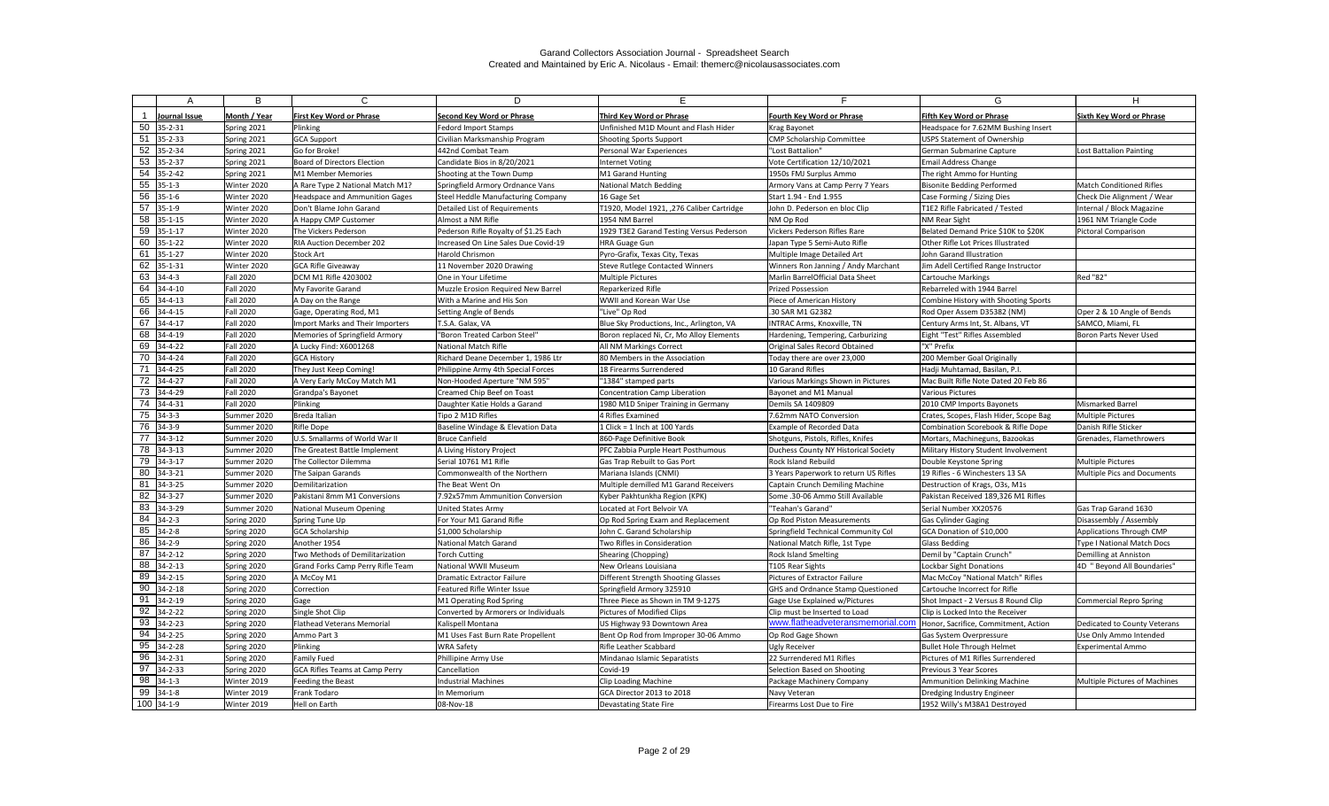|     | A                       | B                | C                                     | D                                     | E.                                        | Е.                                       | G                                      | H                               |
|-----|-------------------------|------------------|---------------------------------------|---------------------------------------|-------------------------------------------|------------------------------------------|----------------------------------------|---------------------------------|
|     | Journal Issue           | Month / Year     | <b>First Key Word or Phrase</b>       | <b>Second Key Word or Phrase</b>      | Third Key Word or Phrase                  | <b>Fourth Key Word or Phrase</b>         | <b>Fifth Key Word or Phrase</b>        | <b>Sixth Kev Word or Phrase</b> |
| 50  | $35 - 2 - 31$           | Spring 2021      | Plinking                              | <b>Fedord Import Stamps</b>           | Unfinished M1D Mount and Flash Hider      | Krag Bayonet                             | Headspace for 7.62MM Bushing Insert    |                                 |
| 51  | 35-2-33                 | Spring 2021      | GCA Support                           | Civilian Marksmanship Program         | <b>Shooting Sports Support</b>            | CMP Scholarship Committee                | <b>USPS Statement of Ownership</b>     |                                 |
| 52  | 35-2-34                 | Spring 2021      | Go for Broke!                         | 442nd Combat Team                     | Personal War Experiences                  | "Lost Battalion"                         | German Submarine Capture               | Lost Battalion Painting         |
|     | $53$ 35-2-37            | Spring 2021      | <b>Board of Directors Election</b>    | Candidate Bios in 8/20/2021           | Internet Voting                           | Vote Certification 12/10/2021            | <b>Email Address Change</b>            |                                 |
| 54  | $35 - 2 - 42$           | Spring 2021      | M1 Member Memories                    | Shooting at the Town Dump             | M1 Garand Hunting                         | 1950s FMJ Surplus Ammo                   | The right Ammo for Hunting             |                                 |
| 55  | $35 - 1 - 3$            | Winter 2020      | A Rare Type 2 National Match M1?      | Springfield Armory Ordnance Vans      | National Match Bedding                    | Armory Vans at Camp Perry 7 Years        | <b>Bisonite Bedding Performed</b>      | <b>Match Conditioned Rifles</b> |
| 56  | $35 - 1 - 6$            | Winter 2020      | <b>Headspace and Ammunition Gages</b> | Steel Heddle Manufacturing Company    | 16 Gage Set                               | Start 1.94 - End 1.955                   | Case Forming / Sizing Dies             | Check Die Alignment / Wear      |
| 57  | $35 - 1 - 9$            | Winter 2020      | Don't Blame John Garand               | Detailed List of Requirements         | T1920, Model 1921, ,276 Caliber Cartridge | John D. Pederson en bloc Clip            | T1E2 Rifle Fabricated / Tested         | Internal / Block Magazine       |
| 58  | $35 - 1 - 15$           | Winter 2020      | A Happy CMP Customer                  | Almost a NM Rifle                     | 1954 NM Barrel                            | NM Op Rod                                | <b>NM Rear Sight</b>                   | 1961 NM Triangle Code           |
| 59  | $35 - 1 - 17$           | Winter 2020      | The Vickers Pederson                  | Pederson Rifle Royalty of \$1.25 Each | 1929 T3E2 Garand Testing Versus Pederson  | Vickers Pederson Rifles Rare             | Belated Demand Price \$10K to \$20K    | Pictoral Comparison             |
| 60  | $35 - 1 - 22$           | Winter 2020      | RIA Auction December 202              | Increased On Line Sales Due Covid-19  | <b>HRA Guage Gun</b>                      | Japan Type 5 Semi-Auto Rifle             | Other Rifle Lot Prices Illustrated     |                                 |
| 61  | $35 - 1 - 27$           | Winter 2020      | Stock Art                             | Harold Chrismon                       | Pyro-Grafix, Texas City, Texas            | Multiple Image Detailed Art              | John Garand Illustration               |                                 |
| 62  | $35 - 1 - 31$           | Winter 2020      | <b>GCA Rifle Giveaway</b>             | 11 November 2020 Drawing              | <b>Steve Rutlege Contacted Winners</b>    | Winners Ron Janning / Andy Marchant      | Jim Adell Certified Range Instructor   |                                 |
| 63  | $34 - 4 - 3$            | <b>Fall 2020</b> | DCM M1 Rifle 4203002                  | One in Your Lifetime                  | <b>Multiple Pictures</b>                  | Marlin BarrelOfficial Data Sheet         | Cartouche Markings                     | Red "82"                        |
| 64  | 34-4-10                 | <b>Fall 2020</b> | My Favorite Garand                    | Muzzle Erosion Required New Barrel    | Reparkerized Rifle                        | <b>Prized Possession</b>                 | Rebarreled with 1944 Barrel            |                                 |
| 65  | $34 - 4 - 13$           | <b>Fall 2020</b> | A Day on the Range                    | With a Marine and His Son             | WWII and Korean War Use                   | Piece of American History                | Combine History with Shooting Sports   |                                 |
| 66  | 34-4-15                 | <b>Fall 2020</b> | Gage, Operating Rod, M1               | Setting Angle of Bends                | "Live" Op Rod                             | .30 SAR M1 G2382                         | Rod Oper Assem D35382 (NM)             | Oper 2 & 10 Angle of Bends      |
| 67  | $34 - 4 - 17$           | <b>Fall 2020</b> | Import Marks and Their Importers      | T.S.A. Galax, VA                      | Blue Sky Productions, Inc., Arlington, VA | <b>INTRAC Arms, Knoxville, TN</b>        | Century Arms Int, St. Albans, VT       | SAMCO, Miami, FL                |
| 68  | 34-4-19                 | <b>Fall 2020</b> | Memories of Springfield Armory        | "Boron Treated Carbon Steel"          | Boron replaced Ni, Cr, Mo Alloy Elements  | Hardening, Tempering, Carburizing        | Eight "Test" Rifles Assembled          | Boron Parts Never Used          |
| 69  | $34 - 4 - 22$           | <b>Fall 2020</b> | A Lucky Find: X6001268                | National Match Rifle                  | <b>All NM Markings Correct</b>            | Original Sales Record Obtained           | "X" Prefix                             |                                 |
| 70  | $34 - 4 - 24$           | <b>Fall 2020</b> | <b>GCA History</b>                    | Richard Deane December 1, 1986 Ltr    | 80 Members in the Association             | Today there are over 23,000              | 200 Member Goal Originally             |                                 |
| -71 | 34-4-25                 | <b>Fall 2020</b> | They Just Keep Coming!                | Philippine Army 4th Special Forces    | 18 Firearms Surrendered                   | 10 Garand Rifles                         | Hadji Muhtamad, Basilan, P.I.          |                                 |
|     | $\overline{72}$ 34-4-27 | <b>Fall 2020</b> | A Very Early McCoy Match M1           | Non-Hooded Aperture "NM 595"          | "1384" stamped parts                      | Various Markings Shown in Pictures       | Mac Built Rifle Note Dated 20 Feb 86   |                                 |
|     | 73 34-4-29              | <b>Fall 2020</b> | Grandpa's Bayonet                     | Creamed Chip Beef on Toast            | Concentration Camp Liberation             | Bayonet and M1 Manual                    | Various Pictures                       |                                 |
| 74  | $34 - 4 - 31$           | <b>Fall 2020</b> | Plinking                              | Daughter Katie Holds a Garand         | 1980 M1D Sniper Training in Germany       | Demils SA 1409809                        | 2010 CMP Imports Bayonets              | Mismarked Barrel                |
|     | 75 34-3-3               | Summer 2020      | Breda Italian                         | Tipo 2 M1D Rifles                     | 4 Rifles Examined                         | 7.62mm NATO Conversion                   | Crates, Scopes, Flash Hider, Scope Bag | <b>Multiple Pictures</b>        |
| 76  | $34 - 3 - 9$            | Summer 2020      | Rifle Dope                            | Baseline Windage & Elevation Data     | 1 Click = 1 Inch at 100 Yards             | Example of Recorded Data                 | Combination Scorebook & Rifle Dope     | Danish Rifle Sticker            |
| -77 | 34-3-12                 | Summer 2020      | U.S. Smallarms of World War II        | Bruce Canfield                        | 860-Page Definitive Book                  | Shotguns, Pistols, Rifles, Knifes        | Mortars, Machineguns, Bazookas         | Grenades, Flamethrowers         |
|     | 78 34-3-13              | Summer 2020      | The Greatest Battle Implement         | A Living History Project              | <b>PFC Zabbia Purple Heart Posthumous</b> | Duchess County NY Historical Society     | Military History Student Involvement   |                                 |
| 79  | $34 - 3 - 17$           | Summer 2020      | The Collector Dilemma                 | Serial 10761 M1 Rifle                 | Gas Trap Rebuilt to Gas Port              | Rock Island Rebuild                      | Double Keystone Spring                 | <b>Multiple Pictures</b>        |
| 80  | 34-3-21                 | Summer 2020      | The Saipan Garands                    | Commonwealth of the Northern          | Mariana Islands (CNMI)                    | 3 Years Paperwork to return US Rifles    | 19 Rifles - 6 Winchesters 13 SA        | Multiple Pics and Documents     |
| 81  | 34-3-25                 | Summer 2020      | Demilitarization                      | The Beat Went On                      | Multiple demilled M1 Garand Receivers     | Captain Crunch Demiling Machine          | Destruction of Krags, O3s, M1s         |                                 |
| 82  | 34-3-27                 | Summer 2020      | Pakistani 8mm M1 Conversions          | 7.92x57mm Ammunition Conversion       | Kyber Pakhtunkha Region (KPK)             | Some .30-06 Ammo Still Available         | Pakistan Received 189,326 M1 Rifles    |                                 |
|     | 83 34-3-29              | Summer 2020      | National Museum Opening               | United States Army                    | Located at Fort Belvoir VA                | "Teahan's Garand"                        | Serial Number XX20576                  | Gas Trap Garand 1630            |
|     | $84$ 34-2-3             | Spring 2020      | Spring Tune Up                        | For Your M1 Garand Rifle              | Op Rod Spring Exam and Replacement        | Op Rod Piston Measurements               | <b>Gas Cylinder Gaging</b>             | Disassembly / Assembly          |
|     | $85$ 34-2-8             | Spring 2020      | <b>GCA Scholarship</b>                | \$1,000 Scholarship                   | John C. Garand Scholarship                | Springfield Technical Community Col      | GCA Donation of \$10,000               | Applications Through CMP        |
|     | 86 34-2-9               | Spring 2020      | Another 1954                          | National Match Garand                 | Two Rifles in Consideration               | National Match Rifle, 1st Type           | Glass Bedding                          | Type I National Match Docs      |
| 87  | $34 - 2 - 12$           | Spring 2020      | Two Methods of Demilitarization       | <b>Torch Cutting</b>                  | Shearing (Chopping)                       | <b>Rock Island Smelting</b>              | Demil by "Captain Crunch"              | Demilling at Anniston           |
| 88  | $34 - 2 - 13$           | Spring 2020      | Grand Forks Camp Perry Rifle Team     | National WWII Museum                  | New Orleans Louisiana                     | T105 Rear Sights                         | Lockbar Sight Donations                | 4D "Beyond All Boundaries"      |
|     | 89 34-2-15              | Spring 2020      | A McCoy M1                            | <b>Dramatic Extractor Failure</b>     | Different Strength Shooting Glasses       | Pictures of Extractor Failure            | Mac McCoy "National Match" Rifles      |                                 |
|     | $90$ 34-2-18            | Spring 2020      | Correction                            | Featured Rifle Winter Issue           | Springfield Armory 325910                 | <b>GHS and Ordnance Stamp Questioned</b> | Cartouche Incorrect for Rifle          |                                 |
| 91  | $34 - 2 - 19$           | Spring 2020      | Gage                                  | M1 Operating Rod Spring               | Three Piece as Shown in TM 9-1275         | Gage Use Explained w/Pictures            | Shot Impact - 2 Versus 8 Round Clip    | Commercial Repro Spring         |
| 92  | 34-2-22                 | Spring 2020      | Single Shot Clip                      | Converted by Armorers or Individuals  | Pictures of Modified Clips                | Clip must be Inserted to Load            | Clip is Locked Into the Receiver       |                                 |
| 93  | $34 - 2 - 23$           | Spring 2020      | <b>Flathead Veterans Memorial</b>     | Kalispell Montana                     | US Highway 93 Downtown Area               | www.flatheadveteransmemorial.com         | Honor, Sacrifice, Commitment, Action   | Dedicated to County Veterans    |
| 94  | 34-2-25                 | Spring 2020      | Ammo Part 3                           | M1 Uses Fast Burn Rate Propellent     | Bent Op Rod from Improper 30-06 Ammo      | Op Rod Gage Shown                        | Gas System Overpressure                | Use Only Ammo Intended          |
| 95  | 34-2-28                 | Spring 2020      | Plinking                              | <b>WRA Safety</b>                     | <b>Rifle Leather Scabbard</b>             | Ugly Receiver                            | <b>Bullet Hole Through Helmet</b>      | <b>Experimental Ammo</b>        |
| 96  | 34-2-31                 | Spring 2020      | Family Fued                           | Phillipine Army Use                   | Mindanao Islamic Separatists              | 22 Surrendered M1 Rifles                 | Pictures of M1 Rifles Surrendered      |                                 |
| 97  | 34-2-33                 | Spring 2020      | GCA Rifles Teams at Camp Perry        | Cancellation                          | Covid-19                                  | Selection Based on Shooting              | Previous 3 Year Scores                 |                                 |
| 98  | $34 - 1 - 3$            | Winter 2019      | Feeding the Beast                     | <b>Industrial Machines</b>            | <b>Clip Loading Machine</b>               | Package Machinery Company                | <b>Ammunition Delinking Machine</b>    | Multiple Pictures of Machines   |
|     | 99 34-1-8               | Winter 2019      | Frank Todaro                          | In Memorium                           | GCA Director 2013 to 2018                 | Navy Veteran                             | Dredging Industry Engineer             |                                 |
|     | $100$ 34-1-9            | Winter 2019      | Hell on Earth                         | 08-Nov-18                             | Devastating State Fire                    | Firearms Lost Due to Fire                | 1952 Willy's M38A1 Destroyed           |                                 |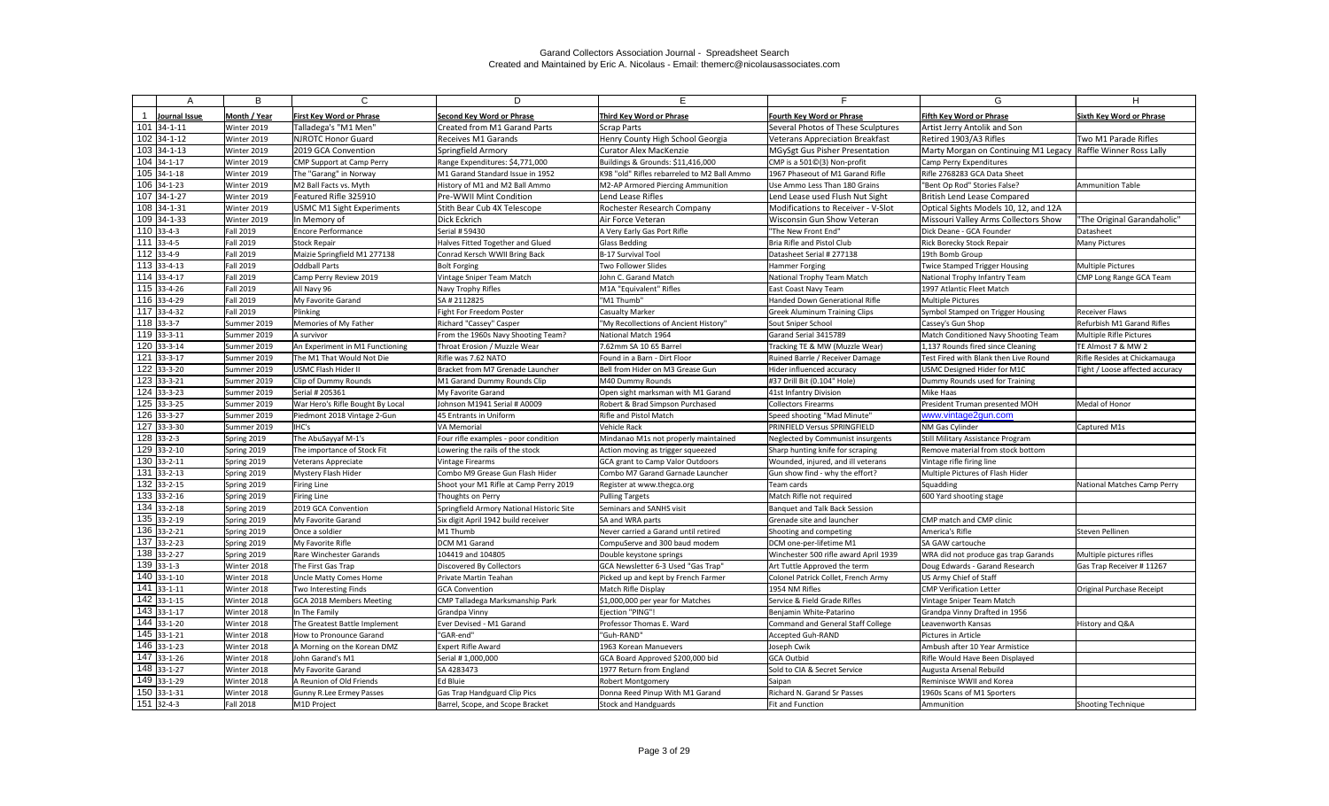| А                              | B                          | C.                                         | D.                                                               | E.                                              |                                                                        | G                                                                                       | H                               |
|--------------------------------|----------------------------|--------------------------------------------|------------------------------------------------------------------|-------------------------------------------------|------------------------------------------------------------------------|-----------------------------------------------------------------------------------------|---------------------------------|
|                                |                            |                                            |                                                                  |                                                 |                                                                        |                                                                                         |                                 |
| Journal Issue<br>$101$ 34-1-11 | Month / Year               | <b>First Key Word or Phrase</b>            | <b>Second Key Word or Phrase</b><br>Created from M1 Garand Parts | Third Key Word or Phrase                        | <b>Fourth Key Word or Phrase</b><br>Several Photos of These Sculptures | <b>Fifth Key Word or Phrase</b>                                                         | Sixth Key Word or Phrase        |
| $102$ 34-1-12                  | Winter 2019<br>Winter 2019 | Talladega's "M1 Men'<br>NJROTC Honor Guard | <b>Receives M1 Garands</b>                                       | Scrap Parts<br>Henry County High School Georgia |                                                                        | Artist Jerry Antolik and Son                                                            | Two M1 Parade Rifles            |
| 103 34-1-13                    | Winter 2019                | 2019 GCA Convention                        | Springfield Armory                                               | <b>Curator Alex MacKenzie</b>                   | Veterans Appreciation Breakfast<br>MGySgt Gus Pisher Presentation      | Retired 1903/A3 Rifles<br>Marty Morgan on Continuing M1 Legacy Raffle Winner Ross Lally |                                 |
| $104$ 34-1-17                  | Winter 2019                | <b>CMP Support at Camp Perry</b>           | Range Expenditures: \$4,771,000                                  | Buildings & Grounds: \$11,416,000               | CMP is a 501©(3) Non-profit                                            | Camp Perry Expenditures                                                                 |                                 |
| $105$ 34-1-18                  | Winter 2019                | The "Garang" in Norway                     | M1 Garand Standard Issue in 1952                                 | K98 "old" Rifles rebarreled to M2 Ball Ammo     | 1967 Phaseout of M1 Garand Rifle                                       | Rifle 2768283 GCA Data Sheet                                                            |                                 |
| $106$ 34-1-23                  | Winter 2019                | M2 Ball Facts vs. Myth                     | History of M1 and M2 Ball Ammo                                   | M2-AP Armored Piercing Ammunition               | Use Ammo Less Than 180 Grains                                          | "Bent Op Rod" Stories False?                                                            | <b>Ammunition Table</b>         |
| 107 34-1-27                    | Winter 2019                | Featured Rifle 325910                      | Pre-WWII Mint Condition                                          | Lend Lease Rifles                               | Lend Lease used Flush Nut Sight                                        | British Lend Lease Compared                                                             |                                 |
| 108 34-1-31                    | Winter 2019                | <b>USMC M1 Sight Experiments</b>           | Stith Bear Cub 4X Telescope                                      | Rochester Research Company                      | Modifications to Receiver - V-Slot                                     | Optical Sights Models 10, 12, and 12A                                                   |                                 |
| 109 34-1-33                    | Winter 2019                | In Memory of                               | Dick Eckrich                                                     | Air Force Veteran                               | Wisconsin Gun Show Veteran                                             | Missouri Valley Arms Collectors Show                                                    | "The Original Garandaholic"     |
| $110$ 33-4-3                   | <b>Fall 2019</b>           | <b>Encore Performance</b>                  | Serial # 59430                                                   | A Very Early Gas Port Rifle                     | "The New Front End"                                                    | Dick Deane - GCA Founder                                                                | Datasheet                       |
| $111$ 33-4-5                   | <b>Fall 2019</b>           | Stock Repair                               | Halves Fitted Together and Glued                                 | <b>Glass Bedding</b>                            | Bria Rifle and Pistol Club                                             | Rick Borecky Stock Repair                                                               | <b>Many Pictures</b>            |
| $112$ 33-4-9                   | <b>Fall 2019</b>           | Maizie Springfield M1 277138               | Conrad Kersch WWII Bring Back                                    | B-17 Survival Tool                              | Datasheet Serial # 277138                                              | 19th Bomb Group                                                                         |                                 |
| $113$ 33-4-13                  | <b>Fall 2019</b>           | Oddball Parts                              | <b>Bolt Forging</b>                                              | Two Follower Slides                             | Hammer Forging                                                         | Twice Stamped Trigger Housing                                                           | Multiple Pictures               |
| $114$ 33-4-17                  | <b>Fall 2019</b>           | Camp Perry Review 2019                     | Vintage Sniper Team Match                                        | John C. Garand Match                            | National Trophy Team Match                                             | National Trophy Infantry Team                                                           | CMP Long Range GCA Team         |
| $115$ 33-4-26                  | <b>Fall 2019</b>           | All Navy 96                                | Navy Trophy Rifles                                               | M1A "Equivalent" Rifles                         | East Coast Navy Team                                                   | 1997 Atlantic Fleet Match                                                               |                                 |
| 116 33-4-29                    | <b>Fall 2019</b>           | My Favorite Garand                         | SA # 2112825                                                     | "M1 Thumb"                                      | Handed Down Generational Rifle                                         | <b>Multiple Pictures</b>                                                                |                                 |
| 117 33-4-32                    | <b>Fall 2019</b>           | Plinking                                   | Fight For Freedom Poster                                         | <b>Casualty Marker</b>                          | <b>Greek Aluminum Training Clips</b>                                   | Symbol Stamped on Trigger Housing                                                       | <b>Receiver Flaws</b>           |
| $118$ 33-3-7                   | Summer 2019                | Memories of My Father                      | Richard "Cassey" Casper                                          | "My Recollections of Ancient History'           | Sout Sniper School                                                     | Cassey's Gun Shop                                                                       | Refurbish M1 Garand Rifles      |
| $119$ 33-3-11                  | Summer 2019                | A survivor                                 | From the 1960s Navy Shooting Team?                               | National Match 1964                             | Garand Serial 3415789                                                  | Match Conditioned Navy Shooting Team                                                    | Multiple Rifle Pictures         |
| $120$ 33-3-14                  | Summer 2019                | An Experiment in M1 Functioning            | Throat Erosion / Muzzle Wear                                     | 7.62mm SA 10 65 Barrel                          | Tracking TE & MW (Muzzle Wear)                                         | 1,137 Rounds fired since Cleaning                                                       | TE Almost 7 & MW 2              |
| $121$ 33-3-17                  | Summer 2019                | The M1 That Would Not Die                  | Rifle was 7.62 NATO                                              | Found in a Barn - Dirt Floor                    | Ruined Barrle / Receiver Damage                                        | Test Fired with Blank then Live Round                                                   | Rifle Resides at Chickamauga    |
| $\overline{122}$ 33-3-20       | Summer 2019                | USMC Flash Hider II                        | Bracket from M7 Grenade Launcher                                 | Bell from Hider on M3 Grease Gun                | Hider influenced accuracy                                              | <b>USMC Designed Hider for M1C</b>                                                      | Tight / Loose affected accuracy |
| 123 33-3-21                    | Summer 2019                | Clip of Dummy Rounds                       | M1 Garand Dummy Rounds Clip                                      | M40 Dummy Rounds                                | #37 Drill Bit (0.104" Hole)                                            | Dummy Rounds used for Training                                                          |                                 |
| $124$ 33-3-23                  | Summer 2019                | Serial # 205361                            | My Favorite Garand                                               | Open sight marksman with M1 Garand              | 41st Infantry Division                                                 | Mike Haas                                                                               |                                 |
| $125$ 33-3-25                  | Summer 2019                | War Hero's Rifle Bought By Local           | Johnson M1941 Serial # A0009                                     | Robert & Brad Simpson Purchased                 | <b>Collectors Firearms</b>                                             | President Truman presented MOH                                                          | Medal of Honor                  |
| 126 33-3-27                    | Summer 2019                | Piedmont 2018 Vintage 2-Gun                | 45 Entrants in Uniform                                           | Rifle and Pistol Match                          | Speed shooting "Mad Minute"                                            | www.vintage2gun.com                                                                     |                                 |
| 127 33-3-30                    | Summer 2019                | IHC's                                      | VA Memorial                                                      | Vehicle Rack                                    | <b>PRINFIELD Versus SPRINGFIELD</b>                                    | NM Gas Cylinder                                                                         | Captured M1s                    |
| $128$ 33-2-3                   | Spring 2019                | The AbuSayyaf M-1's                        | Four rifle examples - poor condition                             | Mindanao M1s not properly maintained            | Neglected by Communist insurgents                                      | Still Military Assistance Program                                                       |                                 |
| 129 33-2-10                    | Spring 2019                | The importance of Stock Fit                | Lowering the rails of the stock                                  | Action moving as trigger squeezed               | Sharp hunting knife for scraping                                       | Remove material from stock bottom                                                       |                                 |
| 130 33-2-11                    | Spring 2019                | <b>Veterans Appreciate</b>                 | <b>Vintage Firearms</b>                                          | GCA grant to Camp Valor Outdoors                | Wounded, injured, and ill veterans                                     | Vintage rifle firing line                                                               |                                 |
| $131$ 33-2-13                  | Spring 2019                | Mystery Flash Hider                        | Combo M9 Grease Gun Flash Hider                                  | Combo M7 Garand Garnade Launcher                | Gun show find - why the effort?                                        | Multiple Pictures of Flash Hider                                                        |                                 |
| 132 33-2-15                    | Spring 2019                | Firing Line                                | Shoot your M1 Rifle at Camp Perry 2019                           | Register at www.thegca.org                      | Team cards                                                             | Squadding                                                                               | National Matches Camp Perry     |
| 133 33-2-16                    | Spring 2019                | Firing Line                                | Thoughts on Perry                                                | <b>Pulling Targets</b>                          | Match Rifle not required                                               | 600 Yard shooting stage                                                                 |                                 |
| 134 33-2-18                    | Spring 2019                | 2019 GCA Convention                        | Springfield Armory National Historic Site                        | Seminars and SANHS visit                        | Banquet and Talk Back Session                                          |                                                                                         |                                 |
| $135$ 33-2-19                  | Spring 2019                | My Favorite Garand                         | Six digit April 1942 build receiver                              | SA and WRA parts                                | Grenade site and launcher                                              | CMP match and CMP clinic                                                                |                                 |
| $136$ 33-2-21                  | Spring 2019                | Once a soldier                             | M1 Thumb                                                         | Never carried a Garand until retired            | Shooting and competing                                                 | America's Rifle                                                                         | Steven Pellinen                 |
| 137 33-2-23                    | Spring 2019                | My Favorite Rifle                          | DCM M1 Garand                                                    | CompuServe and 300 baud modem                   | DCM one-per-lifetime M1                                                | SA GAW cartouche                                                                        |                                 |
| 138 33-2-27                    | Spring 2019                | Rare Winchester Garands                    | 104419 and 104805                                                | Double keystone springs                         | Winchester 500 rifle award April 1939                                  | WRA did not produce gas trap Garands                                                    | Multiple pictures rifles        |
| $139$ 33-1-3                   | Winter 2018                | The First Gas Trap                         | Discovered By Collectors                                         | GCA Newsletter 6-3 Used "Gas Trap"              | Art Tuttle Approved the term                                           | Doug Edwards - Garand Research                                                          | Gas Trap Receiver # 11267       |
| 140 33-1-10                    | Winter 2018                | Uncle Matty Comes Home                     | Private Martin Teahan                                            | Picked up and kept by French Farmer             | Colonel Patrick Collet, French Army                                    | US Army Chief of Staff                                                                  |                                 |
| $141$ 33-1-11                  | Winter 2018                | Two Interesting Finds                      | <b>GCA Convention</b>                                            | Match Rifle Display                             | 1954 NM Rifles                                                         | <b>CMP Verification Letter</b>                                                          | Original Purchase Receipt       |
| 142 33-1-15                    | Winter 2018                | GCA 2018 Members Meeting                   | CMP Talladega Marksmanship Park                                  | \$1,000,000 per year for Matches                | Service & Field Grade Rifles                                           | Vintage Sniper Team Match                                                               |                                 |
| 143 33-1-17                    | Winter 2018                | In The Family                              | Grandpa Vinny                                                    | Ejection "PING"!                                | Benjamin White-Patarino                                                | Grandpa Vinny Drafted in 1956                                                           |                                 |
| 144 33-1-20                    | Winter 2018                | The Greatest Battle Implement              | Ever Devised - M1 Garand                                         | Professor Thomas E. Ward                        | Command and General Staff College                                      | Leavenworth Kansas                                                                      | History and Q&A                 |
| 145 33-1-21                    | Winter 2018                | How to Pronounce Garand                    | "GAR-end"                                                        | "Guh-RAND"                                      | Accepted Guh-RAND                                                      | Pictures in Article                                                                     |                                 |
| 146 33-1-23                    | Winter 2018                | A Morning on the Korean DMZ                | <b>Expert Rifle Award</b>                                        | 1963 Korean Manuevers                           | Joseph Cwik                                                            | Ambush after 10 Year Armistice                                                          |                                 |
| $\overline{1}47$ 33-1-26       | Winter 2018                | John Garand's M1                           | Serial # 1,000,000                                               | GCA Board Approved \$200,000 bid                | GCA Outbid                                                             | Rifle Would Have Been Displayed                                                         |                                 |
| 148 33-1-27                    | Winter 2018                | My Favorite Garand                         | SA 4283473                                                       | 1977 Return from England                        | Sold to CIA & Secret Service                                           | Augusta Arsenal Rebuild                                                                 |                                 |
| 149 33-1-29                    | Winter 2018                | A Reunion of Old Friends                   | Ed Bluie                                                         | <b>Robert Montgomery</b>                        | Saipan                                                                 | Reminisce WWII and Korea                                                                |                                 |
| 150 33-1-31                    | Winter 2018                | <b>Gunny R.Lee Ermey Passes</b>            | Gas Trap Handguard Clip Pics                                     | Donna Reed Pinup With M1 Garand                 | Richard N. Garand Sr Passes                                            | 1960s Scans of M1 Sporters                                                              |                                 |
| $151$ 32-4-3                   | <b>Fall 2018</b>           | M1D Project                                | Barrel, Scope, and Scope Bracket                                 | Stock and Handguards                            | Fit and Function                                                       | Ammunition                                                                              | <b>Shooting Technique</b>       |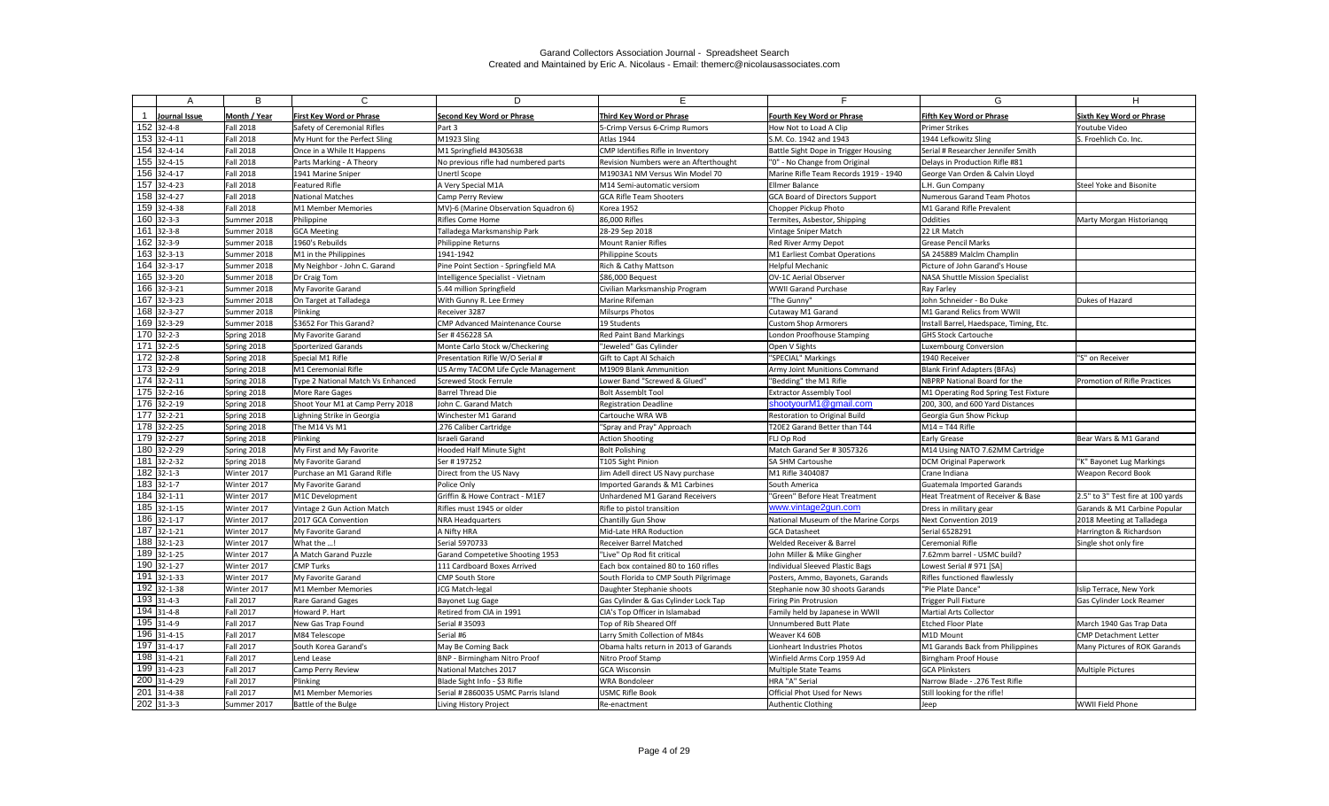|     | Α                        | B                | C                                 | D                                       |                                       |                                       | G                                       | H                                 |
|-----|--------------------------|------------------|-----------------------------------|-----------------------------------------|---------------------------------------|---------------------------------------|-----------------------------------------|-----------------------------------|
|     | Journal Issue            | Month / Year     | <b>First Key Word or Phrase</b>   | Second Key Word or Phrase               | Third Key Word or Phrase              | <b>Fourth Key Word or Phrase</b>      | <b>Fifth Key Word or Phrase</b>         | <b>Sixth Key Word or Phrase</b>   |
|     | $152$ 32-4-8             | <b>Fall 2018</b> | Safety of Ceremonial Rifles       | Part 3                                  | 5-Crimp Versus 6-Crimp Rumors         | How Not to Load A Clip                | <b>Primer Strikes</b>                   | Youtube Video                     |
|     | 153 32-4-11              | <b>Fall 2018</b> | My Hunt for the Perfect Sling     | M1923 Sling                             | Atlas 1944                            | S.M. Co. 1942 and 1943                | 1944 Lefkowitz Sling                    | S. Froehlich Co. Inc.             |
|     | 154 32-4-14              | <b>Fall 2018</b> | Once in a While It Happens        | M1 Springfield #4305638                 | CMP Identifies Rifle in Inventory     | Battle Sight Dope in Trigger Housing  | Serial # Researcher Jennifer Smith      |                                   |
|     | $155$ 32-4-15            | <b>Fall 2018</b> | Parts Marking - A Theory          | No previous rifle had numbered parts    | Revision Numbers were an Afterthought | "0" - No Change from Original         | Delays in Production Rifle #81          |                                   |
|     | 156 32-4-17              | <b>Fall 2018</b> | 1941 Marine Sniper                | Unertl Scope                            | M1903A1 NM Versus Win Model 70        | Marine Rifle Team Records 1919 - 1940 | George Van Orden & Calvin Lloyd         |                                   |
| 157 | $32 - 4 - 23$            | <b>Fall 2018</b> | <b>Featured Rifle</b>             | A Very Special M1A                      | M14 Semi-automatic versiom            | Ellmer Balance                        | L.H. Gun Company                        | Steel Yoke and Bisonite           |
|     | 158 32-4-27              | <b>Fall 2018</b> | <b>National Matches</b>           | Camp Perry Review                       | <b>GCA Rifle Team Shooters</b>        | GCA Board of Directors Support        | Numerous Garand Team Photos             |                                   |
|     | 159 32-4-38              | <b>Fall 2018</b> | M1 Member Memories                | MV)-6 (Marine Observation Squadron 6)   | Korea 1952                            | Chopper Pickup Photo                  | M1 Garand Rifle Prevalent               |                                   |
|     | $160$ 32-3-3             | Summer 2018      | Philippine                        | Rifles Come Home                        | 86,000 Rifles                         | Termites, Asbestor, Shipping          | Oddities                                | Marty Morgan Historiangg          |
|     | $161$ 32-3-8             | Summer 2018      | <b>GCA Meeting</b>                | Talladega Marksmanship Park             | 28-29 Sep 2018                        | Vintage Sniper Match                  | 22 LR Match                             |                                   |
|     | 162 32-3-9               | Summer 2018      | 1960's Rebuilds                   | Philippine Returns                      | <b>Mount Ranier Rifles</b>            | Red River Army Depot                  | <b>Grease Pencil Marks</b>              |                                   |
|     | $\overline{163}$ 32-3-13 | Summer 2018      | M1 in the Philippines             | 1941-1942                               | <b>Philippine Scouts</b>              | M1 Earliest Combat Operations         | SA 245889 Malclm Champlin               |                                   |
|     | $164$ 32-3-17            | Summer 2018      | My Neighbor - John C. Garand      | Pine Point Section - Springfield MA     | <b>Rich &amp; Cathy Mattson</b>       | Helpful Mechanic                      | Picture of John Garand's House          |                                   |
|     | 165 32-3-20              | Summer 2018      | Dr Craig Tom                      | Intelligence Specialist - Vietnam       | \$86,000 Bequest                      | OV-1C Aerial Observer                 | NASA Shuttle Mission Specialist         |                                   |
|     | 166 32-3-21              | Summer 2018      | My Favorite Garand                | 5.44 million Springfield                | Civilian Marksmanship Program         | <b>WWII Garand Purchase</b>           | Ray Farley                              |                                   |
|     | $167$ 32-3-23            | Summer 2018      | On Target at Talladega            | With Gunny R. Lee Ermey                 | Marine Rifeman                        | "The Gunny"                           | John Schneider - Bo Duke                | Dukes of Hazard                   |
|     | 168 32-3-27              | Summer 2018      | Plinking                          | Receiver 3287                           | <b>Milsurps Photos</b>                | Cutaway M1 Garand                     | M1 Garand Relics from WWII              |                                   |
|     | 169 32-3-29              | Summer 2018      | \$3652 For This Garand?           | <b>CMP Advanced Maintenance Course</b>  | 19 Students                           | <b>Custom Shop Armorers</b>           | Install Barrel, Haedspace, Timing, Etc. |                                   |
|     | $170$ 32-2-3             | Spring 2018      | My Favorite Garand                | Ser #456228 SA                          | <b>Red Paint Band Markings</b>        | London Proofhouse Stamping            | <b>GHS Stock Cartouche</b>              |                                   |
| 171 | $32 - 2 - 5$             | Spring 2018      | Sporterized Garands               | Monte Carlo Stock w/Checkering          | "Jeweled" Gas Cylinder                | Open V Sights                         | <b>Luxembourg Conversion</b>            |                                   |
|     | $172$ 32-2-8             | Spring 2018      | Special M1 Rifle                  | Presentation Rifle W/O Serial #         | Gift to Capt Al Schaich               | "SPECIAL" Markings                    | 1940 Receiver                           | "S" on Receiver                   |
|     | $173$ 32-2-9             | Spring 2018      | M1 Ceremonial Rifle               | US Army TACOM Life Cycle Management     | M1909 Blank Ammunition                | <b>Army Joint Munitions Command</b>   | <b>Blank Firinf Adapters (BFAs)</b>     |                                   |
|     | $\overline{174}$ 32-2-11 | Spring 2018      | Type 2 National Match Vs Enhanced | Screwed Stock Ferrule                   | Lower Band "Screwed & Glued"          | "Bedding" the M1 Rifle                | NBPRP National Board for the            | Promotion of Rifle Practices      |
|     | $175$ 32-2-16            | Spring 2018      | More Rare Gages                   | <b>Barrel Thread Die</b>                | <b>Bolt Assemblt Tool</b>             | <b>Extractor Assembly Tool</b>        | M1 Operating Rod Spring Test Fixture    |                                   |
|     | $\overline{176}$ 32-2-19 | Spring 2018      | Shoot Your M1 at Camp Perry 2018  | John C. Garand Match                    | <b>Registration Deadline</b>          | shootyourM1@gmail.com                 | 200, 300, and 600 Yard Distances        |                                   |
| 177 | $'32-2-21$               | Spring 2018      | Lighning Strike in Georgia        | Winchester M1 Garand                    | Cartouche WRA WB                      | Restoration to Original Build         | Georgia Gun Show Pickup                 |                                   |
|     | 178 32-2-25              | Spring 2018      | The M14 Vs M1                     | .276 Caliber Cartridge                  | "Spray and Pray" Approach             | T20E2 Garand Better than T44          | $M14 = T44$ Rifle                       |                                   |
|     | $\overline{179}$ 32-2-27 | Spring 2018      | Plinking                          | Israeli Garand                          | <b>Action Shooting</b>                | <b>FLJ Op Rod</b>                     | <b>Early Grease</b>                     | Bear Wars & M1 Garand             |
|     | 180 32-2-29              | Spring 2018      | My First and My Favorite          | <b>Hooded Half Minute Sight</b>         | <b>Bolt Polishing</b>                 | Match Garand Ser # 3057326            | M14 Using NATO 7.62MM Cartridge         |                                   |
| 181 | 32-2-32                  | Spring 2018      | My Favorite Garand                | Ser #197252                             | T105 Sight Pinion                     | <b>ISA SHM Cartoushe</b>              | <b>DCM Original Paperwork</b>           | 'K" Bayonet Lug Markings          |
|     | $182$ 32-1-3             | Winter 2017      | Purchase an M1 Garand Rifle       | Direct from the US Navy                 | Jim Adell direct US Navy purchase     | M1 Rifle 3404087                      | Crane Indiana                           | <b>Weapon Record Book</b>         |
|     | 183 32-1-7               | Winter 2017      | My Favorite Garand                | Police Only                             | Imported Garands & M1 Carbines        | South America                         | Guatemala Imported Garands              |                                   |
|     | $\overline{184}$ 32-1-11 | Winter 2017      | M1C Development                   | Griffin & Howe Contract - M1E7          | Unhardened M1 Garand Receivers        | "Green" Before Heat Treatment         | Heat Treatment of Receiver & Base       | 2.5" to 3" Test fire at 100 yards |
|     | $\overline{185}$ 32-1-15 | Winter 2017      | Vintage 2 Gun Action Match        | Rifles must 1945 or older               | Rifle to pistol transition            | www.vintage2gun.com                   | Dress in military gear                  | Garands & M1 Carbine Popular      |
|     | $186$ 32-1-17            | Winter 2017      | 2017 GCA Convention               | <b>NRA Headquarters</b>                 | Chantilly Gun Show                    | National Museum of the Marine Corps   | Next Convention 2019                    | 2018 Meeting at Talladega         |
|     | $187$ 32-1-21            | Winter 2017      | My Favorite Garand                | A Nifty HRA                             | Mid-Late HRA Roduction                | <b>GCA Datasheet</b>                  | Serial 6528291                          | Harrington & Richardson           |
|     | 188 32-1-23              | Winter 2017      | What the !                        | Serial 5970733                          | <b>Receiver Barrel Matched</b>        | Welded Receiver & Barrel              | Ceremonial Rifle                        | Single shot only fire             |
|     | 189 32-1-25              | Winter 2017      | A Match Garand Puzzle             | <b>Garand Competetive Shooting 1953</b> | "Live" Op Rod fit critical            | John Miller & Mike Gingher            | 7.62mm barrel - USMC build?             |                                   |
|     | 190 32-1-27              | Winter 2017      | <b>CMP Turks</b>                  | 111 Cardboard Boxes Arrived             | Each box contained 80 to 160 rifles   | Individual Sleeved Plastic Bags       | Lowest Serial # 971 [SA]                |                                   |
|     | $191$ 32-1-33            | Winter 2017      | My Favorite Garand                | <b>CMP South Store</b>                  | South Florida to CMP South Pilgrimage | Posters, Ammo, Bayonets, Garands      | <b>Rifles functioned flawlessly</b>     |                                   |
|     | $\overline{192}$ 32-1-38 | Winter 2017      | M1 Member Memories                | JCG Match-legal                         | Daughter Stephanie shoots             | Stephanie now 30 shoots Garands       | "Pie Plate Dance"                       | Islip Terrace, New York           |
|     | $193$ 31-4-3             | <b>Fall 2017</b> | Rare Garand Gages                 | Bayonet Lug Gage                        | Gas Cylinder & Gas Cylinder Lock Tap  | Firing Pin Protrusion                 | <b>Trigger Pull Fixture</b>             | <b>Gas Cylinder Lock Reamer</b>   |
|     | $194$ 31-4-8             | <b>Fall 2017</b> | Howard P. Hart                    | Retired from CIA in 1991                | CIA's Top Officer in Islamabad        | Family held by Japanese in WWII       | Martial Arts Collector                  |                                   |
|     | 195 31-4-9               | <b>Fall 2017</b> | New Gas Trap Found                | Serial # 35093                          | Top of Rib Sheared Off                | Unnumbered Butt Plate                 | <b>Etched Floor Plate</b>               | March 1940 Gas Trap Data          |
|     | 196 31-4-15              | <b>Fall 2017</b> | M84 Telescope                     | Serial #6                               | Larry Smith Collection of M84s        | Weaver K4 60B                         | M1D Mount                               | <b>CMP Detachment Letter</b>      |
|     | 197 31-4-17              | <b>Fall 2017</b> | South Korea Garand's              | May Be Coming Back                      | Obama halts return in 2013 of Garands | Lionheart Industries Photos           | M1 Garands Back from Philippines        | Many Pictures of ROK Garands      |
|     | 198 31-4-21              | <b>Fall 2017</b> | Lend Lease                        | <b>BNP - Birmingham Nitro Proof</b>     | Nitro Proof Stamp                     | Winfield Arms Corp 1959 Ad            | Birngham Proof House                    |                                   |
|     | 199 31-4-23              | <b>Fall 2017</b> | Camp Perry Review                 | National Matches 2017                   | <b>GCA Wisconsin</b>                  | Multiple State Teams                  | <b>GCA Plinksters</b>                   | <b>Multiple Pictures</b>          |
|     | 200 31-4-29              | <b>Fall 2017</b> | Plinking                          | Blade Sight Info - \$3 Rifle            | <b>WRA Bondoleer</b>                  | HRA "A" Serial                        | Narrow Blade - .276 Test Rifle          |                                   |
|     | 201 31-4-38              | <b>Fall 2017</b> | M1 Member Memories                | Serial # 2860035 USMC Parris Island     | <b>USMC Rifle Book</b>                | Official Phot Used for News           | Still looking for the rifle!            |                                   |
|     | $202$ 31-3-3             | Summer 2017      | Battle of the Bulge               | Living History Project                  | Re-enactment                          | Authentic Clothing                    | Jeep                                    | WWII Field Phone                  |
|     |                          |                  |                                   |                                         |                                       |                                       |                                         |                                   |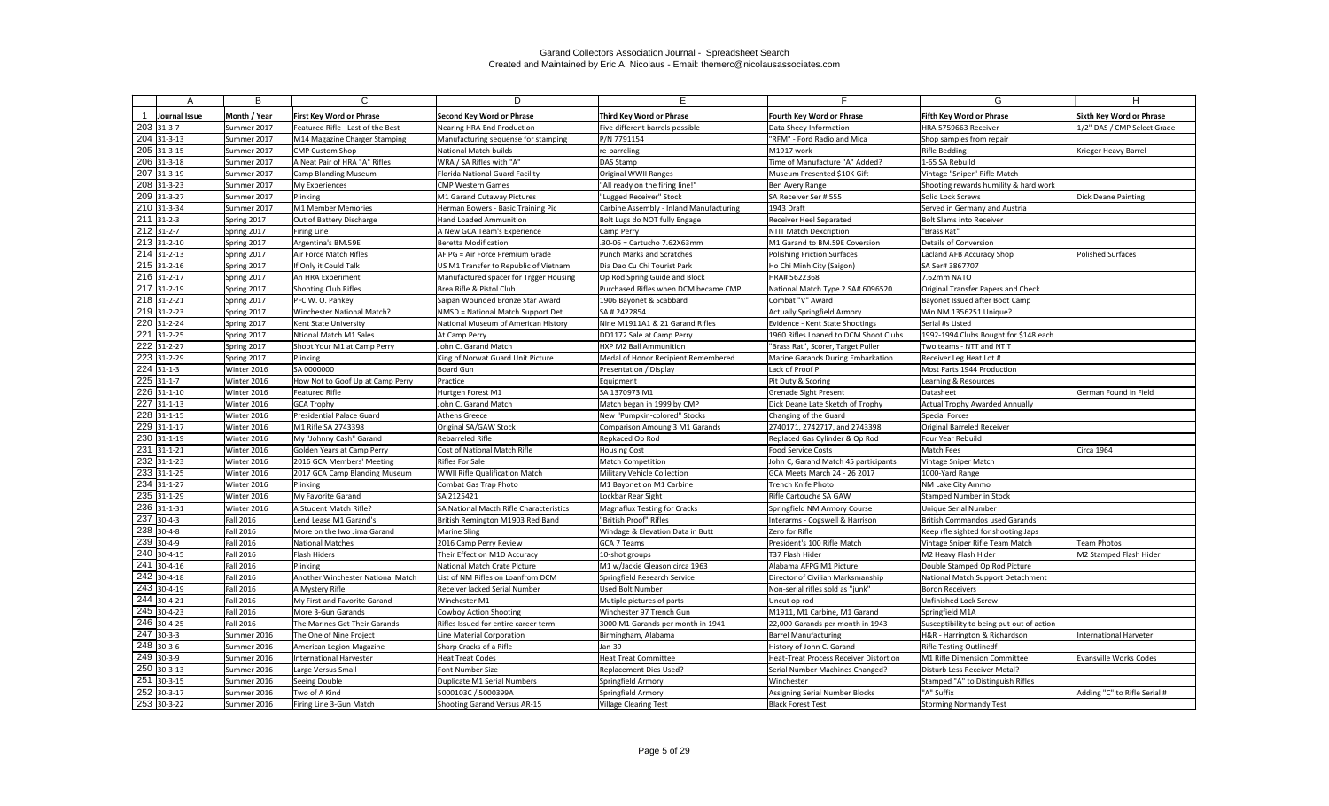|     | Α                        | B                | C                                 | D                                       |                                         |                                        | G                                         | H                               |
|-----|--------------------------|------------------|-----------------------------------|-----------------------------------------|-----------------------------------------|----------------------------------------|-------------------------------------------|---------------------------------|
|     | Journal Issue            | Month / Year     | <b>First Key Word or Phrase</b>   | Second Key Word or Phrase               | Third Key Word or Phrase                | <b>Fourth Key Word or Phrase</b>       | Fifth Kev Word or Phrase                  | <b>Sixth Key Word or Phrase</b> |
|     | $203$ 31-3-7             | Summer 2017      | Featured Rifle - Last of the Best | Nearing HRA End Production              | Five different barrels possible         | Data Sheey Information                 | HRA 5759663 Receiver                      | 1/2" DAS / CMP Select Grade     |
|     | 204 31-3-13              | Summer 2017      | M14 Magazine Charger Stamping     | Manufacturing sequense for stamping     | P/N 7791154                             | "RFM" - Ford Radio and Mica            | Shop samples from repair                  |                                 |
|     | 205 31-3-15              | Summer 2017      | CMP Custom Shop                   | National Match builds                   | re-barreling                            | M1917 work                             | <b>Rifle Bedding</b>                      | Krieger Heavy Barrel            |
|     | $206$ 31-3-18            | Summer 2017      | A Neat Pair of HRA "A" Rifles     | WRA / SA Rifles with "A"                | DAS Stamp                               | Time of Manufacture "A" Added?         | 1-65 SA Rebuild                           |                                 |
| 207 | $31 - 3 - 19$            | Summer 2017      | <b>Camp Blanding Museum</b>       | <b>Florida National Guard Facility</b>  | Original WWII Ranges                    | Museum Presented \$10K Gift            | Vintage "Sniper" Rifle Match              |                                 |
|     | 208 31-3-23              | Summer 2017      | My Experiences                    | <b>CMP Western Games</b>                | "All ready on the firing line!"         | Ben Avery Range                        | Shooting rewards humility & hard work     |                                 |
|     | 209 31-3-27              | Summer 2017      | Plinking                          | M1 Garand Cutaway Pictures              | "Lugged Receiver" Stock                 | SA Receiver Ser # 555                  | Solid Lock Screws                         | <b>Dick Deane Painting</b>      |
|     | $210$ 31-3-34            | Summer 2017      | M1 Member Memories                | Herman Bowers - Basic Training Pic      | Carbine Assembly - Inland Manufacturing | 1943 Draft                             | Served in Germany and Austria             |                                 |
|     | 211 31-2-3               | Spring 2017      | Out of Battery Discharge          | <b>Hand Loaded Ammunition</b>           | Bolt Lugs do NOT fully Engage           | Receiver Heel Separated                | <b>Bolt Slams into Receiver</b>           |                                 |
|     | $212$ 31-2-7             | Spring 2017      | Firing Line                       | A New GCA Team's Experience             | Camp Perry                              | <b>NTIT Match Dexcription</b>          | "Brass Rat"                               |                                 |
|     | 213 31-2-10              | Spring 2017      | Argentina's BM.59E                | Beretta Modification                    | .30-06 = Cartucho 7.62X63mm             | M1 Garand to BM.59E Coversion          | <b>Details of Conversion</b>              |                                 |
|     | $\sqrt{214}$ 31-2-13     | Spring 2017      | Air Force Match Rifles            | AF PG = Air Force Premium Grade         | <b>Punch Marks and Scratches</b>        | <b>Polishing Friction Surfaces</b>     | Lacland AFB Accuracy Shop                 | <b>Polished Surfaces</b>        |
|     | $215$ 31-2-16            | Spring 2017      | If Only it Could Talk             | US M1 Transfer to Republic of Vietnam   | Dia Dao Cu Chi Tourist Park             | Ho Chi Minh City (Saigon)              | SA Ser# 3867707                           |                                 |
|     | $216$ 31-2-17            | Spring 2017      | An HRA Experiment                 | Manufactured spacer for Trgger Housing  | Op Rod Spring Guide and Block           | HRA# 5622368                           | 7.62mm NATO                               |                                 |
| 217 | $31 - 2 - 19$            | Spring 2017      | Shooting Club Rifles              | Brea Rifle & Pistol Club                | Purchased Rifles when DCM became CMP    | National Match Type 2 SA# 6096520      | <b>Original Transfer Papers and Check</b> |                                 |
|     | $218$ 31-2-21            | Spring 2017      | PFC W. O. Pankey                  | Saipan Wounded Bronze Star Award        | 1906 Bayonet & Scabbard                 | Combat "V" Award                       | Bayonet Issued after Boot Camp            |                                 |
|     | $\sqrt{219}$ 31-2-23     | Spring 2017      | <b>Winchester National Match?</b> | NMSD = National Match Support Det       | SA # 2422854                            | <b>Actually Springfield Armory</b>     | Win NM 1356251 Unique?                    |                                 |
| 220 | $31 - 2 - 24$            | Spring 2017      | Kent State University             | National Museum of American History     | Nine M1911A1 & 21 Garand Rifles         | Evidence - Kent State Shootings        | Serial #s Listed                          |                                 |
| 221 | $31 - 2 - 25$            | Spring 2017      | Ntional Match M1 Sales            | At Camp Perry                           | DD1172 Sale at Camp Perry               | 1960 Rifles Loaned to DCM Shoot Clubs  | 1992-1994 Clubs Bought for \$148 each     |                                 |
| 222 | $31 - 2 - 27$            | Spring 2017      | Shoot Your M1 at Camp Perry       | John C. Garand Match                    | <b>HXP M2 Ball Ammunition</b>           | "Brass Rat", Scorer, Target Puller     | Two teams - NTT and NTIT                  |                                 |
|     | 223 31-2-29              | Spring 2017      | Plinking                          | King of Norwat Guard Unit Picture       | Medal of Honor Recipient Remembered     | Marine Garands During Embarkation      | Receiver Leg Heat Lot #                   |                                 |
|     | $224$ 31-1-3             | Winter 2016      | SA 0000000                        | Board Gun                               | Presentation / Display                  | Lack of Proof P                        | Most Parts 1944 Production                |                                 |
|     | $225$ 31-1-7             | Winter 2016      | How Not to Goof Up at Camp Perry  | Practice                                | Equipment                               | Pit Duty & Scoring                     | Learning & Resources                      |                                 |
|     | 226 31-1-10              | Winter 2016      | Featured Rifle                    | Hurtgen Forest M1                       | SA 1370973 M1                           | <b>Grenade Sight Present</b>           | Datasheet                                 | German Found in Field           |
| 227 | $31 - 1 - 13$            | Winter 2016      | <b>GCA Trophy</b>                 | John C. Garand Match                    | Match began in 1999 by CMP              | Dick Deane Late Sketch of Trophy       | <b>Actual Trophy Awarded Annually</b>     |                                 |
|     | 228 31-1-15              | Winter 2016      | <b>Presidential Palace Guard</b>  | Athens Greece                           | New "Pumpkin-colored" Stocks            | Changing of the Guard                  | Special Forces                            |                                 |
|     | 229 31-1-17              | Winter 2016      | M1 Rifle SA 2743398               | Original SA/GAW Stock                   | Comparison Amoung 3 M1 Garands          | 2740171, 2742717, and 2743398          | <b>Original Barreled Receiver</b>         |                                 |
|     | $230$ 31-1-19            | Winter 2016      | My "Johnny Cash" Garand           | <b>Rebarreled Rifle</b>                 | Repkaced Op Rod                         | Replaced Gas Cylinder & Op Rod         | Four Year Rebuild                         |                                 |
| 231 | $31 - 1 - 21$            | Winter 2016      | Golden Years at Camp Perry        | Cost of National Match Rifle            | <b>Housing Cost</b>                     | <b>Food Service Costs</b>              | Match Fees                                | <b>Circa 1964</b>               |
|     | 232 31-1-23              | Winter 2016      | 2016 GCA Members' Meeting         | Rifles For Sale                         | <b>Match Competition</b>                | John C, Garand Match 45 participants   | Vintage Sniper Match                      |                                 |
|     | $\overline{233}$ 31-1-25 | Winter 2016      | 2017 GCA Camp Blanding Museum     | WWII Rifle Qualification Match          | Military Vehicle Collection             | GCA Meets March 24 - 26 2017           | 1000-Yard Range                           |                                 |
|     | 234 31-1-27              | Winter 2016      | Plinking                          | Combat Gas Trap Photo                   | M1 Bayonet on M1 Carbine                | Trench Knife Photo                     | NM Lake City Ammo                         |                                 |
|     | 235 31-1-29              | Winter 2016      | My Favorite Garand                | SA 2125421                              | Lockbar Rear Sight                      | Rifle Cartouche SA GAW                 | <b>Stamped Number in Stock</b>            |                                 |
|     | 236 31-1-31              | Winter 2016      | A Student Match Rifle?            | SA National Macth Rifle Characteristics | <b>Magnaflux Testing for Cracks</b>     | Springfield NM Armory Course           | Unique Serial Number                      |                                 |
|     | 237 30-4-3               | <b>Fall 2016</b> | Lend Lease M1 Garand's            | British Remington M1903 Red Band        | "British Proof" Rifles                  | Interarms - Cogswell & Harrison        | <b>British Commandos used Garands</b>     |                                 |
|     | 238 30-4-8               | <b>Fall 2016</b> | More on the Iwo Jima Garand       | Marine Sling                            | Windage & Elevation Data in Butt        | Zero for Rifle                         | Keep rfle sighted for shooting Japs       |                                 |
|     | 239 30-4-9               | <b>Fall 2016</b> | <b>National Matches</b>           | 2016 Camp Perry Review                  | <b>GCA 7 Teams</b>                      | President's 100 Rifle Match            | Vintage Sniper Rifle Team Match           | <b>Team Photos</b>              |
|     | 240 30-4-15              | <b>Fall 2016</b> | Flash Hiders                      | Their Effect on M1D Accuracy            | 10-shot groups                          | T37 Flash Hider                        | M2 Heavy Flash Hider                      | M2 Stamped Flash Hider          |
|     | $\sqrt{241}$ 30-4-16     | <b>Fall 2016</b> | Plinking                          | National Match Crate Picture            | M1 w/Jackie Gleason circa 1963          | Alabama AFPG M1 Picture                | Double Stamped Op Rod Picture             |                                 |
|     | $242$ 30-4-18            | <b>Fall 2016</b> | Another Winchester National Match | List of NM Rifles on Loanfrom DCM       | Springfield Research Service            | Director of Civilian Marksmanship      | National Match Support Detachment         |                                 |
|     | $243$ 30-4-19            | <b>Fall 2016</b> | A Mystery Rifle                   | Receiver lacked Serial Number           | Used Bolt Number                        | Non-serial rifles sold as "junk"       | Boron Receivers                           |                                 |
|     | 244 30-4-21              | <b>Fall 2016</b> | My First and Favorite Garand      | Winchester M1                           | Mutiple pictures of parts               | Uncut op rod                           | Unfinished Lock Screw                     |                                 |
|     | 245 30-4-23              | <b>Fall 2016</b> | More 3-Gun Garands                | <b>Cowboy Action Shooting</b>           | Winchester 97 Trench Gun                | M1911, M1 Carbine, M1 Garand           | Springfield M1A                           |                                 |
|     | 246 30-4-25              | <b>Fall 2016</b> | The Marines Get Their Garands     | Rifles Issued for entire career term    | 3000 M1 Garands per month in 1941       | 22,000 Garands per month in 1943       | Susceptibility to being put out of action |                                 |
|     | $247$ 30-3-3             | Summer 2016      | The One of Nine Project           | Line Material Corporation               | Birmingham, Alabama                     | <b>Barrel Manufacturing</b>            | H&R - Harrington & Richardson             | International Harveter          |
|     | 248 30-3-6               | Summer 2016      | American Legion Magazine          | Sharp Cracks of a Rifle                 | Jan-39                                  | History of John C. Garand              | <b>Rifle Testing Outlinedf</b>            |                                 |
|     | $249$ 30-3-9             | Summer 2016      | <b>International Harvester</b>    | Heat Treat Codes                        | <b>Heat Treat Committee</b>             | Heat-Treat Process Receiver Distortion | M1 Rifle Dimension Committee              | Evansville Works Codes          |
|     | 250 30-3-13              | Summer 2016      | Large Versus Small                | Font Number Size                        | <b>Replacement Dies Used?</b>           | Serial Number Machines Changed?        | Disturb Less Receiver Metal?              |                                 |
| 251 | $30-3-15$                | Summer 2016      | Seeing Double                     | Duplicate M1 Serial Numbers             | Springfield Armory                      | Winchester                             | Stamped "A" to Distinguish Rifles         |                                 |
|     | 252 30-3-17              | Summer 2016      | Two of A Kind                     | 5000103C / 5000399A                     | Springfield Armory                      | Assigning Serial Number Blocks         | "A" Suffix                                | Adding "C" to Rifle Serial #    |
|     | 253 30-3-22              | Summer 2016      | Firing Line 3-Gun Match           | Shooting Garand Versus AR-15            | <b>Village Clearing Test</b>            | <b>Black Forest Test</b>               | <b>Storming Normandy Test</b>             |                                 |
|     |                          |                  |                                   |                                         |                                         |                                        |                                           |                                 |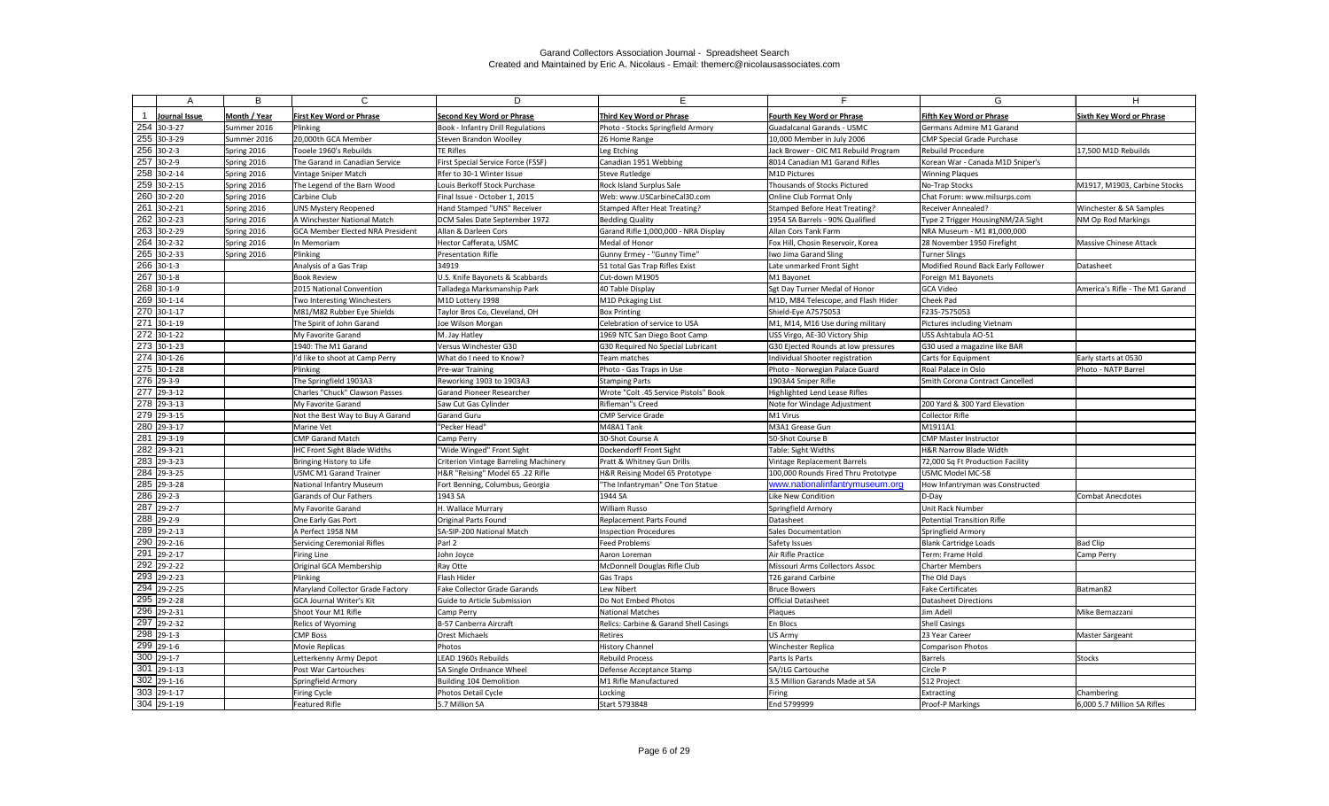|                          | B            | C                                       | D.                                           |                                        |                                      | G                                  | н                               |
|--------------------------|--------------|-----------------------------------------|----------------------------------------------|----------------------------------------|--------------------------------------|------------------------------------|---------------------------------|
|                          |              |                                         |                                              |                                        |                                      |                                    |                                 |
| Journal Issue            | Month / Year | <b>First Key Word or Phrase</b>         | Second Key Word or Phrase                    | Third Key Word or Phrase               | Fourth Key Word or Phrase            | Fifth Key Word or Phrase           | Sixth Key Word or Phrase        |
| 254 30-3-27              | Summer 2016  | Plinking                                | Book - Infantry Drill Regulations            | Photo - Stocks Springfield Armory      | <b>Guadalcanal Garands - USMC</b>    | Germans Admire M1 Garand           |                                 |
| 255 30-3-29              | Summer 2016  | 20,000th GCA Member                     | Steven Brandon Woolley                       | 26 Home Range                          | 10,000 Member in July 2006           | <b>CMP Special Grade Purchase</b>  |                                 |
| $256$ 30-2-3             | Spring 2016  | Tooele 1960's Rebuilds                  | <b>TE Rifles</b>                             | Leg Etching                            | Jack Brower - OIC M1 Rebuild Program | Rebuild Procedure                  | 17,500 M1D Rebuilds             |
| $\overline{257}$ 30-2-9  | Spring 2016  | The Garand in Canadian Service          | First Special Service Force (FSSF)           | Canadian 1951 Webbing                  | 8014 Canadian M1 Garand Rifles       | Korean War - Canada M1D Sniper's   |                                 |
| 258 30-2-14              | Spring 2016  | Vintage Sniper Match                    | Rfer to 30-1 Winter Issue                    | Steve Rutledge                         | M1D Pictures                         | <b>Winning Plaques</b>             |                                 |
| 259 30-2-15              | Spring 2016  | The Legend of the Barn Wood             | Louis Berkoff Stock Purchase                 | Rock Island Surplus Sale               | <b>Thousands of Stocks Pictured</b>  | No-Trap Stocks                     | M1917, M1903, Carbine Stocks    |
| 260 30-2-20              | Spring 2016  | Carbine Club                            | Final Issue - October 1, 2015                | Web: www.USCarbineCal30.com            | Online Club Format Only              | Chat Forum: www.milsurps.com       |                                 |
| 261 30-2-21              | Spring 2016  | <b>UNS Mystery Reopened</b>             | Hand Stamped "UNS" Receiver                  | Stamped After Heat Treating?           | Stamped Before Heat Treating?        | <b>Receiver Annealed?</b>          | Winchester & SA Samples         |
| 262 30-2-23              | Spring 2016  | A Winchester National Match             | DCM Sales Date September 1972                | <b>Bedding Quality</b>                 | 1954 SA Barrels - 90% Qualified      | Type 2 Trigger HousingNM/2A Sight  | NM Op Rod Markings              |
| 263 30-2-29              | Spring 2016  | <b>GCA Member Elected NRA President</b> | Allan & Darleen Cors                         | Garand Rifle 1,000,000 - NRA Display   | Allan Cors Tank Farm                 | NRA Museum - M1 #1,000,000         |                                 |
| 264 30-2-32              | Spring 2016  | In Memoriam                             | Hector Cafferata, USMC                       | Medal of Honor                         | Fox Hill, Chosin Reservoir, Korea    | 28 November 1950 Firefight         | <b>Massive Chinese Attack</b>   |
| 265 30-2-33              | Spring 2016  | Plinking                                | <b>Presentation Rifle</b>                    | Gunny Ermey - "Gunny Time"             | Iwo Jima Garand Sling                | <b>Turner Slings</b>               |                                 |
| 266 30-1-3               |              | Analysis of a Gas Trap                  | 34919                                        | 51 total Gas Trap Rifles Exist         | Late unmarked Front Sight            | Modified Round Back Early Follower | Datasheet                       |
| 267 30-1-8               |              | <b>Book Review</b>                      | U.S. Knife Bayonets & Scabbards              | Cut-down M1905                         | M1 Bayonet                           | Foreign M1 Bayonets                |                                 |
| 268 30-1-9               |              | 2015 National Convention                | Talladega Marksmanship Park                  | 40 Table Display                       | Sgt Day Turner Medal of Honor        | GCA Video                          | America's Rifle - The M1 Garand |
| 269 30-1-14              |              | Two Interesting Winchesters             | M1D Lottery 1998                             | M1D Pckaging List                      | M1D, M84 Telescope, and Flash Hider  | <b>Cheek Pad</b>                   |                                 |
| 270 30-1-17              |              | M81/M82 Rubber Eye Shields              | Taylor Bros Co, Cleveland, OH                | <b>Box Printing</b>                    | Shield-Eye A7575053                  | F235-7575053                       |                                 |
| 271 30-1-19              |              | The Spirit of John Garand               | Joe Wilson Morgan                            | Celebration of service to USA          | M1, M14, M16 Use during military     | Pictures including Vietnam         |                                 |
| 272 30-1-22              |              | My Favorite Garand                      | M. Jay Hatley                                | 1969 NTC San Diego Boot Camp           | USS Virgo, AE-30 Victory Ship        | USS Ashtabula AO-51                |                                 |
| 273 30-1-23              |              | 1940: The M1 Garand                     | Versus Winchester G30                        | G30 Required No Special Lubricant      | G30 Ejected Rounds at low pressures  | G30 used a magazine like BAR       |                                 |
| 274 30-1-26              |              | I'd like to shoot at Camp Perry         | What do I need to Know?                      | Team matches                           | Individual Shooter registration      | Carts for Equipment                | Early starts at 0530            |
| 275 30-1-28              |              | Plinking                                | Pre-war Training                             | Photo - Gas Traps in Use               | Photo - Norwegian Palace Guard       | Roal Palace in Oslo                | Photo - NATP Barrel             |
| $\overline{276}$ 29-3-9  |              | The Springfield 1903A3                  | Reworking 1903 to 1903A3                     | <b>Stamping Parts</b>                  | 1903A4 Sniper Rifle                  | Smith Corona Contract Cancelled    |                                 |
| $\overline{277}$ 29-3-12 |              | Charles "Chuck" Clawson Passes          | Garand Pioneer Researcher                    | Wrote "Colt .45 Service Pistols" Book  | Highlighted Lend Lease Rifles        |                                    |                                 |
| $\overline{278}$ 29-3-13 |              | My Favorite Garand                      | Saw Cut Gas Cylinder                         | Rifleman"s Creed                       | Note for Windage Adjustment          | 200 Yard & 300 Yard Elevation      |                                 |
| 279 29-3-15              |              | Not the Best Way to Buy A Garand        | Garand Guru                                  | <b>CMP Service Grade</b>               | M1 Virus                             | Collector Rifle                    |                                 |
| 280 29-3-17              |              | Marine Vet                              | 'Pecker Head'                                | M48A1 Tank                             | M3A1 Grease Gun                      | M1911A1                            |                                 |
| $\overline{281}$ 29-3-19 |              | <b>CMP Garand Match</b>                 | Camp Perry                                   | 30-Shot Course A                       | 50-Shot Course B                     | <b>CMP Master Instructor</b>       |                                 |
| 282 29-3-21              |              | <b>IHC Front Sight Blade Widths</b>     | "Wide Winged" Front Sight                    | Dockendorff Front Sight                | Table: Sight Widths                  | <b>H&amp;R Narrow Blade Width</b>  |                                 |
| 283 29-3-23              |              | Bringing History to Life                | <b>Criterion Vintage Barreling Machinery</b> | Pratt & Whitney Gun Drills             | Vintage Replacement Barrels          | 72,000 Sq Ft Production Facility   |                                 |
| 284 29-3-25              |              | <b>USMC M1 Garand Trainer</b>           | H&R "Reising" Model 65 .22 Rifle             | H&R Reising Model 65 Prototype         | 100,000 Rounds Fired Thru Prototype  | USMC Model MC-58                   |                                 |
| 285 29-3-28              |              | <b>National Infantry Museum</b>         | Fort Benning, Columbus, Georgia              | "The Infantryman" One Ton Statue       | www.nationalinfantrymuseum.org       | How Infantryman was Constructed    |                                 |
| 286 29-2-3               |              | Garands of Our Fathers                  | 1943 SA                                      | 1944 SA                                | Like New Condition                   | D-Day                              | <b>Combat Anecdotes</b>         |
| 287 29-2-7               |              | My Favorite Garand                      | H. Wallace Murrary                           | <b>William Russo</b>                   | Springfield Armory                   | Unit Rack Number                   |                                 |
| 288 29-2-9               |              | One Early Gas Port                      | Original Parts Found                         | Replacement Parts Found                | Datasheet                            | <b>Potential Transition Rifle</b>  |                                 |
| 289 29-2-13              |              | A Perfect 1958 NM                       | SA-SIP-200 National Match                    | <b>Inspection Procedures</b>           | Sales Documentation                  | Springfield Armory                 |                                 |
| 290 29-2-16              |              | <b>Servicing Ceremonial Rifles</b>      | Parl 2                                       | <b>Feed Problems</b>                   | Safety Issues                        | <b>Blank Cartridge Loads</b>       | <b>Bad Clip</b>                 |
| 291 29-2-17              |              | Firing Line                             | John Joyce                                   | Aaron Loreman                          | Air Rifle Practice                   | Term: Frame Hold                   | Camp Perry                      |
| 292 29-2-22              |              | Original GCA Membership                 | Ray Otte                                     | McDonnell Douglas Rifle Club           | Missouri Arms Collectors Assoc       | <b>Charter Members</b>             |                                 |
| $\overline{293}$ 29-2-23 |              | Plinking                                | Flash Hider                                  | <b>Gas Traps</b>                       | T26 garand Carbine                   | The Old Days                       |                                 |
| $\overline{294}$ 29-2-25 |              | Maryland Collector Grade Factory        | Fake Collector Grade Garands                 | Lew Nibert                             | <b>Bruce Bowers</b>                  | <b>Fake Certificates</b>           | Batman82                        |
| 295 29-2-28              |              | GCA Journal Writer's Kit                | Guide to Article Submission                  | Do Not Embed Photos                    | Official Datasheet                   | <b>Datasheet Directions</b>        |                                 |
| 296 29-2-31              |              | Shoot Your M1 Rifle                     | Camp Perry                                   | <b>National Matches</b>                | Plaques                              | Jim Adell                          | Mike Bernazzani                 |
| $\overline{297}$ 29-2-32 |              | <b>Relics of Wyoming</b>                | B-57 Canberra Aircraft                       | Relics: Carbine & Garand Shell Casings | En Blocs                             | <b>Shell Casings</b>               |                                 |
| 298 29-1-3               |              | <b>CMP Boss</b>                         | Orest Michaels                               | Retires                                | US Army                              | 23 Year Career                     | <b>Master Sargeant</b>          |
| 299 29-1-6               |              | Movie Replicas                          | Photos                                       | <b>History Channel</b>                 | Winchester Replica                   | <b>Comparison Photos</b>           |                                 |
| $300$ 29-1-7             |              | Letterkenny Army Depot                  | LEAD 1960s Rebuilds                          | Rebuild Process                        | Parts Is Parts                       | <b>Barrels</b>                     | Stocks                          |
| $301$ 29-1-13            |              | Post War Cartouches                     | SA Single Ordnance Wheel                     | Defense Acceptance Stamp               | SA/JLG Cartouche                     | Circle P                           |                                 |
| $302$ 29-1-16            |              | Springfield Armory                      | Building 104 Demolition                      | M1 Rifle Manufactured                  | 3.5 Million Garands Made at SA       | \$12 Project                       |                                 |
| $303$ 29-1-17            |              | Firing Cycle                            | Photos Detail Cycle                          | Locking                                | Firing                               | Extracting                         | Chambering                      |
| 304 29-1-19              |              | Featured Rifle                          | 5.7 Million SA                               | Start 5793848                          | End 5799999                          | Proof-P Markings                   | 6,000 5.7 Million SA Rifles     |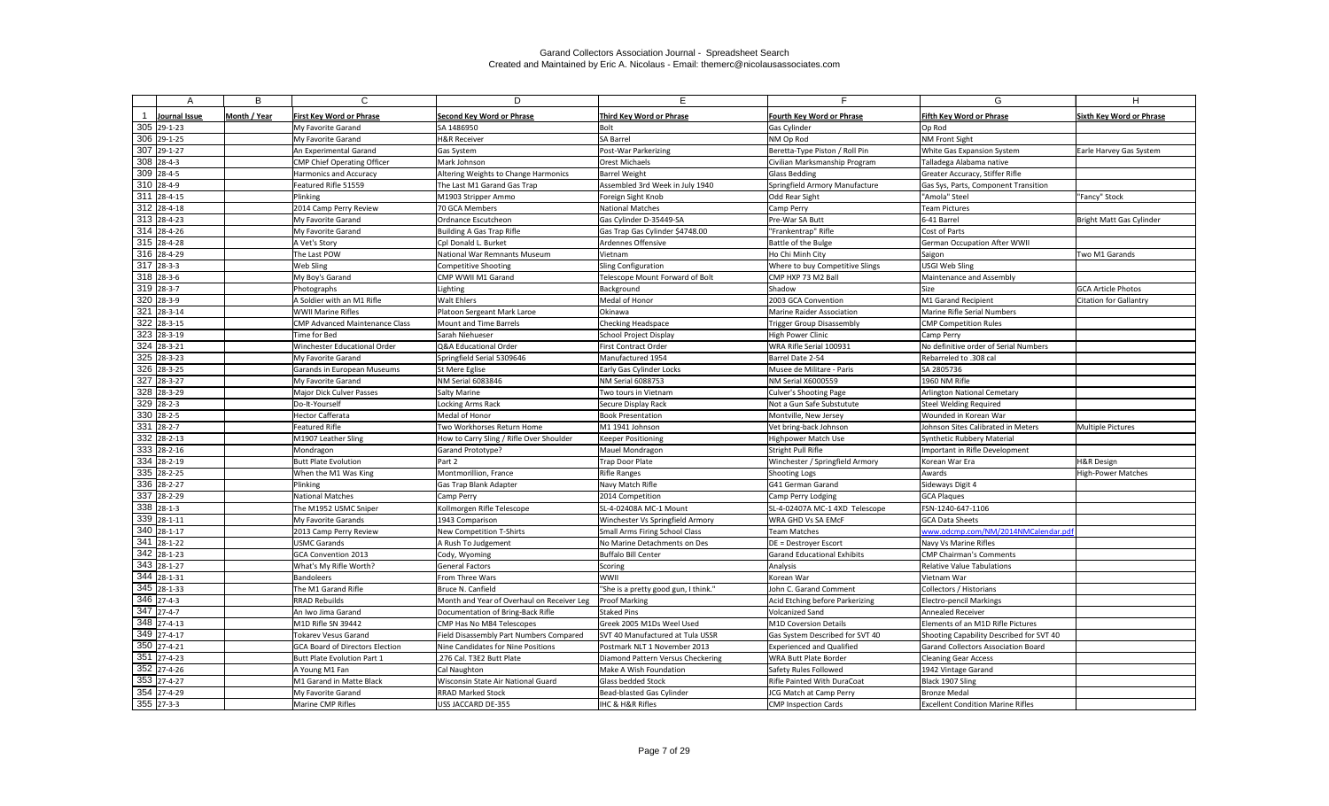|                          | B            | C                                      | D                                          |                                      |                                    | G                                        | н                               |
|--------------------------|--------------|----------------------------------------|--------------------------------------------|--------------------------------------|------------------------------------|------------------------------------------|---------------------------------|
|                          |              |                                        |                                            |                                      |                                    |                                          |                                 |
| Journal Issue            | Month / Year | <b>First Key Word or Phrase</b>        | <b>Second Key Word or Phrase</b>           | Third Key Word or Phrase             | Fourth Key Word or Phrase          | <b>Fifth Key Word or Phrase</b>          | <b>Sixth Key Word or Phrase</b> |
| 305 29-1-23              |              | My Favorite Garand                     | SA 1486950                                 | Bolt                                 | Gas Cylinder                       | Op Rod                                   |                                 |
| 306 29-1-25              |              | My Favorite Garand                     | <b>H&amp;R Receiver</b>                    | <b>SA Barrel</b>                     | NM Op Rod                          | <b>NM Front Sight</b>                    |                                 |
| 307 29-1-27              |              | An Experimental Garand                 | <b>Gas System</b>                          | Post-War Parkerizing                 | Beretta-Type Piston / Roll Pin     | White Gas Expansion System               | Earle Harvey Gas System         |
| $308$ 28-4-3             |              | <b>CMP Chief Operating Officer</b>     | Mark Johnson                               | <b>Orest Michaels</b>                | Civilian Marksmanship Program      | Talladega Alabama native                 |                                 |
| 309 28-4-5               |              | Harmonics and Accuracy                 | Altering Weights to Change Harmonics       | <b>Barrel Weight</b>                 | Glass Bedding                      | Greater Accuracy, Stiffer Rifle          |                                 |
| 310 28-4-9               |              | Featured Rifle 51559                   | The Last M1 Garand Gas Trap                | Assembled 3rd Week in July 1940      | Springfield Armory Manufacture     | Gas Sys, Parts, Component Transition     |                                 |
| $\overline{311}$ 28-4-15 |              | Plinking                               | M1903 Stripper Ammo                        | Foreign Sight Knob                   | Odd Rear Sight                     | "Amola" Steel                            | "Fancy" Stock                   |
| $312$ 28-4-18            |              | 2014 Camp Perry Review                 | 70 GCA Members                             | <b>National Matches</b>              | Camp Perry                         | <b>Team Pictures</b>                     |                                 |
| $313$ 28-4-23            |              | My Favorite Garand                     | Ordnance Escutcheon                        | Gas Cylinder D-35449-SA              | Pre-War SA Butt                    | 6-41 Barrel                              | Bright Matt Gas Cylinder        |
| $314$ 28-4-26            |              | My Favorite Garand                     | Building A Gas Trap Rifle                  | Gas Trap Gas Cylinder \$4748.00      | "Frankentrap" Rifle                | Cost of Parts                            |                                 |
| $315$ 28-4-28            |              | A Vet's Story                          | Cpl Donald L. Burket                       | Ardennes Offensive                   | Battle of the Bulge                | <b>German Occupation After WWII</b>      |                                 |
| $316$ 28-4-29            |              | The Last POW                           | <b>National War Remnants Museum</b>        | Vietnam                              | Ho Chi Minh City                   | Saigon                                   | Two M1 Garands                  |
| $317$ 28-3-3             |              | Web Sling                              | <b>Competitive Shooting</b>                | <b>Sling Configuration</b>           | Where to buy Competitive Slings    | USGI Web Sling                           |                                 |
| $318$ 28-3-6             |              | My Boy's Garand                        | CMP WWII M1 Garand                         | Telescope Mount Forward of Bolt      | CMP HXP 73 M2 Ball                 | Maintenance and Assembly                 |                                 |
| $319$ 28-3-7             |              | Photographs                            | Lighting                                   | Background                           | Shadow                             | Size                                     | <b>GCA Article Photos</b>       |
| 320 28-3-9               |              | A Soldier with an M1 Rifle             | Walt Ehlers                                | Medal of Honor                       | 2003 GCA Convention                | M1 Garand Recipient                      | <b>Citation for Gallantry</b>   |
| 321 28-3-14              |              | <b>WWII Marine Rifles</b>              | Platoon Sergeant Mark Laroe                | Okinawa                              | Marine Raider Association          | Marine Rifle Serial Numbers              |                                 |
| $322$ 28-3-15            |              | <b>CMP Advanced Maintenance Class</b>  | Mount and Time Barrels                     | <b>Checking Headspace</b>            | Trigger Group Disassembly          | <b>CMP Competition Rules</b>             |                                 |
| 323 28-3-19              |              | Time for Bed                           | Sarah Niehueser                            | School Project Display               | High Power Clinic                  | Camp Perry                               |                                 |
| $324$ 28-3-21            |              | Winchester Educational Order           | Q&A Educational Order                      | <b>First Contract Order</b>          | WRA Rifle Serial 100931            | No definitive order of Serial Numbers    |                                 |
| $325$ 28-3-23            |              | My Favorite Garand                     | Springfield Serial 5309646                 | Manufactured 1954                    | Barrel Date 2-54                   | Rebarreled to .308 cal                   |                                 |
| $326$ 28-3-25            |              | Garands in European Museums            | St Mere Eglise                             | <b>Early Gas Cylinder Locks</b>      | Musee de Militare - Paris          | SA 2805736                               |                                 |
| $\overline{327}$ 28-3-27 |              | My Favorite Garand                     | NM Serial 6083846                          | NM Serial 6088753                    | NM Serial X6000559                 | 1960 NM Rifle                            |                                 |
| 328 28-3-29              |              | Major Dick Culver Passes               | Salty Marine                               | Two tours in Vietnam                 | Culver's Shooting Page             | <b>Arlington National Cemetary</b>       |                                 |
| $329$ 28-2-3             |              | Do-It-Yourself                         | <b>Locking Arms Rack</b>                   | Secure Display Rack                  | Not a Gun Safe Substutute          | <b>Steel Welding Required</b>            |                                 |
| 330 28-2-5               |              | <b>Hector Cafferata</b>                | Medal of Honor                             | <b>Book Presentation</b>             | Montville, New Jersey              | Wounded in Korean War                    |                                 |
| 331 28-2-7               |              | <b>Featured Rifle</b>                  | Two Workhorses Return Home                 | M1 1941 Johnson                      | Vet bring-back Johnson             | Johnson Sites Calibrated in Meters       | <b>Multiple Pictures</b>        |
| 332 28-2-13              |              | M1907 Leather Sling                    | How to Carry Sling / Rifle Over Shoulder   | <b>Keeper Positioning</b>            | Highpower Match Use                | Synthetic Rubbery Material               |                                 |
| 333 28-2-16              |              | Mondragon                              | <b>Garand Prototype?</b>                   | <b>Mauel Mondragon</b>               | Stright Pull Rifle                 | Important in Rifle Development           |                                 |
| 334 28-2-19              |              | <b>Butt Plate Evolution</b>            | Part 2                                     | <b>Trap Door Plate</b>               | Winchester / Springfield Armory    | Korean War Era                           | <b>H&amp;R Design</b>           |
| 335 28-2-25              |              | When the M1 Was King                   | Montmorillion, France                      | <b>Rifle Ranges</b>                  | Shooting Logs                      | Awards                                   | <b>High-Power Matches</b>       |
| 336 28-2-27              |              | Plinking                               | Gas Trap Blank Adapter                     | Navy Match Rifle                     | G41 German Garand                  | Sideways Digit 4                         |                                 |
| 337 28-2-29              |              | <b>National Matches</b>                | Camp Perry                                 | 2014 Competition                     | Camp Perry Lodging                 | <b>GCA Plaques</b>                       |                                 |
| $338$ 28-1-3             |              | The M1952 USMC Sniper                  | Kollmorgen Rifle Telescope                 | SL-4-02408A MC-1 Mount               | SL-4-02407A MC-1 4XD Telescope     | FSN-1240-647-1106                        |                                 |
| $339$ 28-1-11            |              | My Favorite Garands                    | 1943 Comparison                            | Winchester Vs Springfield Armory     | WRA GHD Vs SA EMcF                 | <b>GCA Data Sheets</b>                   |                                 |
| 340 28-1-17              |              | 2013 Camp Perry Review                 | New Competition T-Shirts                   | Small Arms Firing School Class       | <b>Team Matches</b>                | www.odcmp.com/NM/2014NMCalendar.pdf      |                                 |
| $341$ 28-1-22            |              | <b>USMC Garands</b>                    | A Rush To Judgement                        | No Marine Detachments on Des         | DE = Destroyer Escort              | Navy Vs Marine Rifles                    |                                 |
| 342 28-1-23              |              | GCA Convention 2013                    | Cody, Wyoming                              | <b>Buffalo Bill Center</b>           | <b>Garand Educational Exhibits</b> | <b>CMP Chairman's Comments</b>           |                                 |
| 343 28-1-27              |              | What's My Rifle Worth?                 | General Factors                            | Scoring                              | Analysis                           | <b>Relative Value Tabulations</b>        |                                 |
| $344$ 28-1-31            |              | <b>Bandoleers</b>                      | From Three Wars                            | WWII                                 | Korean War                         | Vietnam War                              |                                 |
| $345$ 28-1-33            |              | The M1 Garand Rifle                    | Bruce N. Canfield                          | "She is a pretty good gun, I think." | John C. Garand Comment             | Collectors / Historians                  |                                 |
| 346 27-4-3               |              | RRAD Rebuilds                          | Month and Year of Overhaul on Receiver Leg | <b>Proof Marking</b>                 | Acid Etching before Parkerizing    | <b>Electro-pencil Markings</b>           |                                 |
| $\overline{347}$ 27-4-7  |              | An Iwo Jima Garand                     | Documentation of Bring-Back Rifle          | <b>Staked Pins</b>                   | <b>Volcanized Sand</b>             | Annealed Receiver                        |                                 |
| 348 27-4-13              |              | M1D Rifle SN 39442                     | CMP Has No M84 Telescopes                  | Greek 2005 M1Ds Weel Used            | M1D Coversion Details              | Elements of an M1D Rifle Pictures        |                                 |
| 349 27-4-17              |              | Tokarev Vesus Garand                   | Field Disassembly Part Numbers Compared    | SVT 40 Manufactured at Tula USSR     | Gas System Described for SVT 40    | Shooting Capability Described for SVT 40 |                                 |
| 350 27-4-21              |              | <b>GCA Board of Directors Election</b> | Nine Candidates for Nine Positions         | Postmark NLT 1 November 2013         | <b>Experienced and Qualified</b>   | Garand Collectors Association Board      |                                 |
| $351$ 27-4-23            |              | Butt Plate Evolution Part 1            | .276 Cal. T3E2 Butt Plate                  | Diamond Pattern Versus Checkering    | WRA Butt Plate Border              | <b>Cleaning Gear Access</b>              |                                 |
| 352 27-4-26              |              | A Young M1 Fan                         | Cal Naughton                               | Make A Wish Foundation               | Safety Rules Followed              | 1942 Vintage Garand                      |                                 |
| 353 27-4-27              |              | M1 Garand in Matte Black               | Wisconsin State Air National Guard         | <b>Glass bedded Stock</b>            | <b>Rifle Painted With DuraCoat</b> | Black 1907 Sling                         |                                 |
| 354 27-4-29              |              | My Favorite Garand                     | <b>RRAD Marked Stock</b>                   | Bead-blasted Gas Cylinder            | JCG Match at Camp Perry            | <b>Bronze Medal</b>                      |                                 |
| $355$ 27-3-3             |              | Marine CMP Rifles                      | USS JACCARD DE-355                         | <b>IHC &amp; H&amp;R Rifles</b>      | <b>CMP Inspection Cards</b>        | <b>Excellent Condition Marine Rifles</b> |                                 |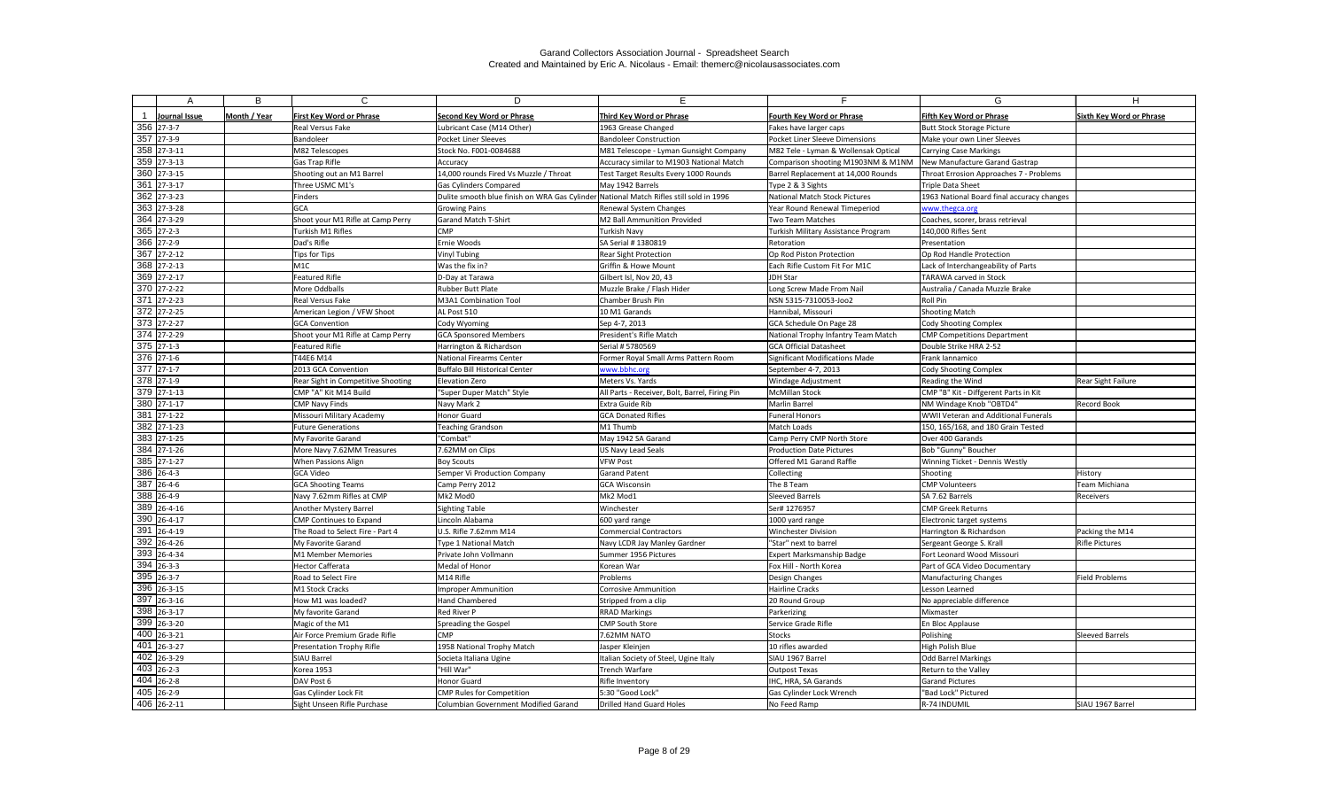| А                                        | B            | $\mathsf{C}$                        | D                                                                                      | F.                                             |                                              | G                                             |                                 |
|------------------------------------------|--------------|-------------------------------------|----------------------------------------------------------------------------------------|------------------------------------------------|----------------------------------------------|-----------------------------------------------|---------------------------------|
|                                          |              |                                     |                                                                                        |                                                |                                              |                                               |                                 |
| Journal Issue                            | Month / Year | <b>First Key Word or Phrase</b>     | <b>Second Key Word or Phrase</b>                                                       | Third Key Word or Phrase                       | <b>Fourth Key Word or Phrase</b>             | <b>Fifth Key Word or Phrase</b>               | <b>Sixth Key Word or Phrase</b> |
| 356 27-3-7                               |              | Real Versus Fake                    | Lubricant Case (M14 Other)                                                             | 1963 Grease Changed                            | Fakes have larger caps                       | <b>Butt Stock Storage Picture</b>             |                                 |
| 357 27-3-9                               |              | Bandoleer                           | Pocket Liner Sleeves                                                                   | <b>Bandoleer Construction</b>                  | Pocket Liner Sleeve Dimensions               | Make your own Liner Sleeves                   |                                 |
| 358 27-3-11                              |              | M82 Telescopes                      | Stock No. F001-0084688                                                                 | M81 Telescope - Lyman Gunsight Company         | M82 Tele - Lyman & Wollensak Optical         | <b>Carrying Case Markings</b>                 |                                 |
| $359$ 27-3-13                            |              | Gas Trap Rifle                      | Accuracy                                                                               | Accuracy similar to M1903 National Match       | Comparison shooting M1903NM & M1NM           | New Manufacture Garand Gastrap                |                                 |
| 360 27-3-15                              |              | Shooting out an M1 Barrel           | 14,000 rounds Fired Vs Muzzle / Throat                                                 | Test Target Results Every 1000 Rounds          | Barrel Replacement at 14,000 Rounds          | Throat Errosion Approaches 7 - Problems       |                                 |
| $361$ 27-3-17                            |              | Three USMC M1's                     | <b>Gas Cylinders Compared</b>                                                          | May 1942 Barrels                               | Type 2 & 3 Sights                            | Triple Data Sheet                             |                                 |
| 362 27-3-23                              |              | Finders                             | Dulite smooth blue finish on WRA Gas Cylinder National Match Rifles still sold in 1996 |                                                | National Match Stock Pictures                | 1963 National Board final accuracy changes    |                                 |
| 363 27-3-28                              |              | <b>GCA</b>                          | <b>Growing Pains</b>                                                                   | Renewal System Changes                         | Year Round Renewal Timeperiod                | www.thegca.org                                |                                 |
| $\overline{364}$ 27-3-29                 |              | Shoot your M1 Rifle at Camp Perry   | <b>Garand Match T-Shirt</b>                                                            | M2 Ball Ammunition Provided                    | Two Team Matches                             | Coaches, scorer, brass retrieval              |                                 |
| 365 27-2-3                               |              | Turkish M1 Rifles                   | <b>CMP</b>                                                                             | <b>Turkish Navy</b>                            | Turkish Military Assistance Program          | 140,000 Rifles Sent                           |                                 |
| 366 27-2-9                               |              | Dad's Rifle                         | Ernie Woods                                                                            | SA Serial # 1380819                            | Retoration                                   | Presentation                                  |                                 |
| $\overline{367}$ 27-2-12                 |              | Tips for Tips                       | <b>Vinyl Tubing</b>                                                                    | <b>Rear Sight Protection</b>                   | Op Rod Piston Protection                     | Op Rod Handle Protection                      |                                 |
| 368 27-2-13                              |              | M <sub>1C</sub>                     | Was the fix in?                                                                        | Griffin & Howe Mount                           | Each Rifle Custom Fit For M1C                | Lack of Interchangeability of Parts           |                                 |
| 369 27-2-17                              |              | <b>Featured Rifle</b>               | D-Day at Tarawa                                                                        | Gilbert Isl, Nov 20, 43                        | JDH Star                                     | <b>TARAWA carved in Stock</b>                 |                                 |
| $\overline{370}$ 27-2-22                 |              | More Oddballs                       | <b>Rubber Butt Plate</b>                                                               | Muzzle Brake / Flash Hider                     | Long Screw Made From Nail                    | Australia / Canada Muzzle Brake               |                                 |
| $\overline{371}$ 27-2-23                 |              | Real Versus Fake                    | M3A1 Combination Tool                                                                  | Chamber Brush Pin                              | NSN 5315-7310053-Joo2                        | Roll Pin                                      |                                 |
| 372 27-2-25                              |              | American Legion / VFW Shoot         | AL Post 510                                                                            | 10 M1 Garands                                  | Hannibal, Missouri                           | <b>Shooting Match</b>                         |                                 |
| 373 27-2-27                              |              | <b>GCA Convention</b>               | Cody Wyoming                                                                           | Sep 4-7, 2013                                  | GCA Schedule On Page 28                      | Cody Shooting Complex                         |                                 |
| $\overline{374}$ 27-2-29                 |              | Shoot your M1 Rifle at Camp Perry   | <b>GCA Sponsored Members</b>                                                           | President's Rifle Match                        | National Trophy Infantry Team Match          | <b>CMP Competitions Department</b>            |                                 |
| $375$ 27-1-3                             |              | Featured Rifle                      | Harrington & Richardson                                                                | Serial # 5780569                               | <b>GCA Official Datasheet</b>                | Double Strike HRA 2-52                        |                                 |
| $\overline{376}$ 27-1-6                  |              | T44E6 M14                           | National Firearms Center                                                               | Former Royal Small Arms Pattern Room           | Significant Modifications Made               | Frank Iannamico                               |                                 |
| $\overline{377}$ 27-1-7                  |              | 2013 GCA Convention                 | Buffalo Bill Historical Center                                                         | www.bbhc.org                                   | September 4-7, 2013                          | Cody Shooting Complex                         |                                 |
| 378 27-1-9                               |              | Rear Sight in Competitive Shooting  | Elevation Zero                                                                         | Meters Vs. Yards                               | <b>Windage Adjustment</b>                    | Reading the Wind                              | <b>Rear Sight Failure</b>       |
| $\overline{379}$ 27-1-13                 |              | CMP "A" Kit M14 Build               | "Super Duper Match" Style                                                              | All Parts - Receiver, Bolt, Barrel, Firing Pin | McMillan Stock                               | CMP "B" Kit - Diffgerent Parts in Kit         |                                 |
| 380 27-1-17                              |              | <b>CMP Navy Finds</b>               | Navy Mark 2                                                                            | Extra Guide Rib                                | Marlin Barrel                                | NM Windage Knob "OBTD4"                       | <b>Record Book</b>              |
| 381 27-1-22                              |              | Missouri Military Academy           | Honor Guard                                                                            | <b>GCA Donated Rifles</b>                      | <b>Funeral Honors</b>                        | <b>WWII Veteran and Additional Funerals</b>   |                                 |
| 382 27-1-23                              |              | <b>Future Generations</b>           | <b>Teaching Grandson</b>                                                               | M1 Thumb                                       | Match Loads                                  | 150, 165/168, and 180 Grain Tested            |                                 |
| 383 27-1-25                              |              | My Favorite Garand                  | "Combat"                                                                               | May 1942 SA Garand                             | Camp Perry CMP North Store                   | Over 400 Garands                              |                                 |
| 384 27-1-26                              |              | More Navy 7.62MM Treasures          | 7.62MM on Clips                                                                        | US Navy Lead Seals                             | <b>Production Date Pictures</b>              | Bob "Gunny" Boucher                           |                                 |
| 385 27-1-27                              |              | When Passions Align                 | Boy Scouts                                                                             | <b>VFW Post</b>                                | Offered M1 Garand Raffle                     | Winning Ticket - Dennis Westly                |                                 |
| 386 26-4-3                               |              | <b>GCA Video</b>                    | Semper Vi Production Company                                                           | <b>Garand Patent</b>                           | Collecting                                   | Shooting                                      | History                         |
| 387 26-4-6                               |              | <b>GCA Shooting Teams</b>           | Camp Perry 2012                                                                        | <b>GCA Wisconsin</b>                           | The 8 Team                                   | <b>CMP Volunteers</b>                         | Team Michiana                   |
| 388 26-4-9                               |              | Navy 7.62mm Rifles at CMP           | Mk2 Mod0                                                                               | Mk2 Mod1                                       | Sleeved Barrels                              | SA 7.62 Barrels                               | Receivers                       |
| 389 26-4-16                              |              | Another Mystery Barrel              | Sighting Table                                                                         | Winchester                                     | Ser# 1276957                                 | <b>CMP Greek Returns</b>                      |                                 |
| 390 26-4-17                              |              | <b>CMP Continues to Expand</b>      | Lincoln Alabama                                                                        | 600 yard range                                 | 1000 yard range                              | Electronic target systems                     |                                 |
| 391 26-4-19                              |              | The Road to Select Fire - Part 4    | U.S. Rifle 7.62mm M14                                                                  | <b>Commercial Contractors</b>                  | <b>Winchester Division</b>                   | Harrington & Richardson                       | Packing the M14                 |
| 392 26-4-26                              |              | My Favorite Garand                  | Type 1 National Match                                                                  | Navy LCDR Jay Manley Gardner                   | "Star" next to barrel                        | Sergeant George S. Krall                      | <b>Rifle Pictures</b>           |
| 393 26-4-34                              |              | M1 Member Memories                  | Private John Vollmann                                                                  | Summer 1956 Pictures                           | <b>Expert Marksmanship Badge</b>             | Fort Leonard Wood Missouri                    |                                 |
| $394$ 26-3-3                             |              | Hector Cafferata                    | Medal of Honor                                                                         | Korean War                                     | Fox Hill - North Korea                       | Part of GCA Video Documentary                 |                                 |
| 395 26-3-7                               |              | Road to Select Fire                 | M14 Rifle                                                                              | Problems                                       | Design Changes                               | Manufacturing Changes                         | <b>Field Problems</b>           |
| $396$ 26-3-15<br>$397$ 26-3-16           |              | M1 Stock Cracks                     | <b>Improper Ammunition</b>                                                             | <b>Corrosive Ammunition</b>                    | Hairline Cracks                              | Lesson Learned                                |                                 |
|                                          |              | How M1 was loaded?                  | Hand Chambered                                                                         | Stripped from a clip                           | 20 Round Group                               | No appreciable difference                     |                                 |
| 398 26-3-17                              |              | My favorite Garand                  | <b>Red River P</b>                                                                     | <b>RRAD Markings</b>                           | Parkerizing                                  | Mixmaster                                     |                                 |
| 399 26-3-20                              |              | Magic of the M1                     | Spreading the Gospel                                                                   | <b>CMP South Store</b>                         | Service Grade Rifle                          | En Bloc Applause                              |                                 |
| 400 26-3-21                              |              | Air Force Premium Grade Rifle       | <b>CMP</b>                                                                             | 7.62MM NATO                                    | Stocks                                       | Polishing                                     | Sleeved Barrels                 |
| 401 26-3-27                              |              | Presentation Trophy Rifle           | 1958 National Trophy Match                                                             | Jasper Kleinjen                                | 10 rifles awarded                            | High Polish Blue                              |                                 |
| $\overline{402}$ 26-3-29<br>$403$ 26-2-3 |              | SIAU Barrel                         | Societa Italiana Ugine                                                                 | Italian Society of Steel, Ugine Italy          | SIAU 1967 Barrel                             | Odd Barrel Markings                           |                                 |
| 404 26-2-8                               |              | Korea 1953                          | "Hill War"                                                                             | Trench Warfare                                 | Outpost Texas<br><b>IHC, HRA, SA Garands</b> | Return to the Valley                          |                                 |
| 405 26-2-9                               |              | DAV Post 6<br>Gas Cylinder Lock Fit | Honor Guard<br><b>CMP Rules for Competition</b>                                        | <b>Rifle Inventory</b><br>5:30 "Good Lock"     | <b>Gas Cylinder Lock Wrench</b>              | <b>Garand Pictures</b><br>"Bad Lock" Pictured |                                 |
| 406 26-2-11                              |              | Sight Unseen Rifle Purchase         | Columbian Government Modified Garand                                                   | Drilled Hand Guard Holes                       | No Feed Ramp                                 | R-74 INDUMIL                                  | SIAU 1967 Barrel                |
|                                          |              |                                     |                                                                                        |                                                |                                              |                                               |                                 |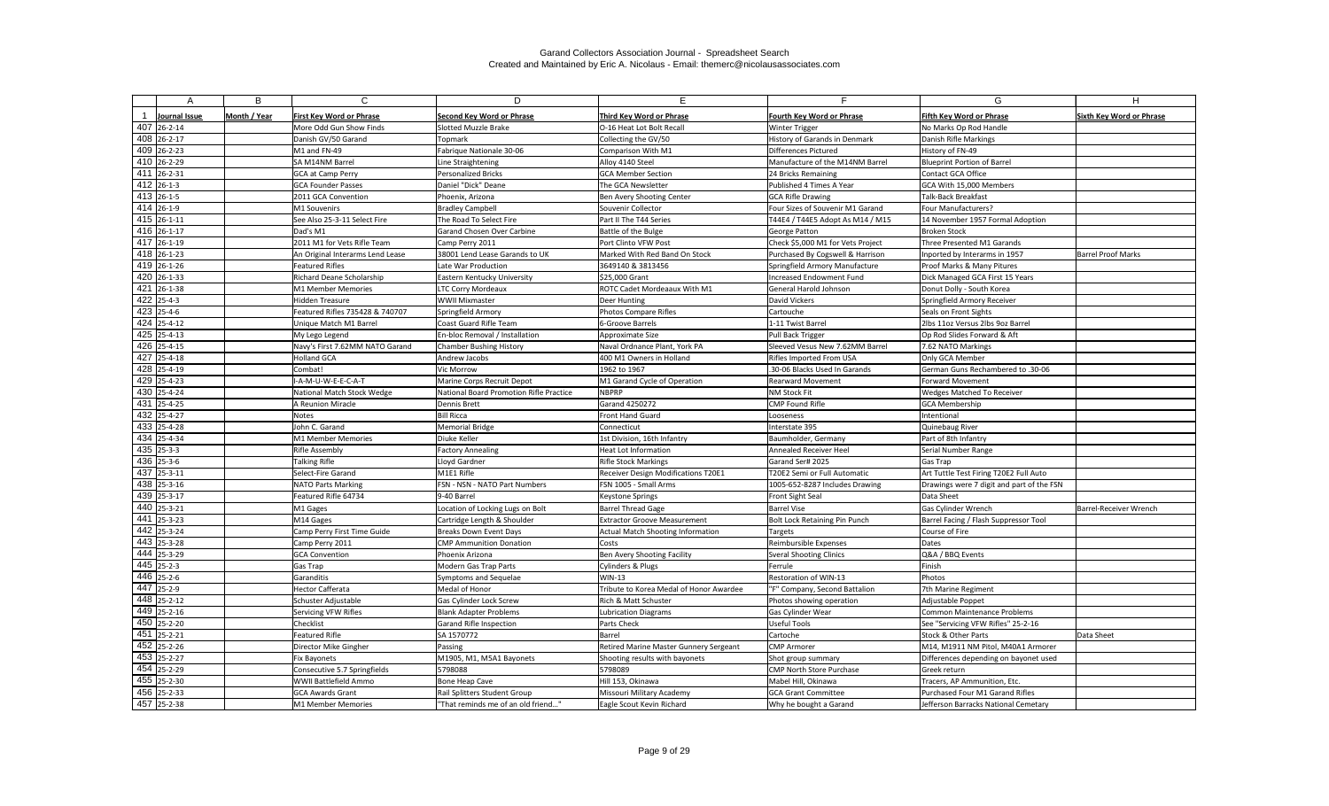| А                                      | B            | $\mathsf{C}$                      | D                                                        |                                               |                                          | G                                                                 | H.                              |
|----------------------------------------|--------------|-----------------------------------|----------------------------------------------------------|-----------------------------------------------|------------------------------------------|-------------------------------------------------------------------|---------------------------------|
|                                        |              |                                   |                                                          |                                               |                                          |                                                                   |                                 |
| Journal Issue                          | Month / Year | <b>First Key Word or Phrase</b>   | <b>Second Key Word or Phrase</b>                         | Third Key Word or Phrase                      | Fourth Key Word or Phrase                | <b>Fifth Key Word or Phrase</b>                                   | <b>Sixth Key Word or Phrase</b> |
| 407 26-2-14                            |              | More Odd Gun Show Finds           | Slotted Muzzle Brake                                     | O-16 Heat Lot Bolt Recall                     | <b>Winter Trigger</b>                    | No Marks Op Rod Handle                                            |                                 |
| 408 26-2-17                            |              | Danish GV/50 Garand               | Topmark                                                  | Collecting the GV/50                          | History of Garands in Denmark            | Danish Rifle Markings                                             |                                 |
| 409 26-2-23                            |              | M1 and FN-49                      | Fabrique Nationale 30-06                                 | Comparison With M1                            | Differences Pictured                     | History of FN-49                                                  |                                 |
| 410 26-2-29                            |              | SA M14NM Barrel                   | Line Straightening                                       | Alloy 4140 Steel                              | Manufacture of the M14NM Barrel          | <b>Blueprint Portion of Barrel</b>                                |                                 |
| 411 26-2-31                            |              | <b>GCA at Camp Perry</b>          | Personalized Bricks                                      | <b>GCA Member Section</b>                     | 24 Bricks Remaining                      | Contact GCA Office                                                |                                 |
| $412$ 26-1-3                           |              | <b>GCA Founder Passes</b>         | Daniel "Dick" Deane                                      | The GCA Newsletter                            | Published 4 Times A Year                 | GCA With 15,000 Members                                           |                                 |
| 413 26-1-5                             |              | 2011 GCA Convention               | Phoenix, Arizona                                         | Ben Avery Shooting Center                     | <b>GCA Rifle Drawing</b>                 | <b>Talk-Back Breakfast</b>                                        |                                 |
| 414 26-1-9                             |              | M1 Souvenirs                      | <b>Bradley Campbell</b>                                  | Souvenir Collector                            | Four Sizes of Souvenir M1 Garand         | Four Manufacturers?                                               |                                 |
| 415 26-1-11                            |              | See Also 25-3-11 Select Fire      | The Road To Select Fire                                  | Part II The T44 Series                        | T44E4 / T44E5 Adopt As M14 / M15         | 14 November 1957 Formal Adoption                                  |                                 |
| 416 26-1-17                            |              | Dad's M1                          | Garand Chosen Over Carbine                               | Battle of the Bulge                           | George Patton                            | <b>Broken Stock</b>                                               |                                 |
| 417 26-1-19                            |              | 2011 M1 for Vets Rifle Team       | Camp Perry 2011                                          | Port Clinto VFW Post                          | Check \$5,000 M1 for Vets Project        | Three Presented M1 Garands                                        |                                 |
| 418 26-1-23                            |              | An Original Interarms Lend Lease  | 38001 Lend Lease Garands to UK                           | Marked With Red Band On Stock                 | Purchased By Cogswell & Harrison         | Inported by Interarms in 1957                                     | <b>Barrel Proof Marks</b>       |
| 419 26-1-26                            |              | Featured Rifles                   | Late War Production                                      | 3649140 & 3813456                             | Springfield Armory Manufacture           | Proof Marks & Many Pitures                                        |                                 |
| 420 26-1-33                            |              | Richard Deane Scholarship         | Eastern Kentucky University                              | \$25,000 Grant                                | Increased Endowment Fund                 | Dick Managed GCA First 15 Years                                   |                                 |
| $\overline{421}$ 26-1-38               |              | M1 Member Memories                | LTC Corry Mordeaux                                       | <b>ROTC Cadet Mordeaaux With M1</b>           | General Harold Johnson                   | Donut Dolly - South Korea                                         |                                 |
| $422$ 25-4-3                           |              | Hidden Treasure                   | <b>WWII Mixmaster</b>                                    | Deer Hunting                                  | David Vickers                            | Springfield Armory Receiver                                       |                                 |
| 423 25-4-6                             |              | Featured Rifles 735428 & 740707   | Springfield Armory                                       | Photos Compare Rifles                         | Cartouche                                | Seals on Front Sights                                             |                                 |
| $\overline{4}24$ 25-4-12               |              | Unique Match M1 Barrel            | Coast Guard Rifle Team                                   | 6-Groove Barrels                              | 1-11 Twist Barrel                        | 2lbs 11oz Versus 2lbs 9oz Barrel                                  |                                 |
| 425 25-4-13                            |              | My Lego Legend                    | En-bloc Removal / Installation                           | Approximate Size                              | Pull Back Trigger                        | Op Rod Slides Forward & Aft                                       |                                 |
| 426 25-4-15                            |              | Navy's First 7.62MM NATO Garand   | <b>Chamber Bushing History</b>                           | Naval Ordnance Plant, York PA                 | Sleeved Vesus New 7.62MM Barrel          | 7.62 NATO Markings                                                |                                 |
| 427 25-4-18                            |              | Holland GCA                       | Andrew Jacobs                                            | 400 M1 Owners in Holland                      | <b>Rifles Imported From USA</b>          | Only GCA Member                                                   |                                 |
| 428 25-4-19                            |              | Combat!                           | Vic Morrow                                               | 1962 to 1967                                  | .30-06 Blacks Used In Garands            | German Guns Rechambered to .30-06                                 |                                 |
| 429 25-4-23                            |              | I-A-M-U-W-E-E-C-A-T               | Marine Corps Recruit Depot                               | M1 Garand Cycle of Operation                  | <b>Rearward Movement</b>                 | <b>Forward Movement</b>                                           |                                 |
| 430 25-4-24                            |              | National Match Stock Wedge        | National Board Promotion Rifle Practice                  | <b>NBPRP</b>                                  | NM Stock Fit                             | Wedges Matched To Receiver                                        |                                 |
| 431 25-4-25                            |              | A Reunion Miracle                 | Dennis Brett                                             | <b>Garand 4250272</b>                         | <b>CMP Found Rifle</b>                   | <b>GCA Membership</b>                                             |                                 |
| 432 25-4-27                            |              | Notes                             | Bill Ricca                                               | <b>Front Hand Guard</b>                       | Looseness                                | Intentional                                                       |                                 |
| 433 25-4-28                            |              | John C. Garand                    | Memorial Bridge                                          | Connecticut                                   | Interstate 395                           | Quinebaug River                                                   |                                 |
| 434 25-4-34                            |              | M1 Member Memories                | Diuke Keller                                             | 1st Division, 16th Infantry                   | Baumholder, Germany                      | Part of 8th Infantry                                              |                                 |
| $435$ 25-3-3                           |              | <b>Rifle Assembly</b>             | <b>Factory Annealing</b>                                 | <b>Heat Lot Information</b>                   | Annealed Receiver Heel                   | Serial Number Range                                               |                                 |
| $436$ 25-3-6                           |              | <b>Talking Rifle</b>              | Lloyd Gardner                                            | <b>Rifle Stock Markings</b>                   | Garand Ser# 2025                         | <b>Gas Trap</b>                                                   |                                 |
| 437 25-3-11                            |              | Select-Fire Garand                | M1E1 Rifle                                               | Receiver Design Modifications T20E1           | T20E2 Semi or Full Automatic             | Art Tuttle Test Firing T20E2 Full Auto                            |                                 |
| 438 25-3-16                            |              | <b>NATO Parts Marking</b>         | FSN - NSN - NATO Part Numbers                            | FSN 1005 - Small Arms                         | 1005-652-8287 Includes Drawing           | Drawings were 7 digit and part of the FSN                         |                                 |
| 439 25-3-17                            |              | Featured Rifle 64734              | 9-40 Barrel                                              | <b>Keystone Springs</b>                       | Front Sight Seal                         | Data Sheet                                                        |                                 |
| 440 25-3-21                            |              | M1 Gages                          | Location of Locking Lugs on Bolt                         | Barrel Thread Gage                            | <b>Barrel Vise</b>                       | Gas Cylinder Wrench                                               | Barrel-Receiver Wrench          |
| $441$ 25-3-23                          |              | M14 Gages                         | Cartridge Length & Shoulder                              | <b>Extractor Groove Measurement</b>           | Bolt Lock Retaining Pin Punch            | Barrel Facing / Flash Suppressor Tool                             |                                 |
| 442 25-3-24                            |              | Camp Perry First Time Guide       | <b>Breaks Down Event Days</b>                            | <b>Actual Match Shooting Information</b>      | Targets                                  | Course of Fire                                                    |                                 |
| 443 25-3-28                            |              | Camp Perry 2011                   | <b>CMP Ammunition Donation</b>                           | Costs                                         | Reimbursible Expenses                    | Dates                                                             |                                 |
| 444 25-3-29<br>$\overline{445}$ 25-2-3 |              | <b>GCA Convention</b>             | Phoenix Arizona                                          | Ben Avery Shooting Facility                   | <b>Sveral Shooting Clinics</b>           | Q&A / BBQ Events                                                  |                                 |
| $\overline{446}$ 25-2-6                |              | Gas Trap                          | Modern Gas Trap Parts                                    | Cylinders & Plugs<br><b>WIN-13</b>            | Ferrule<br>Restoration of WIN-13         | Finish                                                            |                                 |
| 447 25-2-9                             |              | Garanditis<br>Hector Cafferata    | Symptoms and Sequelae<br>Medal of Honor                  | Tribute to Korea Medal of Honor Awardee       | "F" Company, Second Battalion            | Photos<br>7th Marine Regiment                                     |                                 |
| 448 25-2-12                            |              |                                   |                                                          |                                               |                                          |                                                                   |                                 |
| 449 25-2-16                            |              | Schuster Adjustable               | Gas Cylinder Lock Screw                                  | Rich & Matt Schuster                          | Photos showing operation                 | Adjustable Poppet                                                 |                                 |
| 450 25-2-20                            |              | Servicing VFW Rifles<br>Checklist | <b>Blank Adapter Problems</b><br>Garand Rifle Inspection | <b>Lubrication Diagrams</b><br>Parts Check    | <b>Gas Cylinder Wear</b><br>Useful Tools | Common Maintenance Problems<br>See "Servicing VFW Rifles" 25-2-16 |                                 |
| 451 25-2-21                            |              | Featured Rifle                    |                                                          | Barrel                                        |                                          |                                                                   |                                 |
| 452 25-2-26                            |              | Director Mike Gingher             | SA 1570772<br>Passing                                    | <b>Retired Marine Master Gunnery Sergeant</b> | Cartoche<br><b>CMP Armorer</b>           | Stock & Other Parts<br>M14, M1911 NM Pitol, M40A1 Armorer         | Data Sheet                      |
| 453 25-2-27                            |              | <b>Fix Bayonets</b>               | M1905, M1, M5A1 Bayonets                                 | Shooting results with bayonets                | Shot group summary                       | Differences depending on bayonet used                             |                                 |
| 454 25-2-29                            |              | Consecutive 5.7 Springfields      | 5798088                                                  | 5798089                                       | CMP North Store Purchase                 | Greek return                                                      |                                 |
| $455$ 25-2-30                          |              | WWII Battlefield Ammo             | Bone Heap Cave                                           | Hill 153, Okinawa                             | Mabel Hill, Okinawa                      | Tracers, AP Ammunition, Etc.                                      |                                 |
| $456$ 25-2-33                          |              | <b>GCA Awards Grant</b>           | Rail Splitters Student Group                             | Missouri Military Academy                     | <b>GCA Grant Committee</b>               | Purchased Four M1 Garand Rifles                                   |                                 |
| 457 25-2-38                            |              | M1 Member Memories                | "That reminds me of an old friend"                       | Eagle Scout Kevin Richard                     | Why he bought a Garand                   | Jefferson Barracks National Cemetary                              |                                 |
|                                        |              |                                   |                                                          |                                               |                                          |                                                                   |                                 |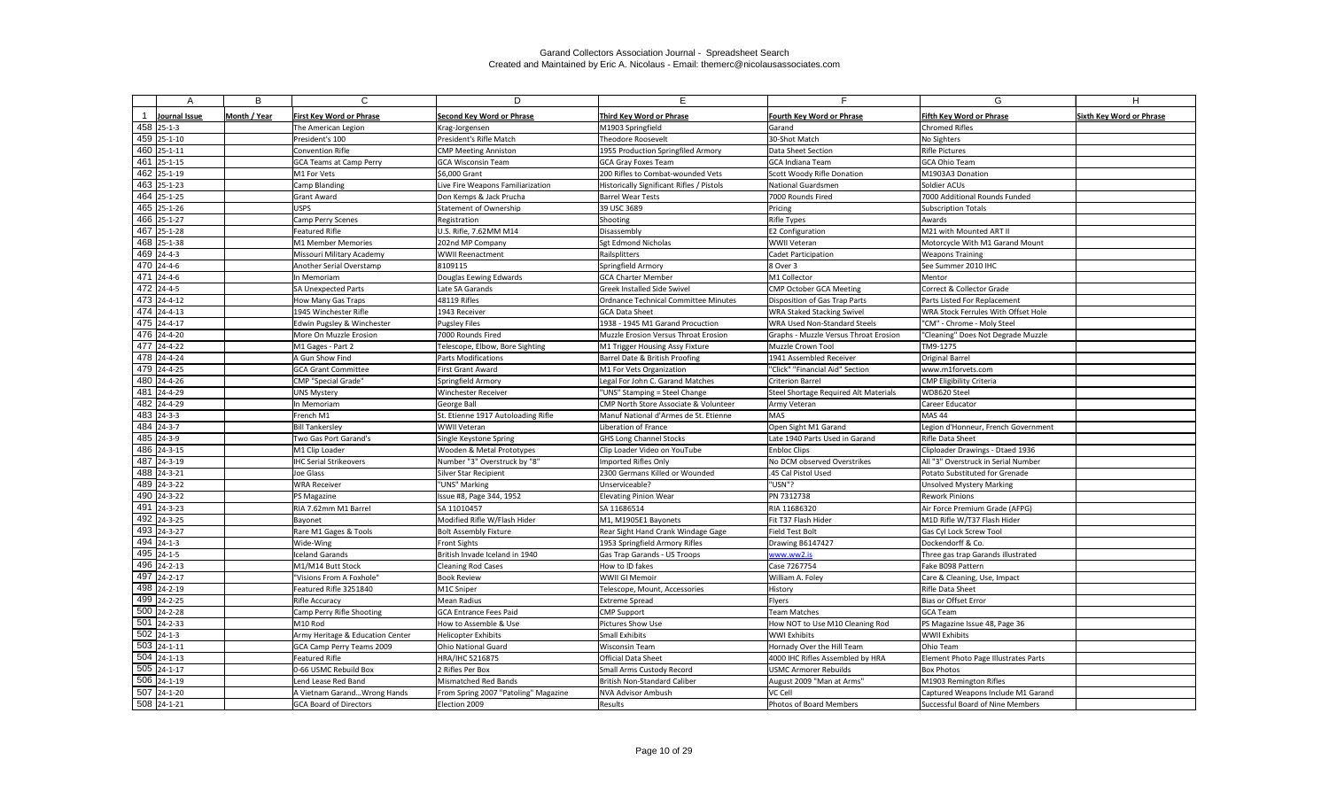|                          | А             | B            | $\mathsf{C}$                     | D                                    | E.                                               | Е.                                    | G                                    | H                               |
|--------------------------|---------------|--------------|----------------------------------|--------------------------------------|--------------------------------------------------|---------------------------------------|--------------------------------------|---------------------------------|
|                          |               |              |                                  |                                      |                                                  |                                       |                                      |                                 |
|                          | Journal Issue | Month / Year | <b>First Key Word or Phrase</b>  | <b>Second Key Word or Phrase</b>     | Third Key Word or Phrase                         | Fourth Key Word or Phrase             | Fifth Key Word or Phrase             | <b>Sixth Key Word or Phrase</b> |
| $458$ 25-1-3             |               |              | The American Legion              | Krag-Jorgensen                       | M1903 Springfield                                | l Garand                              | <b>Chromed Rifles</b>                |                                 |
| $459$ 25-1-10            |               |              | President's 100                  | President's Rifle Match              | <b>Theodore Roosevelt</b>                        | 30-Shot Match                         | No Sighters                          |                                 |
| 460 25-1-11              |               |              | <b>Convention Rifle</b>          | <b>CMP Meeting Anniston</b>          | 1955 Production Springfiled Armory               | Data Sheet Section                    | Rifle Pictures                       |                                 |
| 461 25-1-15              |               |              | <b>GCA Teams at Camp Perry</b>   | <b>GCA Wisconsin Team</b>            | <b>GCA Gray Foxes Team</b>                       | <b>GCA Indiana Team</b>               | <b>GCA Ohio Team</b>                 |                                 |
| $462$ 25-1-19            |               |              | M1 For Vets                      | \$6,000 Grant                        | 200 Rifles to Combat-wounded Vets                | Scott Woody Rifle Donation            | M1903A3 Donation                     |                                 |
| $-463$ 25-1-23           |               |              | Camp Blanding                    | Live Fire Weapons Familiarization    | Historically Significant Rifles / Pistols        | National Guardsmen                    | Soldier ACUs                         |                                 |
| 464 25-1-25              |               |              | Grant Award                      | Don Kemps & Jack Prucha              | <b>Barrel Wear Tests</b>                         | 7000 Rounds Fired                     | 7000 Additional Rounds Funded        |                                 |
| $-465$ 25-1-26           |               |              | <b>USPS</b>                      | Statement of Ownership               | 39 USC 3689                                      | Pricing                               | <b>Subscription Totals</b>           |                                 |
| 466 25-1-27              |               |              | Camp Perry Scenes                | Registration                         | Shooting                                         | Rifle Types                           | Awards                               |                                 |
| 467 25-1-28              |               |              | Featured Rifle                   | U.S. Rifle, 7.62MM M14               | Disassembly                                      | E2 Configuration                      | M21 with Mounted ART II              |                                 |
| 468 25-1-38              |               |              | M1 Member Memories               | 202nd MP Company                     | <b>Sgt Edmond Nicholas</b>                       | WWII Veteran                          | Motorcycle With M1 Garand Mount      |                                 |
| 469 24-4-3               |               |              | Missouri Military Academy        | <b>WWII Reenactment</b>              | Railsplitters                                    | Cadet Participation                   | <b>Weapons Training</b>              |                                 |
| 470 24-4-6               |               |              | Another Serial Overstamp         | 8109115                              | Springfield Armory                               | 8 Over 3                              | See Summer 2010 IHC                  |                                 |
| $471$ 24-4-6             |               |              | n Memoriam                       | Douglas Eewing Edwards               | <b>GCA Charter Member</b>                        | M1 Collector                          | Mentor                               |                                 |
| $472$ 24-4-5             |               |              | <b>SA Unexpected Parts</b>       | Late SA Garands                      | <b>Greek Installed Side Swivel</b>               | <b>CMP October GCA Meeting</b>        | Correct & Collector Grade            |                                 |
| 473 24-4-12              |               |              | How Many Gas Traps               | 48119 Rifles                         | <b>Ordnance Technical Committee Minutes</b>      | Disposition of Gas Trap Parts         | Parts Listed For Replacement         |                                 |
| 474 24-4-13              |               |              | 1945 Winchester Rifle            | 1943 Receiver                        | <b>GCA Data Sheet</b>                            | <b>WRA Staked Stacking Swivel</b>     | WRA Stock Ferrules With Offset Hole  |                                 |
| $\overline{475}$ 24-4-17 |               |              | Edwin Pugsley & Winchester       | <b>Pugsley Files</b>                 | 1938 - 1945 M1 Garand Procuction                 | WRA Used Non-Standard Steels          | "CM" - Chrome - Moly Steel           |                                 |
| 476 24-4-20              |               |              | More On Muzzle Erosion           | 7000 Rounds Fired                    | <b>Muzzle Erosion Versus Throat Erosion</b>      | Graphs - Muzzle Versus Throat Erosion | "Cleaning" Does Not Degrade Muzzle   |                                 |
| $\overline{477}$ 24-4-22 |               |              | M1 Gages - Part 2                | Telescope, Elbow, Bore Sighting      | M1 Trigger Housing Assy Fixture                  | Muzzle Crown Tool                     | TM9-1275                             |                                 |
| 478 24-4-24              |               |              | A Gun Show Find                  | Parts Modifications                  | Barrel Date & British Proofing                   | 1941 Assembled Receiver               | <b>Original Barrel</b>               |                                 |
| 479 24-4-25              |               |              | <b>GCA Grant Committee</b>       | <b>First Grant Award</b>             | M1 For Vets Organization                         | "Click" "Financial Aid" Section       | www.m1forvets.com                    |                                 |
| 480 24-4-26              |               |              | <b>CMP "Special Grade"</b>       | Springfield Armory                   | Legal For John C. Garand Matches                 | Criterion Barrel                      | <b>CMP Eligibility Criteria</b>      |                                 |
| 481 24-4-29              |               |              | <b>UNS Mystery</b>               | Winchester Receiver                  | "UNS" Stamping = Steel Change                    | Steel Shortage Required Alt Materials | WD8620 Steel                         |                                 |
| 482 24-4-29              |               |              | n Memoriam                       | George Ball                          | <b>CMP North Store Associate &amp; Volunteer</b> | Army Veteran                          | Career Educator                      |                                 |
| 483 24-3-3               |               |              | French M1                        | St. Etienne 1917 Autoloading Rifle   | Manuf National d'Armes de St. Etienne            | <b>MAS</b>                            | MAS <sub>44</sub>                    |                                 |
| 484 24-3-7               |               |              | <b>Bill Tankersley</b>           | <b>WWII Veteran</b>                  | Liberation of France                             | Open Sight M1 Garand                  | Legion d'Honneur, French Government  |                                 |
| $485$ 24-3-9             |               |              | Two Gas Port Garand's            | Single Keystone Spring               | <b>GHS Long Channel Stocks</b>                   | Late 1940 Parts Used in Garand        | <b>Rifle Data Sheet</b>              |                                 |
| $-486$ 24-3-15           |               |              | M1 Clip Loader                   | Wooden & Metal Prototypes            | Clip Loader Video on YouTube                     | <b>Enbloc Clips</b>                   | Cliploader Drawings - Dtaed 1936     |                                 |
| 487                      | $7$ 24-3-19   |              | <b>IHC Serial Strikeovers</b>    | Number "3" Overstruck by "8"         | Imported Rifles Only                             | No DCM observed Overstrikes           | All "3" Overstruck in Serial Number  |                                 |
| 488 24-3-21              |               |              | Joe Glass                        | <b>Silver Star Recipient</b>         | 2300 Germans Killed or Wounded                   | .45 Cal Pistol Used                   | Potato Substituted for Grenade       |                                 |
| 489 24-3-22              |               |              | <b>WRA Receiver</b>              | "UNS" Marking                        | Unserviceable?                                   | "USN"?                                | <b>Unsolved Mystery Marking</b>      |                                 |
| 490 24-3-22              |               |              | PS Magazine                      | Issue #8, Page 344, 1952             | <b>Elevating Pinion Wear</b>                     | PN 7312738                            | <b>Rework Pinions</b>                |                                 |
| 491 24-3-23              |               |              | RIA 7.62mm M1 Barrel             | SA 11010457                          | SA 11686514                                      | RIA 11686320                          | Air Force Premium Grade (AFPG)       |                                 |
| 492 24-3-25              |               |              | Bayonet                          | Modified Rifle W/Flash Hider         | M1, M1905E1 Bayonets                             | Fit T37 Flash Hider                   | M1D Rifle W/T37 Flash Hider          |                                 |
| 493 24-3-27              |               |              | Rare M1 Gages & Tools            | <b>Bolt Assembly Fixture</b>         | Rear Sight Hand Crank Windage Gage               | Field Test Bolt                       | <b>Gas Cyl Lock Screw Tool</b>       |                                 |
| $494$ 24-1-3             |               |              | Wide-Wing                        | <b>Front Sights</b>                  | 1953 Springfield Armory Rifles                   | Drawing B6147427                      | Dockendorff & Co.                    |                                 |
| $495$ 24-1-5             |               |              | <b>Iceland Garands</b>           | British Invade Iceland in 1940       | Gas Trap Garands - US Troops                     | www.ww2.is                            | Three gas trap Garands illustrated   |                                 |
| 496 24-2-13              |               |              | M1/M14 Butt Stock                | <b>Cleaning Rod Cases</b>            | How to ID fakes                                  | Case 7267754                          | Fake B098 Pattern                    |                                 |
| 497 24-2-17              |               |              | "Visions From A Foxhole"         | Book Review                          | WWII GI Memoir                                   | William A. Foley                      | Care & Cleaning, Use, Impact         |                                 |
| 498 24-2-19              |               |              | Featured Rifle 3251840           | M1C Sniper                           | Telescope, Mount, Accessories                    | History                               | <b>Rifle Data Sheet</b>              |                                 |
| 499 24-2-25              |               |              | Rifle Accuracy                   | Mean Radius                          | <b>Extreme Spread</b>                            | Flyers                                | Bias or Offset Error                 |                                 |
| 500 24-2-28              |               |              | Camp Perry Rifle Shooting        | GCA Entrance Fees Paid               | <b>CMP Support</b>                               | Team Matches                          | <b>GCA Team</b>                      |                                 |
| 501 24-2-33              |               |              | M10 Rod                          | How to Assemble & Use                | Pictures Show Use                                | How NOT to Use M10 Cleaning Rod       | PS Magazine Issue 48, Page 36        |                                 |
| $502$ 24-1-3             |               |              | Army Heritage & Education Center | Helicopter Exhibits                  | Small Exhibits                                   | <b>WWI Exhibits</b>                   | <b>WWII Exhibits</b>                 |                                 |
| $503$ 24-1-11            |               |              | GCA Camp Perry Teams 2009        | Ohio National Guard                  | Wisconsin Team                                   | Hornady Over the Hill Team            | Ohio Team                            |                                 |
| $504$ 24-1-13            |               |              | Featured Rifle                   | <b>HRA/IHC 5216875</b>               | <b>Official Data Sheet</b>                       | 4000 IHC Rifles Assembled by HRA      | Element Photo Page Illustrates Parts |                                 |
| $505$ 24-1-17            |               |              | 0-66 USMC Rebuild Box            | 2 Rifles Per Box                     | Small Arms Custody Record                        | USMC Armorer Rebuilds                 | <b>Box Photos</b>                    |                                 |
| 506 24-1-19              |               |              | Lend Lease Red Band              | Mismatched Red Bands                 | <b>British Non-Standard Caliber</b>              | August 2009 "Man at Arms"             | M1903 Remington Rifles               |                                 |
| $\overline{507}$ 24-1-20 |               |              | A Vietnam Garand Wrong Hands     | From Spring 2007 "Patoling" Magazine | <b>NVA Advisor Ambush</b>                        | VC Cell                               | Captured Weapons Include M1 Garand   |                                 |
| $508$ 24-1-21            |               |              | <b>GCA Board of Directors</b>    | Election 2009                        | Results                                          | Photos of Board Members               | Successful Board of Nine Members     |                                 |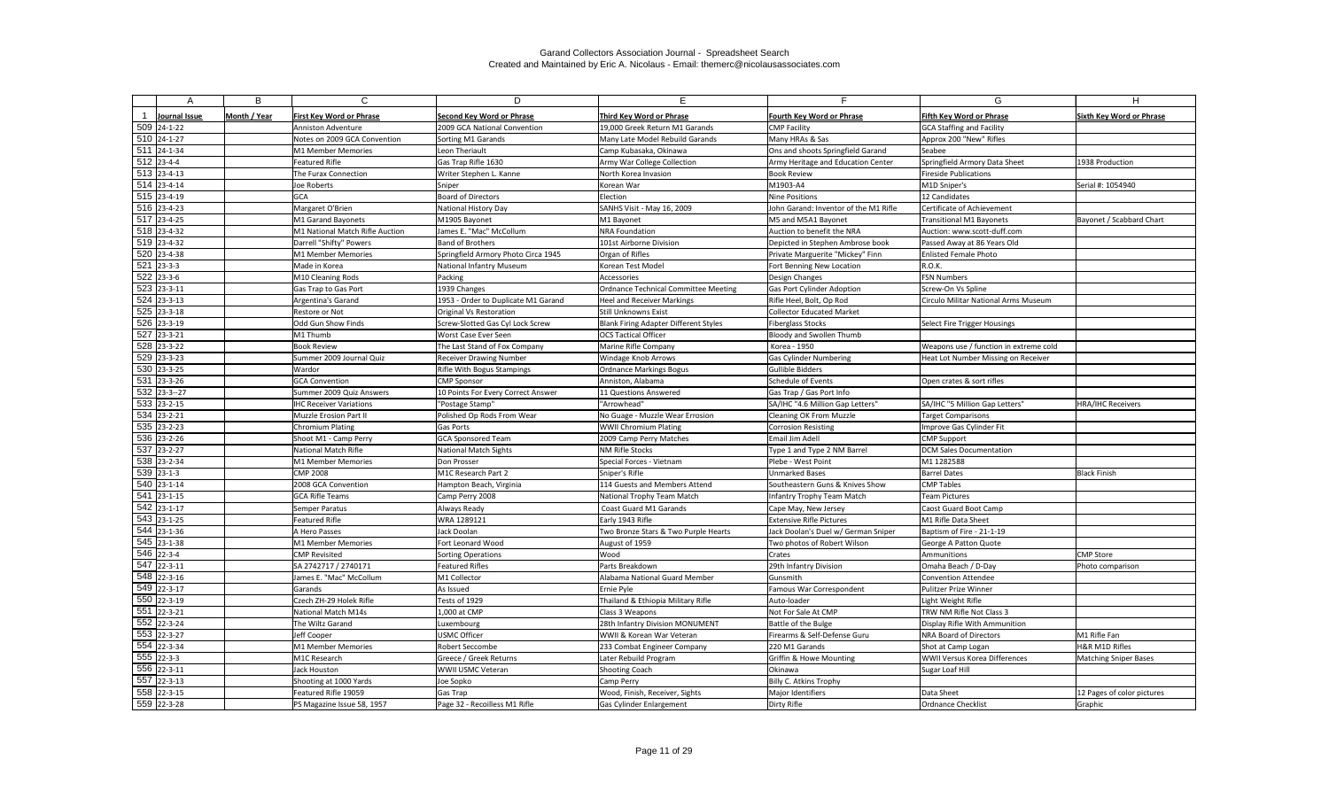| А                                                    | B            | $\mathsf{C}$                                          | D                                        | E.                                                   | E.                                                      | G                                                              | H.                              |
|------------------------------------------------------|--------------|-------------------------------------------------------|------------------------------------------|------------------------------------------------------|---------------------------------------------------------|----------------------------------------------------------------|---------------------------------|
|                                                      |              |                                                       |                                          |                                                      |                                                         |                                                                |                                 |
| Journal Issue                                        | Month / Year | <b>First Key Word or Phrase</b>                       | <b>Second Key Word or Phrase</b>         | Third Key Word or Phrase                             | <b>Fourth Key Word or Phrase</b>                        | Fifth Kev Word or Phrase                                       | <b>Sixth Key Word or Phrase</b> |
| 509 24-1-22                                          |              | <b>Anniston Adventure</b>                             | 2009 GCA National Convention             | 19,000 Greek Return M1 Garands                       | <b>CMP Facility</b>                                     | <b>GCA Staffing and Facility</b>                               |                                 |
| $\overline{510}$ 24-1-27<br>$\overline{511}$ 24-1-34 |              | Notes on 2009 GCA Convention                          | Sorting M1 Garands                       | Many Late Model Rebuild Garands                      | Many HRAs & Sas                                         | Approx 200 "New" Rifles                                        |                                 |
| $\overline{512}$ 23-4-4                              |              | M1 Member Memories                                    | Leon Theriault                           | Camp Kubasaka, Okinawa                               | Ons and shoots Springfield Garand                       | Seabee                                                         |                                 |
|                                                      |              | <b>Featured Rifle</b>                                 | Gas Trap Rifle 1630                      | Army War College Collection                          | Army Heritage and Education Center                      | Springfield Armory Data Sheet                                  | 1938 Production                 |
| $513$ 23-4-13<br>$514$ 23-4-14                       |              | The Furax Connection                                  | Writer Stephen L. Kanne                  | North Korea Invasion                                 | <b>Book Review</b>                                      | <b>Fireside Publications</b>                                   |                                 |
| $515$ 23-4-19                                        |              | Joe Roberts                                           | Sniper<br><b>Board of Directors</b>      | Korean War                                           | M1903-A4                                                | M1D Sniper's                                                   | Serial #: 1054940               |
| $516$ 23-4-23                                        |              | <b>GCA</b>                                            |                                          | Election                                             | <b>Nine Positions</b>                                   | 12 Candidates                                                  |                                 |
| $\overline{517}$ 23-4-25                             |              | Margaret O'Brien                                      | National History Day                     | SANHS Visit - May 16, 2009                           | John Garand: Inventor of the M1 Rifle                   | Certificate of Achievement                                     |                                 |
| $518$ 23-4-32                                        |              | M1 Garand Bayonets<br>M1 National Match Rifle Auction | M1905 Bayonet<br>James E. "Mac" McCollum | M1 Bayonet<br><b>NRA Foundation</b>                  | M5 and M5A1 Bayonet<br>Auction to benefit the NRA       | <b>Transitional M1 Bayonets</b><br>Auction: www.scott-duff.com | Bayonet / Scabbard Chart        |
| 519 23-4-32                                          |              |                                                       | <b>Band of Brothers</b>                  | 101st Airborne Division                              |                                                         |                                                                |                                 |
| 520 23-4-38                                          |              | Darrell "Shifty" Powers                               |                                          |                                                      | Depicted in Stephen Ambrose book                        | Passed Away at 86 Years Old                                    |                                 |
| $521$ 23-3-3                                         |              | M1 Member Memories                                    | Springfield Armory Photo Circa 1945      | Organ of Rifles                                      | Private Marguerite "Mickey" Finn                        | <b>Enlisted Female Photo</b>                                   |                                 |
| $\overline{522}$ 23-3-6                              |              | Made in Korea                                         | National Infantry Museum                 | Korean Test Model                                    | Fort Benning New Location                               | R.O.K.                                                         |                                 |
|                                                      |              | M10 Cleaning Rods                                     | Packing                                  | Accessories                                          | Design Changes                                          | <b>FSN Numbers</b>                                             |                                 |
| $\overline{523}$ 23-3-11                             |              | Gas Trap to Gas Port                                  | 1939 Changes                             | Ordnance Technical Committee Meeting                 | <b>Gas Port Cylinder Adoption</b>                       | Screw-On Vs Spline                                             |                                 |
| $524$ 23-3-13<br>$\overline{525}$ 23-3-18            |              | <b>Argentina's Garand</b>                             | 1953 - Order to Duplicate M1 Garand      | <b>Heel and Receiver Markings</b>                    | Rifle Heel, Bolt, Op Rod                                | Circulo Militar National Arms Museum                           |                                 |
| $\overline{526}$ 23-3-19                             |              | Restore or Not                                        | Original Vs Restoration                  | <b>Still Unknowns Exist</b>                          | Collector Educated Market                               |                                                                |                                 |
| $\overline{527}$ 23-3-21                             |              | Odd Gun Show Finds                                    | Screw-Slotted Gas Cyl Lock Screw         | Blank Firing Adapter Different Styles                | <b>Fiberglass Stocks</b>                                | Select Fire Trigger Housings                                   |                                 |
| 528 23-3-22                                          |              | M1 Thumb                                              | Worst Case Ever Seen                     | <b>OCS Tactical Officer</b>                          | Bloody and Swollen Thumb                                |                                                                |                                 |
| $\overline{529}$ 23-3-23                             |              | <b>Book Review</b>                                    | The Last Stand of Fox Company            | Marine Rifle Company                                 | Korea - 1950                                            | Weapons use / function in extreme cold                         |                                 |
| 530 23-3-25                                          |              | Summer 2009 Journal Quiz                              | <b>Receiver Drawing Number</b>           | <b>Windage Knob Arrows</b>                           | <b>Gas Cylinder Numbering</b>                           | Heat Lot Number Missing on Receiver                            |                                 |
| 531 23-3-26                                          |              | Wardor                                                | Rifle With Bogus Stampings               | <b>Ordnance Markings Bogus</b>                       | <b>Gullible Bidders</b>                                 | Open crates & sort rifles                                      |                                 |
| $\overline{532}$ 23-3-27                             |              | <b>GCA Convention</b>                                 | <b>CMP Sponsor</b>                       | Anniston, Alabama                                    | Schedule of Events                                      |                                                                |                                 |
| 533 23-2-15                                          |              | Summer 2009 Quiz Answers                              | 10 Points For Every Correct Answer       | 11 Questions Answered                                | Gas Trap / Gas Port Info                                |                                                                |                                 |
|                                                      |              | <b>IHC Receiver Variations</b>                        | "Postage Stamp"                          | "Arrowhead"                                          | SA/IHC "4.6 Million Gap Letters"                        | SA/IHC "5 Million Gap Letters"                                 | <b>HRA/IHC Receivers</b>        |
| $\overline{534}$ 23-2-21                             |              | Muzzle Erosion Part II                                | Polished Op Rods From Wear               | No Guage - Muzzle Wear Errosion                      | Cleaning OK From Muzzle                                 | <b>Target Comparisons</b>                                      |                                 |
| $\overline{535}$ 23-2-23                             |              | <b>Chromium Plating</b>                               | <b>Gas Ports</b>                         | <b>WWII Chromium Plating</b>                         | Corrosion Resisting                                     | Improve Gas Cylinder Fit                                       |                                 |
| 536 23-2-26<br>537 23-2-27                           |              | Shoot M1 - Camp Perry                                 | <b>GCA Sponsored Team</b>                | 2009 Camp Perry Matches                              | Email Jim Adell                                         | <b>CMP Support</b><br><b>DCM Sales Documentation</b>           |                                 |
| $\overline{538}$ 23-2-34                             |              | National Match Rifle                                  | <b>National Match Sights</b>             | <b>NM Rifle Stocks</b>                               | Type 1 and Type 2 NM Barrel                             |                                                                |                                 |
| $539$ 23-1-3                                         |              | M1 Member Memories<br><b>CMP 2008</b>                 | Don Prosser<br>M1C Research Part 2       | Special Forces - Vietnam                             | Plebe - West Point                                      | M1 1282588<br><b>Barrel Dates</b>                              | <b>Black Finish</b>             |
| $\overline{540}$ 23-1-14                             |              | 2008 GCA Convention                                   |                                          | Sniper's Rifle<br>114 Guests and Members Attend      | Unmarked Bases                                          | <b>CMP Tables</b>                                              |                                 |
| 541 23-1-15                                          |              | <b>GCA Rifle Teams</b>                                | Hampton Beach, Virginia                  |                                                      | Southeastern Guns & Knives Show                         |                                                                |                                 |
| $542$ 23-1-17                                        |              |                                                       | Camp Perry 2008                          | National Trophy Team Match<br>Coast Guard M1 Garands | Infantry Trophy Team Match                              | <b>Team Pictures</b>                                           |                                 |
| 543 23-1-25                                          |              | Semper Paratus<br><b>Featured Rifle</b>               | Always Ready<br>WRA 1289121              |                                                      | Cape May, New Jersey<br><b>Extensive Rifle Pictures</b> | Caost Guard Boot Camp<br>M1 Rifle Data Sheet                   |                                 |
| $544$ 23-1-36                                        |              | A Hero Passes                                         | Jack Doolan                              | Early 1943 Rifle                                     | Jack Doolan's Duel w/ German Sniper                     | Baptism of Fire - 21-1-19                                      |                                 |
| $545$ 23-1-38                                        |              | M1 Member Memories                                    |                                          | Two Bronze Stars & Two Purple Hearts                 |                                                         |                                                                |                                 |
| $546$ 22-3-4                                         |              | <b>CMP Revisited</b>                                  | Fort Leonard Wood                        | August of 1959<br>Wood                               | Two photos of Robert Wilson<br>Crates                   | George A Patton Quote<br>Ammunitions                           | <b>CMP Store</b>                |
| $547$ 22-3-11                                        |              |                                                       | Sorting Operations<br>Featured Rifles    | Parts Breakdown                                      |                                                         |                                                                |                                 |
| $\overline{548}$ 22-3-16                             |              | SA 2742717 / 2740171<br>James E. "Mac" McCollum       | M1 Collector                             | Alabama National Guard Member                        | 29th Infantry Division<br>Gunsmith                      | Omaha Beach / D-Day<br><b>Convention Attendee</b>              | Photo comparison                |
| 549 22-3-17                                          |              | Garands                                               | As Issued                                | Ernie Pyle                                           | Famous War Correspondent                                | Pulitzer Prize Winner                                          |                                 |
| $\overline{550}$ 22-3-19                             |              | Czech ZH-29 Holek Rifle                               | Tests of 1929                            | Thailand & Ethiopia Military Rifle                   | Auto-loader                                             | Light Weight Rifle                                             |                                 |
| $\overline{551}$ 22-3-21                             |              | National Match M14s                                   | 1,000 at CMP                             | Class 3 Weapons                                      | Not For Sale At CMP                                     | TRW NM Rifle Not Class 3                                       |                                 |
| $552$ 22-3-24                                        |              |                                                       |                                          | 28th Infantry Division MONUMENT                      |                                                         |                                                                |                                 |
| $553$ 22-3-27                                        |              | The Wiltz Garand<br>Jeff Cooper                       | Luxembourg<br><b>USMC Officer</b>        | WWII & Korean War Veteran                            | Battle of the Bulge<br>Firearms & Self-Defense Guru     | Display Rifle With Ammunition                                  | M1 Rifle Fan                    |
| 554 22-3-34                                          |              | M1 Member Memories                                    | <b>Robert Seccombe</b>                   | 233 Combat Engineer Company                          | 220 M1 Garands                                          | NRA Board of Directors<br>Shot at Camp Logan                   | H&R M1D Rifles                  |
| $555$ 22-3-3                                         |              | M1C Research                                          | Greece / Greek Returns                   | Later Rebuild Program                                | <b>Griffin &amp; Howe Mounting</b>                      | <b>WWII Versus Korea Differences</b>                           | <b>Matching Sniper Bases</b>    |
| 556 22-3-11                                          |              | Jack Houston                                          | WWII USMC Veteran                        | <b>Shooting Coach</b>                                | Okinawa                                                 | Sugar Loaf Hill                                                |                                 |
| $\overline{557}$ 22-3-13                             |              | Shooting at 1000 Yards                                | Joe Sopko                                | Camp Perry                                           | Billy C. Atkins Trophy                                  |                                                                |                                 |
| $558$ 22-3-15                                        |              | Featured Rifle 19059                                  | Gas Trap                                 | Wood, Finish, Receiver, Sights                       | Major Identifiers                                       | Data Sheet                                                     | 12 Pages of color pictures      |
| 559 22-3-28                                          |              | PS Magazine Issue 58, 1957                            | Page 32 - Recoilless M1 Rifle            | Gas Cylinder Enlargement                             | Dirty Rifle                                             | Ordnance Checklist                                             | Graphic                         |
|                                                      |              |                                                       |                                          |                                                      |                                                         |                                                                |                                 |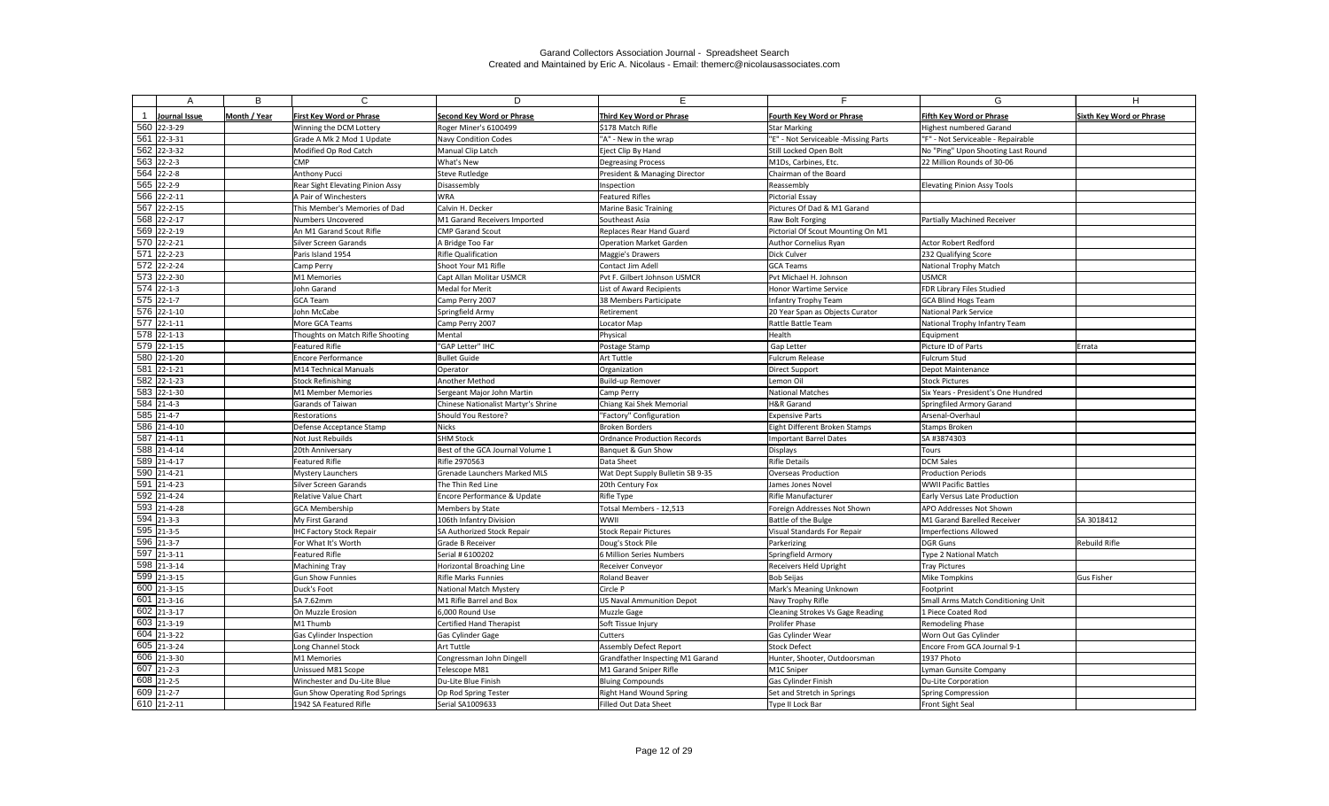| A                                        | B            | C                                                         | D                                      | E.                                   | Е.                                   | G                                   | H                               |
|------------------------------------------|--------------|-----------------------------------------------------------|----------------------------------------|--------------------------------------|--------------------------------------|-------------------------------------|---------------------------------|
|                                          |              |                                                           |                                        |                                      |                                      |                                     |                                 |
| Journal Issue                            | Month / Year | <b>First Key Word or Phrase</b>                           | <b>Second Key Word or Phrase</b>       | Third Key Word or Phrase             | <b>Fourth Key Word or Phrase</b>     | <b>Fifth Key Word or Phrase</b>     | <b>Sixth Key Word or Phrase</b> |
| 560 22-3-29                              |              | Winning the DCM Lottery                                   | Roger Miner's 6100499                  | \$178 Match Rifle                    | Star Marking                         | Highest numbered Garand             |                                 |
| 561 22-3-31                              |              | Grade A Mk 2 Mod 1 Update                                 | <b>Navy Condition Codes</b>            | "A" - New in the wrap                | "E" - Not Serviceable -Missing Parts | "F" - Not Serviceable - Repairable  |                                 |
| $\overline{562}$ 22-3-32<br>$563$ 22-2-3 |              | Modified Op Rod Catch                                     | Manual Clip Latch                      | Eject Clip By Hand                   | Still Locked Open Bolt               | No "Ping" Upon Shooting Last Round  |                                 |
| $\overline{564}$ 22-2-8                  |              | CMP                                                       | What's New                             | <b>Degreasing Process</b>            | M1Ds, Carbines, Etc.                 | 22 Million Rounds of 30-06          |                                 |
| $\overline{565}$ 22-2-9                  |              | Anthony Pucci                                             | Steve Rutledge                         | President & Managing Director        | Chairman of the Board                |                                     |                                 |
| 566 22-2-11                              |              | Rear Sight Elevating Pinion Assy<br>A Pair of Winchesters | Disassembly<br>WRA                     | Inspection<br><b>Featured Rifles</b> | Reassembly<br>Pictorial Essay        | <b>Elevating Pinion Assy Tools</b>  |                                 |
| $\overline{567}$ 22-2-15                 |              | This Member's Memories of Dad                             | Calvin H. Decker                       | <b>Marine Basic Training</b>         | Pictures Of Dad & M1 Garand          |                                     |                                 |
| 568 22-2-17                              |              | <b>Numbers Uncovered</b>                                  | M1 Garand Receivers Imported           | Southeast Asia                       | Raw Bolt Forging                     | <b>Partially Machined Receiver</b>  |                                 |
| 569 22-2-19                              |              | An M1 Garand Scout Rifle                                  | <b>CMP Garand Scout</b>                | Replaces Rear Hand Guard             | Pictorial Of Scout Mounting On M1    |                                     |                                 |
| $\overline{570}$ 22-2-21                 |              | Silver Screen Garands                                     | A Bridge Too Far                       | <b>Operation Market Garden</b>       | Author Cornelius Ryan                | <b>Actor Robert Redford</b>         |                                 |
| $\overline{571}$ 22-2-23                 |              | Paris Island 1954                                         | <b>Rifle Qualification</b>             | Maggie's Drawers                     | Dick Culver                          | 232 Qualifying Score                |                                 |
| $\overline{572}$ 22-2-24                 |              | Camp Perry                                                | Shoot Your M1 Rifle                    | Contact Jim Adell                    | GCA Teams                            | National Trophy Match               |                                 |
| 573 22-2-30                              |              | M1 Memories                                               | Capt Allan Molitar USMCR               | Pvt F. Gilbert Johnson USMCR         | Pyt Michael H. Johnson               | <b>USMCR</b>                        |                                 |
| $574$ 22-1-3                             |              | John Garand                                               | Medal for Merit                        | List of Award Recipients             | Honor Wartime Service                | <b>FDR Library Files Studied</b>    |                                 |
| $\overline{575}$ 22-1-7                  |              | <b>GCA Team</b>                                           | Camp Perry 2007                        | 38 Members Participate               | Infantry Trophy Team                 | <b>GCA Blind Hogs Team</b>          |                                 |
| 576 22-1-10                              |              | John McCabe                                               | Springfield Army                       | Retirement                           | 20 Year Span as Objects Curator      | National Park Service               |                                 |
| 577 22-1-11                              |              | More GCA Teams                                            | Camp Perry 2007                        | Locator Map                          | Rattle Battle Team                   | National Trophy Infantry Team       |                                 |
| 578 22-1-13                              |              | Thoughts on Match Rifle Shooting                          | Mental                                 | Physical                             | Health                               | Equipment                           |                                 |
| 579 22-1-15                              |              | <b>Featured Rifle</b>                                     | "GAP Letter" IHC                       | Postage Stamp                        | Gap Letter                           | Picture ID of Parts                 | Errata                          |
| 580 22-1-20                              |              | <b>Encore Performance</b>                                 | <b>Bullet Guide</b>                    | <b>Art Tuttle</b>                    | Fulcrum Release                      | Fulcrum Stud                        |                                 |
| 581 22-1-21                              |              | M14 Technical Manuals                                     | Operator                               | Organization                         | Direct Support                       | Depot Maintenance                   |                                 |
| 582 22-1-23                              |              | <b>Stock Refinishing</b>                                  | Another Method                         | Build-up Remover                     | Lemon Oil                            | <b>Stock Pictures</b>               |                                 |
| 583 22-1-30                              |              | M1 Member Memories                                        | Sergeant Major John Martin             | Camp Perry                           | National Matches                     | Six Years - President's One Hundred |                                 |
| $584$ 21-4-3                             |              | Garands of Taiwan                                         | Chinese Nationalist Martyr's Shrine    | Chiang Kai Shek Memorial             | H&R Garand                           | Springfiled Armory Garand           |                                 |
| 585 21-4-7                               |              | Restorations                                              | Should You Restore?                    | "Factory" Configuration              | <b>Expensive Parts</b>               | Arsenal-Overhaul                    |                                 |
| 586 21-4-10                              |              | Defense Acceptance Stamp                                  | Nicks                                  | <b>Broken Borders</b>                | Eight Different Broken Stamps        | Stamps Broken                       |                                 |
| $\overline{587}$ 21-4-11                 |              | Not Just Rebuilds                                         | <b>SHM Stock</b>                       | <b>Ordnance Production Records</b>   | Important Barrel Dates               | SA #3874303                         |                                 |
| 588 21-4-14                              |              | 20th Anniversary                                          | Best of the GCA Journal Volume 1       | Banquet & Gun Show                   | Displays                             | Tours                               |                                 |
| 589 21-4-17                              |              | <b>Featured Rifle</b>                                     | Rifle 2970563                          | Data Sheet                           | <b>Rifle Details</b>                 | DCM Sales                           |                                 |
| 590 21-4-21                              |              | <b>Mystery Launchers</b>                                  | <b>Grenade Launchers Marked MLS</b>    | Wat Dept Supply Bulletin SB 9-35     | Overseas Production                  | <b>Production Periods</b>           |                                 |
| 591 21-4-23                              |              | Silver Screen Garands                                     | The Thin Red Line                      | 20th Century Fox                     | James Jones Novel                    | <b>WWII Pacific Battles</b>         |                                 |
| 592 21-4-24                              |              | Relative Value Chart                                      | <b>Encore Performance &amp; Update</b> | <b>Rifle Type</b>                    | Rifle Manufacturer                   | <b>Early Versus Late Production</b> |                                 |
| 593 21-4-28                              |              | <b>GCA Membership</b>                                     | Members by State                       | Totsal Members - 12,513              | Foreign Addresses Not Shown          | <b>APO Addresses Not Shown</b>      |                                 |
| $594$ 21-3-3                             |              | My First Garand                                           | 106th Infantry Division                | WWII                                 | Battle of the Bulge                  | M1 Garand Barelled Receiver         | SA 3018412                      |
| $595$ 21-3-5                             |              | <b>IHC Factory Stock Repair</b>                           | <b>SA Authorized Stock Repair</b>      | <b>Stock Repair Pictures</b>         | Visual Standards For Repair          | Imperfections Allowed               |                                 |
| 596 21-3-7                               |              | For What It's Worth                                       | Grade B Receiver                       | Doug's Stock Pile                    | Parkerizing                          | DGR Guns                            | <b>Rebuild Rifle</b>            |
| 597 21-3-11                              |              | <b>Featured Rifle</b>                                     | Serial # 6100202                       | 6 Million Series Numbers             | Springfield Armory                   | Type 2 National Match               |                                 |
| 598 21-3-14                              |              | <b>Machining Tray</b>                                     | Horizontal Broaching Line              | Receiver Conveyor                    | Receivers Held Upright               | <b>Tray Pictures</b>                |                                 |
| 599 21-3-15                              |              | <b>Gun Show Funnies</b>                                   | <b>Rifle Marks Funnies</b>             | Roland Beaver                        | Bob Seijas                           | <b>Mike Tompkins</b>                | <b>Gus Fisher</b>               |
| $\boxed{600}$ 21-3-15                    |              | Duck's Foot                                               | National Match Mystery                 | Circle P                             | Mark's Meaning Unknown               | Footprint                           |                                 |
| 601 21-3-16                              |              | SA 7.62mm                                                 | M1 Rifle Barrel and Box                | <b>US Naval Ammunition Depot</b>     | Navy Trophy Rifle                    | Small Arms Match Conditioning Unit  |                                 |
| 602 21-3-17                              |              | On Muzzle Erosion                                         | 6,000 Round Use                        | Muzzle Gage                          | Cleaning Strokes Vs Gage Reading     | 1 Piece Coated Rod                  |                                 |
| 603 21-3-19                              |              | M1 Thumb                                                  | Certified Hand Therapist               | Soft Tissue Injury                   | <b>Prolifer Phase</b>                | <b>Remodeling Phase</b>             |                                 |
| 604 21-3-22                              |              | Gas Cylinder Inspection                                   | Gas Cylinder Gage                      | Cutters                              | Gas Cylinder Wear                    | Worn Out Gas Cylinder               |                                 |
| 605 21-3-24                              |              | Long Channel Stock                                        | Art Tuttle                             | Assembly Defect Report               | Stock Defect                         | Encore From GCA Journal 9-1         |                                 |
| 606 21-3-30                              |              | M1 Memories                                               | Congressman John Dingell               | Grandfather Inspecting M1 Garand     | Hunter, Shooter, Outdoorsman         | 1937 Photo                          |                                 |
| 607 21-2-3                               |              | Unissued M81 Scope                                        | Telescope M81                          | M1 Garand Sniper Rifle               | M1C Sniper                           | Lyman Gunsite Company               |                                 |
| 608 21-2-5                               |              | Winchester and Du-Lite Blue                               | Du-Lite Blue Finish                    | <b>Bluing Compounds</b>              | Gas Cylinder Finish                  | Du-Lite Corporation                 |                                 |
| 609 21-2-7                               |              | <b>Gun Show Operating Rod Springs</b>                     | Op Rod Spring Tester                   | <b>Right Hand Wound Spring</b>       | Set and Stretch in Springs           | Spring Compression                  |                                 |
| 610 21-2-11                              |              | 1942 SA Featured Rifle                                    | Serial SA1009633                       | Filled Out Data Sheet                | Type II Lock Bar                     | Front Sight Seal                    |                                 |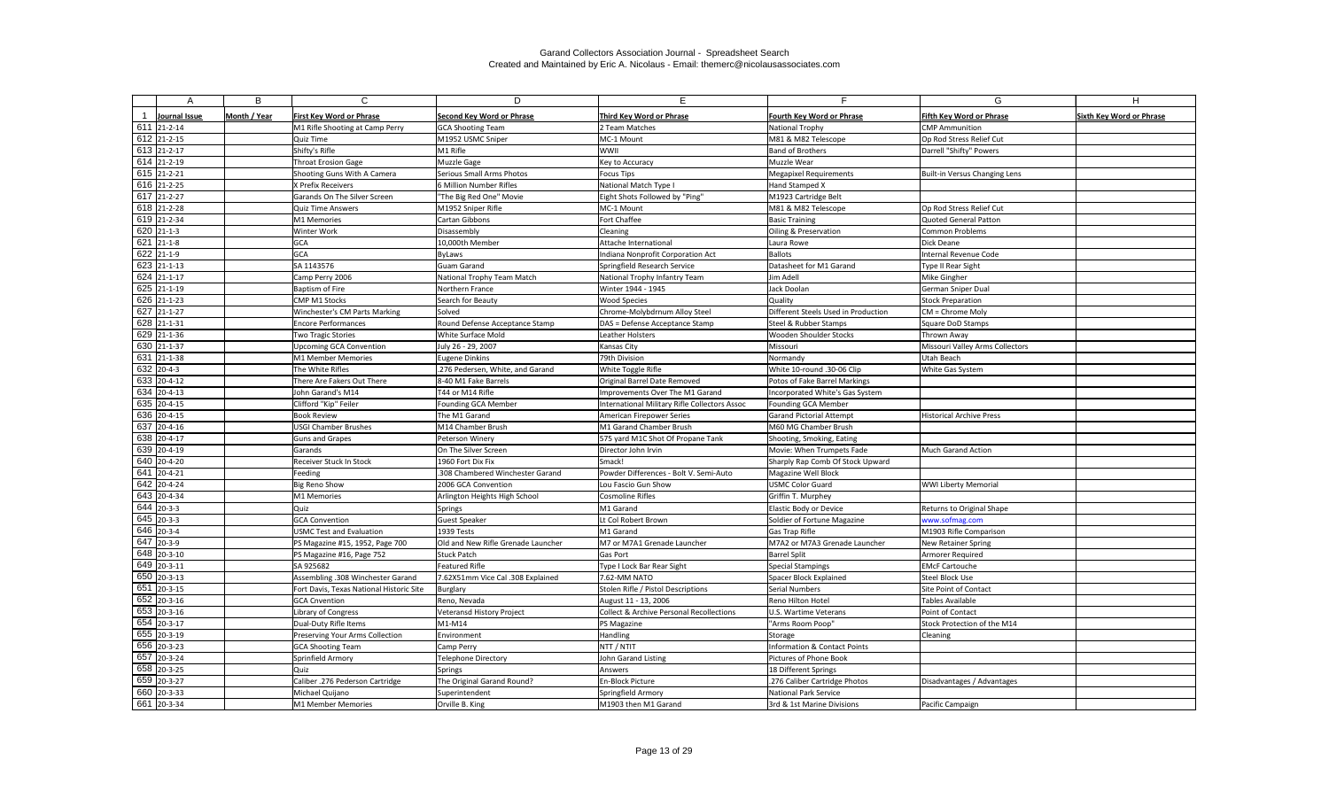| А                                  | B            | C                                                                  | D                                  |                                                     |                                                 | G                                                    |                                 |
|------------------------------------|--------------|--------------------------------------------------------------------|------------------------------------|-----------------------------------------------------|-------------------------------------------------|------------------------------------------------------|---------------------------------|
|                                    |              |                                                                    |                                    |                                                     |                                                 |                                                      |                                 |
| Journal Issue<br>$611$ 21-2-14     | Month / Year | <b>First Key Word or Phrase</b>                                    | Second Key Word or Phrase          | Third Key Word or Phrase                            | Fourth Key Word or Phrase                       | Fifth Key Word or Phrase                             | <b>Sixth Key Word or Phrase</b> |
| 612 21-2-15                        |              | M1 Rifle Shooting at Camp Perry                                    | <b>GCA Shooting Team</b>           | 2 Team Matches                                      | <b>National Trophy</b>                          | <b>CMP</b> Ammunition                                |                                 |
| 613 21-2-17                        |              | Quiz Time<br>Shifty's Rifle                                        | M1952 USMC Sniper<br>M1 Rifle      | MC-1 Mount<br><b>WWII</b>                           | M81 & M82 Telescope<br><b>Band of Brothers</b>  | Op Rod Stress Relief Cut<br>Darrell "Shifty" Powers  |                                 |
| $614$ 21-2-19                      |              | <b>Throat Erosion Gage</b>                                         | Muzzle Gage                        | Key to Accuracy                                     | Muzzle Wear                                     |                                                      |                                 |
| 615 21-2-21                        |              | Shooting Guns With A Camera                                        | Serious Small Arms Photos          | <b>Focus Tips</b>                                   | <b>Megapixel Requirements</b>                   | Built-in Versus Changing Lens                        |                                 |
| 616 21-2-25                        |              | X Prefix Receivers                                                 | 6 Million Number Rifles            | National Match Type I                               | Hand Stamped X                                  |                                                      |                                 |
| 617 21-2-27                        |              | Garands On The Silver Screen                                       | 'The Big Red One" Movie            | Eight Shots Followed by "Ping"                      | M1923 Cartridge Belt                            |                                                      |                                 |
| 618 21-2-28                        |              | <b>Quiz Time Answers</b>                                           | M1952 Sniper Rifle                 | MC-1 Mount                                          | M81 & M82 Telescope                             | Op Rod Stress Relief Cut                             |                                 |
| 619 21-2-34                        |              | M1 Memories                                                        | Cartan Gibbons                     | Fort Chaffee                                        | <b>Basic Training</b>                           | <b>Quoted General Patton</b>                         |                                 |
| $620$ 21-1-3                       |              | Winter Work                                                        | Disassembly                        | Cleaning                                            | Oiling & Preservation                           | <b>Common Problems</b>                               |                                 |
| $621$ 21-1-8                       |              | <b>GCA</b>                                                         | 10,000th Member                    | Attache International                               | Laura Rowe                                      | <b>Dick Deane</b>                                    |                                 |
| $\overline{622}$ 21-1-9            |              | GCA                                                                | <b>ByLaws</b>                      | Indiana Nonprofit Corporation Act                   | Ballots                                         | Internal Revenue Code                                |                                 |
| 623 21-1-13                        |              | SA 1143576                                                         | <b>Guam Garand</b>                 | Springfield Research Service                        | Datasheet for M1 Garand                         | <b>Type II Rear Sight</b>                            |                                 |
| 624 21-1-17                        |              | Camp Perry 2006                                                    | National Trophy Team Match         | National Trophy Infantry Team                       | Jim Adell                                       | Mike Gingher                                         |                                 |
| 625 21-1-19                        |              | Baptism of Fire                                                    | Northern France                    | Winter 1944 - 1945                                  | Jack Doolan                                     | German Sniper Dual                                   |                                 |
| 626 21-1-23                        |              | CMP M1 Stocks                                                      | Search for Beauty                  | <b>Wood Species</b>                                 | Quality                                         | <b>Stock Preparation</b>                             |                                 |
| 627 21-1-27                        |              | Winchester's CM Parts Marking                                      | Solved                             | Chrome-Molybdrnum Alloy Steel                       | Different Steels Used in Production             | $CM =$ Chrome Moly                                   |                                 |
| 628 21-1-31                        |              | <b>Encore Performances</b>                                         | Round Defense Acceptance Stamp     | DAS = Defense Acceptance Stamp                      | Steel & Rubber Stamps                           | Square DoD Stamps                                    |                                 |
| 629 21-1-36                        |              | <b>Two Tragic Stories</b>                                          | White Surface Mold                 | Leather Holsters                                    | <b>Wooden Shoulder Stocks</b>                   | Thrown Away                                          |                                 |
| 630 21-1-37                        |              | <b>Upcoming GCA Convention</b>                                     | July 26 - 29, 2007                 | <b>Kansas City</b>                                  | Missouri                                        | Missouri Valley Arms Collectors                      |                                 |
| 631 21-1-38                        |              | M1 Member Memories                                                 | Eugene Dinkins                     | 79th Division                                       | <b>Normandy</b>                                 | Utah Beach                                           |                                 |
| 632 20-4-3                         |              | The White Rifles                                                   | .276 Pedersen, White, and Garand   | White Toggle Rifle                                  | White 10-round .30-06 Clip                      | White Gas System                                     |                                 |
| 633 20-4-12                        |              | There Are Fakers Out There                                         | 8-40 M1 Fake Barrels               | Original Barrel Date Removed                        | Potos of Fake Barrel Markings                   |                                                      |                                 |
| 634 20-4-13                        |              | John Garand's M14                                                  | T44 or M14 Rifle                   | Improvements Over The M1 Garand                     | Incorporated White's Gas System                 |                                                      |                                 |
| 635 20-4-15                        |              | Clifford "Kip" Feiler                                              | <b>Founding GCA Member</b>         | International Military Rifle Collectors Assoc       | Founding GCA Member                             |                                                      |                                 |
| 636 20-4-15                        |              | <b>Book Review</b>                                                 | The M1 Garand                      | American Firepower Series                           | <b>Garand Pictorial Attempt</b>                 | Historical Archive Press                             |                                 |
| 637 20-4-16                        |              | <b>USGI Chamber Brushes</b>                                        | M14 Chamber Brush                  | M1 Garand Chamber Brush                             | M60 MG Chamber Brush                            |                                                      |                                 |
| 638 20-4-17                        |              | <b>Guns and Grapes</b>                                             | Peterson Winery                    | 575 yard M1C Shot Of Propane Tank                   | Shooting, Smoking, Eating                       |                                                      |                                 |
| 639 20-4-19                        |              | Garands                                                            | On The Silver Screen               | Director John Irvin                                 | Movie: When Trumpets Fade                       | Much Garand Action                                   |                                 |
| 640 20-4-20                        |              | Receiver Stuck In Stock                                            | 1960 Fort Dix Fix                  | Smack!                                              | Sharply Rap Comb Of Stock Upward                |                                                      |                                 |
| 641 20-4-21                        |              | Feeding                                                            | .308 Chambered Winchester Garand   | Powder Differences - Bolt V. Semi-Auto              | Magazine Well Block                             |                                                      |                                 |
| 642 20-4-24                        |              | <b>Big Reno Show</b>                                               | 2006 GCA Convention                | Lou Fascio Gun Show                                 | <b>USMC Color Guard</b>                         | <b>WWI Liberty Memorial</b>                          |                                 |
| 643 20-4-34                        |              | M1 Memories                                                        | Arlington Heights High School      | <b>Cosmoline Rifles</b>                             | Griffin T. Murphey                              |                                                      |                                 |
| 644 20-3-3<br>$\boxed{645}$ 20-3-3 |              | Quiz                                                               | Springs                            | M1 Garand                                           | Elastic Body or Device                          | Returns to Original Shape                            |                                 |
| 646 20-3-4                         |              | <b>GCA Convention</b>                                              | Guest Speaker<br>1939 Tests        | Lt Col Robert Brown                                 | Soldier of Fortune Magazine                     | www.sofmag.com                                       |                                 |
| $\overline{647}$ 20-3-9            |              | <b>USMC Test and Evaluation</b><br>PS Magazine #15, 1952, Page 700 | Old and New Rifle Grenade Launcher | M1 Garand<br>M7 or M7A1 Grenade Launcher            | Gas Trap Rifle<br>M7A2 or M7A3 Grenade Launcher | M1903 Rifle Comparison<br><b>New Retainer Spring</b> |                                 |
| 648 20-3-10                        |              | PS Magazine #16, Page 752                                          | Stuck Patch                        | <b>Gas Port</b>                                     | <b>Barrel Split</b>                             | Armorer Required                                     |                                 |
| 649 20-3-11                        |              | SA 925682                                                          | <b>Featured Rifle</b>              | Type I Lock Bar Rear Sight                          | Special Stampings                               | <b>EMcF Cartouche</b>                                |                                 |
| $\overline{650}$ 20-3-13           |              | Assembling .308 Winchester Garand                                  | 7.62X51mm Vice Cal .308 Explained  | 7.62-MM NATO                                        | Spacer Block Explained                          | <b>Steel Block Use</b>                               |                                 |
| $\overline{651}$ 20-3-15           |              | Fort Davis, Texas National Historic Site                           | Burglary                           | Stolen Rifle / Pistol Descriptions                  | Serial Numbers                                  | Site Point of Contact                                |                                 |
| 652 20-3-16                        |              | <b>GCA Cnvention</b>                                               | Reno, Nevada                       | August 11 - 13, 2006                                | Reno Hilton Hotel                               | Tables Available                                     |                                 |
| 653 20-3-16                        |              | Library of Congress                                                | Veteransd History Project          | <b>Collect &amp; Archive Personal Recollections</b> | U.S. Wartime Veterans                           | Point of Contact                                     |                                 |
| 654 20-3-17                        |              | Dual-Duty Rifle Items                                              | M1-M14                             | PS Magazine                                         | "Arms Room Poop"                                | Stock Protection of the M14                          |                                 |
| 655 20-3-19                        |              | Preserving Your Arms Collection                                    | Environment                        | <b>Handling</b>                                     | Storage                                         | Cleaning                                             |                                 |
| 656 20-3-23                        |              | <b>GCA Shooting Team</b>                                           | Camp Perry                         | NTT / NTIT                                          | <b>Information &amp; Contact Points</b>         |                                                      |                                 |
| 657 20-3-24                        |              | Sprinfield Armory                                                  | <b>Telephone Directory</b>         | John Garand Listing                                 | Pictures of Phone Book                          |                                                      |                                 |
| 658 20-3-25                        |              | Quiz                                                               | Springs                            | Answers                                             | 18 Different Springs                            |                                                      |                                 |
| 659 20-3-27                        |              | Caliber .276 Pederson Cartridge                                    | The Original Garand Round?         | En-Block Picture                                    | .276 Caliber Cartridge Photos                   | Disadvantages / Advantages                           |                                 |
| 660 20-3-33                        |              | Michael Quijano                                                    | Superintendent                     | Springfield Armory                                  | National Park Service                           |                                                      |                                 |
| 661 20-3-34                        |              | M1 Member Memories                                                 | Orville B. King                    | M1903 then M1 Garand                                | 3rd & 1st Marine Divisions                      | Pacific Campaign                                     |                                 |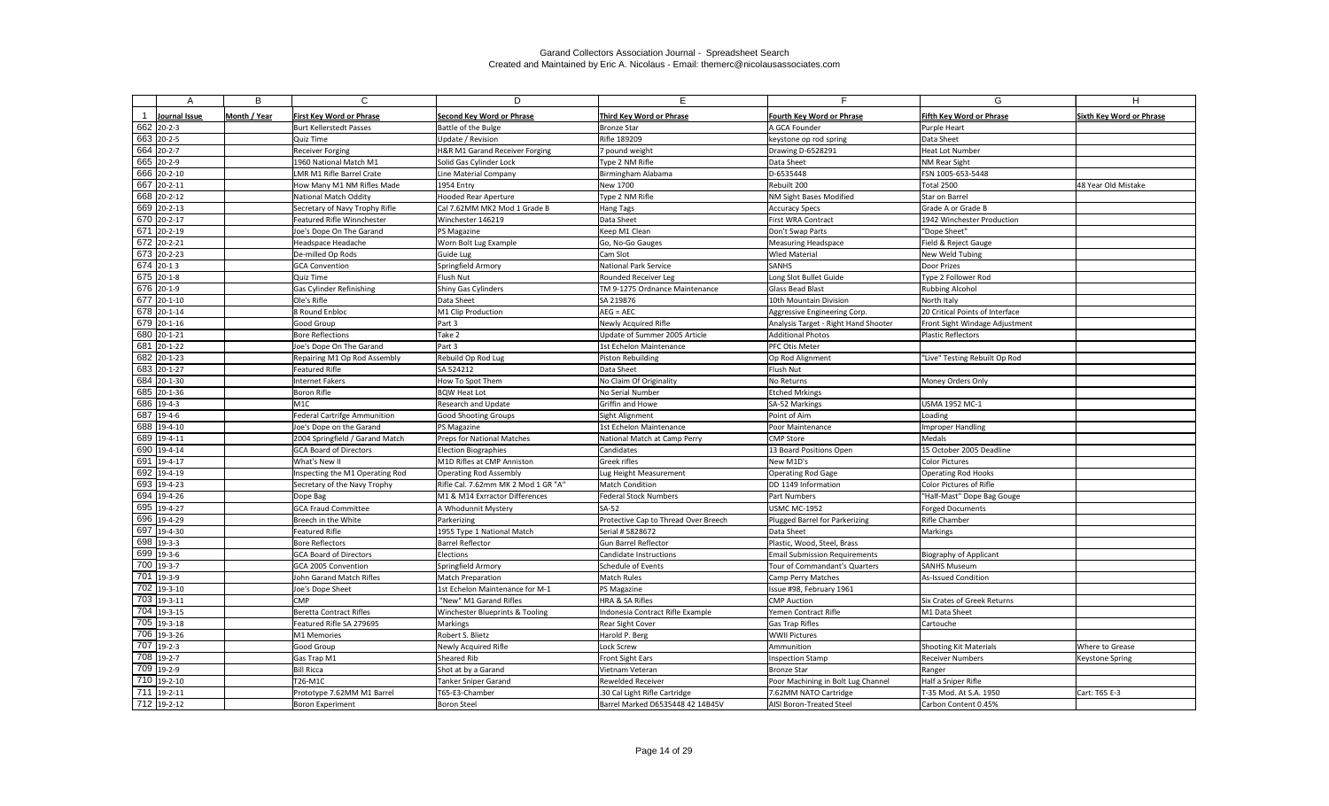| А                                       | B            | $\mathsf{C}$                          | D                                         | F.                                                       | Е                                            | G                                | н                               |
|-----------------------------------------|--------------|---------------------------------------|-------------------------------------------|----------------------------------------------------------|----------------------------------------------|----------------------------------|---------------------------------|
|                                         |              |                                       |                                           |                                                          |                                              |                                  |                                 |
| Journal Issue                           | Month / Year | <b>First Key Word or Phrase</b>       | <b>Second Key Word or Phrase</b>          | <b>Third Key Word or Phrase</b>                          | <b>Fourth Key Word or Phrase</b>             | <b>Fifth Key Word or Phrase</b>  | <b>Sixth Key Word or Phrase</b> |
| 662 20-2-3                              |              | <b>Burt Kellerstedt Passes</b>        | Battle of the Bulge                       | <b>Bronze Star</b>                                       | A GCA Founder                                | Purple Heart                     |                                 |
| 663 20-2-5                              |              | Quiz Time                             | Update / Revision                         | Rifle 189209                                             | keystone op rod spring                       | Data Sheet                       |                                 |
| 664 20-2-7                              |              | <b>Receiver Forging</b>               | H&R M1 Garand Receiver Forging            | 7 pound weight                                           | Drawing D-6528291                            | Heat Lot Number                  |                                 |
| 665 20-2-9                              |              | 1960 National Match M1                | Solid Gas Cylinder Lock                   | Type 2 NM Rifle                                          | Data Sheet                                   | <b>NM Rear Sight</b>             |                                 |
| 666 20-2-10                             |              | LMR M1 Rifle Barrel Crate             | Line Material Company                     | Birmingham Alabama                                       | D-6535448                                    | FSN 1005-653-5448                |                                 |
| 667 20-2-11                             |              | How Many M1 NM Rifles Made            | 1954 Entry                                | New 1700                                                 | Rebuilt 200                                  | Total 2500                       | 48 Year Old Mistake             |
| 668 20-2-12                             |              | <b>National Match Oddity</b>          | <b>Hooded Rear Aperture</b>               | Type 2 NM Rifle                                          | NM Sight Bases Modified                      | Star on Barrel                   |                                 |
| 669 20-2-13                             |              | Secretary of Navy Trophy Rifle        | Cal 7.62MM MK2 Mod 1 Grade B              | <b>Hang Tags</b>                                         | Accuracy Specs                               | Grade A or Grade B               |                                 |
| 670 20-2-17                             |              | Featured Rifle Winnchester            | Winchester 146219                         | Data Sheet                                               | First WRA Contract                           | 1942 Winchester Production       |                                 |
| $\overline{671}$ 20-2-19                |              | Joe's Dope On The Garand              | <b>PS Magazine</b>                        | Keep M1 Clean                                            | Don't Swap Parts                             | "Dope Sheet"                     |                                 |
| 672 20-2-21                             |              | Headspace Headache                    | Worn Bolt Lug Example                     | Go, No-Go Gauges                                         | Measuring Headspace                          | Field & Reject Gauge             |                                 |
| $\overline{673}$ 20-2-23                |              | De-milled Op Rods                     | Guide Lug                                 | Cam Slot                                                 | <b>Wled Material</b>                         | New Weld Tubing                  |                                 |
| $674$ 20-13                             |              | <b>GCA Convention</b>                 | Springfield Armory                        | <b>National Park Service</b>                             | <b>SANHS</b>                                 | Door Prizes                      |                                 |
| $\overline{675}$ 20-1-8                 |              | Quiz Time                             | Flush Nut                                 | Rounded Receiver Leg                                     | Long Slot Bullet Guide                       | Type 2 Follower Rod              |                                 |
| $\overline{676}$ 20-1-9                 |              | Gas Cylinder Refinishing              | Shiny Gas Cylinders                       | TM 9-1275 Ordnance Maintenance                           | Glass Bead Blast                             | Rubbing Alcohol                  |                                 |
| 677 20-1-10                             |              | Ole's Rifle                           | Data Sheet                                | SA 219876                                                | 10th Mountain Division                       | North Italy                      |                                 |
| 678 20-1-14                             |              | 8 Round Enbloc                        | M1 Clip Production                        | $AEG = AEC$                                              | Aggressive Engineering Corp.                 | 20 Critical Points of Interface  |                                 |
| 679 20-1-16                             |              | Good Group                            | Part 3                                    | Newly Acquired Rifle                                     | Analysis Target - Right Hand Shooter         | Front Sight Windage Adjustment   |                                 |
| 680 20-1-21                             |              | <b>Bore Reflections</b>               | Take 2                                    | Update of Summer 2005 Article                            | <b>Additional Photos</b>                     | <b>Plastic Reflectors</b>        |                                 |
| 681 20-1-22                             |              | Joe's Dope On The Garand              | Part 3                                    | 1st Echelon Maintenance                                  | <b>PFC Otis Meter</b>                        |                                  |                                 |
| 682 20-1-23                             |              | Repairing M1 Op Rod Assembly          | Rebuild Op Rod Lug                        | Piston Rebuilding                                        | Op Rod Alignment                             | "Live" Testing Rebuilt Op Rod    |                                 |
| 683 20-1-27                             |              | Featured Rifle                        | SA 524212                                 | Data Sheet                                               | Flush Nut                                    |                                  |                                 |
| 684 20-1-30                             |              | <b>Internet Fakers</b>                | How To Spot Them                          | No Claim Of Originality                                  | No Returns                                   | Money Orders Only                |                                 |
| 685 20-1-36                             |              | Boron Rifle                           | <b>BQW Heat Lot</b>                       | No Serial Number                                         | <b>Etched Mrkings</b>                        |                                  |                                 |
| 686 19-4-3                              |              | M1C                                   | <b>Research and Update</b>                | Griffin and Howe                                         | SA-52 Markings                               | <b>USMA 1952 MC-1</b>            |                                 |
| 687 19-4-6                              |              | Federal Cartrifge Ammunition          | <b>Good Shooting Groups</b>               | Sight Alignment                                          | Point of Aim                                 | Loading                          |                                 |
| 688 19-4-10                             |              | Joe's Dope on the Garand              | PS Magazine                               | 1st Echelon Maintenance                                  | Poor Maintenance                             | Improper Handling                |                                 |
| 689 19-4-11                             |              | 2004 Springfield / Garand Match       | Preps for National Matches                | National Match at Camp Perry                             | CMP Store                                    | <b>Medals</b>                    |                                 |
| 690 19-4-14                             |              | <b>GCA Board of Directors</b>         | Election Biographies                      | Candidates                                               | 13 Board Positions Open                      | 15 October 2005 Deadline         |                                 |
| 691 19-4-17                             |              | What's New II                         | M1D Rifles at CMP Anniston                | Greek rifles                                             | New M1D's                                    | Color Pictures                   |                                 |
| 692 19-4-19                             |              | Inspecting the M1 Operating Rod       | <b>Operating Rod Assembly</b>             | Lug Height Measurement                                   | Operating Rod Gage                           | <b>Operating Rod Hooks</b>       |                                 |
| 693 19-4-23<br>$\overline{694}$ 19-4-26 |              | Secretary of the Navy Trophy          | Rifle Cal. 7.62mm MK 2 Mod 1 GR "A"       | <b>Match Condition</b>                                   | DD 1149 Information                          | Color Pictures of Rifle          |                                 |
|                                         |              | Dope Bag                              | M1 & M14 Exrractor Differences            | <b>Federal Stock Numbers</b>                             | <b>Part Numbers</b>                          | "Half-Mast" Dope Bag Gouge       |                                 |
| 695 19-4-27<br>696 19-4-29              |              | <b>GCA Fraud Committee</b>            | A Whodunnit Mystery                       | $SA-52$                                                  | <b>USMC MC-1952</b>                          | Forged Documents                 |                                 |
| 697 19-4-30                             |              | Breech in the White<br>Featured Rifle | Parkerizing<br>1955 Type 1 National Match | Protective Cap to Thread Over Breech<br>Serial # 5828672 | Plugged Barrel for Parkerizing<br>Data Sheet | <b>Rifle Chamber</b><br>Markings |                                 |
| 698 19-3-3                              |              | Bore Reflectors                       | <b>Barrel Reflector</b>                   | Gun Barrel Reflector                                     | Plastic, Wood, Steel, Brass                  |                                  |                                 |
| 699 19-3-6                              |              | <b>GCA Board of Directors</b>         | Elections                                 | Candidate Instructions                                   | <b>Email Submission Requirements</b>         | <b>Biography of Applicant</b>    |                                 |
| 700 19-3-7                              |              | GCA 2005 Convention                   | Springfield Armory                        | Schedule of Events                                       | Tour of Commandant's Quarters                | <b>SANHS Museum</b>              |                                 |
| $\overline{701}$ 19-3-9                 |              | John Garand Match Rifles              | Match Preparation                         | <b>Match Rules</b>                                       | Camp Perry Matches                           | As-Issued Condition              |                                 |
| $\overline{702}$ 19-3-10                |              | Joe's Dope Sheet                      | 1st Echelon Maintenance for M-1           | PS Magazine                                              | Issue #98, February 1961                     |                                  |                                 |
| $703$ 19-3-11                           |              | <b>CMP</b>                            | "New" M1 Garand Rifles                    | HRA & SA Rifles                                          | <b>CMP</b> Auction                           | Six Crates of Greek Returns      |                                 |
| 704 19-3-15                             |              | <b>Beretta Contract Rifles</b>        | Winchester Blueprints & Tooling           | Indonesia Contract Rifle Example                         | Yemen Contract Rifle                         | M1 Data Sheet                    |                                 |
| 705 19-3-18                             |              | Featured Rifle SA 279695              | Markings                                  | Rear Sight Cover                                         | Gas Trap Rifles                              | Cartouche                        |                                 |
| 706 19-3-26                             |              | M1 Memories                           | Robert S. Blietz                          | Harold P. Berg                                           | <b>WWII Pictures</b>                         |                                  |                                 |
| 707 19-2-3                              |              | Good Group                            | Newly Acquired Rifle                      | Lock Screw                                               | Ammunition                                   | <b>Shooting Kit Materials</b>    | Where to Grease                 |
| 708 19-2-7                              |              | Gas Trap M1                           | Sheared Rib                               | Front Sight Ears                                         | Inspection Stamp                             | <b>Receiver Numbers</b>          | <b>Keystone Spring</b>          |
| 709 19-2-9                              |              | <b>Bill Ricca</b>                     | Shot at by a Garand                       | Vietnam Veteran                                          | Bronze Star                                  | Ranger                           |                                 |
| $710$ 19-2-10                           |              | T26-M1C                               | <b>Tanker Sniper Garand</b>               | Rewelded Receiver                                        | Poor Machining in Bolt Lug Channel           | Half a Sniper Rifle              |                                 |
| $\overline{711}$ 19-2-11                |              | Prototype 7.62MM M1 Barrel            | T65-E3-Chamber                            | .30 Cal Light Rifle Cartridge                            | 7.62MM NATO Cartridge                        | T-35 Mod. At S.A. 1950           | Cart: T65 E-3                   |
| $712$ 19-2-12                           |              | <b>Boron Experiment</b>               | Boron Steel                               | Barrel Marked D6535448 42 14B45V                         | AISI Boron-Treated Steel                     | Carbon Content 0.45%             |                                 |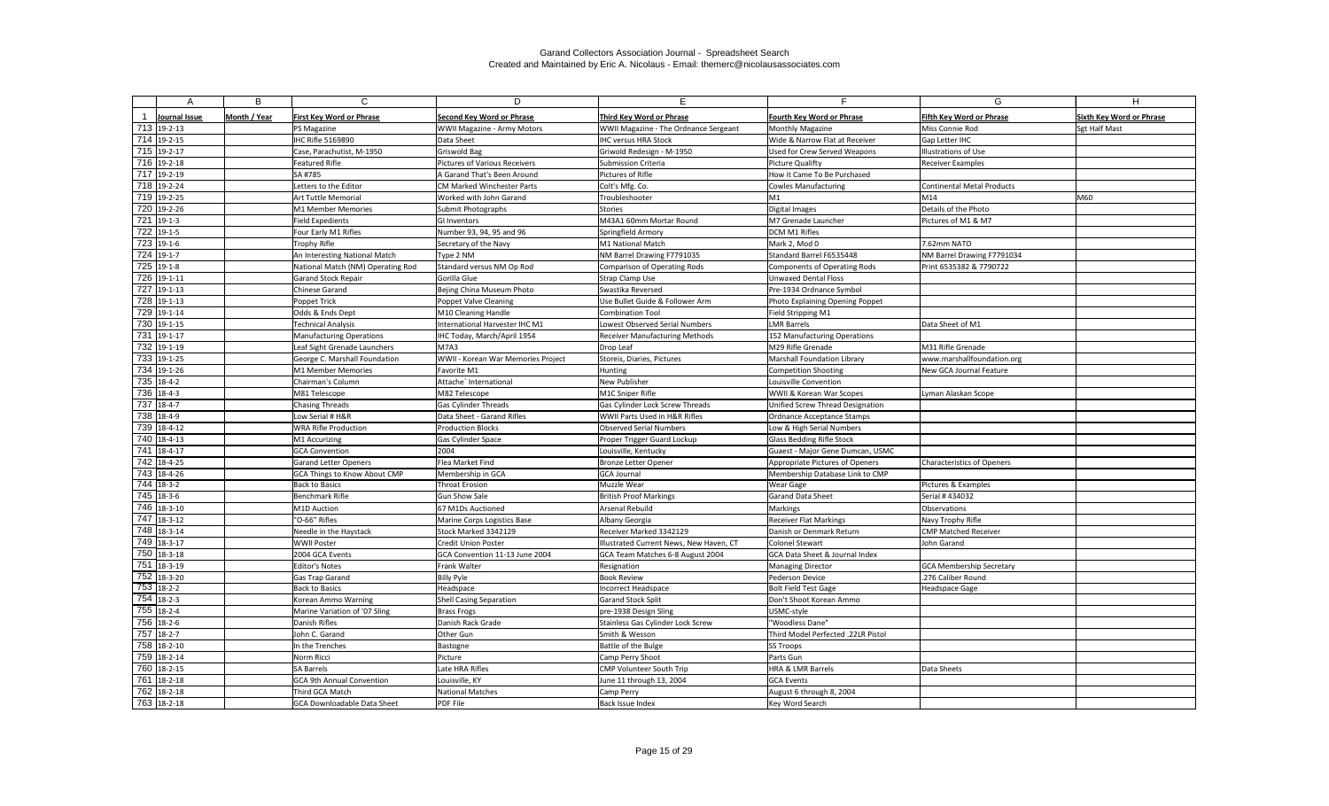| A                        | B            | C                                 | D                                  | E.                                      | Е.                                 | G                                 | H                               |
|--------------------------|--------------|-----------------------------------|------------------------------------|-----------------------------------------|------------------------------------|-----------------------------------|---------------------------------|
|                          |              |                                   |                                    |                                         |                                    |                                   |                                 |
| Journal Issue            | Month / Year | <b>First Key Word or Phrase</b>   | <b>Second Key Word or Phrase</b>   | Third Key Word or Phrase                | <b>Fourth Key Word or Phrase</b>   | <b>Fifth Key Word or Phrase</b>   | <b>Sixth Key Word or Phrase</b> |
| 713 19-2-13              |              | PS Magazine                       | <b>WWII Magazine - Army Motors</b> | WWII Magazine - The Ordnance Sergeant   | Monthly Magazine                   | Miss Connie Rod                   | Sgt Half Mast                   |
| 714 19-2-15              |              | IHC Rifle 5169890                 | Data Sheet                         | <b>IHC versus HRA Stock</b>             | Wide & Narrow Flat at Receiver     | Gap Letter IHC                    |                                 |
| 715 19-2-17              |              | Case, Parachutist, M-1950         | Griswold Bag                       | Griwold Redesign - M-1950               | Used for Crew Served Weapons       | Illustrations of Use              |                                 |
| 716 19-2-18              |              | <b>Featured Rifle</b>             | Pictures of Various Receivers      | <b>Submission Criteria</b>              | Picture Qualifty                   | <b>Receiver Examples</b>          |                                 |
| 717 19-2-19              |              | SA #785                           | A Garand That's Been Around        | Pictures of Rifle                       | How it Came To Be Purchased        |                                   |                                 |
| 718 19-2-24              |              | Letters to the Editor             | <b>CM Marked Winchester Parts</b>  | Colt's Mfg. Co.                         | Cowles Manufacturing               | <b>Continental Metal Products</b> |                                 |
| 719 19-2-25              |              | Art Tuttle Memorial               | Worked with John Garand            | Troubleshooter                          | M1                                 | M14                               | M60                             |
| 720 19-2-26              |              | M1 Member Memories                | Submit Photographs                 | <b>Stories</b>                          | Digital Images                     | Details of the Photo              |                                 |
| 721 19-1-3               |              | <b>Field Expedients</b>           | GI Inventors                       | M43A1 60mm Mortar Round                 | M7 Grenade Launcher                | Pictures of M1 & M7               |                                 |
| 722 19-1-5               |              | Four Early M1 Rifles              | Number 93, 94, 95 and 96           | Springfield Armory                      | DCM M1 Rifles                      |                                   |                                 |
| 723 19-1-6               |              | <b>Trophy Rifle</b>               | Secretary of the Navy              | M1 National Match                       | Mark 2, Mod 0                      | 7.62mm NATO                       |                                 |
| $724$ 19-1-7             |              | An Interesting National Match     | Type 2 NM                          | NM Barrel Drawing F7791035              | Standard Barrel F6535448           | NM Barrel Drawing F7791034        |                                 |
| 725 19-1-8               |              | National Match (NM) Operating Rod | Standard versus NM Op Rod          | <b>Comparison of Operating Rods</b>     | Components of Operating Rods       | Print 6535382 & 7790722           |                                 |
| 726 19-1-11              |              | <b>Garand Stock Repair</b>        | Gorilla Glue                       | <b>Strap Clamp Use</b>                  | Unwaxed Dental Floss               |                                   |                                 |
| $\overline{727}$ 19-1-13 |              | Chinese Garand                    | Bejing China Museum Photo          | Swastika Reversed                       | Pre-1934 Ordnance Symbol           |                                   |                                 |
| 728 19-1-13              |              | Poppet Trick                      | Poppet Valve Cleaning              | Use Bullet Guide & Follower Arm         | Photo Explaining Opening Poppet    |                                   |                                 |
| 729 19-1-14              |              | Odds & Ends Dept                  | M10 Cleaning Handle                | <b>Combination Tool</b>                 | Field Stripping M1                 |                                   |                                 |
| 730 19-1-15              |              | Technical Analysis                | International Harvester IHC M1     | Lowest Observed Serial Numbers          | LMR Barrels                        | Data Sheet of M1                  |                                 |
| 731 19-1-17              |              | <b>Manufacturing Operations</b>   | IHC Today, March/April 1954        | Receiver Manufacturing Methods          | 152 Manufacturing Operations       |                                   |                                 |
| 732 19-1-19              |              | Leaf Sight Grenade Launchers      | <b>M7A3</b>                        | Drop Leaf                               | M29 Rifle Grenade                  | M31 Rifle Grenade                 |                                 |
| 733 19-1-25              |              | George C. Marshall Foundation     | WWII - Korean War Memories Project | Storeis, Diaries, Pictures              | Marshall Foundation Library        | www.marshallfoundation.org        |                                 |
| 734 19-1-26              |              | M1 Member Memories                | Favorite M1                        | Hunting                                 | Competition Shooting               | New GCA Journal Feature           |                                 |
| 735 18-4-2               |              | Chairman's Column                 | Attache' International             | New Publisher                           | Louisville Convention              |                                   |                                 |
| 736 18-4-3               |              | M81 Telescope                     | M82 Telescope                      | M1C Sniper Rifle                        | WWII & Korean War Scopes           | Lyman Alaskan Scope               |                                 |
| 737 18-4-7               |              | <b>Chasing Threads</b>            | <b>Gas Cylinder Threads</b>        | Gas Cylinder Lock Screw Threads         | Unified Screw Thread Designation   |                                   |                                 |
| 738 18-4-9               |              | Low Serial # H&R                  | Data Sheet - Garand Rifles         | WWII Parts Used in H&R Rifles           | Ordnance Acceptance Stamps         |                                   |                                 |
| 739 18-4-12              |              | <b>WRA Rifle Production</b>       | <b>Production Blocks</b>           | <b>Observed Serial Numbers</b>          | Low & High Serial Numbers          |                                   |                                 |
| 740 18-4-13              |              | M1 Accurizing                     | Gas Cylinder Space                 | Proper Trigger Guard Lockup             | Glass Bedding Rifle Stock          |                                   |                                 |
| 741 18-4-17              |              | <b>GCA Convention</b>             | 2004                               | Louisville, Kentucky                    | Guaest - Major Gene Dumcan, USMC   |                                   |                                 |
| 742 18-4-25              |              | <b>Garand Letter Openers</b>      | Flea Market Find                   | <b>Bronze Letter Opener</b>             | Appropriate Pictures of Openers    | <b>Characteristics of Openers</b> |                                 |
| 743 18-4-26              |              | GCA Things to Know About CMP      | Membership in GCA                  | <b>GCA Journal</b>                      | Membership Database Link to CMP    |                                   |                                 |
| 744 18-3-2               |              | <b>Back to Basics</b>             | Throat Erosion                     | Muzzle Wear                             | <b>Wear Gage</b>                   | Pictures & Examples               |                                 |
| 745 18-3-6               |              | <b>Benchmark Rifle</b>            | <b>Gun Show Sale</b>               | <b>British Proof Markings</b>           | Garand Data Sheet                  | Serial #434032                    |                                 |
| 746 18-3-10              |              | M1D Auction                       | 67 M1Ds Auctioned                  | <b>Arsenal Rebuild</b>                  | Markings                           | Observations                      |                                 |
| 747 18-3-12              |              | "O-66" Rifles                     | Marine Corps Logistics Base        | Albany Georgia                          | <b>Receiver Flat Markings</b>      | Navy Trophy Rifle                 |                                 |
| $748$ 18-3-14            |              | Needle in the Haystack            | Stock Marked 3342129               | Receiver Marked 3342129                 | Danish or Denmark Return           | <b>CMP Matched Receiver</b>       |                                 |
| 749 18-3-17              |              | <b>WWII Poster</b>                | Credit Union Poster                | Illustrated Current News, New Haven, CT | Colonel Stewart                    | John Garand                       |                                 |
| 750 18-3-18              |              | 2004 GCA Events                   | GCA Convention 11-13 June 2004     | GCA Team Matches 6-8 August 2004        | GCA Data Sheet & Journal Index     |                                   |                                 |
| $\overline{751}$ 18-3-19 |              | <b>Editor's Notes</b>             | Frank Walter                       | Resignation                             | Managing Director                  | <b>GCA Membership Secretary</b>   |                                 |
| 752 18-3-20              |              | Gas Trap Garand                   | <b>Billy Pyle</b>                  | <b>Book Review</b>                      | Pederson Device                    | .276 Caliber Round                |                                 |
| $753$ 18-2-2             |              | <b>Back to Basics</b>             | Headspace                          | Incorrect Headspace                     | Bolt Field Test Gage               | <b>Headspace Gage</b>             |                                 |
| 754 18-2-3               |              | Korean Ammo Warning               | <b>Shell Casing Separation</b>     | <b>Garand Stock Split</b>               | Don't Shoot Korean Ammo            |                                   |                                 |
| 755 18-2-4               |              | Marine Variation of '07 Sling     | <b>Brass Frogs</b>                 | pre-1938 Design Sling                   | USMC-style                         |                                   |                                 |
| 756 18-2-6               |              | Danish Rifles                     | Danish Rack Grade                  | Stainless Gas Cylinder Lock Screw       | "Woodless Dane"                    |                                   |                                 |
| $757$ 18-2-7             |              | John C. Garand                    | Other Gun                          | Smith & Wesson                          | Third Model Perfected .22LR Pistol |                                   |                                 |
| 758 18-2-10              |              | In the Trenches                   | Bastogne                           | Battle of the Bulge                     | <b>SS Troops</b>                   |                                   |                                 |
| 759 18-2-14              |              | Norm Ricci                        | Picture                            | Camp Perry Shoot                        | Parts Gun                          |                                   |                                 |
| 760 18-2-15              |              | SA Barrels                        | Late HRA Rifles                    | CMP Volunteer South Trip                | HRA & LMR Barrels                  | Data Sheets                       |                                 |
| 761 18-2-18              |              | <b>GCA 9th Annual Convention</b>  | Louisville, KY                     | June 11 through 13, 2004                | <b>GCA Events</b>                  |                                   |                                 |
| 762 18-2-18              |              | Third GCA Match                   | National Matches                   | Camp Perry                              | August 6 through 8, 2004           |                                   |                                 |
| 763 18-2-18              |              | GCA Downloadable Data Sheet       | PDF File                           | Back Issue Index                        | Key Word Search                    |                                   |                                 |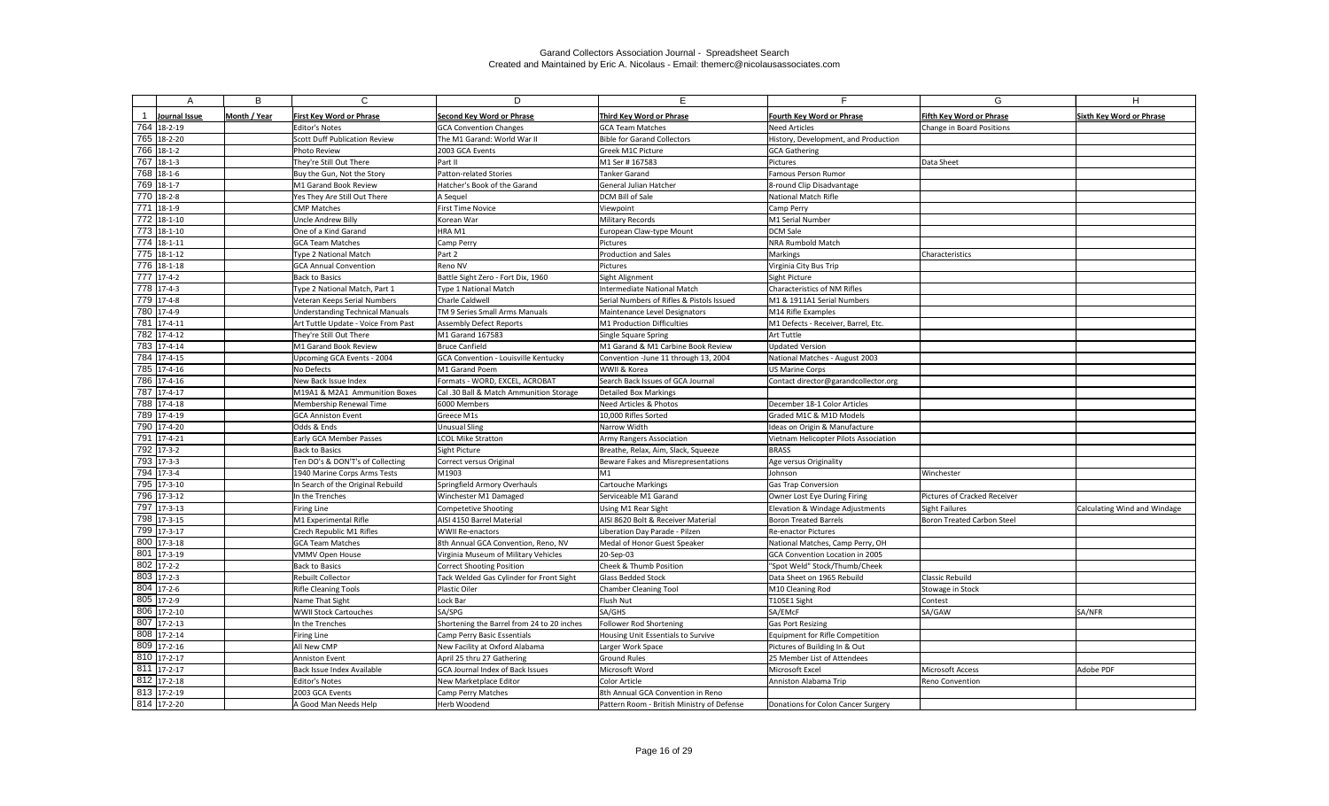|               | B            | C                                      | D                                          | E.                                         |                                       | G                                   |                                 |
|---------------|--------------|----------------------------------------|--------------------------------------------|--------------------------------------------|---------------------------------------|-------------------------------------|---------------------------------|
| Journal Issue | Month / Year | <b>First Key Word or Phrase</b>        | Second Key Word or Phrase                  | <b>Third Key Word or Phrase</b>            | Fourth Key Word or Phrase             | Fifth Key Word or Phrase            | <b>Sixth Key Word or Phrase</b> |
| 764 18-2-19   |              | Editor's Notes                         | <b>GCA Convention Changes</b>              | <b>GCA Team Matches</b>                    | <b>Need Articles</b>                  | Change in Board Positions           |                                 |
| 765 18-2-20   |              | Scott Duff Publication Review          | The M1 Garand: World War II                | <b>Bible for Garand Collectors</b>         | History, Development, and Production  |                                     |                                 |
| 766 18-1-2    |              | Photo Review                           | 2003 GCA Events                            | Greek M1C Picture                          | <b>GCA Gathering</b>                  |                                     |                                 |
| 767 18-1-3    |              | They're Still Out There                | Part II                                    | M1 Ser #167583                             | Pictures                              | Data Sheet                          |                                 |
| 768 18-1-6    |              | Buy the Gun, Not the Story             | Patton-related Stories                     | <b>Tanker Garand</b>                       | <b>Famous Person Rumor</b>            |                                     |                                 |
| 769 18-1-7    |              | M1 Garand Book Review                  | Hatcher's Book of the Garand               | General Julian Hatcher                     | 8-round Clip Disadvantage             |                                     |                                 |
| 770 18-2-8    |              | Yes They Are Still Out There           | A Sequel                                   | <b>DCM Bill of Sale</b>                    | National Match Rifle                  |                                     |                                 |
| 771 18-1-9    |              | CMP Matches                            | <b>First Time Novice</b>                   | Viewpoint                                  | Camp Perry                            |                                     |                                 |
| 772 18-1-10   |              | Uncle Andrew Billy                     | Korean War                                 | <b>Military Records</b>                    | M1 Serial Number                      |                                     |                                 |
| 773 18-1-10   |              | One of a Kind Garand                   | HRA M1                                     | European Claw-type Mount                   | <b>DCM Sale</b>                       |                                     |                                 |
| 774 18-1-11   |              | <b>GCA Team Matches</b>                | Camp Perry                                 | Pictures                                   | NRA Rumbold Match                     |                                     |                                 |
| 775 18-1-12   |              | Type 2 National Match                  | Part 2                                     | <b>Production and Sales</b>                | Markings                              | Characteristics                     |                                 |
| 776 18-1-18   |              | <b>GCA Annual Convention</b>           | Reno NV                                    | Pictures                                   | Virginia City Bus Trip                |                                     |                                 |
| 777 17-4-2    |              | <b>Back to Basics</b>                  | Battle Sight Zero - Fort Dix, 1960         | Sight Alignment                            | Sight Picture                         |                                     |                                 |
| 778 17-4-3    |              | Type 2 National Match, Part 1          | Type 1 National Match                      | <b>Intermediate National Match</b>         | Characteristics of NM Rifles          |                                     |                                 |
| 779 17-4-8    |              | Veteran Keeps Serial Numbers           | Charle Caldwell                            | Serial Numbers of Rifles & Pistols Issued  | M1 & 1911A1 Serial Numbers            |                                     |                                 |
| 780 17-4-9    |              | <b>Understanding Technical Manuals</b> | TM 9 Series Small Arms Manuals             | Maintenance Level Designators              | M14 Rifle Examples                    |                                     |                                 |
| 781 17-4-11   |              | Art Tuttle Update - Voice From Past    | Assembly Defect Reports                    | M1 Production Difficulties                 | M1 Defects - Receiver, Barrel, Etc.   |                                     |                                 |
| 782 17-4-12   |              | They're Still Out There                | M1 Garand 167583                           | Single Square Spring                       | Art Tuttle                            |                                     |                                 |
| 783 17-4-14   |              | M1 Garand Book Review                  | <b>Bruce Canfield</b>                      | M1 Garand & M1 Carbine Book Review         | <b>Updated Version</b>                |                                     |                                 |
| 784 17-4-15   |              | Upcoming GCA Events - 2004             | GCA Convention - Louisville Kentucky       | Convention -June 11 through 13, 2004       | National Matches - August 2003        |                                     |                                 |
| 785 17-4-16   |              | No Defects                             | M1 Garand Poem                             | WWII & Korea                               | <b>US Marine Corps</b>                |                                     |                                 |
| 786 17-4-16   |              | New Back Issue Index                   | Formats - WORD, EXCEL, ACROBAT             | Search Back Issues of GCA Journal          | Contact director@garandcollector.org  |                                     |                                 |
| 787 17-4-17   |              | M19A1 & M2A1 Ammunition Boxes          | Cal .30 Ball & Match Ammunition Storage    | <b>Detailed Box Markings</b>               |                                       |                                     |                                 |
| 788 17-4-18   |              | Membership Renewal Time                | 6000 Members                               | Need Articles & Photos                     | December 18-1 Color Articles          |                                     |                                 |
| 789 17-4-19   |              | <b>GCA Anniston Event</b>              | Greece M1s                                 | 10,000 Rifles Sorted                       | Graded M1C & M1D Models               |                                     |                                 |
| 790 17-4-20   |              | Odds & Ends                            | <b>Unusual Sling</b>                       | Narrow Width                               | Ideas on Origin & Manufacture         |                                     |                                 |
| 791 17-4-21   |              | Early GCA Member Passes                | <b>LCOL Mike Stratton</b>                  | <b>Army Rangers Association</b>            | Vietnam Helicopter Pilots Association |                                     |                                 |
| 792 17-3-2    |              | <b>Back to Basics</b>                  | Sight Picture                              | Breathe, Relax, Aim, Slack, Squeeze        | <b>BRASS</b>                          |                                     |                                 |
| 793 17-3-3    |              | Ten DO's & DON'T's of Collecting       | Correct versus Original                    | <b>Beware Fakes and Misrepresentations</b> | Age versus Originality                |                                     |                                 |
| 794 17-3-4    |              | 1940 Marine Corps Arms Tests           | M1903                                      | M1                                         | Johnson                               | Winchester                          |                                 |
| 795 17-3-10   |              | In Search of the Original Rebuild      | Springfield Armory Overhauls               | <b>Cartouche Markings</b>                  | Gas Trap Conversion                   |                                     |                                 |
| 796 17-3-12   |              | In the Trenches                        | Winchester M1 Damaged                      | Serviceable M1 Garand                      | Owner Lost Eye During Firing          | <b>Pictures of Cracked Receiver</b> |                                 |
| 797 17-3-13   |              | Firing Line                            | Competetive Shooting                       | <b>Using M1 Rear Sight</b>                 | Elevation & Windage Adjustments       | Sight Failures                      | Calculating Wind and Windage    |
| $798$ 17-3-15 |              | M1 Experimental Rifle                  | AISI 4150 Barrel Material                  | AISI 8620 Bolt & Receiver Material         | <b>Boron Treated Barrels</b>          | <b>Boron Treated Carbon Steel</b>   |                                 |
| 799 17-3-17   |              | Czech Republic M1 Rifles               | <b>WWII Re-enactors</b>                    | Liberation Day Parade - Pilzen             | Re-enactor Pictures                   |                                     |                                 |
| 800 17-3-18   |              | <b>GCA Team Matches</b>                | 8th Annual GCA Convention, Reno, NV        | Medal of Honor Guest Speaker               | National Matches, Camp Perry, OH      |                                     |                                 |
| 801 17-3-19   |              | VMMV Open House                        | Virginia Museum of Military Vehicles       | 20-Sep-03                                  | GCA Convention Location in 2005       |                                     |                                 |
| $802$ 17-2-2  |              | Back to Basics                         | <b>Correct Shooting Position</b>           | Cheek & Thumb Position                     | "Spot Weld" Stock/Thumb/Cheek         |                                     |                                 |
| 803 17-2-3    |              | Rebuilt Collector                      | Tack Welded Gas Cylinder for Front Sight   | <b>Glass Bedded Stock</b>                  | Data Sheet on 1965 Rebuild            | <b>Classic Rebuild</b>              |                                 |
| 804 17-2-6    |              | <b>Rifle Cleaning Tools</b>            | Plastic Oiler                              | <b>Chamber Cleaning Tool</b>               | M10 Cleaning Rod                      | Stowage in Stock                    |                                 |
| 805 17-2-9    |              | Name That Sight                        | Lock Bar                                   | Flush Nut                                  | T105E1 Sight                          | Contest                             |                                 |
| 806 17-2-10   |              | <b>WWII Stock Cartouches</b>           | SA/SPG                                     | SA/GHS                                     | SA/EMcF                               | SA/GAW                              | SA/NFR                          |
| $807$ 17-2-13 |              | In the Trenches                        | Shortening the Barrel from 24 to 20 inches | Follower Rod Shortening                    | <b>Gas Port Resizing</b>              |                                     |                                 |
| 808 17-2-14   |              | Firing Line                            | Camp Perry Basic Essentials                | Housing Unit Essentials to Survive         | Equipment for Rifle Competition       |                                     |                                 |
| 809 17-2-16   |              | All New CMP                            | New Facility at Oxford Alabama             | Larger Work Space                          | Pictures of Building In & Out         |                                     |                                 |
| $810$ 17-2-17 |              | Anniston Event                         | April 25 thru 27 Gathering                 | <b>Ground Rules</b>                        | 25 Member List of Attendees           |                                     |                                 |
| $811$ 17-2-17 |              | Back Issue Index Available             | GCA Journal Index of Back Issues           | Microsoft Word                             | Microsoft Excel                       | Microsoft Access                    | Adobe PDF                       |
| $812$ 17-2-18 |              | <b>Editor's Notes</b>                  | New Marketplace Editor                     | Color Article                              | Anniston Alabama Trip                 | Reno Convention                     |                                 |
| $813$ 17-2-19 |              | 2003 GCA Events                        | Camp Perry Matches                         | 8th Annual GCA Convention in Reno          |                                       |                                     |                                 |
| 814 17-2-20   |              | A Good Man Needs Help                  | Herb Woodend                               | Pattern Room - British Ministry of Defense | Donations for Colon Cancer Surgery    |                                     |                                 |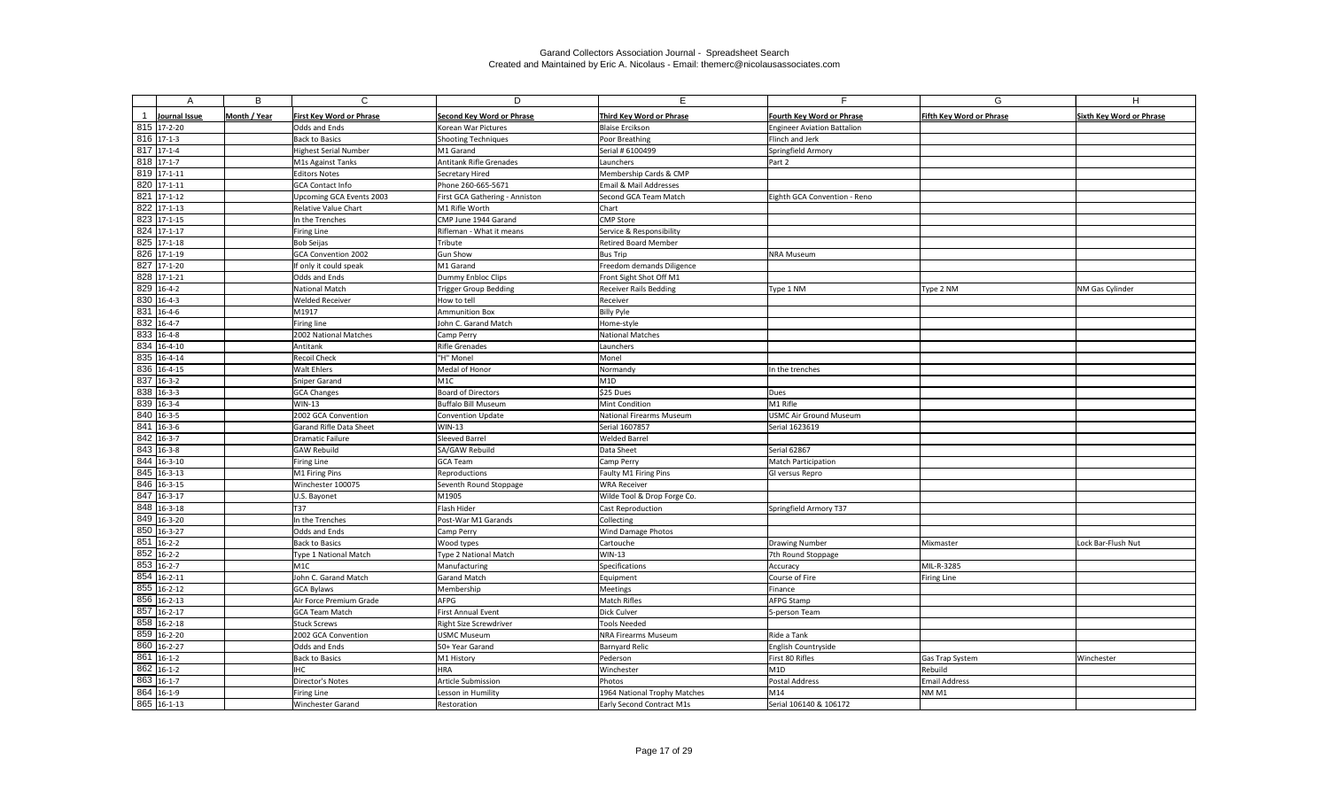| A                       | В            | $\mathsf{C}$                    | D                                | E.                              | E.                                 | G                               | H                               |
|-------------------------|--------------|---------------------------------|----------------------------------|---------------------------------|------------------------------------|---------------------------------|---------------------------------|
|                         |              |                                 |                                  |                                 |                                    |                                 |                                 |
| Journal Issue           | Month / Year | <b>First Key Word or Phrase</b> | <b>Second Key Word or Phrase</b> | <b>Third Key Word or Phrase</b> | <b>Fourth Key Word or Phrase</b>   | <b>Fifth Key Word or Phrase</b> | <b>Sixth Key Word or Phrase</b> |
| 815 17-2-20             |              | <b>Odds and Ends</b>            | Korean War Pictures              | <b>Blaise Ercikson</b>          | <b>Engineer Aviation Battalion</b> |                                 |                                 |
| 816 17-1-3              |              | <b>Back to Basics</b>           | Shooting Techniques              | Poor Breathing                  | Flinch and Jerk                    |                                 |                                 |
| 817 17-1-4              |              | <b>Highest Serial Number</b>    | M1 Garand                        | Serial # 6100499                | Springfield Armory                 |                                 |                                 |
| 818 17-1-7              |              | M1s Against Tanks               | Antitank Rifle Grenades          | Launchers                       | Part 2                             |                                 |                                 |
| 819 17-1-11             |              | <b>Editors Notes</b>            | Secretary Hired                  | Membership Cards & CMP          |                                    |                                 |                                 |
| 820 17-1-11             |              | <b>GCA Contact Info</b>         | Phone 260-665-5671               | Email & Mail Addresses          |                                    |                                 |                                 |
| 821 17-1-12             |              | Upcoming GCA Events 2003        | First GCA Gathering - Anniston   | Second GCA Team Match           | Eighth GCA Convention - Reno       |                                 |                                 |
| $822$ 17-1-13           |              | <b>Relative Value Chart</b>     | M1 Rifle Worth                   | Chart                           |                                    |                                 |                                 |
| 823 17-1-15             |              | In the Trenches                 | CMP June 1944 Garand             | <b>CMP Store</b>                |                                    |                                 |                                 |
| 824 17-1-17             |              | Firing Line                     | Rifleman - What it means         | Service & Responsibility        |                                    |                                 |                                 |
| 825 17-1-18             |              | <b>Bob Seijas</b>               | Tribute                          | <b>Retired Board Member</b>     |                                    |                                 |                                 |
| 826 17-1-19             |              | <b>GCA Convention 2002</b>      | Gun Show                         | <b>Bus Trip</b>                 | NRA Museum                         |                                 |                                 |
| $827$ 17-1-20           |              | If only it could speak          | M1 Garand                        | Freedom demands Diligence       |                                    |                                 |                                 |
| 828 17-1-21             |              | Odds and Ends                   | Dummy Enbloc Clips               | Front Sight Shot Off M1         |                                    |                                 |                                 |
| 829 16-4-2              |              | National Match                  | Trigger Group Bedding            | <b>Receiver Rails Bedding</b>   | Type 1 NM                          | Type 2 NM                       | NM Gas Cylinder                 |
| 830 16-4-3              |              | <b>Welded Receiver</b>          | How to tell                      | Receiver                        |                                    |                                 |                                 |
| 831 16-4-6              |              | M1917                           | Ammunition Box                   | <b>Billy Pyle</b>               |                                    |                                 |                                 |
| $\overline{832}$ 16-4-7 |              | Firing line                     | John C. Garand Match             | Home-style                      |                                    |                                 |                                 |
| 833 16-4-8              |              | 2002 National Matches           | Camp Perry                       | <b>National Matches</b>         |                                    |                                 |                                 |
| 834 16-4-10             |              | Antitank                        | Rifle Grenades                   | Launchers                       |                                    |                                 |                                 |
| 835 16-4-14             |              | <b>Recoil Check</b>             | "H" Monel                        | Monel                           |                                    |                                 |                                 |
| 836 16-4-15             |              | Walt Ehlers                     | Medal of Honor                   | Normandy                        | In the trenches                    |                                 |                                 |
| 837 16-3-2              |              | Sniper Garand                   | M1C                              | M1D                             |                                    |                                 |                                 |
| 838 16-3-3              |              | <b>GCA Changes</b>              | Board of Directors               | \$25 Dues                       | Dues                               |                                 |                                 |
| 839 16-3-4              |              | <b>WIN-13</b>                   | Buffalo Bill Museum              | <b>Mint Condition</b>           | M1 Rifle                           |                                 |                                 |
| 840 16-3-5              |              | 2002 GCA Convention             | Convention Update                | National Firearms Museum        | USMC Air Ground Museum             |                                 |                                 |
| $841$ 16-3-6            |              | <b>Garand Rifle Data Sheet</b>  | <b>WIN-13</b>                    | Serial 1607857                  | Serial 1623619                     |                                 |                                 |
| 842 16-3-7              |              | Dramatic Failure                | Sleeved Barrel                   | <b>Welded Barrel</b>            |                                    |                                 |                                 |
| $\overline{843}$ 16-3-8 |              | <b>GAW Rebuild</b>              | SA/GAW Rebuild                   | Data Sheet                      | Serial 62867                       |                                 |                                 |
| $844$ 16-3-10           |              | Firing Line                     | <b>GCA Team</b>                  | Camp Perry                      | Match Participation                |                                 |                                 |
| 845 16-3-13             |              | M1 Firing Pins                  | Reproductions                    | Faulty M1 Firing Pins           | GI versus Repro                    |                                 |                                 |
| $846$ 16-3-15           |              | Winchester 100075               | Seventh Round Stoppage           | <b>WRA Receiver</b>             |                                    |                                 |                                 |
| 847 16-3-17             |              | U.S. Bayonet                    | M1905                            | Wilde Tool & Drop Forge Co.     |                                    |                                 |                                 |
| 848 16-3-18             |              | T37                             | Flash Hider                      | Cast Reproduction               | Springfield Armory T37             |                                 |                                 |
| 849 16-3-20             |              | In the Trenches                 | Post-War M1 Garands              | Collecting                      |                                    |                                 |                                 |
| 850 16-3-27             |              | Odds and Ends                   | Camp Perry                       | Wind Damage Photos              |                                    |                                 |                                 |
| $851$ 16-2-2            |              | <b>Back to Basics</b>           | Wood types                       | Cartouche                       | Drawing Number                     | Mixmaster                       | Lock Bar-Flush Nut              |
| 852 16-2-2              |              | Type 1 National Match           | Type 2 National Match            | $WIN-13$                        | 7th Round Stoppage                 |                                 |                                 |
| 853 16-2-7              |              | M1C                             | Manufacturing                    | Specifications                  | Accuracy                           | MIL-R-3285                      |                                 |
| 854 16-2-11             |              | John C. Garand Match            | <b>Garand Match</b>              | Equipment                       | Course of Fire                     | <b>Firing Line</b>              |                                 |
| 855 16-2-12             |              | <b>GCA Bylaws</b>               | Membership                       | Meetings                        | Finance                            |                                 |                                 |
| 856 16-2-13             |              | Air Force Premium Grade         | AFPG                             | <b>Match Rifles</b>             | AFPG Stamp                         |                                 |                                 |
| 857 16-2-17             |              | <b>GCA Team Match</b>           | First Annual Event               | Dick Culver                     | 5-person Team                      |                                 |                                 |
| 858 16-2-18             |              | <b>Stuck Screws</b>             | <b>Right Size Screwdriver</b>    | <b>Tools Needed</b>             |                                    |                                 |                                 |
| 859 16-2-20             |              | 2002 GCA Convention             | <b>USMC Museum</b>               | NRA Firearms Museum             | Ride a Tank                        |                                 |                                 |
| 860 16-2-27             |              | Odds and Ends                   | 50+ Year Garand                  | <b>Barnyard Relic</b>           | English Countryside                |                                 |                                 |
| 861 16-1-2              |              | <b>Back to Basics</b>           | M1 History                       | Pederson                        | First 80 Rifles                    | <b>Gas Trap System</b>          | Winchester                      |
| 862 16-1-2              |              | IHC                             | <b>HRA</b>                       | Winchester                      | M <sub>1</sub> D                   | Rebuild                         |                                 |
| 863 16-1-7              |              | Director's Notes                | Article Submission               | Photos                          | Postal Address                     | <b>Email Address</b>            |                                 |
| 864 16-1-9              |              | Firing Line                     | Lesson in Humility               | 1964 National Trophy Matches    | M14                                | NM <sub>M1</sub>                |                                 |
| 865 16-1-13             |              | <b>Winchester Garand</b>        | Restoration                      | Early Second Contract M1s       | Serial 106140 & 106172             |                                 |                                 |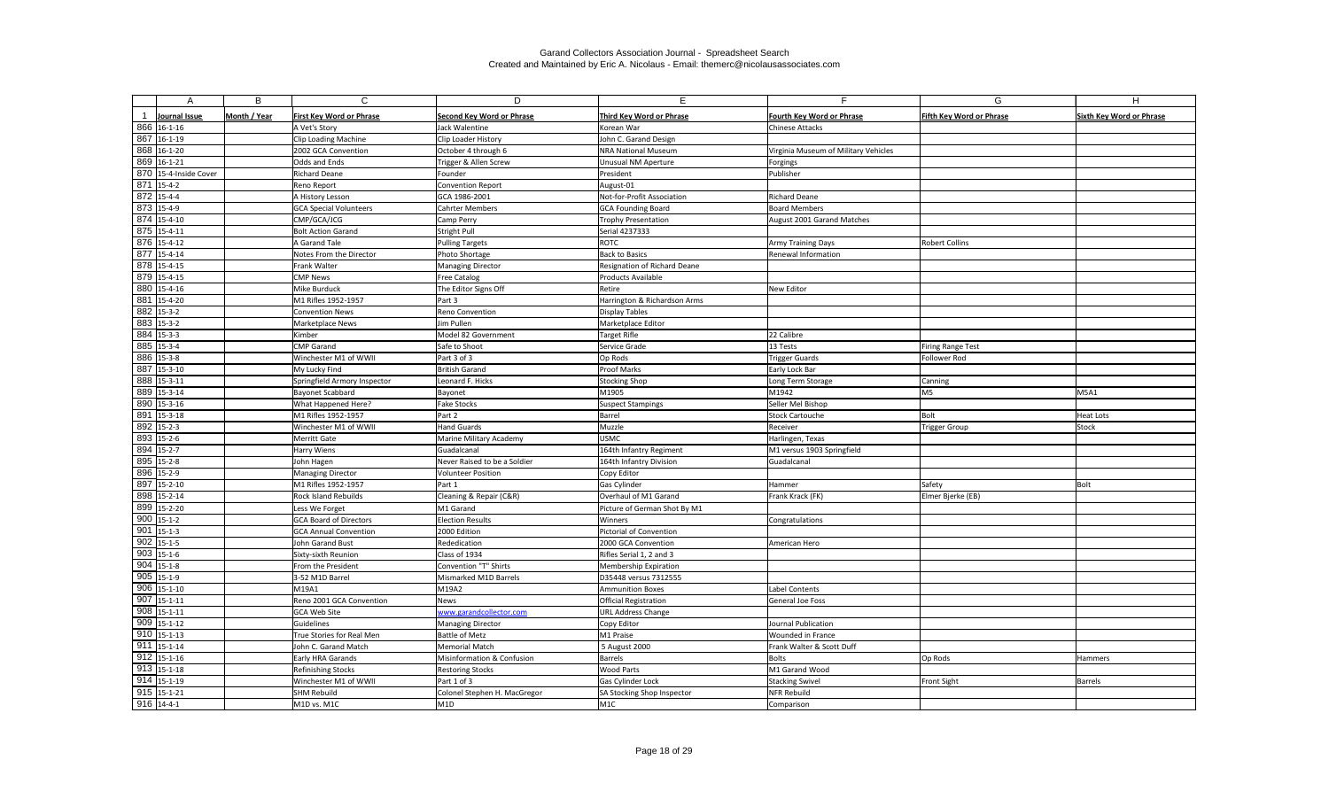| A                        | B            | $\mathsf{C}$                    | D                            | E                            | F.                                   | G                               | H                               |
|--------------------------|--------------|---------------------------------|------------------------------|------------------------------|--------------------------------------|---------------------------------|---------------------------------|
| Journal Issue            | Month / Year | <b>First Key Word or Phrase</b> | Second Key Word or Phrase    | Third Key Word or Phrase     | Fourth Key Word or Phrase            | <b>Fifth Key Word or Phrase</b> | <b>Sixth Key Word or Phrase</b> |
| 866 16-1-16              |              | A Vet's Story                   | Jack Walentine               | Korean War                   | Chinese Attacks                      |                                 |                                 |
| 867 16-1-19              |              | Clip Loading Machine            | Clip Loader History          | John C. Garand Design        |                                      |                                 |                                 |
| 868 16-1-20              |              | 2002 GCA Convention             | October 4 through 6          | <b>NRA National Museum</b>   | Virginia Museum of Military Vehicles |                                 |                                 |
| 869 16-1-21              |              | Odds and Ends                   | Trigger & Allen Screw        | Unusual NM Aperture          | Forgings                             |                                 |                                 |
| 870 15-4-Inside Cover    |              | <b>Richard Deane</b>            | Founder                      | President                    | Publisher                            |                                 |                                 |
| 871 15-4-2               |              | Reno Report                     | <b>Convention Report</b>     | August-01                    |                                      |                                 |                                 |
| 872 15-4-4               |              | A History Lesson                | GCA 1986-2001                | Not-for-Profit Association   | <b>Richard Deane</b>                 |                                 |                                 |
| $873$ 15-4-9             |              | <b>GCA Special Volunteers</b>   | <b>Cahrter Members</b>       | <b>GCA Founding Board</b>    | <b>Board Members</b>                 |                                 |                                 |
| 874 15-4-10              |              | CMP/GCA/JCG                     | Camp Perry                   | <b>Trophy Presentation</b>   | August 2001 Garand Matches           |                                 |                                 |
| $\overline{875}$ 15-4-11 |              | <b>Bolt Action Garand</b>       | Stright Pull                 | Serial 4237333               |                                      |                                 |                                 |
| 876 15-4-12              |              | A Garand Tale                   | Pulling Targets              | ROTC                         | Army Training Days                   | <b>Robert Collins</b>           |                                 |
| 877 15-4-14              |              | Notes From the Director         | Photo Shortage               | <b>Back to Basics</b>        | Renewal Information                  |                                 |                                 |
| 878 15-4-15              |              | Frank Walter                    | <b>Managing Director</b>     | Resignation of Richard Deane |                                      |                                 |                                 |
| 879 15-4-15              |              | <b>CMP News</b>                 | <b>Free Catalog</b>          | <b>Products Available</b>    |                                      |                                 |                                 |
| 880 15-4-16              |              | Mike Burduck                    | The Editor Signs Off         | Retire                       | New Editor                           |                                 |                                 |
| 881 15-4-20              |              | M1 Rifles 1952-1957             | Part 3                       | Harrington & Richardson Arms |                                      |                                 |                                 |
| $\overline{882}$ 15-3-2  |              | <b>Convention News</b>          | Reno Convention              | <b>Display Tables</b>        |                                      |                                 |                                 |
| $\overline{883}$ 15-3-2  |              | <b>Marketplace News</b>         | Jim Pullen                   | Marketplace Editor           |                                      |                                 |                                 |
| $884$ 15-3-3             |              | Kimber                          | Model 82 Government          | <b>Target Rifle</b>          | 22 Calibre                           |                                 |                                 |
| 885 15-3-4               |              | <b>CMP Garand</b>               | Safe to Shoot                | Service Grade                | 13 Tests                             | Firing Range Test               |                                 |
| 886 15-3-8               |              | Winchester M1 of WWII           | Part 3 of 3                  | Op Rods                      | <b>Trigger Guards</b>                | Follower Rod                    |                                 |
| 887 15-3-10              |              | My Lucky Find                   | British Garand               | <b>Proof Marks</b>           | Early Lock Bar                       |                                 |                                 |
| 888 15-3-11              |              | Springfield Armory Inspector    | Leonard F. Hicks             | <b>Stocking Shop</b>         | Long Term Storage                    | Canning                         |                                 |
| 889 15-3-14              |              | <b>Bayonet Scabbard</b>         | Bayonet                      | M1905                        | M1942                                | M <sub>5</sub>                  | <b>M5A1</b>                     |
| 890 15-3-16              |              | What Happened Here?             | <b>Fake Stocks</b>           | <b>Suspect Stampings</b>     | Seller Mel Bishop                    |                                 |                                 |
| 891 15-3-18              |              | M1 Rifles 1952-1957             | Part 2                       | Barrel                       | Stock Cartouche                      | Bolt                            | <b>Heat Lots</b>                |
| 892 15-2-3               |              | Winchester M1 of WWII           | <b>Hand Guards</b>           | Muzzle                       | Receiver                             | Trigger Group                   | <b>Stock</b>                    |
| 893 15-2-6               |              | Merritt Gate                    | Marine Military Academy      | <b>USMC</b>                  | Harlingen, Texas                     |                                 |                                 |
| 894 15-2-7               |              | Harry Wiens                     | Guadalcanal                  | 164th Infantry Regiment      | M1 versus 1903 Springfield           |                                 |                                 |
| 895 15-2-8               |              | John Hagen                      | Never Raised to be a Soldier | 164th Infantry Division      | Guadalcanal                          |                                 |                                 |
| 896 15-2-9               |              | <b>Managing Director</b>        | <b>Volunteer Position</b>    | Copy Editor                  |                                      |                                 |                                 |
| 897 15-2-10              |              | M1 Rifles 1952-1957             | Part 1                       | Gas Cylinder                 | Hammer                               | Safety                          | Bolt                            |
| 898 15-2-14              |              | <b>Rock Island Rebuilds</b>     | Cleaning & Repair (C&R)      | Overhaul of M1 Garand        | Frank Krack (FK)                     | Elmer Bjerke (EB)               |                                 |
| 899 15-2-20              |              | Less We Forget                  | M1 Garand                    | Picture of German Shot By M1 |                                      |                                 |                                 |
| $900$ 15-1-2             |              | <b>GCA Board of Directors</b>   | <b>Election Results</b>      | Winners                      | Congratulations                      |                                 |                                 |
| $901$ 15-1-3             |              | <b>GCA Annual Convention</b>    | 2000 Edition                 | Pictorial of Convention      |                                      |                                 |                                 |
| $902$ 15-1-5             |              | John Garand Bust                | Rededication                 | 2000 GCA Convention          | American Hero                        |                                 |                                 |
| $903$ 15-1-6             |              | Sixty-sixth Reunion             | Class of 1934                | Rifles Serial 1, 2 and 3     |                                      |                                 |                                 |
| $904$ 15-1-8             |              | From the President              | Convention "T" Shirts        | Membership Expiration        |                                      |                                 |                                 |
| $905$ 15-1-9             |              | 3-52 M1D Barrel                 | Mismarked M1D Barrels        | D35448 versus 7312555        |                                      |                                 |                                 |
| $906$ 15-1-10            |              | M19A1                           | M19A2                        | <b>Ammunition Boxes</b>      | Label Contents                       |                                 |                                 |
| $\overline{907}$ 15-1-11 |              | Reno 2001 GCA Convention        | News                         | Official Registration        | General Joe Foss                     |                                 |                                 |
| $908$ 15-1-11            |              | GCA Web Site                    | www.garandcollector.com      | <b>URL Address Change</b>    |                                      |                                 |                                 |
| $909$ 15-1-12            |              | Guidelines                      | <b>Managing Director</b>     | Copy Editor                  | Journal Publication                  |                                 |                                 |
| $910$ 15-1-13            |              | True Stories for Real Men       | <b>Battle of Metz</b>        | M1 Praise                    | Wounded in France                    |                                 |                                 |
| $911   15-1-14$          |              | John C. Garand Match            | Memorial Match               | 5 August 2000                | Frank Walter & Scott Duff            |                                 |                                 |
| $912$ 15-1-16            |              | Early HRA Garands               | Misinformation & Confusion   | Barrels                      | <b>Bolts</b>                         | Op Rods                         | Hammers                         |
| $913   15 - 1 - 18$      |              | Refinishing Stocks              | <b>Restoring Stocks</b>      | <b>Wood Parts</b>            | M1 Garand Wood                       |                                 |                                 |
| $914$ 15-1-19            |              | Winchester M1 of WWII           | Part 1 of 3                  | Gas Cylinder Lock            | Stacking Swivel                      | Front Sight                     | <b>Barrels</b>                  |
| $915$ 15-1-21            |              | <b>SHM Rebuild</b>              | Colonel Stephen H. MacGregor | SA Stocking Shop Inspector   | NFR Rebuild                          |                                 |                                 |
| $916$ 14-4-1             |              | M1D vs. M1C                     | M <sub>1</sub> D             | M1C                          | Comparison                           |                                 |                                 |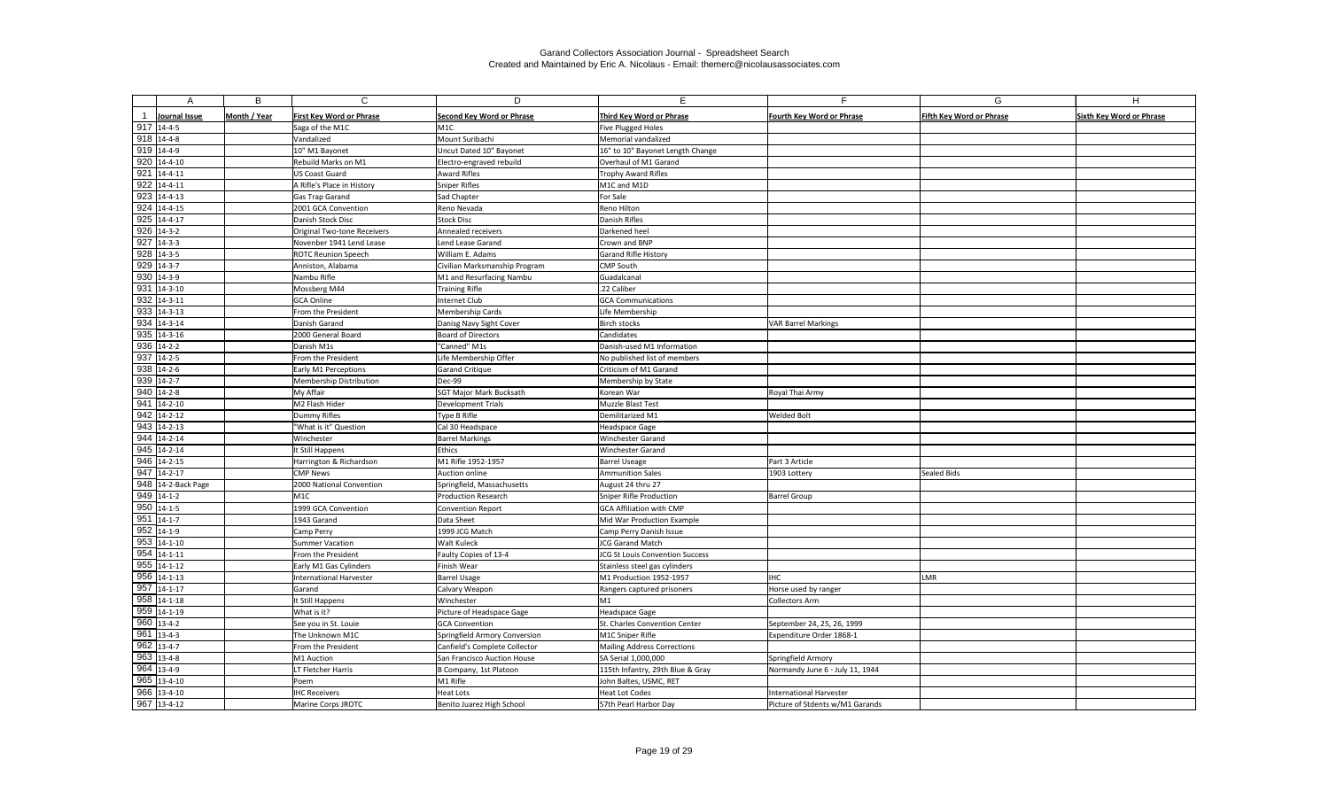|                            | B            | $\mathsf{C}$                     | D                                  | E.                                                         | Е                                                     | G                               | H                               |
|----------------------------|--------------|----------------------------------|------------------------------------|------------------------------------------------------------|-------------------------------------------------------|---------------------------------|---------------------------------|
| Journal Issue              | Month / Year | <b>First Key Word or Phrase</b>  | <b>Second Key Word or Phrase</b>   | Third Key Word or Phrase                                   | Fourth Key Word or Phrase                             | <b>Fifth Key Word or Phrase</b> | <b>Sixth Key Word or Phrase</b> |
| $917$ 14-4-5               |              | Saga of the M1C                  | M1C                                | Five Plugged Holes                                         |                                                       |                                 |                                 |
| $918$ 14-4-8               |              | Vandalized                       | Mount Suribachi                    | Memorial vandalized                                        |                                                       |                                 |                                 |
| $919$ 14-4-9               |              | 10" M1 Bayonet                   | Uncut Dated 10" Bayonet            | 16" to 10" Bayonet Length Change                           |                                                       |                                 |                                 |
| $920$ 14-4-10              |              | <b>Rebuild Marks on M1</b>       | Electro-engraved rebuild           | Overhaul of M1 Garand                                      |                                                       |                                 |                                 |
| $921$ 14-4-11              |              | <b>US Coast Guard</b>            | <b>Award Rifles</b>                | Trophy Award Rifles                                        |                                                       |                                 |                                 |
| $922$ 14-4-11              |              | A Rifle's Place in History       | Sniper Rifles                      | M1C and M1D                                                |                                                       |                                 |                                 |
| $\overline{923}$ 14-4-13   |              | Gas Trap Garand                  | Sad Chapter                        | For Sale                                                   |                                                       |                                 |                                 |
| $924$ 14-4-15              |              | 2001 GCA Convention              | Reno Nevada                        | Reno Hilton                                                |                                                       |                                 |                                 |
| $925$ 14-4-17              |              | Danish Stock Disc                | <b>Stock Disc</b>                  | Danish Rifles                                              |                                                       |                                 |                                 |
| $926$ 14-3-2               |              | Original Two-tone Receivers      | Annealed receivers                 | Darkened heel                                              |                                                       |                                 |                                 |
| $927$ 14-3-3               |              | Novenber 1941 Lend Lease         | Lend Lease Garand                  | Crown and BNP                                              |                                                       |                                 |                                 |
| 928 14-3-5                 |              | <b>ROTC Reunion Speech</b>       | William E. Adams                   | Garand Rifle History                                       |                                                       |                                 |                                 |
| $929$ 14-3-7               |              | Anniston, Alabama                | Civilian Marksmanship Program      | CMP South                                                  |                                                       |                                 |                                 |
| 930 14-3-9                 |              | Nambu Rifle                      | M1 and Resurfacing Nambu           | Guadalcanal                                                |                                                       |                                 |                                 |
| $931$ 14-3-10              |              | Mossberg M44                     | <b>Training Rifle</b>              | .22 Caliber                                                |                                                       |                                 |                                 |
| $932   14-3-11$            |              | GCA Online                       | Internet Club                      | <b>GCA Communications</b>                                  |                                                       |                                 |                                 |
| 933 14-3-13                |              | From the President               | Membership Cards                   | Life Membership                                            |                                                       |                                 |                                 |
| 934 14-3-14                |              | Danish Garand                    | Danisg Navy Sight Cover            | <b>Birch stocks</b>                                        | <b>VAR Barrel Markings</b>                            |                                 |                                 |
| $935$ 14-3-16              |              | 2000 General Board               | <b>Board of Directors</b>          | Candidates                                                 |                                                       |                                 |                                 |
| $936$ 14-2-2               |              | Danish M1s                       | "Canned" M1s                       | Danish-used M1 Information                                 |                                                       |                                 |                                 |
| 937 14-2-5                 |              | From the President               | Life Membership Offer              | No published list of members                               |                                                       |                                 |                                 |
| $938$ 14-2-6               |              | Early M1 Perceptions             | Garand Critique                    | Criticism of M1 Garand                                     |                                                       |                                 |                                 |
| $939$ 14-2-7               |              | Membership Distribution          | Dec-99                             | Membership by State                                        |                                                       |                                 |                                 |
| $940$ 14-2-8               |              | My Affair                        | <b>SGT Major Mark Bucksath</b>     | Korean War                                                 | Royal Thai Army                                       |                                 |                                 |
| $941$ 14-2-10              |              | M2 Flash Hider                   | Development Trials                 | Muzzle Blast Test                                          |                                                       |                                 |                                 |
| $\overline{942}$ 14-2-12   |              | Dummy Rifles                     | Type B Rifle                       | Demilitarized M1                                           | <b>Welded Bolt</b>                                    |                                 |                                 |
| $943$ 14-2-13              |              | "What is it" Question            | Cal 30 Headspace                   | <b>Headspace Gage</b>                                      |                                                       |                                 |                                 |
| $944$ 14-2-14              |              | Winchester                       | <b>Barrel Markings</b>             | Winchester Garand                                          |                                                       |                                 |                                 |
| 945 14-2-14                |              | It Still Happens                 | Ethics                             | Winchester Garand                                          |                                                       |                                 |                                 |
| $946$ 14-2-15              |              | Harrington & Richardson          | M1 Rifle 1952-1957                 | <b>Barrel Useage</b>                                       | Part 3 Article                                        |                                 |                                 |
| $947$ 14-2-17              |              | <b>CMP News</b>                  | Auction online                     | <b>Ammunition Sales</b>                                    | 1903 Lottery                                          | <b>Sealed Bids</b>              |                                 |
| 948 14-2-Back Page         |              | 2000 National Convention         | Springfield, Massachusetts         | August 24 thru 27                                          |                                                       |                                 |                                 |
| $949$ 14-1-2               |              | M <sub>1C</sub>                  | <b>Production Research</b>         | Sniper Rifle Production                                    | <b>Barrel Group</b>                                   |                                 |                                 |
| $950$ 14-1-5               |              | 1999 GCA Convention              | Convention Report                  | <b>GCA Affiliation with CMP</b>                            |                                                       |                                 |                                 |
| $951$ 14-1-7               |              | 1943 Garand                      | Data Sheet                         | Mid War Production Example                                 |                                                       |                                 |                                 |
| $952$ 14-1-9               |              | Camp Perry                       | 1999 JCG Match                     | Camp Perry Danish Issue                                    |                                                       |                                 |                                 |
| $953 \overline{)14-1-10}$  |              | Summer Vacation                  | <b>Walt Kuleck</b>                 | <b>JCG Garand Match</b>                                    |                                                       |                                 |                                 |
| $954$ 14-1-11              |              | From the President               | Faulty Copies of 13-4              | JCG St Louis Convention Success                            |                                                       |                                 |                                 |
| $955$ 14-1-12              |              | Early M1 Gas Cylinders           | Finish Wear                        | Stainless steel gas cylinders                              |                                                       |                                 |                                 |
| $956$ 14-1-13              |              | <b>International Harvester</b>   | <b>Barrel Usage</b>                | M1 Production 1952-1957                                    | <b>IHC</b>                                            | LMR                             |                                 |
| $957$ 14-1-17              |              | Garand                           | Calvary Weapon                     | Rangers captured prisoners                                 | Horse used by ranger                                  |                                 |                                 |
| $958$ 14-1-18              |              | It Still Happens                 | Winchester                         | M1                                                         | Collectors Arm                                        |                                 |                                 |
| $959$ 14-1-19              |              | What is it?                      | Picture of Headspace Gage          | Headspace Gage                                             |                                                       |                                 |                                 |
| 960 13-4-2<br>$961$ 13-4-3 |              | See you in St. Louie             | <b>GCA Convention</b>              | St. Charles Convention Center                              | September 24, 25, 26, 1999                            |                                 |                                 |
| $962$ 13-4-7               |              | The Unknown M1C                  | Springfield Armory Conversion      | M1C Sniper Rifle                                           | Expenditure Order 1868-1                              |                                 |                                 |
| $963$ 13-4-8               |              | From the President<br>M1 Auction | Canfield's Complete Collector      | <b>Mailing Address Corrections</b>                         |                                                       |                                 |                                 |
| 964 13-4-9                 |              | LT Fletcher Harris               | San Francisco Auction House        | SA Serial 1,000,000                                        | Springfield Armory<br>Normandy June 6 - July 11, 1944 |                                 |                                 |
| $965$ 13-4-10              |              | Poem                             | B Company, 1st Platoon<br>M1 Rifle | 115th Infantry, 29th Blue & Gray<br>John Baltes, USMC, RET |                                                       |                                 |                                 |
| $966$ 13-4-10              |              | <b>IHC Receivers</b>             | Heat Lots                          | Heat Lot Codes                                             | International Harvester                               |                                 |                                 |
| $967$ 13-4-12              |              | Marine Corps JROTC               | Benito Juarez High School          | 57th Pearl Harbor Day                                      | Picture of Stdents w/M1 Garands                       |                                 |                                 |
|                            |              |                                  |                                    |                                                            |                                                       |                                 |                                 |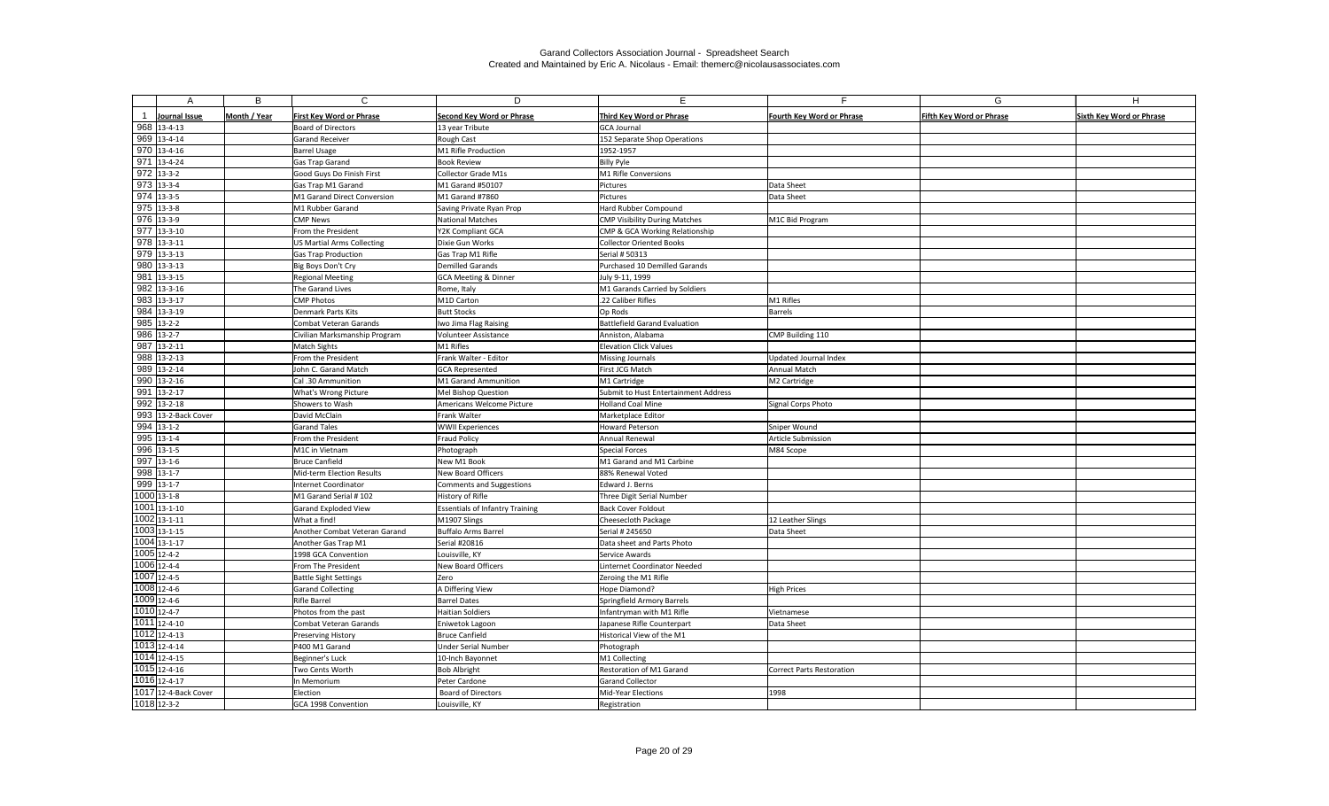|     |                            | B            | $\mathsf{C}$                             | D                                              | F                                                  | E.                               | G                               | H                               |
|-----|----------------------------|--------------|------------------------------------------|------------------------------------------------|----------------------------------------------------|----------------------------------|---------------------------------|---------------------------------|
|     | <b>Journal Issue</b>       | Month / Year | <b>First Key Word or Phrase</b>          | <b>Second Key Word or Phrase</b>               | Third Key Word or Phrase                           | <b>Fourth Key Word or Phrase</b> | <b>Fifth Key Word or Phrase</b> | <b>Sixth Key Word or Phrase</b> |
|     | 968 13-4-13                |              | <b>Board of Directors</b>                | 13 year Tribute                                | <b>GCA Journal</b>                                 |                                  |                                 |                                 |
|     | 969 13-4-14                |              | <b>Garand Receiver</b>                   | Rough Cast                                     | 152 Separate Shop Operations                       |                                  |                                 |                                 |
|     | $970$ 13-4-16              |              | <b>Barrel Usage</b>                      | M1 Rifle Production                            | 1952-1957                                          |                                  |                                 |                                 |
|     | $971$ 13-4-24              |              | Gas Trap Garand                          | <b>Book Review</b>                             | <b>Billy Pyle</b>                                  |                                  |                                 |                                 |
|     | $972$ 13-3-2               |              | Good Guys Do Finish First                | <b>Collector Grade M1s</b>                     | M1 Rifle Conversions                               |                                  |                                 |                                 |
|     | $973$ 13-3-4               |              | Gas Trap M1 Garand                       | M1 Garand #50107                               | Pictures                                           | Data Sheet                       |                                 |                                 |
|     | $974$ 13-3-5               |              | M1 Garand Direct Conversion              | M1 Garand #7860                                | Pictures                                           | Data Sheet                       |                                 |                                 |
|     | $975$ 13-3-8               |              | M1 Rubber Garand                         | Saving Private Ryan Prop                       | Hard Rubber Compound                               |                                  |                                 |                                 |
|     | 976 13-3-9                 |              | <b>CMP News</b>                          | <b>National Matches</b>                        | <b>CMP Visibility During Matches</b>               | M1C Bid Program                  |                                 |                                 |
|     | $977$ 13-3-10              |              | From the President                       | Y2K Compliant GCA                              | CMP & GCA Working Relationship                     |                                  |                                 |                                 |
|     | 978 13-3-11                |              | <b>US Martial Arms Collecting</b>        | Dixie Gun Works                                | <b>Collector Oriented Books</b>                    |                                  |                                 |                                 |
|     | 979 13-3-13                |              | <b>Gas Trap Production</b>               | Gas Trap M1 Rifle                              | Serial # 50313                                     |                                  |                                 |                                 |
|     | 980 13-3-13                |              | Big Boys Don't Cry                       | Demilled Garands                               | Purchased 10 Demilled Garands                      |                                  |                                 |                                 |
| 981 | $13 - 3 - 15$              |              | <b>Regional Meeting</b>                  | <b>GCA Meeting &amp; Dinner</b>                | July 9-11, 1999                                    |                                  |                                 |                                 |
|     | $982$ 13-3-16              |              | The Garand Lives                         | Rome, Italy                                    | M1 Garands Carried by Soldiers                     |                                  |                                 |                                 |
|     | 983 13-3-17                |              | <b>CMP Photos</b>                        | M1D Carton                                     | .22 Caliber Rifles                                 | M1 Rifles                        |                                 |                                 |
| 984 | $13 - 3 - 19$              |              | <b>Denmark Parts Kits</b>                | <b>Butt Stocks</b>                             | Op Rods                                            | Barrels                          |                                 |                                 |
| 985 | $13 - 2 - 2$               |              | Combat Veteran Garands                   | Iwo Jima Flag Raising                          | <b>Battlefield Garand Evaluation</b>               |                                  |                                 |                                 |
|     | $986$ 13-2-7               |              | Civilian Marksmanship Program            | <b>Volunteer Assistance</b>                    | Anniston, Alabama                                  | CMP Building 110                 |                                 |                                 |
| 987 | $13 - 2 - 11$              |              | <b>Match Sights</b>                      | M1 Rifles                                      | <b>Elevation Click Values</b>                      |                                  |                                 |                                 |
|     | 988 13-2-13                |              | From the President                       | Frank Walter - Editor                          | <b>Missing Journals</b>                            | Updated Journal Index            |                                 |                                 |
|     | 989 13-2-14                |              | John C. Garand Match                     | GCA Represented                                | First JCG Match                                    | Annual Match                     |                                 |                                 |
|     | 990 13-2-16                |              | Cal .30 Ammunition                       | M1 Garand Ammunition                           | M1 Cartridge                                       | M2 Cartridge                     |                                 |                                 |
| 991 | $13 - 2 - 17$              |              | What's Wrong Picture                     | Mel Bishop Question                            | Submit to Hust Entertainment Address               |                                  |                                 |                                 |
|     | $992$ 13-2-18              |              | Showers to Wash                          | Americans Welcome Picture                      | <b>Holland Coal Mine</b>                           | Signal Corps Photo               |                                 |                                 |
|     | 993 13-2-Back Cover        |              | David McClain                            | Frank Walter                                   | Marketplace Editor                                 |                                  |                                 |                                 |
|     | $994$ 13-1-2               |              | <b>Garand Tales</b>                      | <b>WWII Experiences</b>                        | <b>Howard Peterson</b>                             | Sniper Wound                     |                                 |                                 |
|     | $995$ 13-1-4               |              | From the President                       | <b>Fraud Policy</b>                            | Annual Renewal                                     | Article Submission               |                                 |                                 |
|     | 996 13-1-5                 |              | M1C in Vietnam                           | Photograph                                     | <b>Special Forces</b>                              | M84 Scope                        |                                 |                                 |
|     | $997$ 13-1-6               |              | <b>Bruce Canfield</b>                    | New M1 Book                                    | M1 Garand and M1 Carbine                           |                                  |                                 |                                 |
|     | $998$ 13-1-7               |              | Mid-term Election Results                | New Board Officers                             | 88% Renewal Voted                                  |                                  |                                 |                                 |
|     | 999 13-1-7                 |              | Internet Coordinator                     | <b>Comments and Suggestions</b>                | Edward J. Berns                                    |                                  |                                 |                                 |
|     | 1000 13-1-8                |              | M1 Garand Serial #102                    | History of Rifle                               | Three Digit Serial Number                          |                                  |                                 |                                 |
|     | 1001 13-1-10               |              | <b>Garand Exploded View</b>              | <b>Essentials of Infantry Training</b>         | <b>Back Cover Foldout</b>                          |                                  |                                 |                                 |
|     | 1002 13-1-11               |              | What a find!                             | M1907 Slings                                   | Cheesecloth Package                                | 12 Leather Slings                |                                 |                                 |
|     | 1003 13-1-15               |              | Another Combat Veteran Garand            | Buffalo Arms Barrel                            | Serial # 245650                                    | Data Sheet                       |                                 |                                 |
|     | 1004 13-1-17               |              | Another Gas Trap M1                      | Serial #20816                                  | Data sheet and Parts Photo                         |                                  |                                 |                                 |
|     | 1005 12-4-2<br>1006 12-4-4 |              | 1998 GCA Convention                      | Louisville, KY                                 | Service Awards                                     |                                  |                                 |                                 |
|     | 1007 12-4-5                |              | From The President                       | New Board Officers                             | Linternet Coordinator Needed                       |                                  |                                 |                                 |
|     | 1008 12-4-6                |              | <b>Battle Sight Settings</b>             | Zero                                           | Zeroing the M1 Rifle                               |                                  |                                 |                                 |
|     | 1009 12-4-6                |              | <b>Garand Collecting</b><br>Rifle Barrel | A Differing View                               | Hope Diamond?<br><b>Springfield Armory Barrels</b> | <b>High Prices</b>               |                                 |                                 |
|     | 1010 12-4-7                |              | Photos from the past                     | <b>Barrel Dates</b><br><b>Haitian Soldiers</b> | Infantryman with M1 Rifle                          | Vietnamese                       |                                 |                                 |
|     | 1011 12-4-10               |              | Combat Veteran Garands                   | Eniwetok Lagoon                                | Japanese Rifle Counterpart                         | Data Sheet                       |                                 |                                 |
|     | 1012 12-4-13               |              | Preserving History                       | Bruce Canfield                                 | Historical View of the M1                          |                                  |                                 |                                 |
|     | 1013 12-4-14               |              | P400 M1 Garand                           | <b>Under Serial Number</b>                     | Photograph                                         |                                  |                                 |                                 |
|     | 1014 12-4-15               |              | Beginner's Luck                          | 10-Inch Bayonnet                               | M1 Collecting                                      |                                  |                                 |                                 |
|     | 1015 12-4-16               |              | Two Cents Worth                          | <b>Bob Albright</b>                            | Restoration of M1 Garand                           | Correct Parts Restoration        |                                 |                                 |
|     | 1016 12-4-17               |              | In Memorium                              | Peter Cardone                                  | <b>Garand Collector</b>                            |                                  |                                 |                                 |
|     | 1017 12-4-Back Cover       |              | Election                                 | <b>Board of Directors</b>                      | Mid-Year Elections                                 | 1998                             |                                 |                                 |
|     | 1018 12-3-2                |              | GCA 1998 Convention                      | Louisville, KY                                 | Registration                                       |                                  |                                 |                                 |
|     |                            |              |                                          |                                                |                                                    |                                  |                                 |                                 |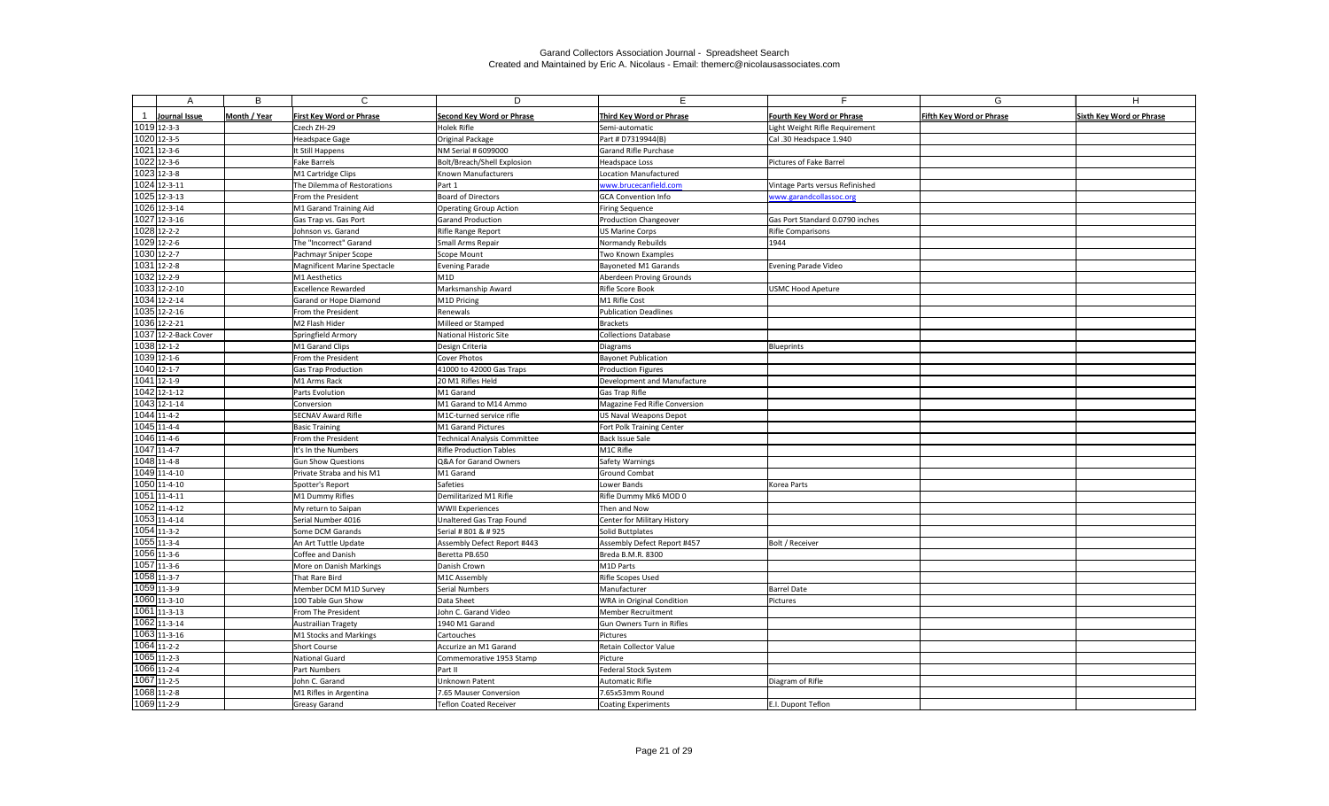|                      | B            | $\mathsf{C}$                    | D                                   | F.                                 |                                  | G                               | H                               |
|----------------------|--------------|---------------------------------|-------------------------------------|------------------------------------|----------------------------------|---------------------------------|---------------------------------|
|                      |              |                                 |                                     |                                    |                                  |                                 |                                 |
| Journal Issue        | Month / Year | <b>First Key Word or Phrase</b> | <b>Second Key Word or Phrase</b>    | Third Key Word or Phrase           | <b>Fourth Key Word or Phrase</b> | <b>Fifth Key Word or Phrase</b> | <b>Sixth Key Word or Phrase</b> |
| 1019 12-3-3          |              | Czech ZH-29                     | Holek Rifle                         | Semi-automatic                     | Light Weight Rifle Requirement   |                                 |                                 |
| 1020 12-3-5          |              | Headspace Gage                  | Original Package                    | Part # D7319944(B)                 | Cal .30 Headspace 1.940          |                                 |                                 |
| 1021 12-3-6          |              | It Still Happens                | NM Serial # 6099000                 | Garand Rifle Purchase              |                                  |                                 |                                 |
| 1022 12-3-6          |              | <b>Fake Barrels</b>             | Bolt/Breach/Shell Explosion         | Headspace Loss                     | Pictures of Fake Barrel          |                                 |                                 |
| 1023 12-3-8          |              | M1 Cartridge Clips              | Known Manufacturers                 | <b>Location Manufactured</b>       |                                  |                                 |                                 |
| 1024 12-3-11         |              | The Dilemma of Restorations     | Part 1                              | www.brucecanfield.com              | Vintage Parts versus Refinished  |                                 |                                 |
| 1025 12-3-13         |              | From the President              | Board of Directors                  | <b>GCA Convention Info</b>         | www.garandcollassoc.org          |                                 |                                 |
| 1026 12-3-14         |              | M1 Garand Training Aid          | <b>Operating Group Action</b>       | <b>Firing Sequence</b>             |                                  |                                 |                                 |
| 1027 12-3-16         |              | Gas Trap vs. Gas Port           | <b>Garand Production</b>            | <b>Production Changeover</b>       | Gas Port Standard 0.0790 inches  |                                 |                                 |
| 1028 12-2-2          |              | Johnson vs. Garand              | Rifle Range Report                  | <b>US Marine Corps</b>             | Rifle Comparisons                |                                 |                                 |
| 1029 12-2-6          |              | The "Incorrect" Garand          | Small Arms Repair                   | Normandy Rebuilds                  | 1944                             |                                 |                                 |
| 1030 12-2-7          |              | Pachmayr Sniper Scope           | Scope Mount                         | Two Known Examples                 |                                  |                                 |                                 |
| 1031 12-2-8          |              | Magnificent Marine Spectacle    | Evening Parade                      | <b>Bayoneted M1 Garands</b>        | Evening Parade Video             |                                 |                                 |
| 1032 12-2-9          |              | M1 Aesthetics                   | M1D                                 | Aberdeen Proving Grounds           |                                  |                                 |                                 |
| 1033 12-2-10         |              | <b>Excellence Rewarded</b>      | Marksmanship Award                  | Rifle Score Book                   | USMC Hood Apeture                |                                 |                                 |
| 1034 12-2-14         |              | Garand or Hope Diamond          | M1D Pricing                         | M1 Rifle Cost                      |                                  |                                 |                                 |
| 1035 12-2-16         |              | From the President              | Renewals                            | <b>Publication Deadlines</b>       |                                  |                                 |                                 |
| 1036 12-2-21         |              | M2 Flash Hider                  | Milleed or Stamped                  | <b>Brackets</b>                    |                                  |                                 |                                 |
| 1037 12-2-Back Cover |              | Springfield Armory              | National Historic Site              | <b>Collections Database</b>        |                                  |                                 |                                 |
| 1038 12-1-2          |              | M1 Garand Clips                 | Design Criteria                     | <b>Diagrams</b>                    | Blueprints                       |                                 |                                 |
| 1039 12-1-6          |              | From the President              | Cover Photos                        | <b>Bayonet Publication</b>         |                                  |                                 |                                 |
| 1040 12-1-7          |              | <b>Gas Trap Production</b>      | 41000 to 42000 Gas Traps            | <b>Production Figures</b>          |                                  |                                 |                                 |
| 1041 12-1-9          |              | M1 Arms Rack                    | 20 M1 Rifles Held                   | Development and Manufacture        |                                  |                                 |                                 |
| 1042 12-1-12         |              | Parts Evolution                 | M1 Garand                           | Gas Trap Rifle                     |                                  |                                 |                                 |
| 1043 12-1-14         |              | Conversion                      | M1 Garand to M14 Ammo               | Magazine Fed Rifle Conversion      |                                  |                                 |                                 |
| 1044 11-4-2          |              | <b>SECNAV Award Rifle</b>       | M1C-turned service rifle            | US Naval Weapons Depot             |                                  |                                 |                                 |
| 1045 11-4-4          |              | <b>Basic Training</b>           | M1 Garand Pictures                  | Fort Polk Training Center          |                                  |                                 |                                 |
| 1046 11-4-6          |              | From the President              | <b>Technical Analysis Committee</b> | <b>Back Issue Sale</b>             |                                  |                                 |                                 |
| 1047 11-4-7          |              | It's In the Numbers             | <b>Rifle Production Tables</b>      | M1C Rifle                          |                                  |                                 |                                 |
| 1048 11-4-8          |              | <b>Gun Show Questions</b>       | Q&A for Garand Owners               | Safety Warnings                    |                                  |                                 |                                 |
| 1049 11-4-10         |              | Private Straba and his M1       | M1 Garand                           | <b>Ground Combat</b>               |                                  |                                 |                                 |
| 1050 11-4-10         |              | Spotter's Report                | Safeties                            | Lower Bands                        | Korea Parts                      |                                 |                                 |
| 1051 11-4-11         |              | M1 Dummy Rifles                 | Demilitarized M1 Rifle              | Rifle Dummy Mk6 MOD 0              |                                  |                                 |                                 |
| 1052 11-4-12         |              | My return to Saipan             | <b>WWII</b> Experiences             | Then and Now                       |                                  |                                 |                                 |
| 1053 11-4-14         |              | Serial Number 4016              | Unaltered Gas Trap Found            | <b>Center for Military History</b> |                                  |                                 |                                 |
| 1054 11-3-2          |              | Some DCM Garands                | Serial # 801 & # 925                | Solid Buttplates                   |                                  |                                 |                                 |
| 1055 11-3-4          |              | An Art Tuttle Update            | Assembly Defect Report #443         | Assembly Defect Report #457        | Bolt / Receiver                  |                                 |                                 |
| 1056 11-3-6          |              | Coffee and Danish               | Beretta PB.650                      | Breda B.M.R. 8300                  |                                  |                                 |                                 |
| 1057 11-3-6          |              | More on Danish Markings         | Danish Crown                        | M1D Parts                          |                                  |                                 |                                 |
| 1058 11-3-7          |              | That Rare Bird                  | M1C Assembly                        | Rifle Scopes Used                  |                                  |                                 |                                 |
| 1059 11-3-9          |              | Member DCM M1D Survey           | Serial Numbers                      | Manufacturer                       | <b>Barrel Date</b>               |                                 |                                 |
| 1060 11-3-10         |              | 100 Table Gun Show              | Data Sheet                          | WRA in Original Condition          | Pictures                         |                                 |                                 |
| 1061 11-3-13         |              | From The President              | John C. Garand Video                | Member Recruitment                 |                                  |                                 |                                 |
| 1062 11-3-14         |              | <b>Austrailian Tragety</b>      | 1940 M1 Garand                      | Gun Owners Turn in Rifles          |                                  |                                 |                                 |
| 1063 11-3-16         |              | M1 Stocks and Markings          | Cartouches                          | Pictures                           |                                  |                                 |                                 |
| 1064 11-2-2          |              | Short Course                    | Accurize an M1 Garand               | Retain Collector Value             |                                  |                                 |                                 |
| 1065 11-2-3          |              | National Guard                  | Commemorative 1953 Stamp            | Picture                            |                                  |                                 |                                 |
| 1066 11-2-4          |              | Part Numbers                    | Part II                             | Federal Stock System               |                                  |                                 |                                 |
| 1067 11-2-5          |              | John C. Garand                  | <b>Unknown Patent</b>               | Automatic Rifle                    | Diagram of Rifle                 |                                 |                                 |
| 1068 11-2-8          |              | M1 Rifles in Argentina          | 7.65 Mauser Conversion              | 7.65x53mm Round                    |                                  |                                 |                                 |
| 1069 11-2-9          |              | <b>Greasy Garand</b>            | <b>Teflon Coated Receiver</b>       | Coating Experiments                | E.I. Dupont Teflon               |                                 |                                 |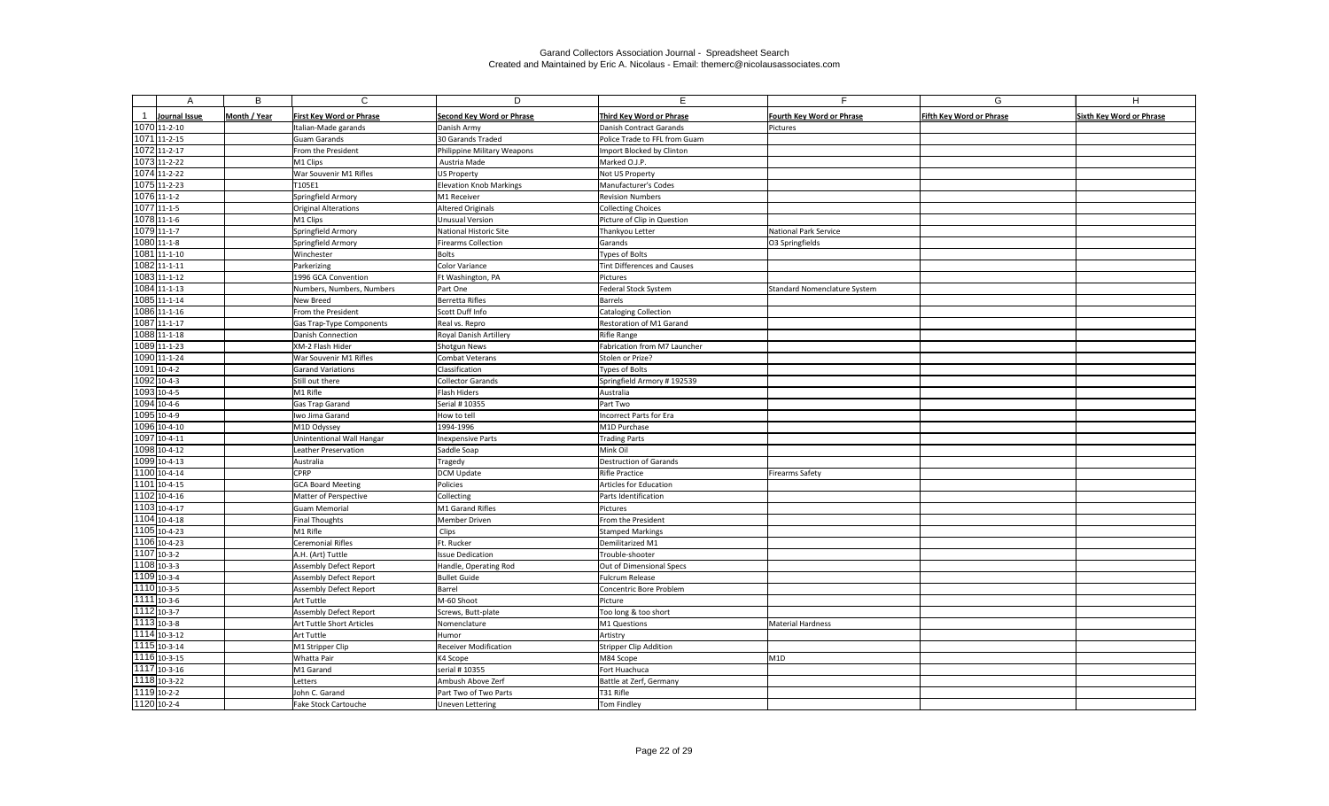| A                         | B            | $\mathsf{C}$                     | D                              | E.                            | E.                               | G                               | $\overline{H}$                  |
|---------------------------|--------------|----------------------------------|--------------------------------|-------------------------------|----------------------------------|---------------------------------|---------------------------------|
|                           |              |                                  |                                |                               |                                  |                                 |                                 |
| Journal Issue             | Month / Year | <b>First Key Word or Phrase</b>  | Second Key Word or Phrase      | Third Key Word or Phrase      | <b>Fourth Key Word or Phrase</b> | <b>Fifth Key Word or Phrase</b> | <b>Sixth Key Word or Phrase</b> |
| 1070 11-2-10              |              | Italian-Made garands             | Danish Army                    | Danish Contract Garands       | Pictures                         |                                 |                                 |
| 1071 11-2-15              |              | <b>Guam Garands</b>              | 30 Garands Traded              | Police Trade to FFL from Guam |                                  |                                 |                                 |
| 1072 11-2-17              |              | From the President               | Philippine Military Weapons    | Import Blocked by Clinton     |                                  |                                 |                                 |
| 1073 11-2-22              |              | M1 Clips                         | Austria Made                   | Marked O.J.P.                 |                                  |                                 |                                 |
| 1074 11-2-22              |              | War Souvenir M1 Rifles           | <b>US Property</b>             | Not US Property               |                                  |                                 |                                 |
| 1075 11-2-23              |              | T105E1                           | <b>Elevation Knob Markings</b> | Manufacturer's Codes          |                                  |                                 |                                 |
| 1076 11-1-2               |              | Springfield Armory               | M1 Receiver                    | <b>Revision Numbers</b>       |                                  |                                 |                                 |
| 1077 11-1-5               |              | <b>Original Alterations</b>      | <b>Altered Originals</b>       | <b>Collecting Choices</b>     |                                  |                                 |                                 |
| 1078 11-1-6               |              | M1 Clips                         | <b>Unusual Version</b>         | Picture of Clip in Question   |                                  |                                 |                                 |
| 1079 11-1-7               |              | Springfield Armory               | <b>National Historic Site</b>  | Thankyou Letter               | National Park Service            |                                 |                                 |
| 1080 11-1-8               |              | Springfield Armory               | <b>Firearms Collection</b>     | Garands                       | O3 Springfields                  |                                 |                                 |
| 1081 11-1-10              |              | Winchester                       | Bolts                          | Types of Bolts                |                                  |                                 |                                 |
| 1082 11-1-11              |              | Parkerizing                      | Color Variance                 | Tint Differences and Causes   |                                  |                                 |                                 |
| 1083 11-1-12              |              | 1996 GCA Convention              | Ft Washington, PA              | Pictures                      |                                  |                                 |                                 |
| 1084 11-1-13              |              | Numbers, Numbers, Numbers        | Part One                       | Federal Stock System          | Standard Nomenclature System     |                                 |                                 |
| 1085 11-1-14              |              | New Breed                        | Berretta Rifles                | <b>Barrels</b>                |                                  |                                 |                                 |
| 1086 11-1-16              |              | From the President               | Scott Duff Info                | <b>Cataloging Collection</b>  |                                  |                                 |                                 |
| 1087 11-1-17              |              | Gas Trap-Type Components         | Real vs. Repro                 | Restoration of M1 Garand      |                                  |                                 |                                 |
| 1088 11-1-18              |              | Danish Connection                | Royal Danish Artillery         | <b>Rifle Range</b>            |                                  |                                 |                                 |
| 1089 11-1-23              |              | XM-2 Flash Hider                 | Shotgun News                   | Fabrication from M7 Launcher  |                                  |                                 |                                 |
| 1090 11-1-24              |              | War Souvenir M1 Rifles           | <b>Combat Veterans</b>         | Stolen or Prize?              |                                  |                                 |                                 |
| 1091 10-4-2               |              | <b>Garand Variations</b>         | Classification                 | Types of Bolts                |                                  |                                 |                                 |
| 1092 10-4-3               |              | Still out there                  | <b>Collector Garands</b>       | Springfield Armory #192539    |                                  |                                 |                                 |
| 1093 10-4-5               |              | M1 Rifle                         | Flash Hiders                   | Australia                     |                                  |                                 |                                 |
| 1094 10-4-6               |              | Gas Trap Garand                  | Serial # 10355                 | Part Two                      |                                  |                                 |                                 |
| 1095 10-4-9               |              | Iwo Jima Garand                  | How to tell                    | Incorrect Parts for Era       |                                  |                                 |                                 |
| 1096 10-4-10              |              | M1D Odyssey                      | 1994-1996                      | M1D Purchase                  |                                  |                                 |                                 |
| 1097 10-4-11              |              | <b>Unintentional Wall Hangar</b> | <b>Inexpensive Parts</b>       | <b>Trading Parts</b>          |                                  |                                 |                                 |
| 1098 10-4-12              |              | Leather Preservation             | Saddle Soap                    | Mink Oil                      |                                  |                                 |                                 |
| 1099 10-4-13              |              | Australia                        | Tragedy                        | <b>Destruction of Garands</b> |                                  |                                 |                                 |
| 1100 10-4-14              |              | <b>CPRP</b>                      | <b>DCM Update</b>              | <b>Rifle Practice</b>         | Firearms Safety                  |                                 |                                 |
| 1101 10-4-15              |              | <b>GCA Board Meeting</b>         | Policies                       | Articles for Education        |                                  |                                 |                                 |
| 1102 10-4-16              |              | Matter of Perspective            | Collecting                     | Parts Identification          |                                  |                                 |                                 |
| $1103$ 10-4-17            |              | <b>Guam Memorial</b>             | M1 Garand Rifles               | Pictures                      |                                  |                                 |                                 |
| 1104 10-4-18              |              | <b>Final Thoughts</b>            | Member Driven                  | From the President            |                                  |                                 |                                 |
| 1105 10-4-23              |              | M1 Rifle                         | Clips                          | <b>Stamped Markings</b>       |                                  |                                 |                                 |
| 1106 10-4-23              |              | <b>Ceremonial Rifles</b>         | Ft. Rucker                     | Demilitarized M1              |                                  |                                 |                                 |
| 1107 10-3-2               |              | A.H. (Art) Tuttle                | <b>Issue Dedication</b>        | Trouble-shooter               |                                  |                                 |                                 |
| 1108 10-3-3               |              | <b>Assembly Defect Report</b>    | Handle, Operating Rod          | Out of Dimensional Specs      |                                  |                                 |                                 |
| 1109 10-3-4               |              | <b>Assembly Defect Report</b>    | <b>Bullet Guide</b>            | <b>Fulcrum Release</b>        |                                  |                                 |                                 |
| 1110 10-3-5               |              | <b>Assembly Defect Report</b>    | Barrel                         | Concentric Bore Problem       |                                  |                                 |                                 |
| 1111 10-3-6               |              | Art Tuttle                       | M-60 Shoot                     | Picture                       |                                  |                                 |                                 |
| 1112 10-3-7               |              | <b>Assembly Defect Report</b>    | Screws, Butt-plate             | Too long & too short          |                                  |                                 |                                 |
| 1113 10-3-8               |              | Art Tuttle Short Articles        | Nomenclature                   | M1 Questions                  | Material Hardness                |                                 |                                 |
| $\overline{1114}$ 10-3-12 |              | Art Tuttle                       | Humor                          | Artistry                      |                                  |                                 |                                 |
| 1115 10-3-14              |              | M1 Stripper Clip                 | <b>Receiver Modification</b>   | Stripper Clip Addition        |                                  |                                 |                                 |
| 1116 10-3-15              |              | Whatta Pair                      | K4 Scope                       | M84 Scope                     | M <sub>1D</sub>                  |                                 |                                 |
| 1117 10-3-16              |              | M1 Garand                        | serial # 10355                 | Fort Huachuca                 |                                  |                                 |                                 |
| 1118 10-3-22              |              | Letters                          | Ambush Above Zerf              | Battle at Zerf, Germany       |                                  |                                 |                                 |
| 1119 10-2-2               |              | John C. Garand                   | Part Two of Two Parts          | T31 Rifle                     |                                  |                                 |                                 |
| 1120 10-2-4               |              | Fake Stock Cartouche             | <b>Uneven Lettering</b>        | Tom Findley                   |                                  |                                 |                                 |
|                           |              |                                  |                                |                               |                                  |                                 |                                 |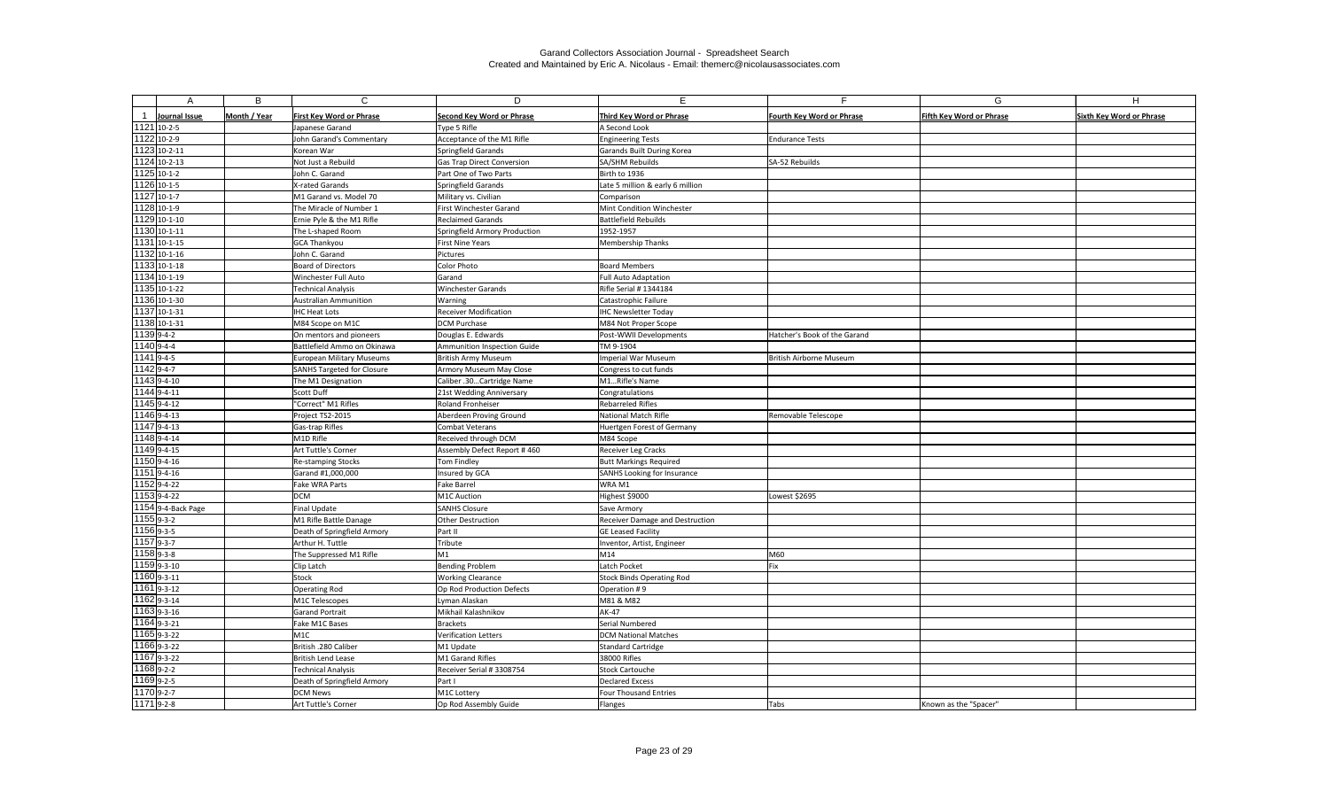|                            | B            | $\mathsf{C}$                                   | D                                 | F.                                               | F.                           | G                               | H                               |
|----------------------------|--------------|------------------------------------------------|-----------------------------------|--------------------------------------------------|------------------------------|---------------------------------|---------------------------------|
| Journal Issue              | Month / Year | <b>First Key Word or Phrase</b>                | <b>Second Key Word or Phrase</b>  | Third Key Word or Phrase                         | Fourth Key Word or Phrase    | <b>Fifth Key Word or Phrase</b> | <b>Sixth Key Word or Phrase</b> |
| 1121 10-2-5                |              | Japanese Garand                                | Type 5 Rifle                      | A Second Look                                    |                              |                                 |                                 |
| 1122 10-2-9                |              | John Garand's Commentary                       | Acceptance of the M1 Rifle        | <b>Engineering Tests</b>                         | <b>Endurance Tests</b>       |                                 |                                 |
| 1123 10-2-11               |              | Korean War                                     | Springfield Garands               | Garands Built During Korea                       |                              |                                 |                                 |
| 1124 10-2-13               |              | Not Just a Rebuild                             | <b>Gas Trap Direct Conversion</b> | SA/SHM Rebuilds                                  | SA-52 Rebuilds               |                                 |                                 |
| 1125 10-1-2                |              | John C. Garand                                 | Part One of Two Parts             | Birth to 1936                                    |                              |                                 |                                 |
| 1126 10-1-5                |              | X-rated Garands                                | Springfield Garands               | Late 5 million & early 6 million                 |                              |                                 |                                 |
| 1127 10-1-7                |              | M1 Garand vs. Model 70                         | Military vs. Civilian             | Comparison                                       |                              |                                 |                                 |
| 1128 10-1-9                |              | The Miracle of Number 1                        | First Winchester Garand           | Mint Condition Winchester                        |                              |                                 |                                 |
| 1129 10-1-10               |              | Ernie Pyle & the M1 Rifle                      | <b>Reclaimed Garands</b>          | <b>Battlefield Rebuilds</b>                      |                              |                                 |                                 |
| 1130 10-1-11               |              | The L-shaped Room                              | Springfield Armory Production     | 1952-1957                                        |                              |                                 |                                 |
| 1131 10-1-15               |              | <b>GCA Thankyou</b>                            | <b>First Nine Years</b>           | <b>Membership Thanks</b>                         |                              |                                 |                                 |
| 1132 10-1-16               |              | John C. Garand                                 | Pictures                          |                                                  |                              |                                 |                                 |
| 1133 10-1-18               |              | <b>Board of Directors</b>                      | Color Photo                       | <b>Board Members</b>                             |                              |                                 |                                 |
| 1134 10-1-19               |              | Winchester Full Auto                           | Garand                            | <b>Full Auto Adaptation</b>                      |                              |                                 |                                 |
| 1135 10-1-22               |              | <b>Technical Analysis</b>                      | <b>Winchester Garands</b>         | Rifle Serial # 1344184                           |                              |                                 |                                 |
| 1136 10-1-30               |              | <b>Australian Ammunition</b>                   | Warning                           | Catastrophic Failure                             |                              |                                 |                                 |
| 1137 10-1-31               |              | <b>IHC Heat Lots</b>                           | <b>Receiver Modification</b>      | <b>IHC Newsletter Today</b>                      |                              |                                 |                                 |
| 1138 10-1-31               |              | M84 Scope on M1C                               | <b>DCM Purchase</b>               | M84 Not Proper Scope                             |                              |                                 |                                 |
| 1139 9-4-2                 |              | On mentors and pioneers                        | Douglas E. Edwards                | Post-WWII Developments                           | Hatcher's Book of the Garand |                                 |                                 |
| 1140 9-4-4                 |              | Battlefield Ammo on Okinawa                    | Ammunition Inspection Guide       | TM 9-1904                                        |                              |                                 |                                 |
| 1141 9-4-5                 |              | <b>European Military Museums</b>               | British Army Museum               | Imperial War Museum                              | British Airborne Museum      |                                 |                                 |
| 1142 9-4-7                 |              | SANHS Targeted for Closure                     | Armory Museum May Close           | Congress to cut funds                            |                              |                                 |                                 |
| 1143 9-4-10                |              | The M1 Designation                             | Caliber .30Cartridge Name         | M1Rifle's Name                                   |                              |                                 |                                 |
| 1144 9-4-11                |              | Scott Duff                                     | 21st Wedding Anniversary          | Congratulations                                  |                              |                                 |                                 |
| 1145 9-4-12                |              | "Correct" M1 Rifles                            | <b>Roland Fronheiser</b>          | <b>Rebarreled Rifles</b>                         |                              |                                 |                                 |
| 1146 9-4-13                |              | Project TS2-2015                               | Aberdeen Proving Ground           | <b>National Match Rifle</b>                      | Removable Telescope          |                                 |                                 |
| 1147 9-4-13                |              | Gas-trap Rifles                                | Combat Veterans                   | Huertgen Forest of Germany                       |                              |                                 |                                 |
| 1148 9-4-14                |              | M1D Rifle                                      | Received through DCM              | M84 Scope                                        |                              |                                 |                                 |
| 1149 9-4-15                |              | Art Tuttle's Corner                            | Assembly Defect Report #460       | <b>Receiver Leg Cracks</b>                       |                              |                                 |                                 |
| 1150 9-4-16                |              | Re-stamping Stocks                             | <b>Tom Findley</b>                | <b>Butt Markings Required</b>                    |                              |                                 |                                 |
| 1151 9-4-16                |              | Garand #1,000,000                              | Insured by GCA                    | <b>SANHS Looking for Insurance</b>               |                              |                                 |                                 |
| 1152 9-4-22                |              | Fake WRA Parts                                 | <b>Fake Barrel</b>                | WRA M1                                           |                              |                                 |                                 |
| 1153 9-4-22                |              | <b>DCM</b>                                     | M1C Auction                       | Highest \$9000                                   | Lowest \$2695                |                                 |                                 |
| 1154 9-4-Back Page         |              | <b>Final Update</b>                            | <b>SANHS Closure</b>              | Save Armory                                      |                              |                                 |                                 |
| $11559 - 3 - 2$            |              | M1 Rifle Battle Danage                         | <b>Other Destruction</b>          | <b>Receiver Damage and Destruction</b>           |                              |                                 |                                 |
| 1156 9-3-5                 |              | Death of Springfield Armory                    | Part II                           | <b>GE Leased Facility</b>                        |                              |                                 |                                 |
| $11579 - 3 - 7$            |              | Arthur H. Tuttle                               | Tribute                           | Inventor, Artist, Engineer                       |                              |                                 |                                 |
| $11589 - 3 - 8$            |              | The Suppressed M1 Rifle                        | M1                                | M14                                              | M60                          |                                 |                                 |
| $11599 - 3 - 10$           |              | Clip Latch                                     | Bending Problem                   | Latch Pocket                                     | Fix                          |                                 |                                 |
| 1160 9-3-11                |              | Stock                                          | <b>Working Clearance</b>          | <b>Stock Binds Operating Rod</b>                 |                              |                                 |                                 |
| $11619 - 3 - 12$           |              | <b>Operating Rod</b>                           | Op Rod Production Defects         | Operation #9                                     |                              |                                 |                                 |
| 1162 9-3-14                |              | M1C Telescopes                                 | Lyman Alaskan                     | M81 & M82                                        |                              |                                 |                                 |
| $11639 - 3 - 16$           |              | <b>Garand Portrait</b>                         | Mikhail Kalashnikov               | <b>AK-47</b>                                     |                              |                                 |                                 |
| 1164 9-3-21                |              | Fake M1C Bases                                 | Brackets                          | Serial Numbered                                  |                              |                                 |                                 |
| 1165 9-3-22<br>1166 9-3-22 |              | M1C                                            | Verification Letters              | <b>DCM National Matches</b>                      |                              |                                 |                                 |
| 1167 9-3-22                |              | British .280 Caliber                           | M1 Update                         | <b>Standard Cartridge</b>                        |                              |                                 |                                 |
| 1168 9-2-2                 |              | <b>British Lend Lease</b>                      | M1 Garand Rifles                  | 38000 Rifles                                     |                              |                                 |                                 |
| 1169 9-2-5                 |              | <b>Technical Analysis</b>                      | Receiver Serial # 3308754         | <b>Stock Cartouche</b><br><b>Declared Excess</b> |                              |                                 |                                 |
| $11709 - 2 - 7$            |              | Death of Springfield Armory<br><b>DCM News</b> | Part I<br>M1C Lottery             |                                                  |                              |                                 |                                 |
| 1171 9-2-8                 |              | Art Tuttle's Corner                            | Op Rod Assembly Guide             | <b>Four Thousand Entries</b>                     | Tabs                         |                                 |                                 |
|                            |              |                                                |                                   | Flanges                                          |                              | Known as the "Spacer"           |                                 |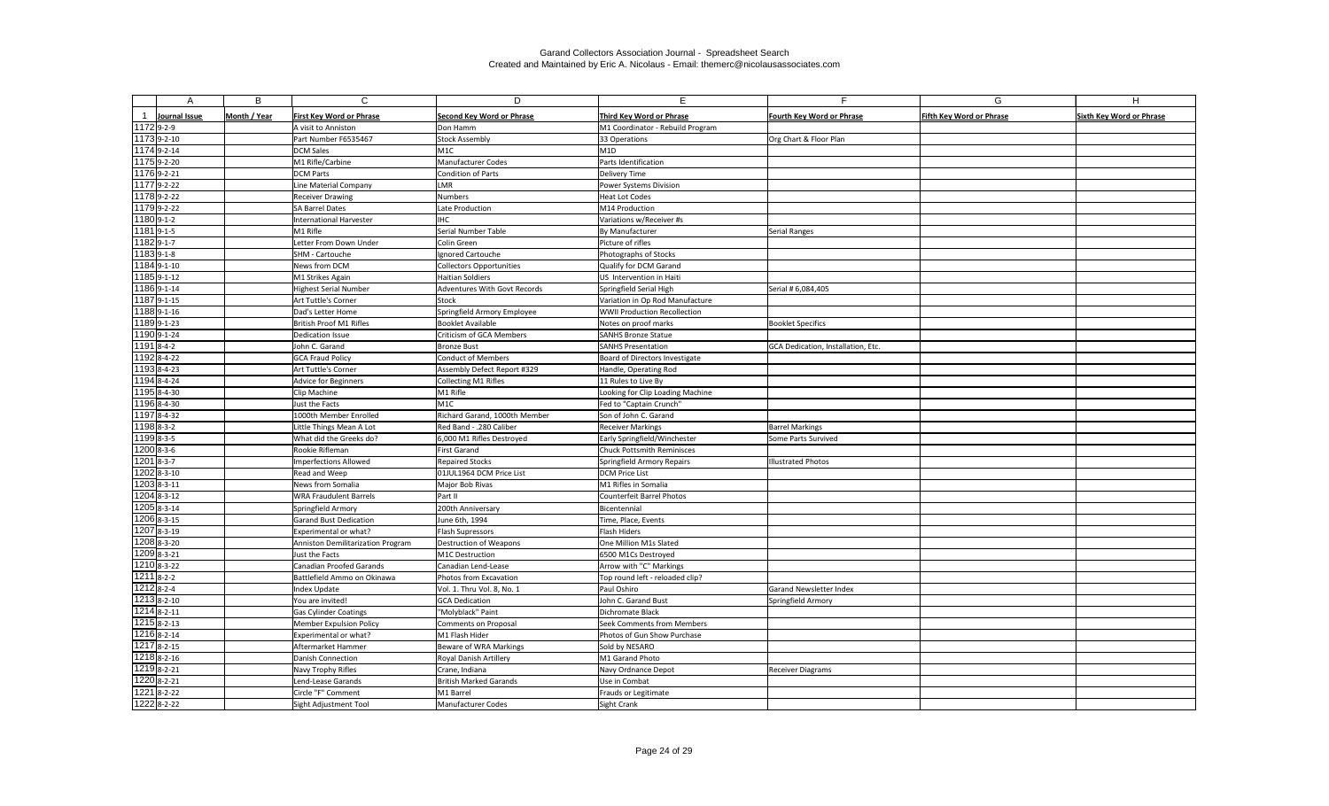| Month / Year<br><b>Second Key Word or Phrase</b><br><b>Sixth Key Word or Phrase</b><br>Journal Issue<br><b>First Key Word or Phrase</b><br>Third Key Word or Phrase<br><b>Fourth Key Word or Phrase</b><br><b>Fifth Key Word or Phrase</b><br>1172 9-2-9<br>A visit to Anniston<br>M1 Coordinator - Rebuild Program<br>Don Hamm<br>1173 9-2-10<br>Org Chart & Floor Plan<br>Part Number F6535467<br><b>Stock Assembly</b><br>33 Operations<br>1174 9-2-14<br>M1D<br><b>DCM Sales</b><br>M1C<br>1175 9-2-20<br>Parts Identification<br>M1 Rifle/Carbine<br><b>Manufacturer Codes</b><br>1176 9-2-21<br><b>Condition of Parts</b><br><b>DCM Parts</b><br><b>Delivery Time</b><br>$11779 - 222$<br>Line Material Company<br>LMR<br>Power Systems Division<br>1178 9-2-22<br><b>Numbers</b><br><b>Heat Lot Codes</b><br><b>Receiver Drawing</b><br>1179 9-2-22<br>M14 Production<br><b>SA Barrel Dates</b><br>Late Production<br>1180 9-1-2<br><b>International Harvester</b><br>IHC<br>Variations w/Receiver #s<br>$11819 - 1 - 5$<br>M1 Rifle<br>Serial Number Table<br>Serial Ranges<br>By Manufacturer<br>1182 9-1-7<br>Letter From Down Under<br>Picture of rifles<br>Colin Green<br>1183 9-1-8<br>SHM - Cartouche<br>Ignored Cartouche<br>Photographs of Stocks<br>1184 9-1-10<br>News from DCM<br>Qualify for DCM Garand<br>Collectors Opportunities<br>1185 9-1-12<br><b>Haitian Soldiers</b><br>M1 Strikes Again<br>US Intervention in Haiti<br>1186 9-1-14<br><b>Highest Serial Number</b><br><b>Adventures With Govt Records</b><br>Springfield Serial High<br>Serial # 6,084,405<br>1187 9-1-15<br>Art Tuttle's Corner<br>Variation in Op Rod Manufacture<br>Stock<br>1188 9-1-16<br>Dad's Letter Home<br>Springfield Armory Employee<br><b>WWII Production Recollection</b><br>$\overline{1189}9 - 1 - 23$<br>British Proof M1 Rifles<br><b>Booklet Available</b><br>Notes on proof marks<br><b>Booklet Specifics</b><br>1190 9-1-24<br>Criticism of GCA Members<br><b>SANHS Bronze Statue</b><br>Dedication Issue<br>$11918 - 4 - 2$<br><b>SANHS Presentation</b><br>John C. Garand<br><b>Bronze Bust</b><br>GCA Dedication, Installation, Etc.<br>11928-4-22<br><b>Conduct of Members</b><br><b>GCA Fraud Policy</b><br>Board of Directors Investigate<br>1193 8-4-23<br>Art Tuttle's Corner<br>Assembly Defect Report #329<br>Handle, Operating Rod<br>11948-4-24<br>Advice for Beginners<br>Collecting M1 Rifles<br>11 Rules to Live By<br>1195 8-4-30<br>Clip Machine<br>M1 Rifle<br>Looking for Clip Loading Machine<br>1196 8-4-30<br>Just the Facts<br>M1C<br>Fed to "Captain Crunch"<br>1197 8-4-32<br>1000th Member Enrolled<br>Richard Garand, 1000th Member<br>Son of John C. Garand<br>1198 8-3-2<br><b>Barrel Markings</b><br>Red Band - .280 Caliber<br><b>Receiver Markings</b><br>Little Things Mean A Lot<br>1199 8-3-5<br>What did the Greeks do?<br>Early Springfield/Winchester<br>6,000 M1 Rifles Destroyed<br>Some Parts Survived<br>$1200$ <sub>8-3-6</sub><br>Rookie Rifleman<br><b>First Garand</b><br><b>Chuck Pottsmith Reminisces</b><br>$1201$ 8-3-7<br><b>Imperfections Allowed</b><br><b>Repaired Stocks</b><br>Springfield Armory Repairs<br><b>Illustrated Photos</b><br>1202 8-3-10<br>01JUL1964 DCM Price List<br>Read and Weep<br><b>DCM Price List</b><br>1203 8-3-11<br>M1 Rifles in Somalia<br><b>News from Somalia</b><br>Major Bob Rivas<br>$\overline{1204}$ 8-3-12<br><b>WRA Fraudulent Barrels</b><br>Counterfeit Barrel Photos<br>Part II<br>$1205$ <sub>8-3-14</sub><br>Springfield Armory<br>200th Anniversary<br>Bicentennial<br>1206 8-3-15<br><b>Garand Bust Dedication</b><br>June 6th, 1994<br>Time, Place, Events<br>$1207$ 8-3-19<br>Flash Supressors<br>Flash Hiders<br>Experimental or what?<br>1208 8-3-20<br>One Million M1s Slated<br>Anniston Demilitarization Program<br>Destruction of Weapons<br>1209 8-3-21<br>Just the Facts<br>6500 M1Cs Destroyed<br>M1C Destruction<br>$1210$ 8-3-22<br>Canadian Proofed Garands<br>Canadian Lend-Lease<br>Arrow with "C" Markings<br>$12118 - 2 - 2$<br>Battlefield Ammo on Okinawa<br>Photos from Excavation<br>Top round left - reloaded clip?<br>$12128 - 2 - 4$<br>Paul Oshiro<br>Garand Newsletter Index<br>Index Update<br>Vol. 1. Thru Vol. 8, No. 1<br>$12138 - 2 - 10$<br>You are invited!<br><b>GCA Dedication</b><br>John C. Garand Bust<br>Springfield Armory<br>1214 8-2-11<br>"Molyblack" Paint<br><b>Gas Cylinder Coatings</b><br>Dichromate Black<br>$1215$ 8-2-13<br>Seek Comments from Members<br>Member Expulsion Policy<br>Comments on Proposal<br>1216 8-2-14<br>Experimental or what?<br>M1 Flash Hider<br>Photos of Gun Show Purchase<br>1217 8-2-15<br>Beware of WRA Markings<br>Aftermarket Hammer<br>Sold by NESARO<br>$1218$ 8-2-16<br><b>Royal Danish Artillery</b><br>M1 Garand Photo<br>Danish Connection<br>$1219$ 8-2-21<br>Navy Trophy Rifles<br>Crane, Indiana<br>Navy Ordnance Depot<br><b>Receiver Diagrams</b><br>1220 8-2-21<br><b>British Marked Garands</b><br>Lend-Lease Garands<br>Use in Combat<br>$1221$ 8-2-22 |  | B | $\mathsf{C}$       | D         | E.                   | Е | G | H |
|----------------------------------------------------------------------------------------------------------------------------------------------------------------------------------------------------------------------------------------------------------------------------------------------------------------------------------------------------------------------------------------------------------------------------------------------------------------------------------------------------------------------------------------------------------------------------------------------------------------------------------------------------------------------------------------------------------------------------------------------------------------------------------------------------------------------------------------------------------------------------------------------------------------------------------------------------------------------------------------------------------------------------------------------------------------------------------------------------------------------------------------------------------------------------------------------------------------------------------------------------------------------------------------------------------------------------------------------------------------------------------------------------------------------------------------------------------------------------------------------------------------------------------------------------------------------------------------------------------------------------------------------------------------------------------------------------------------------------------------------------------------------------------------------------------------------------------------------------------------------------------------------------------------------------------------------------------------------------------------------------------------------------------------------------------------------------------------------------------------------------------------------------------------------------------------------------------------------------------------------------------------------------------------------------------------------------------------------------------------------------------------------------------------------------------------------------------------------------------------------------------------------------------------------------------------------------------------------------------------------------------------------------------------------------------------------------------------------------------------------------------------------------------------------------------------------------------------------------------------------------------------------------------------------------------------------------------------------------------------------------------------------------------------------------------------------------------------------------------------------------------------------------------------------------------------------------------------------------------------------------------------------------------------------------------------------------------------------------------------------------------------------------------------------------------------------------------------------------------------------------------------------------------------------------------------------------------------------------------------------------------------------------------------------------------------------------------------------------------------------------------------------------------------------------------------------------------------------------------------------------------------------------------------------------------------------------------------------------------------------------------------------------------------------------------------------------------------------------------------------------------------------------------------------------------------------------------------------------------------------------------------------------------------------------------------------------------------------------------------------------------------------------------------------------------------------------------------------------------------------------------------------------------------------------------------------------------------------------------------------------------------------------------------------------------------------------------------------------------------------------------------------------------------------------------------------------------------------------------------------------------------------------------------------------------------------------------------------------------------------------------------------------------------------------------------------------|--|---|--------------------|-----------|----------------------|---|---|---|
|                                                                                                                                                                                                                                                                                                                                                                                                                                                                                                                                                                                                                                                                                                                                                                                                                                                                                                                                                                                                                                                                                                                                                                                                                                                                                                                                                                                                                                                                                                                                                                                                                                                                                                                                                                                                                                                                                                                                                                                                                                                                                                                                                                                                                                                                                                                                                                                                                                                                                                                                                                                                                                                                                                                                                                                                                                                                                                                                                                                                                                                                                                                                                                                                                                                                                                                                                                                                                                                                                                                                                                                                                                                                                                                                                                                                                                                                                                                                                                                                                                                                                                                                                                                                                                                                                                                                                                                                                                                                                                                                                                                                                                                                                                                                                                                                                                                                                                                                                                                                                                                                            |  |   |                    |           |                      |   |   |   |
|                                                                                                                                                                                                                                                                                                                                                                                                                                                                                                                                                                                                                                                                                                                                                                                                                                                                                                                                                                                                                                                                                                                                                                                                                                                                                                                                                                                                                                                                                                                                                                                                                                                                                                                                                                                                                                                                                                                                                                                                                                                                                                                                                                                                                                                                                                                                                                                                                                                                                                                                                                                                                                                                                                                                                                                                                                                                                                                                                                                                                                                                                                                                                                                                                                                                                                                                                                                                                                                                                                                                                                                                                                                                                                                                                                                                                                                                                                                                                                                                                                                                                                                                                                                                                                                                                                                                                                                                                                                                                                                                                                                                                                                                                                                                                                                                                                                                                                                                                                                                                                                                            |  |   |                    |           |                      |   |   |   |
|                                                                                                                                                                                                                                                                                                                                                                                                                                                                                                                                                                                                                                                                                                                                                                                                                                                                                                                                                                                                                                                                                                                                                                                                                                                                                                                                                                                                                                                                                                                                                                                                                                                                                                                                                                                                                                                                                                                                                                                                                                                                                                                                                                                                                                                                                                                                                                                                                                                                                                                                                                                                                                                                                                                                                                                                                                                                                                                                                                                                                                                                                                                                                                                                                                                                                                                                                                                                                                                                                                                                                                                                                                                                                                                                                                                                                                                                                                                                                                                                                                                                                                                                                                                                                                                                                                                                                                                                                                                                                                                                                                                                                                                                                                                                                                                                                                                                                                                                                                                                                                                                            |  |   |                    |           |                      |   |   |   |
|                                                                                                                                                                                                                                                                                                                                                                                                                                                                                                                                                                                                                                                                                                                                                                                                                                                                                                                                                                                                                                                                                                                                                                                                                                                                                                                                                                                                                                                                                                                                                                                                                                                                                                                                                                                                                                                                                                                                                                                                                                                                                                                                                                                                                                                                                                                                                                                                                                                                                                                                                                                                                                                                                                                                                                                                                                                                                                                                                                                                                                                                                                                                                                                                                                                                                                                                                                                                                                                                                                                                                                                                                                                                                                                                                                                                                                                                                                                                                                                                                                                                                                                                                                                                                                                                                                                                                                                                                                                                                                                                                                                                                                                                                                                                                                                                                                                                                                                                                                                                                                                                            |  |   |                    |           |                      |   |   |   |
|                                                                                                                                                                                                                                                                                                                                                                                                                                                                                                                                                                                                                                                                                                                                                                                                                                                                                                                                                                                                                                                                                                                                                                                                                                                                                                                                                                                                                                                                                                                                                                                                                                                                                                                                                                                                                                                                                                                                                                                                                                                                                                                                                                                                                                                                                                                                                                                                                                                                                                                                                                                                                                                                                                                                                                                                                                                                                                                                                                                                                                                                                                                                                                                                                                                                                                                                                                                                                                                                                                                                                                                                                                                                                                                                                                                                                                                                                                                                                                                                                                                                                                                                                                                                                                                                                                                                                                                                                                                                                                                                                                                                                                                                                                                                                                                                                                                                                                                                                                                                                                                                            |  |   |                    |           |                      |   |   |   |
|                                                                                                                                                                                                                                                                                                                                                                                                                                                                                                                                                                                                                                                                                                                                                                                                                                                                                                                                                                                                                                                                                                                                                                                                                                                                                                                                                                                                                                                                                                                                                                                                                                                                                                                                                                                                                                                                                                                                                                                                                                                                                                                                                                                                                                                                                                                                                                                                                                                                                                                                                                                                                                                                                                                                                                                                                                                                                                                                                                                                                                                                                                                                                                                                                                                                                                                                                                                                                                                                                                                                                                                                                                                                                                                                                                                                                                                                                                                                                                                                                                                                                                                                                                                                                                                                                                                                                                                                                                                                                                                                                                                                                                                                                                                                                                                                                                                                                                                                                                                                                                                                            |  |   |                    |           |                      |   |   |   |
|                                                                                                                                                                                                                                                                                                                                                                                                                                                                                                                                                                                                                                                                                                                                                                                                                                                                                                                                                                                                                                                                                                                                                                                                                                                                                                                                                                                                                                                                                                                                                                                                                                                                                                                                                                                                                                                                                                                                                                                                                                                                                                                                                                                                                                                                                                                                                                                                                                                                                                                                                                                                                                                                                                                                                                                                                                                                                                                                                                                                                                                                                                                                                                                                                                                                                                                                                                                                                                                                                                                                                                                                                                                                                                                                                                                                                                                                                                                                                                                                                                                                                                                                                                                                                                                                                                                                                                                                                                                                                                                                                                                                                                                                                                                                                                                                                                                                                                                                                                                                                                                                            |  |   |                    |           |                      |   |   |   |
|                                                                                                                                                                                                                                                                                                                                                                                                                                                                                                                                                                                                                                                                                                                                                                                                                                                                                                                                                                                                                                                                                                                                                                                                                                                                                                                                                                                                                                                                                                                                                                                                                                                                                                                                                                                                                                                                                                                                                                                                                                                                                                                                                                                                                                                                                                                                                                                                                                                                                                                                                                                                                                                                                                                                                                                                                                                                                                                                                                                                                                                                                                                                                                                                                                                                                                                                                                                                                                                                                                                                                                                                                                                                                                                                                                                                                                                                                                                                                                                                                                                                                                                                                                                                                                                                                                                                                                                                                                                                                                                                                                                                                                                                                                                                                                                                                                                                                                                                                                                                                                                                            |  |   |                    |           |                      |   |   |   |
|                                                                                                                                                                                                                                                                                                                                                                                                                                                                                                                                                                                                                                                                                                                                                                                                                                                                                                                                                                                                                                                                                                                                                                                                                                                                                                                                                                                                                                                                                                                                                                                                                                                                                                                                                                                                                                                                                                                                                                                                                                                                                                                                                                                                                                                                                                                                                                                                                                                                                                                                                                                                                                                                                                                                                                                                                                                                                                                                                                                                                                                                                                                                                                                                                                                                                                                                                                                                                                                                                                                                                                                                                                                                                                                                                                                                                                                                                                                                                                                                                                                                                                                                                                                                                                                                                                                                                                                                                                                                                                                                                                                                                                                                                                                                                                                                                                                                                                                                                                                                                                                                            |  |   |                    |           |                      |   |   |   |
|                                                                                                                                                                                                                                                                                                                                                                                                                                                                                                                                                                                                                                                                                                                                                                                                                                                                                                                                                                                                                                                                                                                                                                                                                                                                                                                                                                                                                                                                                                                                                                                                                                                                                                                                                                                                                                                                                                                                                                                                                                                                                                                                                                                                                                                                                                                                                                                                                                                                                                                                                                                                                                                                                                                                                                                                                                                                                                                                                                                                                                                                                                                                                                                                                                                                                                                                                                                                                                                                                                                                                                                                                                                                                                                                                                                                                                                                                                                                                                                                                                                                                                                                                                                                                                                                                                                                                                                                                                                                                                                                                                                                                                                                                                                                                                                                                                                                                                                                                                                                                                                                            |  |   |                    |           |                      |   |   |   |
|                                                                                                                                                                                                                                                                                                                                                                                                                                                                                                                                                                                                                                                                                                                                                                                                                                                                                                                                                                                                                                                                                                                                                                                                                                                                                                                                                                                                                                                                                                                                                                                                                                                                                                                                                                                                                                                                                                                                                                                                                                                                                                                                                                                                                                                                                                                                                                                                                                                                                                                                                                                                                                                                                                                                                                                                                                                                                                                                                                                                                                                                                                                                                                                                                                                                                                                                                                                                                                                                                                                                                                                                                                                                                                                                                                                                                                                                                                                                                                                                                                                                                                                                                                                                                                                                                                                                                                                                                                                                                                                                                                                                                                                                                                                                                                                                                                                                                                                                                                                                                                                                            |  |   |                    |           |                      |   |   |   |
|                                                                                                                                                                                                                                                                                                                                                                                                                                                                                                                                                                                                                                                                                                                                                                                                                                                                                                                                                                                                                                                                                                                                                                                                                                                                                                                                                                                                                                                                                                                                                                                                                                                                                                                                                                                                                                                                                                                                                                                                                                                                                                                                                                                                                                                                                                                                                                                                                                                                                                                                                                                                                                                                                                                                                                                                                                                                                                                                                                                                                                                                                                                                                                                                                                                                                                                                                                                                                                                                                                                                                                                                                                                                                                                                                                                                                                                                                                                                                                                                                                                                                                                                                                                                                                                                                                                                                                                                                                                                                                                                                                                                                                                                                                                                                                                                                                                                                                                                                                                                                                                                            |  |   |                    |           |                      |   |   |   |
|                                                                                                                                                                                                                                                                                                                                                                                                                                                                                                                                                                                                                                                                                                                                                                                                                                                                                                                                                                                                                                                                                                                                                                                                                                                                                                                                                                                                                                                                                                                                                                                                                                                                                                                                                                                                                                                                                                                                                                                                                                                                                                                                                                                                                                                                                                                                                                                                                                                                                                                                                                                                                                                                                                                                                                                                                                                                                                                                                                                                                                                                                                                                                                                                                                                                                                                                                                                                                                                                                                                                                                                                                                                                                                                                                                                                                                                                                                                                                                                                                                                                                                                                                                                                                                                                                                                                                                                                                                                                                                                                                                                                                                                                                                                                                                                                                                                                                                                                                                                                                                                                            |  |   |                    |           |                      |   |   |   |
|                                                                                                                                                                                                                                                                                                                                                                                                                                                                                                                                                                                                                                                                                                                                                                                                                                                                                                                                                                                                                                                                                                                                                                                                                                                                                                                                                                                                                                                                                                                                                                                                                                                                                                                                                                                                                                                                                                                                                                                                                                                                                                                                                                                                                                                                                                                                                                                                                                                                                                                                                                                                                                                                                                                                                                                                                                                                                                                                                                                                                                                                                                                                                                                                                                                                                                                                                                                                                                                                                                                                                                                                                                                                                                                                                                                                                                                                                                                                                                                                                                                                                                                                                                                                                                                                                                                                                                                                                                                                                                                                                                                                                                                                                                                                                                                                                                                                                                                                                                                                                                                                            |  |   |                    |           |                      |   |   |   |
|                                                                                                                                                                                                                                                                                                                                                                                                                                                                                                                                                                                                                                                                                                                                                                                                                                                                                                                                                                                                                                                                                                                                                                                                                                                                                                                                                                                                                                                                                                                                                                                                                                                                                                                                                                                                                                                                                                                                                                                                                                                                                                                                                                                                                                                                                                                                                                                                                                                                                                                                                                                                                                                                                                                                                                                                                                                                                                                                                                                                                                                                                                                                                                                                                                                                                                                                                                                                                                                                                                                                                                                                                                                                                                                                                                                                                                                                                                                                                                                                                                                                                                                                                                                                                                                                                                                                                                                                                                                                                                                                                                                                                                                                                                                                                                                                                                                                                                                                                                                                                                                                            |  |   |                    |           |                      |   |   |   |
|                                                                                                                                                                                                                                                                                                                                                                                                                                                                                                                                                                                                                                                                                                                                                                                                                                                                                                                                                                                                                                                                                                                                                                                                                                                                                                                                                                                                                                                                                                                                                                                                                                                                                                                                                                                                                                                                                                                                                                                                                                                                                                                                                                                                                                                                                                                                                                                                                                                                                                                                                                                                                                                                                                                                                                                                                                                                                                                                                                                                                                                                                                                                                                                                                                                                                                                                                                                                                                                                                                                                                                                                                                                                                                                                                                                                                                                                                                                                                                                                                                                                                                                                                                                                                                                                                                                                                                                                                                                                                                                                                                                                                                                                                                                                                                                                                                                                                                                                                                                                                                                                            |  |   |                    |           |                      |   |   |   |
|                                                                                                                                                                                                                                                                                                                                                                                                                                                                                                                                                                                                                                                                                                                                                                                                                                                                                                                                                                                                                                                                                                                                                                                                                                                                                                                                                                                                                                                                                                                                                                                                                                                                                                                                                                                                                                                                                                                                                                                                                                                                                                                                                                                                                                                                                                                                                                                                                                                                                                                                                                                                                                                                                                                                                                                                                                                                                                                                                                                                                                                                                                                                                                                                                                                                                                                                                                                                                                                                                                                                                                                                                                                                                                                                                                                                                                                                                                                                                                                                                                                                                                                                                                                                                                                                                                                                                                                                                                                                                                                                                                                                                                                                                                                                                                                                                                                                                                                                                                                                                                                                            |  |   |                    |           |                      |   |   |   |
|                                                                                                                                                                                                                                                                                                                                                                                                                                                                                                                                                                                                                                                                                                                                                                                                                                                                                                                                                                                                                                                                                                                                                                                                                                                                                                                                                                                                                                                                                                                                                                                                                                                                                                                                                                                                                                                                                                                                                                                                                                                                                                                                                                                                                                                                                                                                                                                                                                                                                                                                                                                                                                                                                                                                                                                                                                                                                                                                                                                                                                                                                                                                                                                                                                                                                                                                                                                                                                                                                                                                                                                                                                                                                                                                                                                                                                                                                                                                                                                                                                                                                                                                                                                                                                                                                                                                                                                                                                                                                                                                                                                                                                                                                                                                                                                                                                                                                                                                                                                                                                                                            |  |   |                    |           |                      |   |   |   |
|                                                                                                                                                                                                                                                                                                                                                                                                                                                                                                                                                                                                                                                                                                                                                                                                                                                                                                                                                                                                                                                                                                                                                                                                                                                                                                                                                                                                                                                                                                                                                                                                                                                                                                                                                                                                                                                                                                                                                                                                                                                                                                                                                                                                                                                                                                                                                                                                                                                                                                                                                                                                                                                                                                                                                                                                                                                                                                                                                                                                                                                                                                                                                                                                                                                                                                                                                                                                                                                                                                                                                                                                                                                                                                                                                                                                                                                                                                                                                                                                                                                                                                                                                                                                                                                                                                                                                                                                                                                                                                                                                                                                                                                                                                                                                                                                                                                                                                                                                                                                                                                                            |  |   |                    |           |                      |   |   |   |
|                                                                                                                                                                                                                                                                                                                                                                                                                                                                                                                                                                                                                                                                                                                                                                                                                                                                                                                                                                                                                                                                                                                                                                                                                                                                                                                                                                                                                                                                                                                                                                                                                                                                                                                                                                                                                                                                                                                                                                                                                                                                                                                                                                                                                                                                                                                                                                                                                                                                                                                                                                                                                                                                                                                                                                                                                                                                                                                                                                                                                                                                                                                                                                                                                                                                                                                                                                                                                                                                                                                                                                                                                                                                                                                                                                                                                                                                                                                                                                                                                                                                                                                                                                                                                                                                                                                                                                                                                                                                                                                                                                                                                                                                                                                                                                                                                                                                                                                                                                                                                                                                            |  |   |                    |           |                      |   |   |   |
|                                                                                                                                                                                                                                                                                                                                                                                                                                                                                                                                                                                                                                                                                                                                                                                                                                                                                                                                                                                                                                                                                                                                                                                                                                                                                                                                                                                                                                                                                                                                                                                                                                                                                                                                                                                                                                                                                                                                                                                                                                                                                                                                                                                                                                                                                                                                                                                                                                                                                                                                                                                                                                                                                                                                                                                                                                                                                                                                                                                                                                                                                                                                                                                                                                                                                                                                                                                                                                                                                                                                                                                                                                                                                                                                                                                                                                                                                                                                                                                                                                                                                                                                                                                                                                                                                                                                                                                                                                                                                                                                                                                                                                                                                                                                                                                                                                                                                                                                                                                                                                                                            |  |   |                    |           |                      |   |   |   |
|                                                                                                                                                                                                                                                                                                                                                                                                                                                                                                                                                                                                                                                                                                                                                                                                                                                                                                                                                                                                                                                                                                                                                                                                                                                                                                                                                                                                                                                                                                                                                                                                                                                                                                                                                                                                                                                                                                                                                                                                                                                                                                                                                                                                                                                                                                                                                                                                                                                                                                                                                                                                                                                                                                                                                                                                                                                                                                                                                                                                                                                                                                                                                                                                                                                                                                                                                                                                                                                                                                                                                                                                                                                                                                                                                                                                                                                                                                                                                                                                                                                                                                                                                                                                                                                                                                                                                                                                                                                                                                                                                                                                                                                                                                                                                                                                                                                                                                                                                                                                                                                                            |  |   |                    |           |                      |   |   |   |
|                                                                                                                                                                                                                                                                                                                                                                                                                                                                                                                                                                                                                                                                                                                                                                                                                                                                                                                                                                                                                                                                                                                                                                                                                                                                                                                                                                                                                                                                                                                                                                                                                                                                                                                                                                                                                                                                                                                                                                                                                                                                                                                                                                                                                                                                                                                                                                                                                                                                                                                                                                                                                                                                                                                                                                                                                                                                                                                                                                                                                                                                                                                                                                                                                                                                                                                                                                                                                                                                                                                                                                                                                                                                                                                                                                                                                                                                                                                                                                                                                                                                                                                                                                                                                                                                                                                                                                                                                                                                                                                                                                                                                                                                                                                                                                                                                                                                                                                                                                                                                                                                            |  |   |                    |           |                      |   |   |   |
|                                                                                                                                                                                                                                                                                                                                                                                                                                                                                                                                                                                                                                                                                                                                                                                                                                                                                                                                                                                                                                                                                                                                                                                                                                                                                                                                                                                                                                                                                                                                                                                                                                                                                                                                                                                                                                                                                                                                                                                                                                                                                                                                                                                                                                                                                                                                                                                                                                                                                                                                                                                                                                                                                                                                                                                                                                                                                                                                                                                                                                                                                                                                                                                                                                                                                                                                                                                                                                                                                                                                                                                                                                                                                                                                                                                                                                                                                                                                                                                                                                                                                                                                                                                                                                                                                                                                                                                                                                                                                                                                                                                                                                                                                                                                                                                                                                                                                                                                                                                                                                                                            |  |   |                    |           |                      |   |   |   |
|                                                                                                                                                                                                                                                                                                                                                                                                                                                                                                                                                                                                                                                                                                                                                                                                                                                                                                                                                                                                                                                                                                                                                                                                                                                                                                                                                                                                                                                                                                                                                                                                                                                                                                                                                                                                                                                                                                                                                                                                                                                                                                                                                                                                                                                                                                                                                                                                                                                                                                                                                                                                                                                                                                                                                                                                                                                                                                                                                                                                                                                                                                                                                                                                                                                                                                                                                                                                                                                                                                                                                                                                                                                                                                                                                                                                                                                                                                                                                                                                                                                                                                                                                                                                                                                                                                                                                                                                                                                                                                                                                                                                                                                                                                                                                                                                                                                                                                                                                                                                                                                                            |  |   |                    |           |                      |   |   |   |
|                                                                                                                                                                                                                                                                                                                                                                                                                                                                                                                                                                                                                                                                                                                                                                                                                                                                                                                                                                                                                                                                                                                                                                                                                                                                                                                                                                                                                                                                                                                                                                                                                                                                                                                                                                                                                                                                                                                                                                                                                                                                                                                                                                                                                                                                                                                                                                                                                                                                                                                                                                                                                                                                                                                                                                                                                                                                                                                                                                                                                                                                                                                                                                                                                                                                                                                                                                                                                                                                                                                                                                                                                                                                                                                                                                                                                                                                                                                                                                                                                                                                                                                                                                                                                                                                                                                                                                                                                                                                                                                                                                                                                                                                                                                                                                                                                                                                                                                                                                                                                                                                            |  |   |                    |           |                      |   |   |   |
|                                                                                                                                                                                                                                                                                                                                                                                                                                                                                                                                                                                                                                                                                                                                                                                                                                                                                                                                                                                                                                                                                                                                                                                                                                                                                                                                                                                                                                                                                                                                                                                                                                                                                                                                                                                                                                                                                                                                                                                                                                                                                                                                                                                                                                                                                                                                                                                                                                                                                                                                                                                                                                                                                                                                                                                                                                                                                                                                                                                                                                                                                                                                                                                                                                                                                                                                                                                                                                                                                                                                                                                                                                                                                                                                                                                                                                                                                                                                                                                                                                                                                                                                                                                                                                                                                                                                                                                                                                                                                                                                                                                                                                                                                                                                                                                                                                                                                                                                                                                                                                                                            |  |   |                    |           |                      |   |   |   |
|                                                                                                                                                                                                                                                                                                                                                                                                                                                                                                                                                                                                                                                                                                                                                                                                                                                                                                                                                                                                                                                                                                                                                                                                                                                                                                                                                                                                                                                                                                                                                                                                                                                                                                                                                                                                                                                                                                                                                                                                                                                                                                                                                                                                                                                                                                                                                                                                                                                                                                                                                                                                                                                                                                                                                                                                                                                                                                                                                                                                                                                                                                                                                                                                                                                                                                                                                                                                                                                                                                                                                                                                                                                                                                                                                                                                                                                                                                                                                                                                                                                                                                                                                                                                                                                                                                                                                                                                                                                                                                                                                                                                                                                                                                                                                                                                                                                                                                                                                                                                                                                                            |  |   |                    |           |                      |   |   |   |
|                                                                                                                                                                                                                                                                                                                                                                                                                                                                                                                                                                                                                                                                                                                                                                                                                                                                                                                                                                                                                                                                                                                                                                                                                                                                                                                                                                                                                                                                                                                                                                                                                                                                                                                                                                                                                                                                                                                                                                                                                                                                                                                                                                                                                                                                                                                                                                                                                                                                                                                                                                                                                                                                                                                                                                                                                                                                                                                                                                                                                                                                                                                                                                                                                                                                                                                                                                                                                                                                                                                                                                                                                                                                                                                                                                                                                                                                                                                                                                                                                                                                                                                                                                                                                                                                                                                                                                                                                                                                                                                                                                                                                                                                                                                                                                                                                                                                                                                                                                                                                                                                            |  |   |                    |           |                      |   |   |   |
|                                                                                                                                                                                                                                                                                                                                                                                                                                                                                                                                                                                                                                                                                                                                                                                                                                                                                                                                                                                                                                                                                                                                                                                                                                                                                                                                                                                                                                                                                                                                                                                                                                                                                                                                                                                                                                                                                                                                                                                                                                                                                                                                                                                                                                                                                                                                                                                                                                                                                                                                                                                                                                                                                                                                                                                                                                                                                                                                                                                                                                                                                                                                                                                                                                                                                                                                                                                                                                                                                                                                                                                                                                                                                                                                                                                                                                                                                                                                                                                                                                                                                                                                                                                                                                                                                                                                                                                                                                                                                                                                                                                                                                                                                                                                                                                                                                                                                                                                                                                                                                                                            |  |   |                    |           |                      |   |   |   |
|                                                                                                                                                                                                                                                                                                                                                                                                                                                                                                                                                                                                                                                                                                                                                                                                                                                                                                                                                                                                                                                                                                                                                                                                                                                                                                                                                                                                                                                                                                                                                                                                                                                                                                                                                                                                                                                                                                                                                                                                                                                                                                                                                                                                                                                                                                                                                                                                                                                                                                                                                                                                                                                                                                                                                                                                                                                                                                                                                                                                                                                                                                                                                                                                                                                                                                                                                                                                                                                                                                                                                                                                                                                                                                                                                                                                                                                                                                                                                                                                                                                                                                                                                                                                                                                                                                                                                                                                                                                                                                                                                                                                                                                                                                                                                                                                                                                                                                                                                                                                                                                                            |  |   |                    |           |                      |   |   |   |
|                                                                                                                                                                                                                                                                                                                                                                                                                                                                                                                                                                                                                                                                                                                                                                                                                                                                                                                                                                                                                                                                                                                                                                                                                                                                                                                                                                                                                                                                                                                                                                                                                                                                                                                                                                                                                                                                                                                                                                                                                                                                                                                                                                                                                                                                                                                                                                                                                                                                                                                                                                                                                                                                                                                                                                                                                                                                                                                                                                                                                                                                                                                                                                                                                                                                                                                                                                                                                                                                                                                                                                                                                                                                                                                                                                                                                                                                                                                                                                                                                                                                                                                                                                                                                                                                                                                                                                                                                                                                                                                                                                                                                                                                                                                                                                                                                                                                                                                                                                                                                                                                            |  |   |                    |           |                      |   |   |   |
|                                                                                                                                                                                                                                                                                                                                                                                                                                                                                                                                                                                                                                                                                                                                                                                                                                                                                                                                                                                                                                                                                                                                                                                                                                                                                                                                                                                                                                                                                                                                                                                                                                                                                                                                                                                                                                                                                                                                                                                                                                                                                                                                                                                                                                                                                                                                                                                                                                                                                                                                                                                                                                                                                                                                                                                                                                                                                                                                                                                                                                                                                                                                                                                                                                                                                                                                                                                                                                                                                                                                                                                                                                                                                                                                                                                                                                                                                                                                                                                                                                                                                                                                                                                                                                                                                                                                                                                                                                                                                                                                                                                                                                                                                                                                                                                                                                                                                                                                                                                                                                                                            |  |   |                    |           |                      |   |   |   |
|                                                                                                                                                                                                                                                                                                                                                                                                                                                                                                                                                                                                                                                                                                                                                                                                                                                                                                                                                                                                                                                                                                                                                                                                                                                                                                                                                                                                                                                                                                                                                                                                                                                                                                                                                                                                                                                                                                                                                                                                                                                                                                                                                                                                                                                                                                                                                                                                                                                                                                                                                                                                                                                                                                                                                                                                                                                                                                                                                                                                                                                                                                                                                                                                                                                                                                                                                                                                                                                                                                                                                                                                                                                                                                                                                                                                                                                                                                                                                                                                                                                                                                                                                                                                                                                                                                                                                                                                                                                                                                                                                                                                                                                                                                                                                                                                                                                                                                                                                                                                                                                                            |  |   |                    |           |                      |   |   |   |
|                                                                                                                                                                                                                                                                                                                                                                                                                                                                                                                                                                                                                                                                                                                                                                                                                                                                                                                                                                                                                                                                                                                                                                                                                                                                                                                                                                                                                                                                                                                                                                                                                                                                                                                                                                                                                                                                                                                                                                                                                                                                                                                                                                                                                                                                                                                                                                                                                                                                                                                                                                                                                                                                                                                                                                                                                                                                                                                                                                                                                                                                                                                                                                                                                                                                                                                                                                                                                                                                                                                                                                                                                                                                                                                                                                                                                                                                                                                                                                                                                                                                                                                                                                                                                                                                                                                                                                                                                                                                                                                                                                                                                                                                                                                                                                                                                                                                                                                                                                                                                                                                            |  |   |                    |           |                      |   |   |   |
|                                                                                                                                                                                                                                                                                                                                                                                                                                                                                                                                                                                                                                                                                                                                                                                                                                                                                                                                                                                                                                                                                                                                                                                                                                                                                                                                                                                                                                                                                                                                                                                                                                                                                                                                                                                                                                                                                                                                                                                                                                                                                                                                                                                                                                                                                                                                                                                                                                                                                                                                                                                                                                                                                                                                                                                                                                                                                                                                                                                                                                                                                                                                                                                                                                                                                                                                                                                                                                                                                                                                                                                                                                                                                                                                                                                                                                                                                                                                                                                                                                                                                                                                                                                                                                                                                                                                                                                                                                                                                                                                                                                                                                                                                                                                                                                                                                                                                                                                                                                                                                                                            |  |   |                    |           |                      |   |   |   |
|                                                                                                                                                                                                                                                                                                                                                                                                                                                                                                                                                                                                                                                                                                                                                                                                                                                                                                                                                                                                                                                                                                                                                                                                                                                                                                                                                                                                                                                                                                                                                                                                                                                                                                                                                                                                                                                                                                                                                                                                                                                                                                                                                                                                                                                                                                                                                                                                                                                                                                                                                                                                                                                                                                                                                                                                                                                                                                                                                                                                                                                                                                                                                                                                                                                                                                                                                                                                                                                                                                                                                                                                                                                                                                                                                                                                                                                                                                                                                                                                                                                                                                                                                                                                                                                                                                                                                                                                                                                                                                                                                                                                                                                                                                                                                                                                                                                                                                                                                                                                                                                                            |  |   |                    |           |                      |   |   |   |
|                                                                                                                                                                                                                                                                                                                                                                                                                                                                                                                                                                                                                                                                                                                                                                                                                                                                                                                                                                                                                                                                                                                                                                                                                                                                                                                                                                                                                                                                                                                                                                                                                                                                                                                                                                                                                                                                                                                                                                                                                                                                                                                                                                                                                                                                                                                                                                                                                                                                                                                                                                                                                                                                                                                                                                                                                                                                                                                                                                                                                                                                                                                                                                                                                                                                                                                                                                                                                                                                                                                                                                                                                                                                                                                                                                                                                                                                                                                                                                                                                                                                                                                                                                                                                                                                                                                                                                                                                                                                                                                                                                                                                                                                                                                                                                                                                                                                                                                                                                                                                                                                            |  |   |                    |           |                      |   |   |   |
|                                                                                                                                                                                                                                                                                                                                                                                                                                                                                                                                                                                                                                                                                                                                                                                                                                                                                                                                                                                                                                                                                                                                                                                                                                                                                                                                                                                                                                                                                                                                                                                                                                                                                                                                                                                                                                                                                                                                                                                                                                                                                                                                                                                                                                                                                                                                                                                                                                                                                                                                                                                                                                                                                                                                                                                                                                                                                                                                                                                                                                                                                                                                                                                                                                                                                                                                                                                                                                                                                                                                                                                                                                                                                                                                                                                                                                                                                                                                                                                                                                                                                                                                                                                                                                                                                                                                                                                                                                                                                                                                                                                                                                                                                                                                                                                                                                                                                                                                                                                                                                                                            |  |   |                    |           |                      |   |   |   |
|                                                                                                                                                                                                                                                                                                                                                                                                                                                                                                                                                                                                                                                                                                                                                                                                                                                                                                                                                                                                                                                                                                                                                                                                                                                                                                                                                                                                                                                                                                                                                                                                                                                                                                                                                                                                                                                                                                                                                                                                                                                                                                                                                                                                                                                                                                                                                                                                                                                                                                                                                                                                                                                                                                                                                                                                                                                                                                                                                                                                                                                                                                                                                                                                                                                                                                                                                                                                                                                                                                                                                                                                                                                                                                                                                                                                                                                                                                                                                                                                                                                                                                                                                                                                                                                                                                                                                                                                                                                                                                                                                                                                                                                                                                                                                                                                                                                                                                                                                                                                                                                                            |  |   |                    |           |                      |   |   |   |
|                                                                                                                                                                                                                                                                                                                                                                                                                                                                                                                                                                                                                                                                                                                                                                                                                                                                                                                                                                                                                                                                                                                                                                                                                                                                                                                                                                                                                                                                                                                                                                                                                                                                                                                                                                                                                                                                                                                                                                                                                                                                                                                                                                                                                                                                                                                                                                                                                                                                                                                                                                                                                                                                                                                                                                                                                                                                                                                                                                                                                                                                                                                                                                                                                                                                                                                                                                                                                                                                                                                                                                                                                                                                                                                                                                                                                                                                                                                                                                                                                                                                                                                                                                                                                                                                                                                                                                                                                                                                                                                                                                                                                                                                                                                                                                                                                                                                                                                                                                                                                                                                            |  |   |                    |           |                      |   |   |   |
|                                                                                                                                                                                                                                                                                                                                                                                                                                                                                                                                                                                                                                                                                                                                                                                                                                                                                                                                                                                                                                                                                                                                                                                                                                                                                                                                                                                                                                                                                                                                                                                                                                                                                                                                                                                                                                                                                                                                                                                                                                                                                                                                                                                                                                                                                                                                                                                                                                                                                                                                                                                                                                                                                                                                                                                                                                                                                                                                                                                                                                                                                                                                                                                                                                                                                                                                                                                                                                                                                                                                                                                                                                                                                                                                                                                                                                                                                                                                                                                                                                                                                                                                                                                                                                                                                                                                                                                                                                                                                                                                                                                                                                                                                                                                                                                                                                                                                                                                                                                                                                                                            |  |   |                    |           |                      |   |   |   |
|                                                                                                                                                                                                                                                                                                                                                                                                                                                                                                                                                                                                                                                                                                                                                                                                                                                                                                                                                                                                                                                                                                                                                                                                                                                                                                                                                                                                                                                                                                                                                                                                                                                                                                                                                                                                                                                                                                                                                                                                                                                                                                                                                                                                                                                                                                                                                                                                                                                                                                                                                                                                                                                                                                                                                                                                                                                                                                                                                                                                                                                                                                                                                                                                                                                                                                                                                                                                                                                                                                                                                                                                                                                                                                                                                                                                                                                                                                                                                                                                                                                                                                                                                                                                                                                                                                                                                                                                                                                                                                                                                                                                                                                                                                                                                                                                                                                                                                                                                                                                                                                                            |  |   |                    |           |                      |   |   |   |
|                                                                                                                                                                                                                                                                                                                                                                                                                                                                                                                                                                                                                                                                                                                                                                                                                                                                                                                                                                                                                                                                                                                                                                                                                                                                                                                                                                                                                                                                                                                                                                                                                                                                                                                                                                                                                                                                                                                                                                                                                                                                                                                                                                                                                                                                                                                                                                                                                                                                                                                                                                                                                                                                                                                                                                                                                                                                                                                                                                                                                                                                                                                                                                                                                                                                                                                                                                                                                                                                                                                                                                                                                                                                                                                                                                                                                                                                                                                                                                                                                                                                                                                                                                                                                                                                                                                                                                                                                                                                                                                                                                                                                                                                                                                                                                                                                                                                                                                                                                                                                                                                            |  |   |                    |           |                      |   |   |   |
|                                                                                                                                                                                                                                                                                                                                                                                                                                                                                                                                                                                                                                                                                                                                                                                                                                                                                                                                                                                                                                                                                                                                                                                                                                                                                                                                                                                                                                                                                                                                                                                                                                                                                                                                                                                                                                                                                                                                                                                                                                                                                                                                                                                                                                                                                                                                                                                                                                                                                                                                                                                                                                                                                                                                                                                                                                                                                                                                                                                                                                                                                                                                                                                                                                                                                                                                                                                                                                                                                                                                                                                                                                                                                                                                                                                                                                                                                                                                                                                                                                                                                                                                                                                                                                                                                                                                                                                                                                                                                                                                                                                                                                                                                                                                                                                                                                                                                                                                                                                                                                                                            |  |   |                    |           |                      |   |   |   |
|                                                                                                                                                                                                                                                                                                                                                                                                                                                                                                                                                                                                                                                                                                                                                                                                                                                                                                                                                                                                                                                                                                                                                                                                                                                                                                                                                                                                                                                                                                                                                                                                                                                                                                                                                                                                                                                                                                                                                                                                                                                                                                                                                                                                                                                                                                                                                                                                                                                                                                                                                                                                                                                                                                                                                                                                                                                                                                                                                                                                                                                                                                                                                                                                                                                                                                                                                                                                                                                                                                                                                                                                                                                                                                                                                                                                                                                                                                                                                                                                                                                                                                                                                                                                                                                                                                                                                                                                                                                                                                                                                                                                                                                                                                                                                                                                                                                                                                                                                                                                                                                                            |  |   |                    |           |                      |   |   |   |
|                                                                                                                                                                                                                                                                                                                                                                                                                                                                                                                                                                                                                                                                                                                                                                                                                                                                                                                                                                                                                                                                                                                                                                                                                                                                                                                                                                                                                                                                                                                                                                                                                                                                                                                                                                                                                                                                                                                                                                                                                                                                                                                                                                                                                                                                                                                                                                                                                                                                                                                                                                                                                                                                                                                                                                                                                                                                                                                                                                                                                                                                                                                                                                                                                                                                                                                                                                                                                                                                                                                                                                                                                                                                                                                                                                                                                                                                                                                                                                                                                                                                                                                                                                                                                                                                                                                                                                                                                                                                                                                                                                                                                                                                                                                                                                                                                                                                                                                                                                                                                                                                            |  |   |                    |           |                      |   |   |   |
|                                                                                                                                                                                                                                                                                                                                                                                                                                                                                                                                                                                                                                                                                                                                                                                                                                                                                                                                                                                                                                                                                                                                                                                                                                                                                                                                                                                                                                                                                                                                                                                                                                                                                                                                                                                                                                                                                                                                                                                                                                                                                                                                                                                                                                                                                                                                                                                                                                                                                                                                                                                                                                                                                                                                                                                                                                                                                                                                                                                                                                                                                                                                                                                                                                                                                                                                                                                                                                                                                                                                                                                                                                                                                                                                                                                                                                                                                                                                                                                                                                                                                                                                                                                                                                                                                                                                                                                                                                                                                                                                                                                                                                                                                                                                                                                                                                                                                                                                                                                                                                                                            |  |   |                    |           |                      |   |   |   |
|                                                                                                                                                                                                                                                                                                                                                                                                                                                                                                                                                                                                                                                                                                                                                                                                                                                                                                                                                                                                                                                                                                                                                                                                                                                                                                                                                                                                                                                                                                                                                                                                                                                                                                                                                                                                                                                                                                                                                                                                                                                                                                                                                                                                                                                                                                                                                                                                                                                                                                                                                                                                                                                                                                                                                                                                                                                                                                                                                                                                                                                                                                                                                                                                                                                                                                                                                                                                                                                                                                                                                                                                                                                                                                                                                                                                                                                                                                                                                                                                                                                                                                                                                                                                                                                                                                                                                                                                                                                                                                                                                                                                                                                                                                                                                                                                                                                                                                                                                                                                                                                                            |  |   |                    |           |                      |   |   |   |
|                                                                                                                                                                                                                                                                                                                                                                                                                                                                                                                                                                                                                                                                                                                                                                                                                                                                                                                                                                                                                                                                                                                                                                                                                                                                                                                                                                                                                                                                                                                                                                                                                                                                                                                                                                                                                                                                                                                                                                                                                                                                                                                                                                                                                                                                                                                                                                                                                                                                                                                                                                                                                                                                                                                                                                                                                                                                                                                                                                                                                                                                                                                                                                                                                                                                                                                                                                                                                                                                                                                                                                                                                                                                                                                                                                                                                                                                                                                                                                                                                                                                                                                                                                                                                                                                                                                                                                                                                                                                                                                                                                                                                                                                                                                                                                                                                                                                                                                                                                                                                                                                            |  |   | Circle "F" Comment | M1 Barrel | Frauds or Legitimate |   |   |   |
| 1222 8-2-22<br>Manufacturer Codes<br>Sight Crank<br>Sight Adjustment Tool                                                                                                                                                                                                                                                                                                                                                                                                                                                                                                                                                                                                                                                                                                                                                                                                                                                                                                                                                                                                                                                                                                                                                                                                                                                                                                                                                                                                                                                                                                                                                                                                                                                                                                                                                                                                                                                                                                                                                                                                                                                                                                                                                                                                                                                                                                                                                                                                                                                                                                                                                                                                                                                                                                                                                                                                                                                                                                                                                                                                                                                                                                                                                                                                                                                                                                                                                                                                                                                                                                                                                                                                                                                                                                                                                                                                                                                                                                                                                                                                                                                                                                                                                                                                                                                                                                                                                                                                                                                                                                                                                                                                                                                                                                                                                                                                                                                                                                                                                                                                  |  |   |                    |           |                      |   |   |   |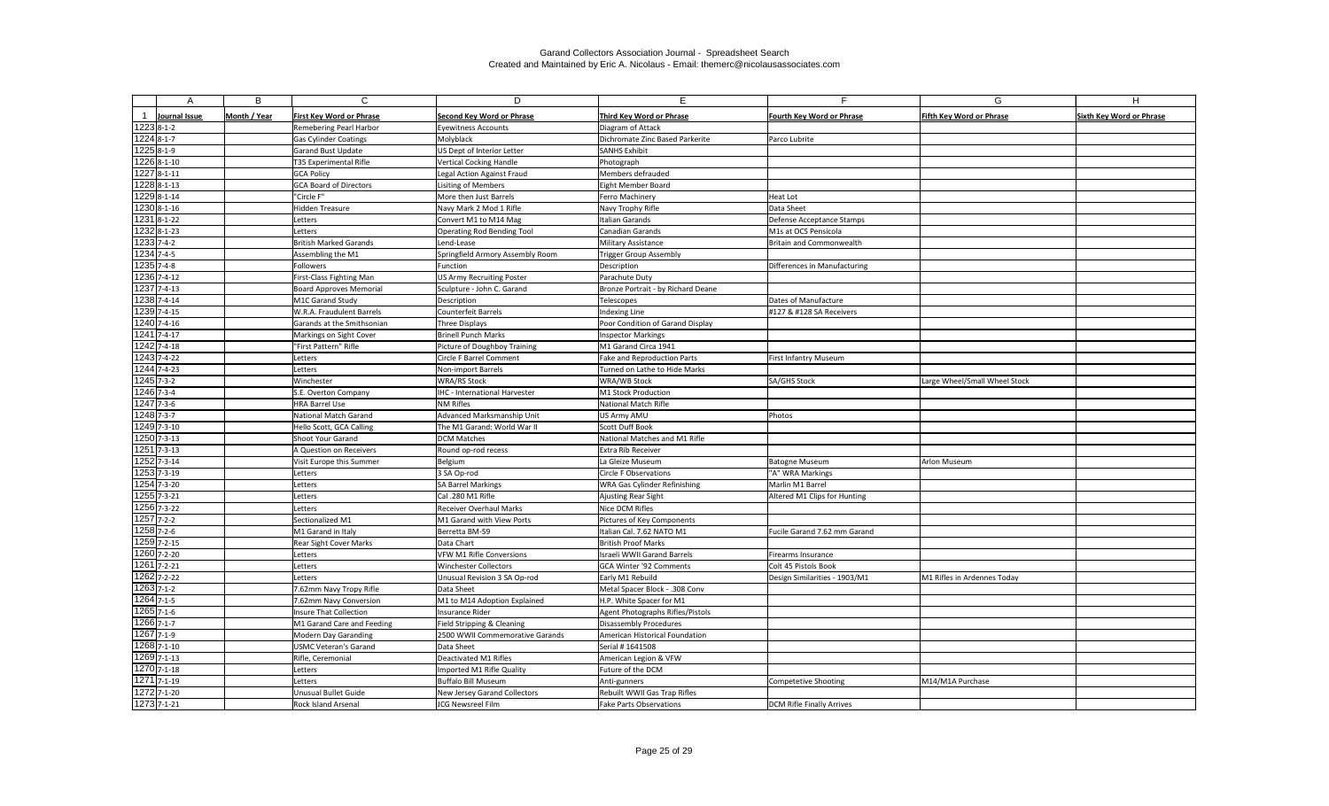| A                        | B            | $\mathsf{C}$                    | D                                 | E.                                 |                                  | G                               | H                               |
|--------------------------|--------------|---------------------------------|-----------------------------------|------------------------------------|----------------------------------|---------------------------------|---------------------------------|
| Journal Issue            | Month / Year | <b>First Key Word or Phrase</b> | <b>Second Key Word or Phrase</b>  | Third Key Word or Phrase           | <b>Fourth Key Word or Phrase</b> | <b>Fifth Key Word or Phrase</b> | <b>Sixth Key Word or Phrase</b> |
| 1223 8-1-2               |              | Remebering Pearl Harbor         | <b>Eyewitness Accounts</b>        | Diagram of Attack                  |                                  |                                 |                                 |
| 1224 8-1-7               |              | <b>Gas Cylinder Coatings</b>    | Molyblack                         | Dichromate Zinc Based Parkerite    | Parco Lubrite                    |                                 |                                 |
| $12258 - 1 - 9$          |              | Garand Bust Update              | US Dept of Interior Letter        | <b>SANHS Exhibit</b>               |                                  |                                 |                                 |
| $\overline{1226}$ 8-1-10 |              | T35 Experimental Rifle          | <b>Vertical Cocking Handle</b>    | Photograph                         |                                  |                                 |                                 |
| 1227 8-1-11              |              | <b>GCA Policy</b>               | Legal Action Against Fraud        | Members defrauded                  |                                  |                                 |                                 |
| $\overline{122888-1-13}$ |              | <b>GCA Board of Directors</b>   | Lisiting of Members               | Eight Member Board                 |                                  |                                 |                                 |
| 1229 8-1-14              |              | "Circle F"                      | More then Just Barrels            | Ferro Machinery                    | Heat Lot                         |                                 |                                 |
| 1230 8-1-16              |              | Hidden Treasure                 | Navy Mark 2 Mod 1 Rifle           | Navy Trophy Rifle                  | Data Sheet                       |                                 |                                 |
| 12318-1-22               |              | Letters                         | Convert M1 to M14 Mag             | Italian Garands                    | Defense Acceptance Stamps        |                                 |                                 |
| 1232 8-1-23              |              | Letters                         | <b>Operating Rod Bending Tool</b> | <b>Canadian Garands</b>            | M1s at OCS Pensicola             |                                 |                                 |
| 1233 7-4-2               |              | <b>British Marked Garands</b>   | Lend-Lease                        | Military Assistance                | Britain and Commonwealth         |                                 |                                 |
| $1234$ 7-4-5             |              | Assembling the M1               | Springfield Armory Assembly Room  | <b>Trigger Group Assembly</b>      |                                  |                                 |                                 |
| 1235 7-4-8               |              | Followers                       | Function                          | Description                        | Differences in Manufacturing     |                                 |                                 |
| 1236 7-4-12              |              | First-Class Fighting Man        | <b>US Army Recruiting Poster</b>  | Parachute Duty                     |                                  |                                 |                                 |
| 1237 7-4-13              |              | <b>Board Approves Memorial</b>  | Sculpture - John C. Garand        | Bronze Portrait - by Richard Deane |                                  |                                 |                                 |
| 1238 7-4-14              |              | M1C Garand Study                | Description                       | Telescopes                         | Dates of Manufacture             |                                 |                                 |
| 1239 7-4-15              |              | W.R.A. Fraudulent Barrels       | <b>Counterfeit Barrels</b>        | Indexing Line                      | #127 & #128 SA Receivers         |                                 |                                 |
| 1240 7-4-16              |              | Garands at the Smithsonian      | <b>Three Displays</b>             | Poor Condition of Garand Display   |                                  |                                 |                                 |
| 1241 7-4-17              |              | Markings on Sight Cover         | <b>Brinell Punch Marks</b>        | <b>Inspector Markings</b>          |                                  |                                 |                                 |
| 1242 7-4-18              |              | "First Pattern" Rifle           | Picture of Doughboy Training      | M1 Garand Circa 1941               |                                  |                                 |                                 |
| $1243$ 7-4-22            |              | Letters                         | Circle F Barrel Comment           | Fake and Reproduction Parts        | <b>First Infantry Museum</b>     |                                 |                                 |
| 1244 7-4-23              |              | Letters                         | Non-import Barrels                | Turned on Lathe to Hide Marks      |                                  |                                 |                                 |
| 1245 7-3-2               |              | Winchester                      | <b>WRA/RS Stock</b>               | WRA/WB Stock                       | <b>SA/GHS Stock</b>              | Large Wheel/Small Wheel Stock   |                                 |
| 1246 7-3-4               |              | S.E. Overton Company            | IHC - International Harvester     | M1 Stock Production                |                                  |                                 |                                 |
| $1247$ 7-3-6             |              | <b>HRA Barrel Use</b>           | <b>NM Rifles</b>                  | <b>National Match Rifle</b>        |                                  |                                 |                                 |
| $1248$ 7-3-7             |              | National Match Garand           | Advanced Marksmanship Unit        | US Army AMU                        | Photos                           |                                 |                                 |
| 1249 7-3-10              |              | Hello Scott, GCA Calling        | The M1 Garand: World War II       | Scott Duff Book                    |                                  |                                 |                                 |
| 1250 7-3-13              |              | Shoot Your Garand               | <b>DCM Matches</b>                | National Matches and M1 Rifle      |                                  |                                 |                                 |
| 1251 7-3-13              |              | A Question on Receivers         | Round op-rod recess               | <b>Extra Rib Receiver</b>          |                                  |                                 |                                 |
| 1252 7-3-14              |              | Visit Europe this Summer        | <b>Belgium</b>                    | La Gleize Museum                   | <b>Batogne Museum</b>            | <b>Arlon Museum</b>             |                                 |
| 1253 7-3-19              |              | Letters                         | 3 SA Op-rod                       | <b>Circle F Observations</b>       | "A" WRA Markings                 |                                 |                                 |
| 1254 7-3-20              |              | Letters                         | <b>SA Barrel Markings</b>         | WRA Gas Cylinder Refinishing       | Marlin M1 Barrel                 |                                 |                                 |
| $1255$ 7-3-21            |              | Letters                         | Cal .280 M1 Rifle                 | Ajusting Rear Sight                | Altered M1 Clips for Hunting     |                                 |                                 |
| 1256 7-3-22              |              | Letters                         | Receiver Overhaul Marks           | Nice DCM Rifles                    |                                  |                                 |                                 |
| $1257$ 7-2-2             |              | Sectionalized M1                | M1 Garand with View Ports         | Pictures of Key Components         |                                  |                                 |                                 |
| $1258$ 7-2-6             |              | M1 Garand in Italy              | Berretta BM-59                    | Italian Cal. 7.62 NATO M1          | Fucile Garand 7.62 mm Garand     |                                 |                                 |
| 1259 7-2-15              |              | Rear Sight Cover Marks          | Data Chart                        | <b>British Proof Marks</b>         |                                  |                                 |                                 |
| 1260 7-2-20              |              | Letters                         | VFW M1 Rifle Conversions          | <b>Israeli WWII Garand Barrels</b> | Firearms Insurance               |                                 |                                 |
| 1261 7-2-21              |              | Letters                         | Winchester Collectors             | GCA Winter '92 Comments            | Colt 45 Pistols Book             |                                 |                                 |
| $1262$ 7-2-22            |              | Letters                         | Unusual Revision 3 SA Op-rod      | Early M1 Rebuild                   | Design Similarities - 1903/M1    | M1 Rifles in Ardennes Today     |                                 |
| 1263 7-1-2               |              | 7.62mm Navy Tropy Rifle         | Data Sheet                        | Metal Spacer Block - .308 Conv     |                                  |                                 |                                 |
| 1264 7-1-5               |              | 7.62mm Navy Conversion          | M1 to M14 Adoption Explained      | H.P. White Spacer for M1           |                                  |                                 |                                 |
| 1265 7-1-6               |              | <b>Insure That Collection</b>   | Insurance Rider                   | Agent Photographs Rifles/Pistols   |                                  |                                 |                                 |
| 1266 7-1-7               |              | M1 Garand Care and Feeding      | Field Stripping & Cleaning        | <b>Disassembly Procedures</b>      |                                  |                                 |                                 |
| 1267 7-1-9               |              | Modern Day Garanding            | 2500 WWII Commemorative Garands   | American Historical Foundation     |                                  |                                 |                                 |
| 1268 7-1-10              |              | <b>USMC Veteran's Garand</b>    | Data Sheet                        | Serial # 1641508                   |                                  |                                 |                                 |
| 1269 7-1-13              |              | Rifle, Ceremonial               | Deactivated M1 Rifles             | American Legion & VFW              |                                  |                                 |                                 |
| 1270 7-1-18              |              | Letters                         | Imported M1 Rifle Quality         | Future of the DCM                  |                                  |                                 |                                 |
| 1271 7-1-19              |              | Letters                         | Buffalo Bill Museum               | Anti-gunners                       | Competetive Shooting             | M14/M1A Purchase                |                                 |
| 1272 7-1-20              |              | Unusual Bullet Guide            | New Jersey Garand Collectors      | Rebuilt WWII Gas Trap Rifles       |                                  |                                 |                                 |
| 1273 7-1-21              |              | Rock Island Arsenal             | JCG Newsreel Film                 | <b>Fake Parts Observations</b>     | DCM Rifle Finally Arrives        |                                 |                                 |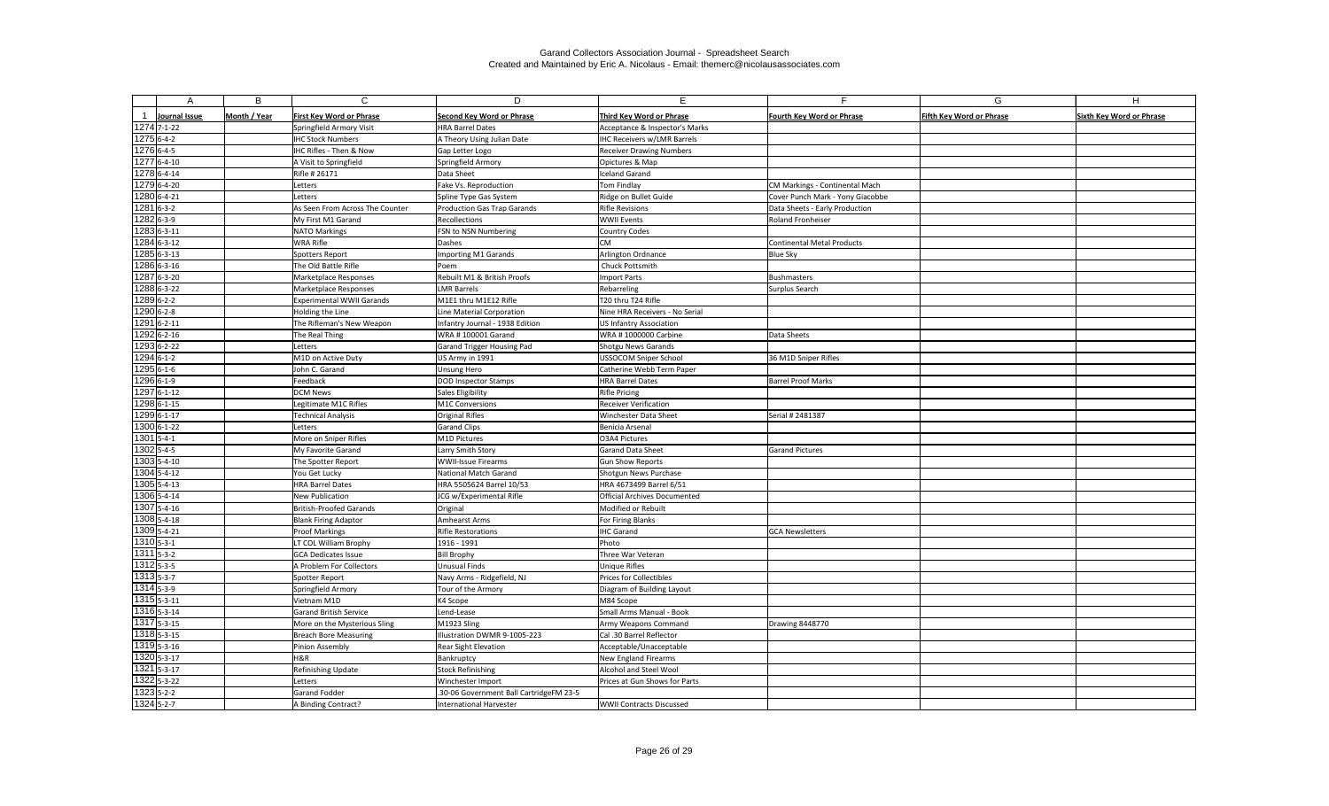| А                              | B            | $\mathsf{C}$                               | D                                           | E.                                       | Е                                | G                               | H                               |
|--------------------------------|--------------|--------------------------------------------|---------------------------------------------|------------------------------------------|----------------------------------|---------------------------------|---------------------------------|
| Journal Issue                  | Month / Year | <b>First Key Word or Phrase</b>            | <b>Second Key Word or Phrase</b>            | Third Key Word or Phrase                 | <b>Fourth Key Word or Phrase</b> | <b>Fifth Key Word or Phrase</b> | <b>Sixth Key Word or Phrase</b> |
| 1274 7-1-22                    |              | Springfield Armory Visit                   | <b>HRA Barrel Dates</b>                     | Acceptance & Inspector's Marks           |                                  |                                 |                                 |
| $12756 - 4 - 2$                |              | <b>IHC Stock Numbers</b>                   | A Theory Using Julian Date                  | <b>IHC Receivers w/LMR Barrels</b>       |                                  |                                 |                                 |
| 1276 6-4-5                     |              | IHC Rifles - Then & Now                    | Gap Letter Logo                             | <b>Receiver Drawing Numbers</b>          |                                  |                                 |                                 |
| 1277 6-4-10                    |              | A Visit to Springfield                     | Springfield Armory                          | Opictures & Map                          |                                  |                                 |                                 |
| 1278 6-4-14                    |              | Rifle # 26171                              | Data Sheet                                  | <b>Iceland Garand</b>                    |                                  |                                 |                                 |
| 1279 6-4-20                    |              | Letters                                    | Fake Vs. Reproduction                       | Tom Findlay                              | CM Markings - Continental Mach   |                                 |                                 |
| 1280 6-4-21                    |              | Letters                                    | Spline Type Gas System                      | Ridge on Bullet Guide                    | Cover Punch Mark - Yony Giacobbe |                                 |                                 |
| $12816 - -3 - 2$               |              | As Seen From Across The Counter            | <b>Production Gas Trap Garands</b>          | <b>Rifle Revisions</b>                   | Data Sheets - Early Production   |                                 |                                 |
| 1282 6-3-9                     |              | My First M1 Garand                         | Recollections                               | <b>WWII Events</b>                       | Roland Fronheiser                |                                 |                                 |
| 1283 6-3-11                    |              | <b>NATO Markings</b>                       | FSN to NSN Numbering                        | <b>Country Codes</b>                     |                                  |                                 |                                 |
| 1284 6-3-12                    |              | <b>WRA Rifle</b>                           | Dashes                                      | <b>CM</b>                                | Continental Metal Products       |                                 |                                 |
| 1285 6-3-13                    |              | Spotters Report                            | <b>Importing M1 Garands</b>                 | Arlington Ordnance                       | <b>Blue Sky</b>                  |                                 |                                 |
| 1286 6-3-16                    |              | The Old Battle Rifle                       | Poem                                        | Chuck Pottsmith                          |                                  |                                 |                                 |
| 1287 6-3-20                    |              | <b>Marketplace Responses</b>               | Rebuilt M1 & British Proofs                 | Import Parts                             | Bushmasters                      |                                 |                                 |
| 1288 6-3-22                    |              | <b>Marketplace Responses</b>               | <b>LMR Barrels</b>                          | Rebarreling                              | Surplus Search                   |                                 |                                 |
| 1289 6-2-2                     |              | <b>Experimental WWII Garands</b>           | M1E1 thru M1E12 Rifle                       | T20 thru T24 Rifle                       |                                  |                                 |                                 |
| $1290$ 6-2-8                   |              | Holding the Line                           | Line Material Corporation                   | Nine HRA Receivers - No Serial           |                                  |                                 |                                 |
| 1291 6-2-11                    |              | The Rifleman's New Weapon                  | Infantry Journal - 1938 Edition             | <b>US Infantry Association</b>           |                                  |                                 |                                 |
| 1292 6-2-16                    |              | The Real Thing                             | WRA #100001 Garand                          | WRA #1000000 Carbine                     | Data Sheets                      |                                 |                                 |
| 1293 6-2-22                    |              | Letters                                    | Garand Trigger Housing Pad                  | Shotgu News Garands                      |                                  |                                 |                                 |
| 1294 6-1-2                     |              | M1D on Active Duty                         | US Army in 1991                             | <b>USSOCOM Sniper School</b>             | 36 M1D Sniper Rifles             |                                 |                                 |
| $12956 - 1 - 6$                |              | John C. Garand                             | Unsung Hero                                 | Catherine Webb Term Paper                |                                  |                                 |                                 |
| 1296 6-1-9                     |              | Feedback                                   | <b>DOD Inspector Stamps</b>                 | <b>HRA Barrel Dates</b>                  | <b>Barrel Proof Marks</b>        |                                 |                                 |
| 1297 6-1-12                    |              | <b>DCM News</b>                            | Sales Eligibility                           | <b>Rifle Pricing</b>                     |                                  |                                 |                                 |
| 1298 6-1-15                    |              | Legitimate M1C Rifles                      | M1C Conversions                             | <b>Receiver Verification</b>             |                                  |                                 |                                 |
| 1299 6-1-17                    |              | <b>Technical Analysis</b>                  | <b>Original Rifles</b>                      | Winchester Data Sheet                    | Serial # 2481387                 |                                 |                                 |
| 1300 6-1-22                    |              | Letters                                    | <b>Garand Clips</b>                         | Benicia Arsenal                          |                                  |                                 |                                 |
| $1301$ 5-4-1                   |              | More on Sniper Rifles                      | M1D Pictures                                | O3A4 Pictures                            |                                  |                                 |                                 |
| $1302$ 5-4-5                   |              | My Favorite Garand                         | Larry Smith Story                           | Garand Data Sheet                        | Garand Pictures                  |                                 |                                 |
| 1303 5-4-10                    |              | The Spotter Report                         | <b>WWII-Issue Firearms</b>                  | <b>Gun Show Reports</b>                  |                                  |                                 |                                 |
| 1304 5-4-12                    |              | You Get Lucky                              | National Match Garand                       | Shotgun News Purchase                    |                                  |                                 |                                 |
| 1305 5-4-13                    |              | <b>HRA Barrel Dates</b>                    | HRA 5505624 Barrel 10/53                    | HRA 4673499 Barrel 6/51                  |                                  |                                 |                                 |
| 1306 5-4-14                    |              | New Publication                            | JCG w/Experimental Rifle                    | <b>Official Archives Documented</b>      |                                  |                                 |                                 |
| 1307 5-4-16                    |              | British-Proofed Garands                    | Original                                    | Modified or Rebuilt                      |                                  |                                 |                                 |
| 1308 5-4-18                    |              | <b>Blank Firing Adaptor</b>                | Amhearst Arms                               | For Firing Blanks                        |                                  |                                 |                                 |
| 1309 5-4-21<br>$13105 - 3 - 1$ |              | <b>Proof Markings</b>                      | <b>Rifle Restorations</b>                   | <b>IHC</b> Garand                        | <b>GCA Newsletters</b>           |                                 |                                 |
| $13115 - 3 - 2$                |              | LT COL William Brophy                      | 1916 - 1991<br><b>Bill Brophy</b>           | Photo                                    |                                  |                                 |                                 |
| $13125 - 3 - 5$                |              | <b>GCA Dedicates Issue</b>                 |                                             | Three War Veteran                        |                                  |                                 |                                 |
| $13135 - 3 - 7$                |              | A Problem For Collectors<br>Spotter Report | Unusual Finds<br>Navy Arms - Ridgefield, NJ | Unique Rifles<br>Prices for Collectibles |                                  |                                 |                                 |
| $1314$ 5-3-9                   |              | Springfield Armory                         | Tour of the Armory                          | Diagram of Building Layout               |                                  |                                 |                                 |
| $1315$ <sub>5-3-11</sub>       |              | Vietnam M1D                                | K4 Scope                                    | M84 Scope                                |                                  |                                 |                                 |
| 1316 5-3-14                    |              | <b>Garand British Service</b>              | Lend-Lease                                  | Small Arms Manual - Book                 |                                  |                                 |                                 |
| 1317 5-3-15                    |              | More on the Mysterious Sling               | M1923 Sling                                 | Army Weapons Command                     | Drawing 8448770                  |                                 |                                 |
| $13185 - 3 - 15$               |              | <b>Breach Bore Measuring</b>               | Illustration DWMR 9-1005-223                | Cal .30 Barrel Reflector                 |                                  |                                 |                                 |
| 1319 5-3-16                    |              | Pinion Assembly                            | Rear Sight Elevation                        | Acceptable/Unacceptable                  |                                  |                                 |                                 |
| 1320 5-3-17                    |              | H&R                                        | Bankruptcy                                  | New England Firearms                     |                                  |                                 |                                 |
| 1321 5-3-17                    |              | Refinishing Update                         | Stock Refinishing                           | Alcohol and Steel Wool                   |                                  |                                 |                                 |
| 1322 5-3-22                    |              | Letters                                    | Winchester Import                           | Prices at Gun Shows for Parts            |                                  |                                 |                                 |
| 1323 5-2-2                     |              | Garand Fodder                              | .30-06 Government Ball CartridgeFM 23-5     |                                          |                                  |                                 |                                 |
| 1324 5-2-7                     |              | A Binding Contract?                        | <b>International Harvester</b>              | <b>WWII Contracts Discussed</b>          |                                  |                                 |                                 |
|                                |              |                                            |                                             |                                          |                                  |                                 |                                 |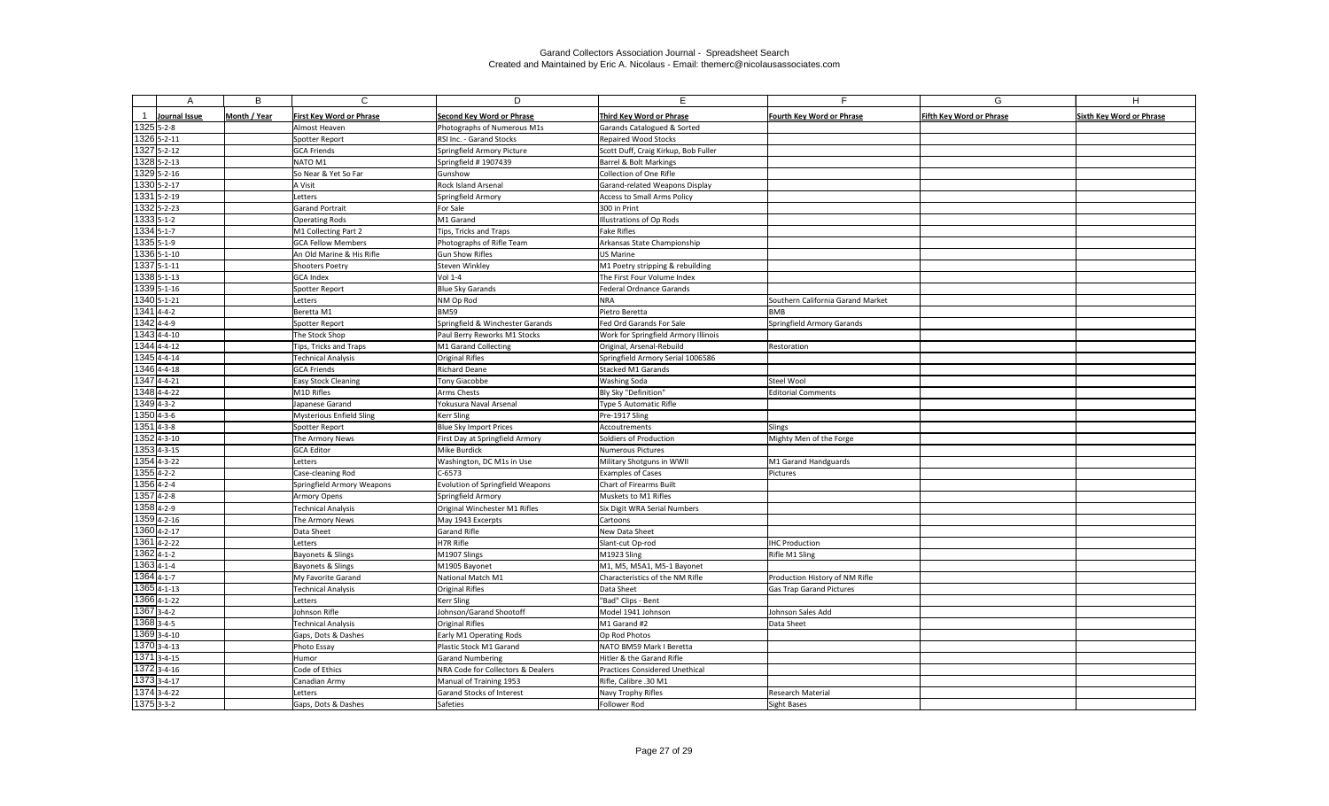| A                          | В            | $\mathsf{C}$                    | D                                                    | E.                                                | F.                                | G                               | H                               |
|----------------------------|--------------|---------------------------------|------------------------------------------------------|---------------------------------------------------|-----------------------------------|---------------------------------|---------------------------------|
|                            |              |                                 |                                                      |                                                   |                                   |                                 |                                 |
| Journal Issue              | Month / Year | <b>First Key Word or Phrase</b> | <b>Second Key Word or Phrase</b>                     | <b>Third Key Word or Phrase</b>                   | <b>Fourth Key Word or Phrase</b>  | <b>Fifth Key Word or Phrase</b> | <b>Sixth Key Word or Phrase</b> |
| $1325$ 5-2-8               |              | Almost Heaven                   | Photographs of Numerous M1s                          | Garands Catalogued & Sorted                       |                                   |                                 |                                 |
| 1326 5-2-11<br>1327 5-2-12 |              | Spotter Report                  | RSI Inc. - Garand Stocks                             | <b>Repaired Wood Stocks</b>                       |                                   |                                 |                                 |
| 1328 5-2-13                |              | <b>GCA Friends</b><br>NATO M1   | Springfield Armory Picture                           | Scott Duff, Craig Kirkup, Bob Fuller              |                                   |                                 |                                 |
| 1329 5-2-16                |              | So Near & Yet So Far            | Springfield #1907439<br>Gunshow                      | Barrel & Bolt Markings<br>Collection of One Rifle |                                   |                                 |                                 |
| 1330 5-2-17                |              | A Visit                         | <b>Rock Island Arsenal</b>                           | Garand-related Weapons Display                    |                                   |                                 |                                 |
| 1331 5-2-19                |              | Letters                         | Springfield Armory                                   | <b>Access to Small Arms Policy</b>                |                                   |                                 |                                 |
| 1332 5-2-23                |              | <b>Garand Portrait</b>          | For Sale                                             | 300 in Print                                      |                                   |                                 |                                 |
| 1333 5-1-2                 |              | <b>Operating Rods</b>           | M1 Garand                                            | Illustrations of Op Rods                          |                                   |                                 |                                 |
| 1334 5-1-7                 |              | M1 Collecting Part 2            | Tips, Tricks and Traps                               | <b>Fake Rifles</b>                                |                                   |                                 |                                 |
| 1335 5-1-9                 |              | <b>GCA Fellow Members</b>       | Photographs of Rifle Team                            | Arkansas State Championship                       |                                   |                                 |                                 |
| 1336 5-1-10                |              | An Old Marine & His Rifle       | Gun Show Rifles                                      | <b>US Marine</b>                                  |                                   |                                 |                                 |
| 1337 5-1-11                |              | <b>Shooters Poetry</b>          | Steven Winkley                                       | M1 Poetry stripping & rebuilding                  |                                   |                                 |                                 |
| 1338 5-1-13                |              | <b>GCA Index</b>                | Vol 1-4                                              | The First Four Volume Index                       |                                   |                                 |                                 |
| 1339 5-1-16                |              | Spotter Report                  | Blue Sky Garands                                     | <b>Federal Ordnance Garands</b>                   |                                   |                                 |                                 |
| 1340 5-1-21                |              | Letters                         | NM Op Rod                                            | <b>NRA</b>                                        | Southern California Garand Market |                                 |                                 |
| $1341$ 4-4-2               |              | Beretta M1                      | <b>BM59</b>                                          | Pietro Beretta                                    | BMB                               |                                 |                                 |
| 1342 4-4-9                 |              | Spotter Report                  | Springfield & Winchester Garands                     | Fed Ord Garands For Sale                          | Springfield Armory Garands        |                                 |                                 |
| 1343 4-4-10                |              | The Stock Shop                  | Paul Berry Reworks M1 Stocks                         | Work for Springfield Armory Illinois              |                                   |                                 |                                 |
| 1344 4-4-12                |              | Tips, Tricks and Traps          | M1 Garand Collecting                                 | Original, Arsenal-Rebuild                         | Restoration                       |                                 |                                 |
| 1345 4-4-14                |              | <b>Technical Analysis</b>       | Original Rifles                                      | Springfield Armory Serial 1006586                 |                                   |                                 |                                 |
| 1346 4-4-18                |              | <b>GCA Friends</b>              | <b>Richard Deane</b>                                 | <b>Stacked M1 Garands</b>                         |                                   |                                 |                                 |
| 1347 4-4-21                |              | Easy Stock Cleaning             | Tony Giacobbe                                        | <b>Washing Soda</b>                               | Steel Wool                        |                                 |                                 |
| 1348 4-4-22                |              | M1D Rifles                      | Arms Chests                                          | Bly Sky "Definition"                              | <b>Editorial Comments</b>         |                                 |                                 |
| $1349$ 4-3-2               |              | Japanese Garand                 | Yokusura Naval Arsenal                               | Type 5 Automatic Rifle                            |                                   |                                 |                                 |
| $1350$ 4-3-6               |              | <b>Mysterious Enfield Sling</b> | <b>Kerr Sling</b>                                    | Pre-1917 Sling                                    |                                   |                                 |                                 |
| $1351$ 4-3-8               |              | Spotter Report                  | <b>Blue Sky Import Prices</b>                        | Accoutrements                                     | Slings                            |                                 |                                 |
| $1352$ 4-3-10              |              | The Armory News                 | First Day at Springfield Armory                      | Soldiers of Production                            | Mighty Men of the Forge           |                                 |                                 |
| $1353$ 4-3-15              |              | <b>GCA Editor</b>               | Mike Burdick                                         | <b>Numerous Pictures</b>                          |                                   |                                 |                                 |
| $1354$ 4-3-22              |              | Letters                         | Washington, DC M1s in Use                            | Military Shotguns in WWII                         | M1 Garand Handguards              |                                 |                                 |
| $1355$ 4-2-2               |              | Case-cleaning Rod               | $C-6573$                                             | <b>Examples of Cases</b>                          | Pictures                          |                                 |                                 |
| 1356 4-2-4                 |              | Springfield Armory Weapons      | <b>Evolution of Springfield Weapons</b>              | <b>Chart of Firearms Built</b>                    |                                   |                                 |                                 |
| $1357$ 4-2-8               |              | <b>Armory Opens</b>             | Springfield Armory                                   | Muskets to M1 Rifles                              |                                   |                                 |                                 |
| 1358 4-2-9                 |              | <b>Technical Analysis</b>       | Original Winchester M1 Rifles                        | Six Digit WRA Serial Numbers                      |                                   |                                 |                                 |
| 1359 4-2-16                |              | The Armory News                 | May 1943 Excerpts                                    | Cartoons                                          |                                   |                                 |                                 |
| 1360 4-2-17                |              | Data Sheet                      | Garand Rifle                                         | New Data Sheet                                    |                                   |                                 |                                 |
| 1361 4-2-22                |              | Letters                         | H7R Rifle                                            | Slant-cut Op-rod                                  | <b>IHC Production</b>             |                                 |                                 |
| $1362$ 4-1-2               |              | Bayonets & Slings               | M1907 Slings                                         | M1923 Sling                                       | Rifle M1 Sling                    |                                 |                                 |
| 1363 4-1-4                 |              | Bayonets & Slings               | M1905 Bayonet                                        | M1, M5, M5A1, M5-1 Bayonet                        |                                   |                                 |                                 |
| $1364$ 4-1-7               |              | My Favorite Garand              | National Match M1                                    | Characteristics of the NM Rifle                   | Production History of NM Rifle    |                                 |                                 |
| $1365$ <sub>4-1-13</sub>   |              | <b>Technical Analysis</b>       | Original Rifles                                      | Data Sheet                                        | Gas Trap Garand Pictures          |                                 |                                 |
| 1366 4-1-22                |              | Letters                         | <b>Kerr Sling</b>                                    | "Bad" Clips - Bent                                |                                   |                                 |                                 |
| $1367$ 3-4-2               |              | Johnson Rifle                   | Johnson/Garand Shootoff                              | Model 1941 Johnson                                | Johnson Sales Add                 |                                 |                                 |
| 1368 3-4-5                 |              | <b>Technical Analysis</b>       | Original Rifles                                      | M1 Garand #2                                      | Data Sheet                        |                                 |                                 |
| 1369 3-4-10                |              | Gaps, Dots & Dashes             | Early M1 Operating Rods                              | Op Rod Photos                                     |                                   |                                 |                                 |
| 1370 3-4-13<br>1371 3-4-15 |              | Photo Essay                     | Plastic Stock M1 Garand                              | NATO BM59 Mark I Beretta                          |                                   |                                 |                                 |
| 1372 3-4-16                |              | Humor                           | Garand Numbering                                     | Hitler & the Garand Rifle                         |                                   |                                 |                                 |
| 1373 3-4-17                |              | Code of Ethics                  | NRA Code for Collectors & Dealers                    | <b>Practices Considered Unethical</b>             |                                   |                                 |                                 |
| $1374$ 3-4-22              |              | Canadian Army<br>Letters        | Manual of Training 1953<br>Garand Stocks of Interest | Rifle, Calibre .30 M1<br>Navy Trophy Rifles       | Research Material                 |                                 |                                 |
| $1375$ 3-3-2               |              | Gaps, Dots & Dashes             | Safeties                                             | Follower Rod                                      | Sight Bases                       |                                 |                                 |
|                            |              |                                 |                                                      |                                                   |                                   |                                 |                                 |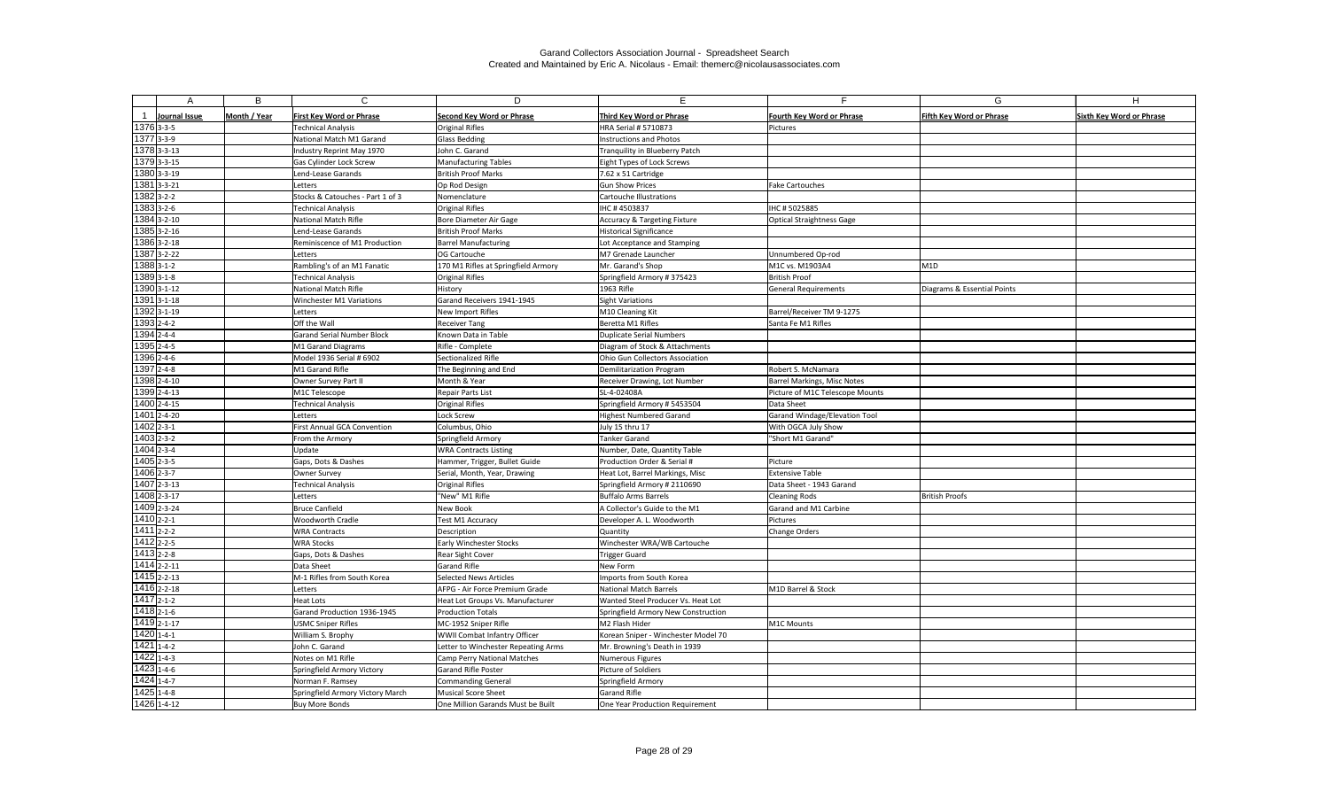|                                        | B            | $\mathsf{C}$                                                 | D                                                          | F.                                                         | F.                                    | G                               | H                               |
|----------------------------------------|--------------|--------------------------------------------------------------|------------------------------------------------------------|------------------------------------------------------------|---------------------------------------|---------------------------------|---------------------------------|
|                                        |              |                                                              |                                                            |                                                            |                                       |                                 |                                 |
| Journal Issue<br>1376 3-3-5            | Month / Year | <b>First Key Word or Phrase</b><br><b>Technical Analysis</b> | <b>Second Key Word or Phrase</b><br><b>Original Rifles</b> | Third Key Word or Phrase<br>HRA Serial # 5710873           | Fourth Key Word or Phrase<br>Pictures | <b>Fifth Key Word or Phrase</b> | <b>Sixth Key Word or Phrase</b> |
| 1377 3-3-9                             |              | National Match M1 Garand                                     | <b>Glass Bedding</b>                                       | <b>Instructions and Photos</b>                             |                                       |                                 |                                 |
| 1378 3-3-13                            |              | Industry Reprint May 1970                                    | John C. Garand                                             | Tranquility in Blueberry Patch                             |                                       |                                 |                                 |
| 1379 3-3-15                            |              | Gas Cylinder Lock Screw                                      | <b>Manufacturing Tables</b>                                | Eight Types of Lock Screws                                 |                                       |                                 |                                 |
| 1380 3-3-19                            |              | Lend-Lease Garands                                           | British Proof Marks                                        | 7.62 x 51 Cartridge                                        |                                       |                                 |                                 |
| $1381$ 3-3-21                          |              | Letters                                                      | Op Rod Design                                              | <b>Gun Show Prices</b>                                     | Fake Cartouches                       |                                 |                                 |
| $1382$ 3-2-2                           |              | Stocks & Catouches - Part 1 of 3                             | Nomenclature                                               | Cartouche Illustrations                                    |                                       |                                 |                                 |
| $138333-2-6$                           |              | <b>Technical Analysis</b>                                    | <b>Original Rifles</b>                                     | IHC #4503837                                               | IHC # 5025885                         |                                 |                                 |
| 1384 3-2-10                            |              | National Match Rifle                                         | Bore Diameter Air Gage                                     | <b>Accuracy &amp; Targeting Fixture</b>                    | Optical Straightness Gage             |                                 |                                 |
| $1385$ 3-2-16                          |              | Lend-Lease Garands                                           | <b>British Proof Marks</b>                                 | <b>Historical Significance</b>                             |                                       |                                 |                                 |
| 1386 3-2-18                            |              | Reminiscence of M1 Production                                | <b>Barrel Manufacturing</b>                                | Lot Acceptance and Stamping                                |                                       |                                 |                                 |
| 1387 3-2-22                            |              | Letters                                                      | OG Cartouche                                               | M7 Grenade Launcher                                        | Unnumbered Op-rod                     |                                 |                                 |
| $13883 - 1 - 2$                        |              | Rambling's of an M1 Fanatic                                  | 170 M1 Rifles at Springfield Armory                        | Mr. Garand's Shop                                          | M1C vs. M1903A4                       | M1D                             |                                 |
| 1389 3-1-8                             |              | Technical Analysis                                           | <b>Original Rifles</b>                                     | Springfield Armory # 375423                                | <b>British Proof</b>                  |                                 |                                 |
| 1390 3-1-12                            |              | National Match Rifle                                         | History                                                    | 1963 Rifle                                                 | <b>General Requirements</b>           | Diagrams & Essential Points     |                                 |
| 1391 3-1-18                            |              | Winchester M1 Variations                                     | Garand Receivers 1941-1945                                 | Sight Variations                                           |                                       |                                 |                                 |
| 1392 3-1-19                            |              | Letters                                                      | New Import Rifles                                          | M10 Cleaning Kit                                           | Barrel/Receiver TM 9-1275             |                                 |                                 |
| 1393 2-4-2                             |              | Off the Wall                                                 | <b>Receiver Tang</b>                                       | Beretta M1 Rifles                                          | Santa Fe M1 Rifles                    |                                 |                                 |
| $1394$ <sub>2-4-4</sub>                |              | <b>Garand Serial Number Block</b>                            | Known Data in Table                                        | <b>Duplicate Serial Numbers</b>                            |                                       |                                 |                                 |
| 1395 2-4-5                             |              | M1 Garand Diagrams                                           | Rifle - Complete                                           | Diagram of Stock & Attachments                             |                                       |                                 |                                 |
| 1396 2-4-6                             |              | Model 1936 Serial # 6902                                     | Sectionalized Rifle                                        | Ohio Gun Collectors Association                            |                                       |                                 |                                 |
| $1397$ <sub>2-4-8</sub>                |              | M1 Garand Rifle                                              | The Beginning and End                                      | Demilitarization Program                                   | Robert S. McNamara                    |                                 |                                 |
| 1398 2-4-10                            |              | Owner Survey Part II                                         | Month & Year                                               | Receiver Drawing, Lot Number                               | <b>Barrel Markings, Misc Notes</b>    |                                 |                                 |
| 1399 2-4-13                            |              | M1C Telescope                                                | <b>Repair Parts List</b>                                   | SL-4-02408A                                                | Picture of M1C Telescope Mounts       |                                 |                                 |
| 1400 2-4-15                            |              | <b>Technical Analysis</b>                                    | <b>Original Rifles</b>                                     | Springfield Armory # 5453504                               | Data Sheet                            |                                 |                                 |
| 1401 2-4-20                            |              | Letters                                                      | Lock Screw                                                 | <b>Highest Numbered Garand</b>                             | Garand Windage/Elevation Tool         |                                 |                                 |
| $1402$ <sub>2-3-1</sub>                |              | First Annual GCA Convention                                  | Columbus, Ohio                                             | July 15 thru 17                                            | With OGCA July Show                   |                                 |                                 |
| $1403$ <sub>2-3-2</sub>                |              | From the Armory                                              | Springfield Armory                                         | <b>Tanker Garand</b>                                       | "Short M1 Garand'                     |                                 |                                 |
| $1404$ 2-3-4                           |              | Update                                                       | <b>WRA Contracts Listing</b>                               | Number, Date, Quantity Table                               |                                       |                                 |                                 |
| 1405 2-3-5                             |              | Gaps, Dots & Dashes                                          | Hammer, Trigger, Bullet Guide                              | Production Order & Serial #                                | Picture                               |                                 |                                 |
| $1406$ <sub>2-3-7</sub>                |              | <b>Owner Survey</b>                                          | Serial, Month, Year, Drawing                               | Heat Lot, Barrel Markings, Misc                            | <b>Extensive Table</b>                |                                 |                                 |
| 1407 2-3-13                            |              | Technical Analysis                                           | <b>Original Rifles</b>                                     | Springfield Armory # 2110690                               | Data Sheet - 1943 Garand              |                                 |                                 |
| $1408$ <sub>2-3-17</sub>               |              | Letters                                                      | "New" M1 Rifle                                             | <b>Buffalo Arms Barrels</b>                                | Cleaning Rods                         | <b>British Proofs</b>           |                                 |
| 1409 2-3-24<br>$1410$ <sub>2-2-1</sub> |              | Bruce Canfield<br>Woodworth Cradle                           | New Book<br>Test M1 Accuracy                               | A Collector's Guide to the M1<br>Developer A. L. Woodworth | Garand and M1 Carbine<br>Pictures     |                                 |                                 |
| $1411$ 2-2-2                           |              | <b>WRA Contracts</b>                                         | Description                                                | Quantity                                                   | Change Orders                         |                                 |                                 |
| 1412 2-2-5                             |              | <b>WRA Stocks</b>                                            | <b>Early Winchester Stocks</b>                             | Winchester WRA/WB Cartouche                                |                                       |                                 |                                 |
| 1413 2-2-8                             |              | Gaps, Dots & Dashes                                          | <b>Rear Sight Cover</b>                                    | <b>Trigger Guard</b>                                       |                                       |                                 |                                 |
| $1414$ 2-2-11                          |              | Data Sheet                                                   | Garand Rifle                                               | New Form                                                   |                                       |                                 |                                 |
| 1415 2-2-13                            |              | M-1 Rifles from South Korea                                  | Selected News Articles                                     | Imports from South Korea                                   |                                       |                                 |                                 |
| 1416 2-2-18                            |              | Letters                                                      | AFPG - Air Force Premium Grade                             | <b>National Match Barrels</b>                              | M1D Barrel & Stock                    |                                 |                                 |
| $1417$ <sub>2-1-2</sub>                |              | Heat Lots                                                    | Heat Lot Groups Vs. Manufacturer                           | Wanted Steel Producer Vs. Heat Lot                         |                                       |                                 |                                 |
| 1418 2-1-6                             |              | Garand Production 1936-1945                                  | <b>Production Totals</b>                                   | Springfield Armory New Construction                        |                                       |                                 |                                 |
| 1419 2-1-17                            |              | <b>USMC Sniper Rifles</b>                                    | MC-1952 Sniper Rifle                                       | M2 Flash Hider                                             | M1C Mounts                            |                                 |                                 |
| $1420$ 1-4-1                           |              | William S. Brophy                                            | WWII Combat Infantry Officer                               | Korean Sniper - Winchester Model 70                        |                                       |                                 |                                 |
| $1421$ <sub>1-4-2</sub>                |              | John C. Garand                                               | Letter to Winchester Repeating Arms                        | Mr. Browning's Death in 1939                               |                                       |                                 |                                 |
| $1422$ 1-4-3                           |              | Notes on M1 Rifle                                            | Camp Perry National Matches                                | Numerous Figures                                           |                                       |                                 |                                 |
| 1423 1-4-6                             |              | Springfield Armory Victory                                   | <b>Garand Rifle Poster</b>                                 | Picture of Soldiers                                        |                                       |                                 |                                 |
| $1424$ <sub>1-4-7</sub>                |              | Norman F. Ramsey                                             | Commanding General                                         | Springfield Armory                                         |                                       |                                 |                                 |
| $1425$ 1-4-8                           |              | Springfield Armory Victory March                             | Musical Score Sheet                                        | Garand Rifle                                               |                                       |                                 |                                 |
| 1426 1-4-12                            |              | Buy More Bonds                                               | One Million Garands Must be Built                          | One Year Production Requirement                            |                                       |                                 |                                 |